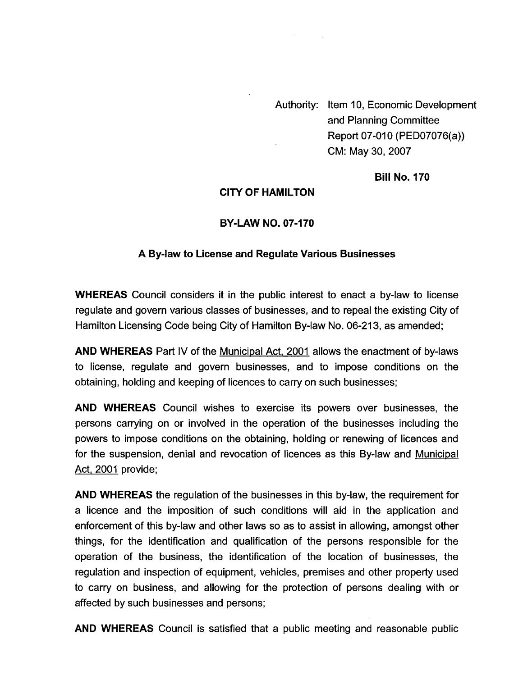Authority: Item 10, Economic Development and Planning Committee Report 07-010 (PED07076(a)) CM: May 30,2007

**Bill No. 170** 

#### **CITY OF HAMILTON**

#### **BY-LAW NO. 07-170**

#### **A By-law to License and Regulate Various Businesses**

**WHEREAS** Council considers it in the public interest to enact a by-law to license regulate and govern various classes of businesses, and to repeal the existing City of Hamilton Licensing Code being City of Hamilton By-law No. 06-213, as amended;

**AND WHEREAS** Part IV of the Municipal Act, 2001 allows the enactment of by-laws to license, regulate and govern businesses, and to impose conditions on the obtaining, holding and keeping of licences to carry on such businesses;

**AND WHEREAS** Council wishes to exercise its powers over businesses, the persons carrying on or involved in the operation of the businesses including the powers to impose conditions on the obtaining, holding or renewing of licences and for the suspension, denial and revocation of licences as this By-law and Municipal Act, 2001 provide;

**AND WHEREAS** the regulation of the businesses in this by-law, the requirement for a licence and the imposition of such conditions will aid in the application and enforcement of this by-law and other laws so as to assist in allowing, amongst other things, for the identification and qualification of the persons responsible for the operation of the business, the identification of the location of businesses, the regulation and inspection of equipment, vehicles, premises and other property used to carry on business, and allowing for the protection of persons dealing with or affected by such businesses and persons;

**AND WHEREAS** Council is satisfied that a public meeting and reasonable public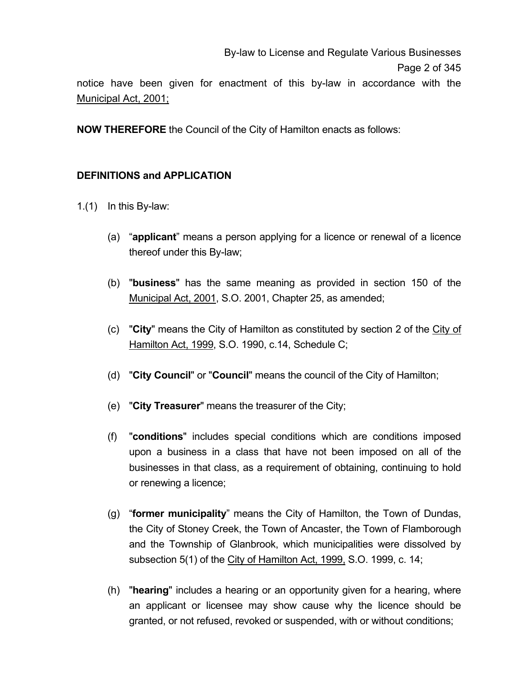notice have been given for enactment of this by-law in accordance with the Municipal Act, 2001;

**NOW THEREFORE** the Council of the City of Hamilton enacts as follows:

## **DEFINITIONS and APPLICATION**

- 1.(1) In this By-law:
	- (a) "**applicant**" means a person applying for a licence or renewal of a licence thereof under this By-law;
	- (b) "**business**" has the same meaning as provided in section 150 of the Municipal Act, 2001, S.O. 2001, Chapter 25, as amended;
	- (c) "**City**" means the City of Hamilton as constituted by section 2 of the City of Hamilton Act, 1999, S.O. 1990, c.14, Schedule C;
	- (d) "**City Council**" or "**Council**" means the council of the City of Hamilton;
	- (e) "**City Treasurer**" means the treasurer of the City;
	- (f) "**conditions**" includes special conditions which are conditions imposed upon a business in a class that have not been imposed on all of the businesses in that class, as a requirement of obtaining, continuing to hold or renewing a licence;
	- (g) "**former municipality**" means the City of Hamilton, the Town of Dundas, the City of Stoney Creek, the Town of Ancaster, the Town of Flamborough and the Township of Glanbrook, which municipalities were dissolved by subsection 5(1) of the City of Hamilton Act, 1999, S.O. 1999, c. 14;
	- (h) "**hearing**" includes a hearing or an opportunity given for a hearing, where an applicant or licensee may show cause why the licence should be granted, or not refused, revoked or suspended, with or without conditions;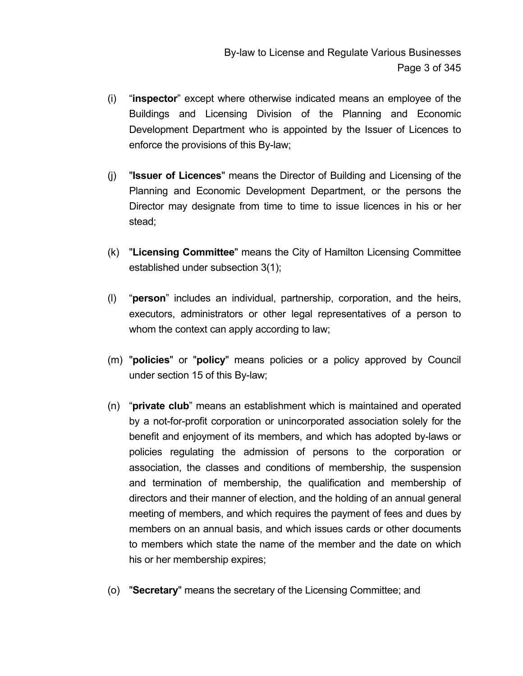- (i) "**inspector**" except where otherwise indicated means an employee of the Buildings and Licensing Division of the Planning and Economic Development Department who is appointed by the Issuer of Licences to enforce the provisions of this By-law;
- (j) "**Issuer of Licences**" means the Director of Building and Licensing of the Planning and Economic Development Department, or the persons the Director may designate from time to time to issue licences in his or her stead;
- (k) "**Licensing Committee**" means the City of Hamilton Licensing Committee established under subsection 3(1);
- (l) "**person**" includes an individual, partnership, corporation, and the heirs, executors, administrators or other legal representatives of a person to whom the context can apply according to law;
- (m) "**policies**" or "**policy**" means policies or a policy approved by Council under section 15 of this By-law;
- (n) "**private club**" means an establishment which is maintained and operated by a not-for-profit corporation or unincorporated association solely for the benefit and enjoyment of its members, and which has adopted by-laws or policies regulating the admission of persons to the corporation or association, the classes and conditions of membership, the suspension and termination of membership, the qualification and membership of directors and their manner of election, and the holding of an annual general meeting of members, and which requires the payment of fees and dues by members on an annual basis, and which issues cards or other documents to members which state the name of the member and the date on which his or her membership expires;
- (o) "**Secretary**" means the secretary of the Licensing Committee; and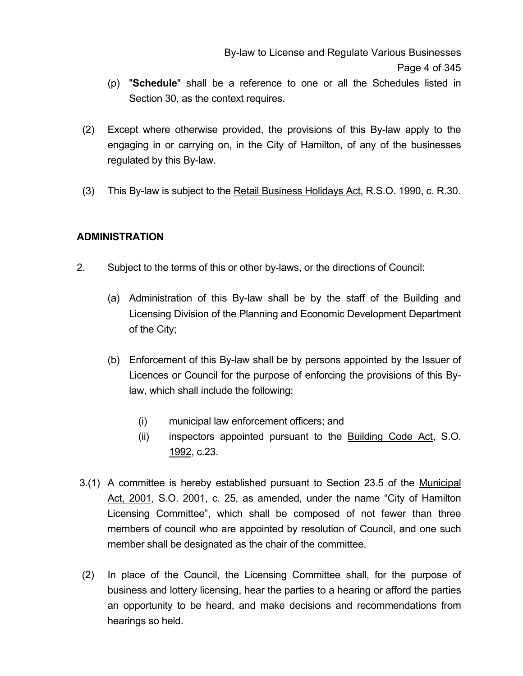- (p) "**Schedule**" shall be a reference to one or all the Schedules listed in Section 30, as the context requires.
- (2) Except where otherwise provided, the provisions of this By-law apply to the engaging in or carrying on, in the City of Hamilton, of any of the businesses regulated by this By-law.
- (3) This By-law is subject to the Retail Business Holidays Act, R.S.O. 1990, c. R.30.

### **ADMINISTRATION**

- 2. Subject to the terms of this or other by-laws, or the directions of Council:
	- (a) Administration of this By-law shall be by the staff of the Building and Licensing Division of the Planning and Economic Development Department of the City;
	- (b) Enforcement of this By-law shall be by persons appointed by the Issuer of Licences or Council for the purpose of enforcing the provisions of this Bylaw, which shall include the following:
		- (i) municipal law enforcement officers; and
		- (ii) inspectors appointed pursuant to the Building Code Act, S.O. 1992, c.23.
- 3.(1) A committee is hereby established pursuant to Section 23.5 of the Municipal Act, 2001, S.O. 2001, c. 25, as amended, under the name "City of Hamilton Licensing Committee", which shall be composed of not fewer than three members of council who are appointed by resolution of Council, and one such member shall be designated as the chair of the committee.
- (2) In place of the Council, the Licensing Committee shall, for the purpose of business and lottery licensing, hear the parties to a hearing or afford the parties an opportunity to be heard, and make decisions and recommendations from hearings so held.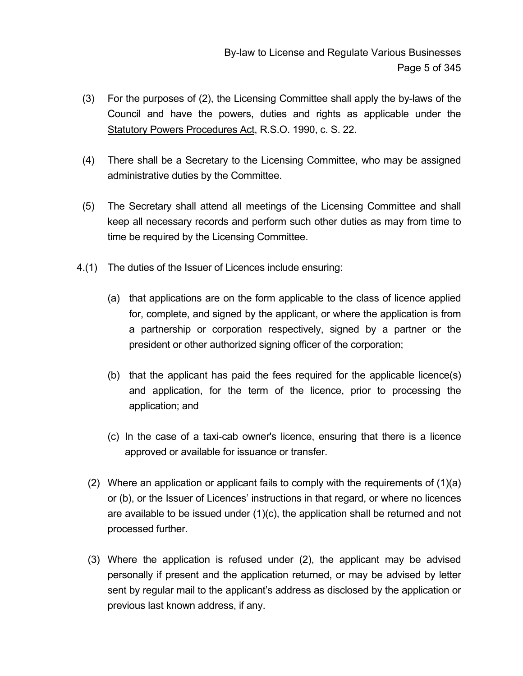- (3) For the purposes of (2), the Licensing Committee shall apply the by-laws of the Council and have the powers, duties and rights as applicable under the Statutory Powers Procedures Act, R.S.O. 1990, c. S. 22.
- (4) There shall be a Secretary to the Licensing Committee, who may be assigned administrative duties by the Committee.
- (5) The Secretary shall attend all meetings of the Licensing Committee and shall keep all necessary records and perform such other duties as may from time to time be required by the Licensing Committee.
- 4.(1) The duties of the Issuer of Licences include ensuring:
	- (a) that applications are on the form applicable to the class of licence applied for, complete, and signed by the applicant, or where the application is from a partnership or corporation respectively, signed by a partner or the president or other authorized signing officer of the corporation;
	- (b) that the applicant has paid the fees required for the applicable licence(s) and application, for the term of the licence, prior to processing the application; and
	- (c) In the case of a taxi-cab owner's licence, ensuring that there is a licence approved or available for issuance or transfer.
	- (2) Where an application or applicant fails to comply with the requirements of (1)(a) or (b), or the Issuer of Licences' instructions in that regard, or where no licences are available to be issued under  $(1)(c)$ , the application shall be returned and not processed further.
	- (3) Where the application is refused under (2), the applicant may be advised personally if present and the application returned, or may be advised by letter sent by regular mail to the applicant's address as disclosed by the application or previous last known address, if any.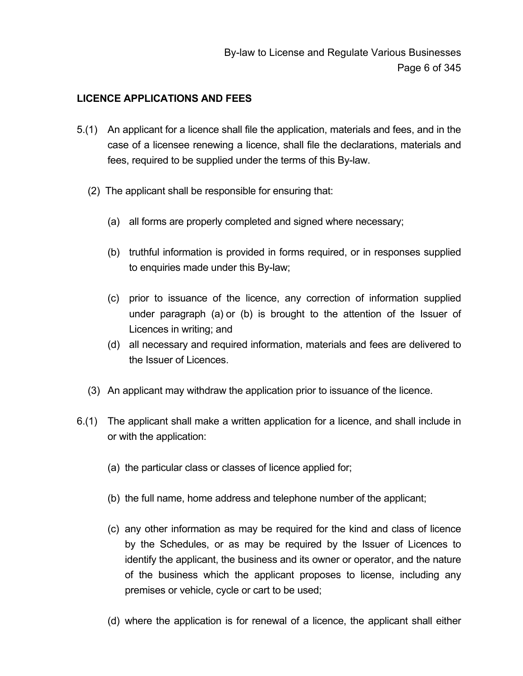### **LICENCE APPLICATIONS AND FEES**

- 5.(1) An applicant for a licence shall file the application, materials and fees, and in the case of a licensee renewing a licence, shall file the declarations, materials and fees, required to be supplied under the terms of this By-law.
	- (2) The applicant shall be responsible for ensuring that:
		- (a) all forms are properly completed and signed where necessary;
		- (b) truthful information is provided in forms required, or in responses supplied to enquiries made under this By-law;
		- (c) prior to issuance of the licence, any correction of information supplied under paragraph (a) or (b) is brought to the attention of the Issuer of Licences in writing; and
		- (d) all necessary and required information, materials and fees are delivered to the Issuer of Licences.
	- (3) An applicant may withdraw the application prior to issuance of the licence.
- 6.(1) The applicant shall make a written application for a licence, and shall include in or with the application:
	- (a) the particular class or classes of licence applied for;
	- (b) the full name, home address and telephone number of the applicant;
	- (c) any other information as may be required for the kind and class of licence by the Schedules, or as may be required by the Issuer of Licences to identify the applicant, the business and its owner or operator, and the nature of the business which the applicant proposes to license, including any premises or vehicle, cycle or cart to be used;
	- (d) where the application is for renewal of a licence, the applicant shall either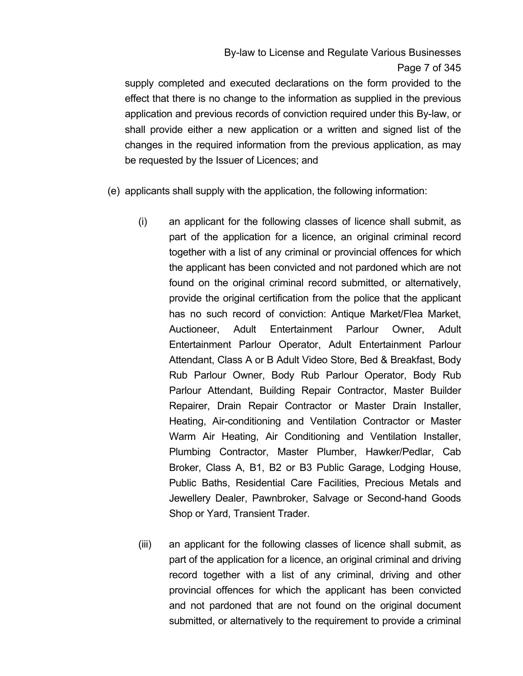supply completed and executed declarations on the form provided to the effect that there is no change to the information as supplied in the previous application and previous records of conviction required under this By-law, or shall provide either a new application or a written and signed list of the changes in the required information from the previous application, as may be requested by the Issuer of Licences; and

- (e) applicants shall supply with the application, the following information:
	- (i) an applicant for the following classes of licence shall submit, as part of the application for a licence, an original criminal record together with a list of any criminal or provincial offences for which the applicant has been convicted and not pardoned which are not found on the original criminal record submitted, or alternatively, provide the original certification from the police that the applicant has no such record of conviction: Antique Market/Flea Market, Auctioneer, Adult Entertainment Parlour Owner, Adult Entertainment Parlour Operator, Adult Entertainment Parlour Attendant, Class A or B Adult Video Store, Bed & Breakfast, Body Rub Parlour Owner, Body Rub Parlour Operator, Body Rub Parlour Attendant, Building Repair Contractor, Master Builder Repairer, Drain Repair Contractor or Master Drain Installer, Heating, Air-conditioning and Ventilation Contractor or Master Warm Air Heating, Air Conditioning and Ventilation Installer, Plumbing Contractor, Master Plumber, Hawker/Pedlar, Cab Broker, Class A, B1, B2 or B3 Public Garage, Lodging House, Public Baths, Residential Care Facilities, Precious Metals and Jewellery Dealer, Pawnbroker, Salvage or Second-hand Goods Shop or Yard, Transient Trader.
	- (iii) an applicant for the following classes of licence shall submit, as part of the application for a licence, an original criminal and driving record together with a list of any criminal, driving and other provincial offences for which the applicant has been convicted and not pardoned that are not found on the original document submitted, or alternatively to the requirement to provide a criminal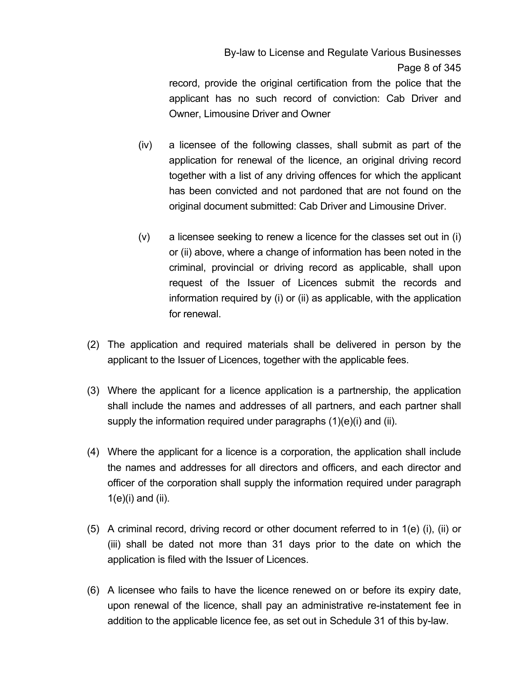record, provide the original certification from the police that the applicant has no such record of conviction: Cab Driver and Owner, Limousine Driver and Owner

- (iv) a licensee of the following classes, shall submit as part of the application for renewal of the licence, an original driving record together with a list of any driving offences for which the applicant has been convicted and not pardoned that are not found on the original document submitted: Cab Driver and Limousine Driver.
- (v) a licensee seeking to renew a licence for the classes set out in (i) or (ii) above, where a change of information has been noted in the criminal, provincial or driving record as applicable, shall upon request of the Issuer of Licences submit the records and information required by (i) or (ii) as applicable, with the application for renewal.
- (2) The application and required materials shall be delivered in person by the applicant to the Issuer of Licences, together with the applicable fees.
- (3) Where the applicant for a licence application is a partnership, the application shall include the names and addresses of all partners, and each partner shall supply the information required under paragraphs (1)(e)(i) and (ii).
- (4) Where the applicant for a licence is a corporation, the application shall include the names and addresses for all directors and officers, and each director and officer of the corporation shall supply the information required under paragraph  $1(e)(i)$  and  $(ii)$ .
- (5) A criminal record, driving record or other document referred to in 1(e) (i), (ii) or (iii) shall be dated not more than 31 days prior to the date on which the application is filed with the Issuer of Licences.
- (6) A licensee who fails to have the licence renewed on or before its expiry date, upon renewal of the licence, shall pay an administrative re-instatement fee in addition to the applicable licence fee, as set out in Schedule 31 of this by-law.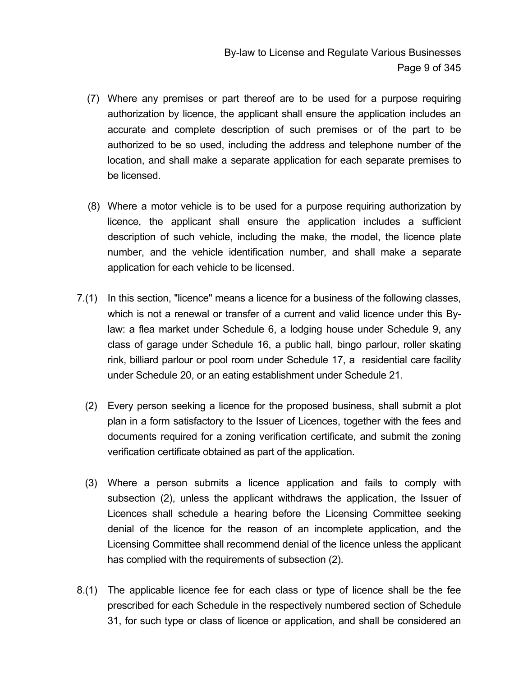- (7) Where any premises or part thereof are to be used for a purpose requiring authorization by licence, the applicant shall ensure the application includes an accurate and complete description of such premises or of the part to be authorized to be so used, including the address and telephone number of the location, and shall make a separate application for each separate premises to be licensed.
- (8) Where a motor vehicle is to be used for a purpose requiring authorization by licence, the applicant shall ensure the application includes a sufficient description of such vehicle, including the make, the model, the licence plate number, and the vehicle identification number, and shall make a separate application for each vehicle to be licensed.
- 7.(1) In this section, "licence" means a licence for a business of the following classes, which is not a renewal or transfer of a current and valid licence under this Bylaw: a flea market under Schedule 6, a lodging house under Schedule 9, any class of garage under Schedule 16, a public hall, bingo parlour, roller skating rink, billiard parlour or pool room under Schedule 17, a residential care facility under Schedule 20, or an eating establishment under Schedule 21.
	- (2) Every person seeking a licence for the proposed business, shall submit a plot plan in a form satisfactory to the Issuer of Licences, together with the fees and documents required for a zoning verification certificate, and submit the zoning verification certificate obtained as part of the application.
	- (3) Where a person submits a licence application and fails to comply with subsection (2), unless the applicant withdraws the application, the Issuer of Licences shall schedule a hearing before the Licensing Committee seeking denial of the licence for the reason of an incomplete application, and the Licensing Committee shall recommend denial of the licence unless the applicant has complied with the requirements of subsection (2).
- 8.(1) The applicable licence fee for each class or type of licence shall be the fee prescribed for each Schedule in the respectively numbered section of Schedule 31, for such type or class of licence or application, and shall be considered an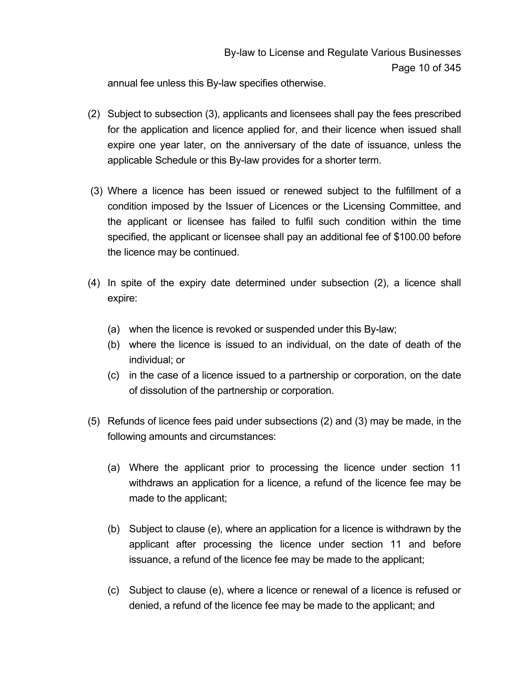annual fee unless this By-law specifies otherwise.

- (2) Subject to subsection (3), applicants and licensees shall pay the fees prescribed for the application and licence applied for, and their licence when issued shall expire one year later, on the anniversary of the date of issuance, unless the applicable Schedule or this By-law provides for a shorter term.
- (3) Where a licence has been issued or renewed subject to the fulfillment of a condition imposed by the Issuer of Licences or the Licensing Committee, and the applicant or licensee has failed to fulfil such condition within the time specified, the applicant or licensee shall pay an additional fee of \$100.00 before the licence may be continued.
- (4) In spite of the expiry date determined under subsection (2), a licence shall expire:
	- (a) when the licence is revoked or suspended under this By-law;
	- (b) where the licence is issued to an individual, on the date of death of the individual; or
	- (c) in the case of a licence issued to a partnership or corporation, on the date of dissolution of the partnership or corporation.
- (5) Refunds of licence fees paid under subsections (2) and (3) may be made, in the following amounts and circumstances:
	- (a) Where the applicant prior to processing the licence under section 11 withdraws an application for a licence, a refund of the licence fee may be made to the applicant;
	- (b) Subject to clause (e), where an application for a licence is withdrawn by the applicant after processing the licence under section 11 and before issuance, a refund of the licence fee may be made to the applicant;
	- (c) Subject to clause (e), where a licence or renewal of a licence is refused or denied, a refund of the licence fee may be made to the applicant; and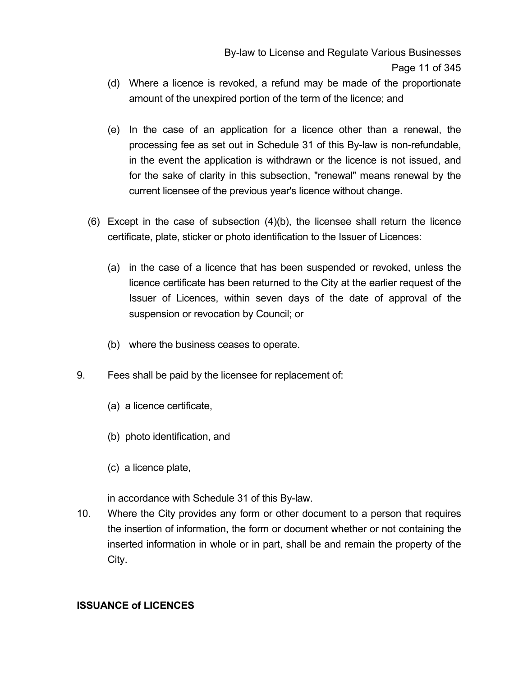- (d) Where a licence is revoked, a refund may be made of the proportionate amount of the unexpired portion of the term of the licence; and
- (e) In the case of an application for a licence other than a renewal, the processing fee as set out in Schedule 31 of this By-law is non-refundable, in the event the application is withdrawn or the licence is not issued, and for the sake of clarity in this subsection, "renewal" means renewal by the current licensee of the previous year's licence without change.
- (6) Except in the case of subsection (4)(b), the licensee shall return the licence certificate, plate, sticker or photo identification to the Issuer of Licences:
	- (a) in the case of a licence that has been suspended or revoked, unless the licence certificate has been returned to the City at the earlier request of the Issuer of Licences, within seven days of the date of approval of the suspension or revocation by Council; or
	- (b) where the business ceases to operate.
- 9. Fees shall be paid by the licensee for replacement of:
	- (a) a licence certificate,
	- (b) photo identification, and
	- (c) a licence plate,

in accordance with Schedule 31 of this By-law.

10. Where the City provides any form or other document to a person that requires the insertion of information, the form or document whether or not containing the inserted information in whole or in part, shall be and remain the property of the City.

#### **ISSUANCE of LICENCES**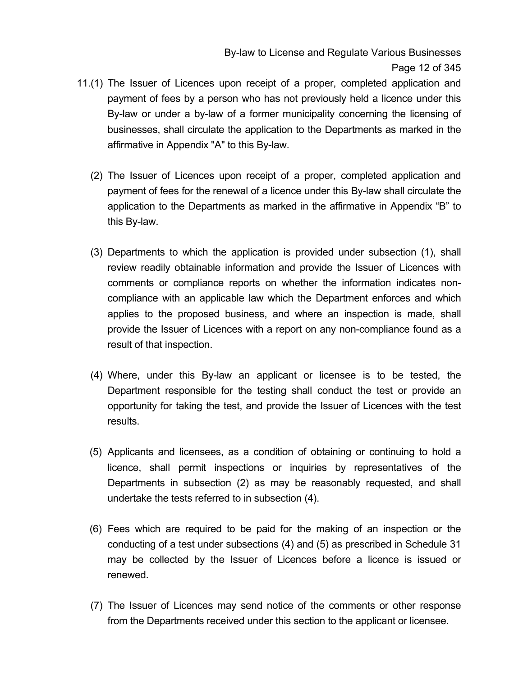By-law to License and Regulate Various Businesses Page 12 of 345

- 11.(1) The Issuer of Licences upon receipt of a proper, completed application and payment of fees by a person who has not previously held a licence under this By-law or under a by-law of a former municipality concerning the licensing of businesses, shall circulate the application to the Departments as marked in the affirmative in Appendix "A" to this By-law.
	- (2) The Issuer of Licences upon receipt of a proper, completed application and payment of fees for the renewal of a licence under this By-law shall circulate the application to the Departments as marked in the affirmative in Appendix "B" to this By-law.
	- (3) Departments to which the application is provided under subsection (1), shall review readily obtainable information and provide the Issuer of Licences with comments or compliance reports on whether the information indicates noncompliance with an applicable law which the Department enforces and which applies to the proposed business, and where an inspection is made, shall provide the Issuer of Licences with a report on any non-compliance found as a result of that inspection.
	- (4) Where, under this By-law an applicant or licensee is to be tested, the Department responsible for the testing shall conduct the test or provide an opportunity for taking the test, and provide the Issuer of Licences with the test results.
	- (5) Applicants and licensees, as a condition of obtaining or continuing to hold a licence, shall permit inspections or inquiries by representatives of the Departments in subsection (2) as may be reasonably requested, and shall undertake the tests referred to in subsection (4).
	- (6) Fees which are required to be paid for the making of an inspection or the conducting of a test under subsections (4) and (5) as prescribed in Schedule 31 may be collected by the Issuer of Licences before a licence is issued or renewed.
	- (7) The Issuer of Licences may send notice of the comments or other response from the Departments received under this section to the applicant or licensee.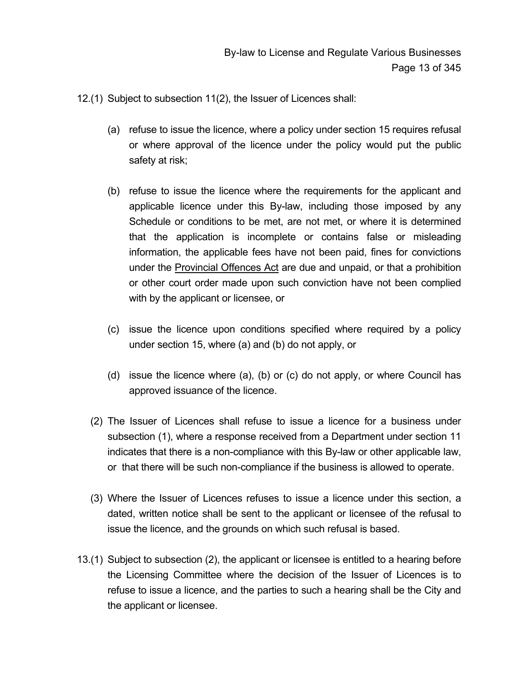- 12.(1) Subject to subsection 11(2), the Issuer of Licences shall:
	- (a) refuse to issue the licence, where a policy under section 15 requires refusal or where approval of the licence under the policy would put the public safety at risk;
	- (b) refuse to issue the licence where the requirements for the applicant and applicable licence under this By-law, including those imposed by any Schedule or conditions to be met, are not met, or where it is determined that the application is incomplete or contains false or misleading information, the applicable fees have not been paid, fines for convictions under the Provincial Offences Act are due and unpaid, or that a prohibition or other court order made upon such conviction have not been complied with by the applicant or licensee, or
	- (c) issue the licence upon conditions specified where required by a policy under section 15, where (a) and (b) do not apply, or
	- (d) issue the licence where (a), (b) or (c) do not apply, or where Council has approved issuance of the licence.
	- (2) The Issuer of Licences shall refuse to issue a licence for a business under subsection (1), where a response received from a Department under section 11 indicates that there is a non-compliance with this By-law or other applicable law, or that there will be such non-compliance if the business is allowed to operate.
	- (3) Where the Issuer of Licences refuses to issue a licence under this section, a dated, written notice shall be sent to the applicant or licensee of the refusal to issue the licence, and the grounds on which such refusal is based.
- 13.(1) Subject to subsection (2), the applicant or licensee is entitled to a hearing before the Licensing Committee where the decision of the Issuer of Licences is to refuse to issue a licence, and the parties to such a hearing shall be the City and the applicant or licensee.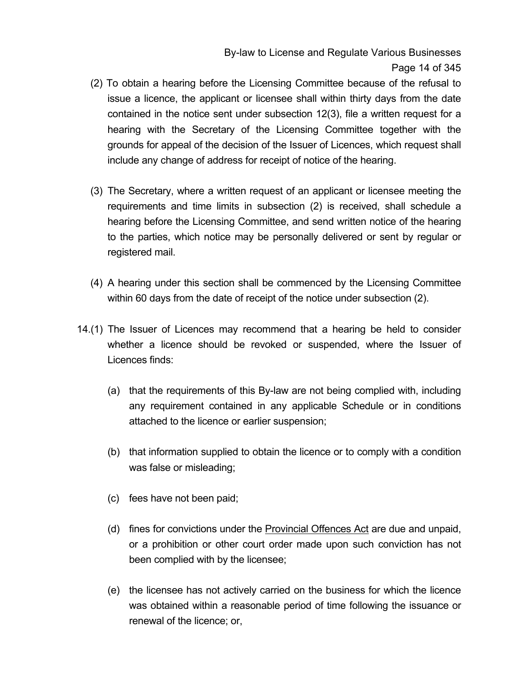By-law to License and Regulate Various Businesses Page 14 of 345

- (2) To obtain a hearing before the Licensing Committee because of the refusal to issue a licence, the applicant or licensee shall within thirty days from the date contained in the notice sent under subsection 12(3), file a written request for a hearing with the Secretary of the Licensing Committee together with the grounds for appeal of the decision of the Issuer of Licences, which request shall include any change of address for receipt of notice of the hearing.
- (3) The Secretary, where a written request of an applicant or licensee meeting the requirements and time limits in subsection (2) is received, shall schedule a hearing before the Licensing Committee, and send written notice of the hearing to the parties, which notice may be personally delivered or sent by regular or registered mail.
- (4) A hearing under this section shall be commenced by the Licensing Committee within 60 days from the date of receipt of the notice under subsection (2).
- 14.(1) The Issuer of Licences may recommend that a hearing be held to consider whether a licence should be revoked or suspended, where the Issuer of Licences finds:
	- (a) that the requirements of this By-law are not being complied with, including any requirement contained in any applicable Schedule or in conditions attached to the licence or earlier suspension;
	- (b) that information supplied to obtain the licence or to comply with a condition was false or misleading;
	- (c) fees have not been paid;
	- (d) fines for convictions under the **Provincial Offences Act** are due and unpaid, or a prohibition or other court order made upon such conviction has not been complied with by the licensee;
	- (e) the licensee has not actively carried on the business for which the licence was obtained within a reasonable period of time following the issuance or renewal of the licence; or,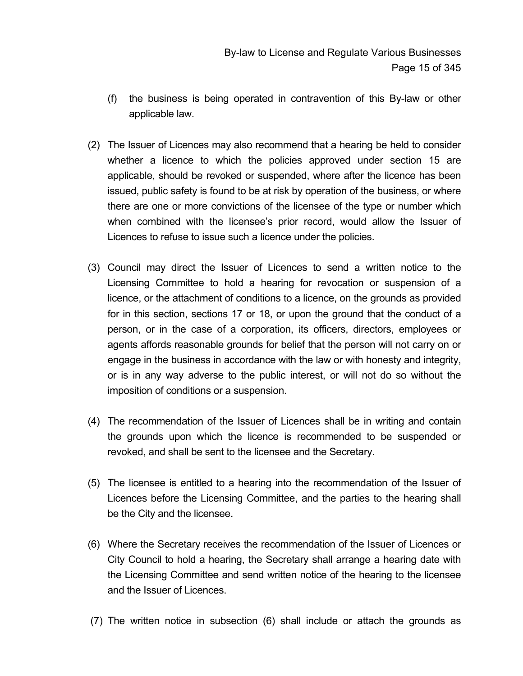- (f) the business is being operated in contravention of this By-law or other applicable law.
- (2) The Issuer of Licences may also recommend that a hearing be held to consider whether a licence to which the policies approved under section 15 are applicable, should be revoked or suspended, where after the licence has been issued, public safety is found to be at risk by operation of the business, or where there are one or more convictions of the licensee of the type or number which when combined with the licensee's prior record, would allow the Issuer of Licences to refuse to issue such a licence under the policies.
- (3) Council may direct the Issuer of Licences to send a written notice to the Licensing Committee to hold a hearing for revocation or suspension of a licence, or the attachment of conditions to a licence, on the grounds as provided for in this section, sections 17 or 18, or upon the ground that the conduct of a person, or in the case of a corporation, its officers, directors, employees or agents affords reasonable grounds for belief that the person will not carry on or engage in the business in accordance with the law or with honesty and integrity, or is in any way adverse to the public interest, or will not do so without the imposition of conditions or a suspension.
- (4) The recommendation of the Issuer of Licences shall be in writing and contain the grounds upon which the licence is recommended to be suspended or revoked, and shall be sent to the licensee and the Secretary.
- (5) The licensee is entitled to a hearing into the recommendation of the Issuer of Licences before the Licensing Committee, and the parties to the hearing shall be the City and the licensee.
- (6) Where the Secretary receives the recommendation of the Issuer of Licences or City Council to hold a hearing, the Secretary shall arrange a hearing date with the Licensing Committee and send written notice of the hearing to the licensee and the Issuer of Licences.
- (7) The written notice in subsection (6) shall include or attach the grounds as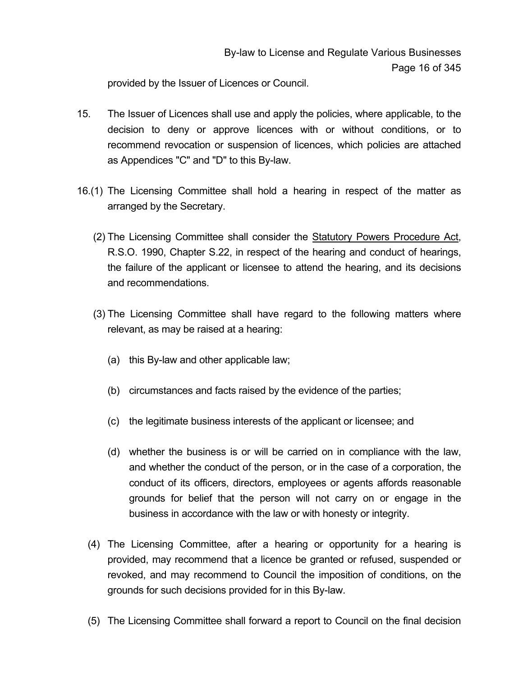provided by the Issuer of Licences or Council.

- 15. The Issuer of Licences shall use and apply the policies, where applicable, to the decision to deny or approve licences with or without conditions, or to recommend revocation or suspension of licences, which policies are attached as Appendices "C" and "D" to this By-law.
- 16.(1) The Licensing Committee shall hold a hearing in respect of the matter as arranged by the Secretary.
	- (2) The Licensing Committee shall consider the Statutory Powers Procedure Act, R.S.O. 1990, Chapter S.22, in respect of the hearing and conduct of hearings, the failure of the applicant or licensee to attend the hearing, and its decisions and recommendations.
	- (3) The Licensing Committee shall have regard to the following matters where relevant, as may be raised at a hearing:
		- (a) this By-law and other applicable law;
		- (b) circumstances and facts raised by the evidence of the parties;
		- (c) the legitimate business interests of the applicant or licensee; and
		- (d) whether the business is or will be carried on in compliance with the law, and whether the conduct of the person, or in the case of a corporation, the conduct of its officers, directors, employees or agents affords reasonable grounds for belief that the person will not carry on or engage in the business in accordance with the law or with honesty or integrity.
	- (4) The Licensing Committee, after a hearing or opportunity for a hearing is provided, may recommend that a licence be granted or refused, suspended or revoked, and may recommend to Council the imposition of conditions, on the grounds for such decisions provided for in this By-law.
	- (5) The Licensing Committee shall forward a report to Council on the final decision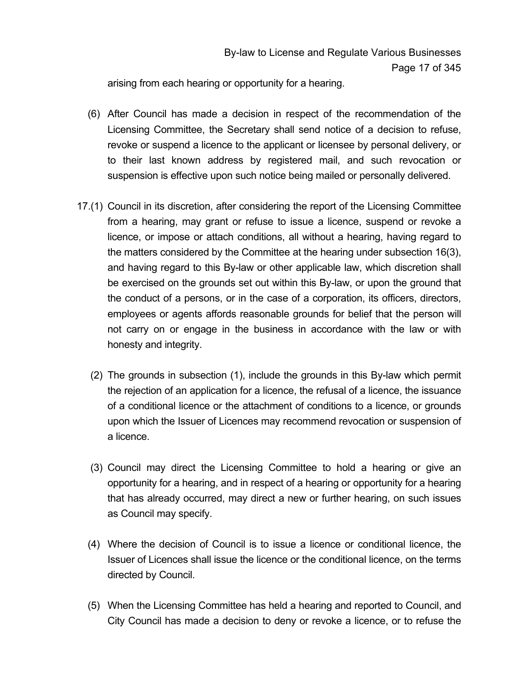arising from each hearing or opportunity for a hearing.

- (6) After Council has made a decision in respect of the recommendation of the Licensing Committee, the Secretary shall send notice of a decision to refuse, revoke or suspend a licence to the applicant or licensee by personal delivery, or to their last known address by registered mail, and such revocation or suspension is effective upon such notice being mailed or personally delivered.
- 17.(1) Council in its discretion, after considering the report of the Licensing Committee from a hearing, may grant or refuse to issue a licence, suspend or revoke a licence, or impose or attach conditions, all without a hearing, having regard to the matters considered by the Committee at the hearing under subsection 16(3), and having regard to this By-law or other applicable law, which discretion shall be exercised on the grounds set out within this By-law, or upon the ground that the conduct of a persons, or in the case of a corporation, its officers, directors, employees or agents affords reasonable grounds for belief that the person will not carry on or engage in the business in accordance with the law or with honesty and integrity.
	- (2) The grounds in subsection (1), include the grounds in this By-law which permit the rejection of an application for a licence, the refusal of a licence, the issuance of a conditional licence or the attachment of conditions to a licence, or grounds upon which the Issuer of Licences may recommend revocation or suspension of a licence.
	- (3) Council may direct the Licensing Committee to hold a hearing or give an opportunity for a hearing, and in respect of a hearing or opportunity for a hearing that has already occurred, may direct a new or further hearing, on such issues as Council may specify.
	- (4) Where the decision of Council is to issue a licence or conditional licence, the Issuer of Licences shall issue the licence or the conditional licence, on the terms directed by Council.
	- (5) When the Licensing Committee has held a hearing and reported to Council, and City Council has made a decision to deny or revoke a licence, or to refuse the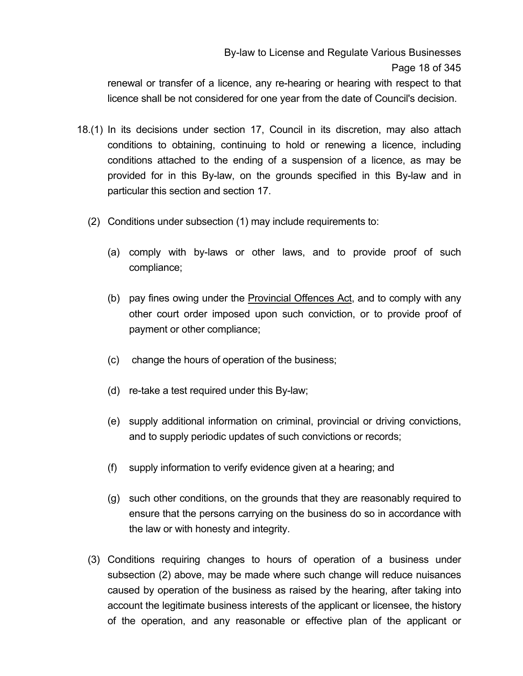## By-law to License and Regulate Various Businesses Page 18 of 345

renewal or transfer of a licence, any re-hearing or hearing with respect to that licence shall be not considered for one year from the date of Council's decision.

- 18.(1) In its decisions under section 17, Council in its discretion, may also attach conditions to obtaining, continuing to hold or renewing a licence, including conditions attached to the ending of a suspension of a licence, as may be provided for in this By-law, on the grounds specified in this By-law and in particular this section and section 17.
	- (2) Conditions under subsection (1) may include requirements to:
		- (a) comply with by-laws or other laws, and to provide proof of such compliance;
		- (b) pay fines owing under the Provincial Offences Act, and to comply with any other court order imposed upon such conviction, or to provide proof of payment or other compliance;
		- (c) change the hours of operation of the business;
		- (d) re-take a test required under this By-law;
		- (e) supply additional information on criminal, provincial or driving convictions, and to supply periodic updates of such convictions or records;
		- (f) supply information to verify evidence given at a hearing; and
		- (g) such other conditions, on the grounds that they are reasonably required to ensure that the persons carrying on the business do so in accordance with the law or with honesty and integrity.
	- (3) Conditions requiring changes to hours of operation of a business under subsection (2) above, may be made where such change will reduce nuisances caused by operation of the business as raised by the hearing, after taking into account the legitimate business interests of the applicant or licensee, the history of the operation, and any reasonable or effective plan of the applicant or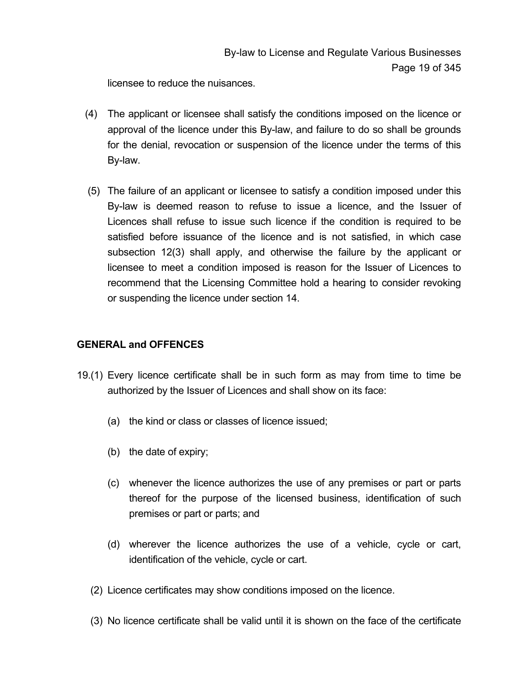licensee to reduce the nuisances.

- (4) The applicant or licensee shall satisfy the conditions imposed on the licence or approval of the licence under this By-law, and failure to do so shall be grounds for the denial, revocation or suspension of the licence under the terms of this By-law.
- (5) The failure of an applicant or licensee to satisfy a condition imposed under this By-law is deemed reason to refuse to issue a licence, and the Issuer of Licences shall refuse to issue such licence if the condition is required to be satisfied before issuance of the licence and is not satisfied, in which case subsection 12(3) shall apply, and otherwise the failure by the applicant or licensee to meet a condition imposed is reason for the Issuer of Licences to recommend that the Licensing Committee hold a hearing to consider revoking or suspending the licence under section 14.

### **GENERAL and OFFENCES**

- 19.(1) Every licence certificate shall be in such form as may from time to time be authorized by the Issuer of Licences and shall show on its face:
	- (a) the kind or class or classes of licence issued;
	- (b) the date of expiry;
	- (c) whenever the licence authorizes the use of any premises or part or parts thereof for the purpose of the licensed business, identification of such premises or part or parts; and
	- (d) wherever the licence authorizes the use of a vehicle, cycle or cart, identification of the vehicle, cycle or cart.
	- (2) Licence certificates may show conditions imposed on the licence.
	- (3) No licence certificate shall be valid until it is shown on the face of the certificate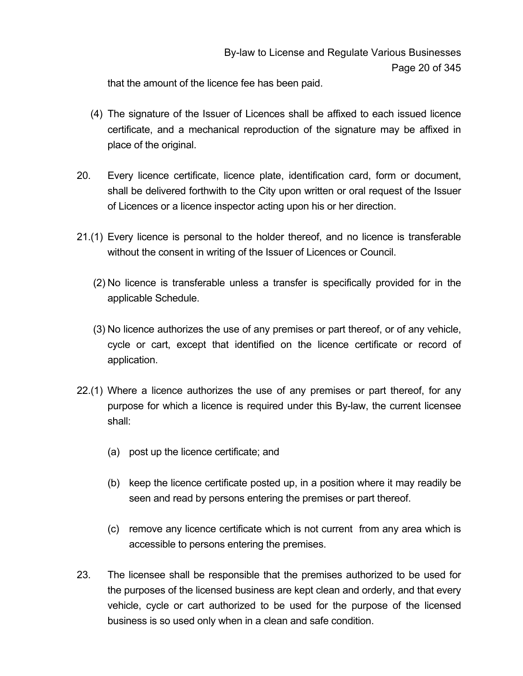that the amount of the licence fee has been paid.

- (4) The signature of the Issuer of Licences shall be affixed to each issued licence certificate, and a mechanical reproduction of the signature may be affixed in place of the original.
- 20. Every licence certificate, licence plate, identification card, form or document, shall be delivered forthwith to the City upon written or oral request of the Issuer of Licences or a licence inspector acting upon his or her direction.
- 21.(1) Every licence is personal to the holder thereof, and no licence is transferable without the consent in writing of the Issuer of Licences or Council.
	- (2) No licence is transferable unless a transfer is specifically provided for in the applicable Schedule.
	- (3) No licence authorizes the use of any premises or part thereof, or of any vehicle, cycle or cart, except that identified on the licence certificate or record of application.
- 22.(1) Where a licence authorizes the use of any premises or part thereof, for any purpose for which a licence is required under this By-law, the current licensee shall:
	- (a) post up the licence certificate; and
	- (b) keep the licence certificate posted up, in a position where it may readily be seen and read by persons entering the premises or part thereof.
	- (c) remove any licence certificate which is not current from any area which is accessible to persons entering the premises.
- 23. The licensee shall be responsible that the premises authorized to be used for the purposes of the licensed business are kept clean and orderly, and that every vehicle, cycle or cart authorized to be used for the purpose of the licensed business is so used only when in a clean and safe condition.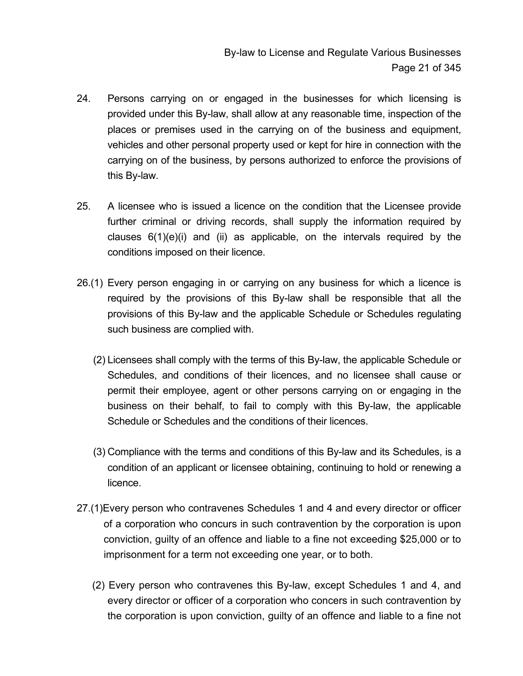- 24. Persons carrying on or engaged in the businesses for which licensing is provided under this By-law, shall allow at any reasonable time, inspection of the places or premises used in the carrying on of the business and equipment, vehicles and other personal property used or kept for hire in connection with the carrying on of the business, by persons authorized to enforce the provisions of this By-law.
- 25. A licensee who is issued a licence on the condition that the Licensee provide further criminal or driving records, shall supply the information required by clauses  $6(1)(e)(i)$  and (ii) as applicable, on the intervals required by the conditions imposed on their licence.
- 26.(1) Every person engaging in or carrying on any business for which a licence is required by the provisions of this By-law shall be responsible that all the provisions of this By-law and the applicable Schedule or Schedules regulating such business are complied with.
	- (2) Licensees shall comply with the terms of this By-law, the applicable Schedule or Schedules, and conditions of their licences, and no licensee shall cause or permit their employee, agent or other persons carrying on or engaging in the business on their behalf, to fail to comply with this By-law, the applicable Schedule or Schedules and the conditions of their licences.
	- (3) Compliance with the terms and conditions of this By-law and its Schedules, is a condition of an applicant or licensee obtaining, continuing to hold or renewing a licence.
- 27.(1)Every person who contravenes Schedules 1 and 4 and every director or officer of a corporation who concurs in such contravention by the corporation is upon conviction, guilty of an offence and liable to a fine not exceeding \$25,000 or to imprisonment for a term not exceeding one year, or to both.
	- (2) Every person who contravenes this By-law, except Schedules 1 and 4, and every director or officer of a corporation who concers in such contravention by the corporation is upon conviction, guilty of an offence and liable to a fine not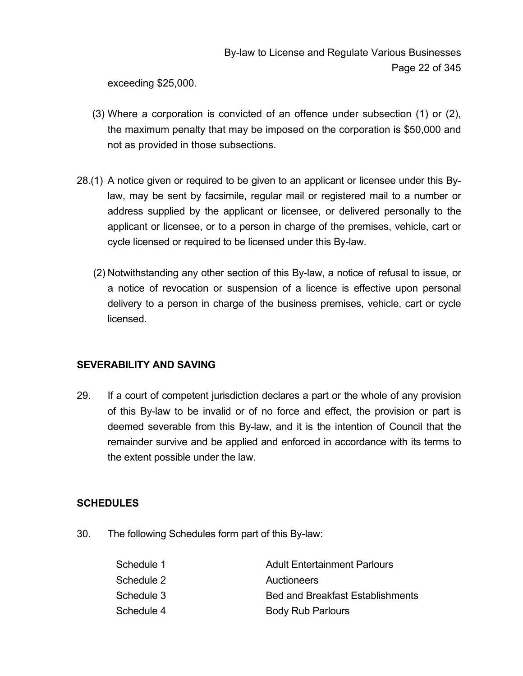exceeding \$25,000.

- (3) Where a corporation is convicted of an offence under subsection (1) or (2), the maximum penalty that may be imposed on the corporation is \$50,000 and not as provided in those subsections.
- 28.(1) A notice given or required to be given to an applicant or licensee under this Bylaw, may be sent by facsimile, regular mail or registered mail to a number or address supplied by the applicant or licensee, or delivered personally to the applicant or licensee, or to a person in charge of the premises, vehicle, cart or cycle licensed or required to be licensed under this By-law.
	- (2) Notwithstanding any other section of this By-law, a notice of refusal to issue, or a notice of revocation or suspension of a licence is effective upon personal delivery to a person in charge of the business premises, vehicle, cart or cycle licensed.

### **SEVERABILITY AND SAVING**

29. If a court of competent jurisdiction declares a part or the whole of any provision of this By-law to be invalid or of no force and effect, the provision or part is deemed severable from this By-law, and it is the intention of Council that the remainder survive and be applied and enforced in accordance with its terms to the extent possible under the law.

### **SCHEDULES**

30. The following Schedules form part of this By-law:

| Schedule 1 | <b>Adult Entertainment Parlours</b> |
|------------|-------------------------------------|
| Schedule 2 | <b>Auctioneers</b>                  |
| Schedule 3 | Bed and Breakfast Establishments    |
| Schedule 4 | <b>Body Rub Parlours</b>            |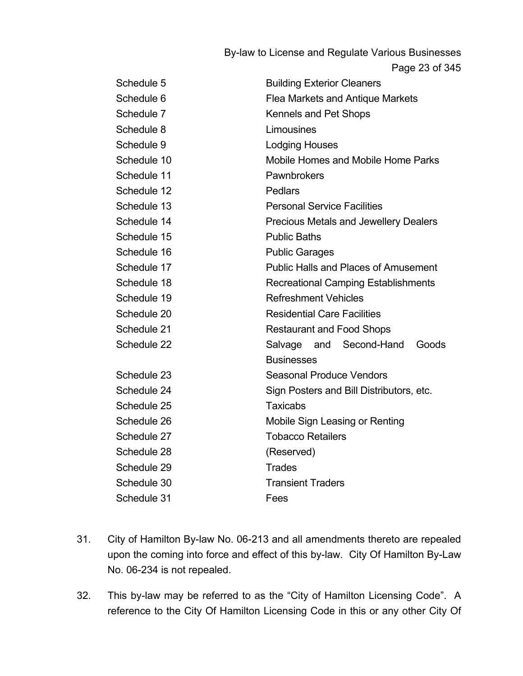Page 23 of 345

| Schedule 5  | <b>Building Exterior Cleaners</b>            |  |  |  |  |
|-------------|----------------------------------------------|--|--|--|--|
| Schedule 6  | <b>Flea Markets and Antique Markets</b>      |  |  |  |  |
| Schedule 7  | Kennels and Pet Shops                        |  |  |  |  |
| Schedule 8  | Limousines                                   |  |  |  |  |
| Schedule 9  | <b>Lodging Houses</b>                        |  |  |  |  |
| Schedule 10 | Mobile Homes and Mobile Home Parks           |  |  |  |  |
| Schedule 11 | Pawnbrokers                                  |  |  |  |  |
| Schedule 12 | <b>Pedlars</b>                               |  |  |  |  |
| Schedule 13 | <b>Personal Service Facilities</b>           |  |  |  |  |
| Schedule 14 | <b>Precious Metals and Jewellery Dealers</b> |  |  |  |  |
| Schedule 15 | <b>Public Baths</b>                          |  |  |  |  |
| Schedule 16 | <b>Public Garages</b>                        |  |  |  |  |
| Schedule 17 | <b>Public Halls and Places of Amusement</b>  |  |  |  |  |
| Schedule 18 | <b>Recreational Camping Establishments</b>   |  |  |  |  |
| Schedule 19 | <b>Refreshment Vehicles</b>                  |  |  |  |  |
| Schedule 20 | <b>Residential Care Facilities</b>           |  |  |  |  |
| Schedule 21 | <b>Restaurant and Food Shops</b>             |  |  |  |  |
| Schedule 22 | Salvage and Second-Hand<br>Goods             |  |  |  |  |
|             | <b>Businesses</b>                            |  |  |  |  |
| Schedule 23 | <b>Seasonal Produce Vendors</b>              |  |  |  |  |
| Schedule 24 | Sign Posters and Bill Distributors, etc.     |  |  |  |  |
| Schedule 25 | <b>Taxicabs</b>                              |  |  |  |  |
| Schedule 26 | Mobile Sign Leasing or Renting               |  |  |  |  |
| Schedule 27 | <b>Tobacco Retailers</b>                     |  |  |  |  |
| Schedule 28 | (Reserved)                                   |  |  |  |  |
| Schedule 29 | <b>Trades</b>                                |  |  |  |  |
| Schedule 30 | <b>Transient Traders</b>                     |  |  |  |  |
| Schedule 31 | Fees                                         |  |  |  |  |

- 31. City of Hamilton By-law No. 06-213 and all amendments thereto are repealed upon the coming into force and effect of this by-law. City Of Hamilton By-Law No. 06-234 is not repealed.
- 32. This by-law may be referred to as the "City of Hamilton Licensing Code". A reference to the City Of Hamilton Licensing Code in this or any other City Of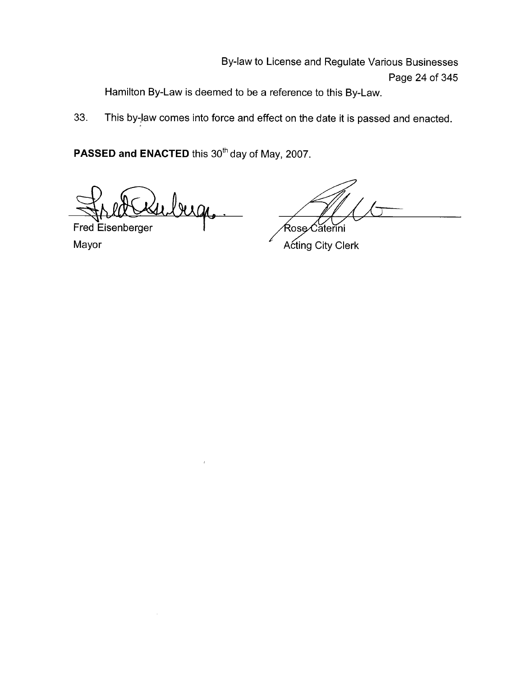Hamilton By-Law is deemed to be a reference to this By-Law.

33. This by-law comes into force and effect on the date it is passed and enacted.

PASSED and ENACTED this 30<sup>th</sup> day of May, 2007.

inbirge

Fred Eisenberger Mayor

Rose∕Căterini

**Acting City Clerk**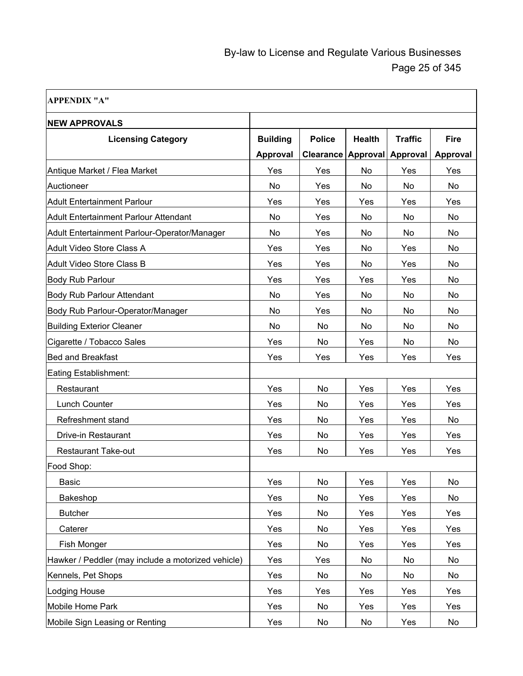$\overline{\phantom{0}}$ 

| <b>APPENDIX "A"</b>                                |                                    |                                   |                                  |                            |                         |
|----------------------------------------------------|------------------------------------|-----------------------------------|----------------------------------|----------------------------|-------------------------|
| <b>NEW APPROVALS</b>                               |                                    |                                   |                                  |                            |                         |
| <b>Licensing Category</b>                          | <b>Building</b><br><b>Approval</b> | <b>Police</b><br><b>Clearance</b> | <b>Health</b><br><b>Approval</b> | <b>Traffic</b><br>Approval | <b>Fire</b><br>Approval |
| Antique Market / Flea Market                       | Yes                                | Yes                               | No                               | Yes                        | Yes                     |
| Auctioneer                                         | No                                 | Yes                               | No                               | No.                        | No                      |
| Adult Entertainment Parlour                        | Yes                                | Yes                               | Yes                              | Yes                        | Yes                     |
| <b>Adult Entertainment Parlour Attendant</b>       | No                                 | Yes                               | No                               | No.                        | No                      |
| Adult Entertainment Parlour-Operator/Manager       | <b>No</b>                          | Yes                               | No                               | No.                        | No                      |
| Adult Video Store Class A                          | Yes                                | Yes                               | No                               | Yes                        | No.                     |
| Adult Video Store Class B                          | Yes                                | Yes                               | No                               | Yes                        | No.                     |
| Body Rub Parlour                                   | Yes                                | Yes                               | Yes                              | Yes                        | No                      |
| <b>Body Rub Parlour Attendant</b>                  | No                                 | Yes                               | No                               | No                         | No                      |
| Body Rub Parlour-Operator/Manager                  | No                                 | Yes                               | No                               | No.                        | No                      |
| <b>Building Exterior Cleaner</b>                   | No                                 | No                                | No                               | No.                        | No                      |
| Cigarette / Tobacco Sales                          | Yes                                | No                                | Yes                              | No                         | No                      |
| <b>Bed and Breakfast</b>                           | Yes                                | Yes                               | Yes                              | Yes                        | Yes                     |
| Eating Establishment:                              |                                    |                                   |                                  |                            |                         |
| Restaurant                                         | Yes                                | No                                | Yes                              | Yes                        | Yes                     |
| <b>Lunch Counter</b>                               | Yes                                | No                                | Yes                              | Yes                        | Yes                     |
| Refreshment stand                                  | Yes                                | No                                | Yes                              | Yes                        | No                      |
| Drive-in Restaurant                                | Yes                                | No                                | Yes                              | Yes                        | Yes                     |
| <b>Restaurant Take-out</b>                         | Yes                                | No                                | Yes                              | Yes                        | Yes                     |
| Food Shop:                                         |                                    |                                   |                                  |                            |                         |
| Basic                                              | Yes                                | No                                | Yes                              | Yes                        | No                      |
| Bakeshop                                           | Yes                                | No                                | Yes                              | Yes                        | No                      |
| <b>Butcher</b>                                     | Yes                                | No                                | Yes                              | Yes                        | Yes                     |
| Caterer                                            | Yes                                | No                                | Yes                              | Yes                        | Yes                     |
| Fish Monger                                        | Yes                                | No                                | Yes                              | Yes                        | Yes                     |
| Hawker / Peddler (may include a motorized vehicle) | Yes                                | Yes                               | No                               | No                         | No                      |
| Kennels, Pet Shops                                 | Yes                                | No                                | No                               | No                         | No                      |
| Lodging House                                      | Yes                                | Yes                               | Yes                              | Yes                        | Yes                     |
| Mobile Home Park                                   | Yes                                | No                                | Yes                              | Yes                        | Yes                     |
| Mobile Sign Leasing or Renting                     | Yes                                | No                                | No                               | Yes                        | No                      |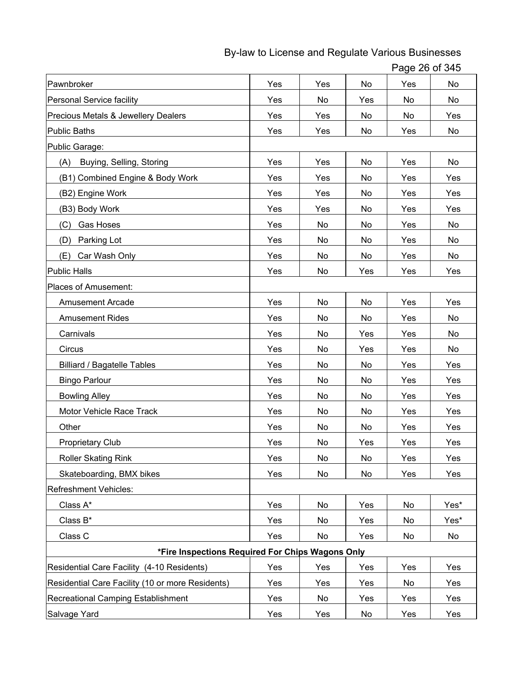Page 26 of 345

| Pawnbroker                                       | Yes | Yes       | No  | Yes | No   |
|--------------------------------------------------|-----|-----------|-----|-----|------|
| <b>Personal Service facility</b>                 | Yes | No        | Yes | No  | No   |
| Precious Metals & Jewellery Dealers              | Yes | Yes       | No  | No  | Yes  |
| <b>Public Baths</b>                              | Yes | Yes       | No  | Yes | No   |
| Public Garage:                                   |     |           |     |     |      |
| Buying, Selling, Storing<br>(A)                  | Yes | Yes       | No  | Yes | No   |
| (B1) Combined Engine & Body Work                 | Yes | Yes       | No  | Yes | Yes  |
| (B2) Engine Work                                 | Yes | Yes       | No  | Yes | Yes  |
| (B3) Body Work                                   | Yes | Yes       | No  | Yes | Yes  |
| Gas Hoses<br>(C)                                 | Yes | No        | No  | Yes | No   |
| Parking Lot<br>(D)                               | Yes | No        | No  | Yes | No   |
| Car Wash Only<br>(E)                             | Yes | No        | No  | Yes | No   |
| Public Halls                                     | Yes | No        | Yes | Yes | Yes  |
| Places of Amusement:                             |     |           |     |     |      |
| <b>Amusement Arcade</b>                          | Yes | No        | No  | Yes | Yes  |
| <b>Amusement Rides</b>                           | Yes | No        | No  | Yes | No   |
| Carnivals                                        | Yes | No        | Yes | Yes | No   |
| Circus                                           | Yes | No        | Yes | Yes | No   |
| <b>Billiard / Bagatelle Tables</b>               | Yes | No        | No  | Yes | Yes  |
| <b>Bingo Parlour</b>                             | Yes | No        | No  | Yes | Yes  |
| <b>Bowling Alley</b>                             | Yes | No        | No  | Yes | Yes  |
| Motor Vehicle Race Track                         | Yes | No        | No  | Yes | Yes  |
| Other                                            | Yes | No        | No  | Yes | Yes  |
| <b>Proprietary Club</b>                          | Yes | No        | Yes | Yes | Yes  |
| <b>Roller Skating Rink</b>                       | Yes | No.       | No. | Yes | Yes  |
| Skateboarding, BMX bikes                         | Yes | No        | No  | Yes | Yes  |
| <b>Refreshment Vehicles:</b>                     |     |           |     |     |      |
| Class A*                                         | Yes | No        | Yes | No  | Yes* |
| Class B*                                         | Yes | <b>No</b> | Yes | No  | Yes* |
| Class C                                          | Yes | No        | Yes | No  | No   |
| *Fire Inspections Required For Chips Wagons Only |     |           |     |     |      |
| Residential Care Facility (4-10 Residents)       | Yes | Yes       | Yes | Yes | Yes  |
| Residential Care Facility (10 or more Residents) | Yes | Yes       | Yes | No  | Yes  |
| Recreational Camping Establishment               | Yes | No        | Yes | Yes | Yes  |
| Salvage Yard                                     | Yes | Yes       | No  | Yes | Yes  |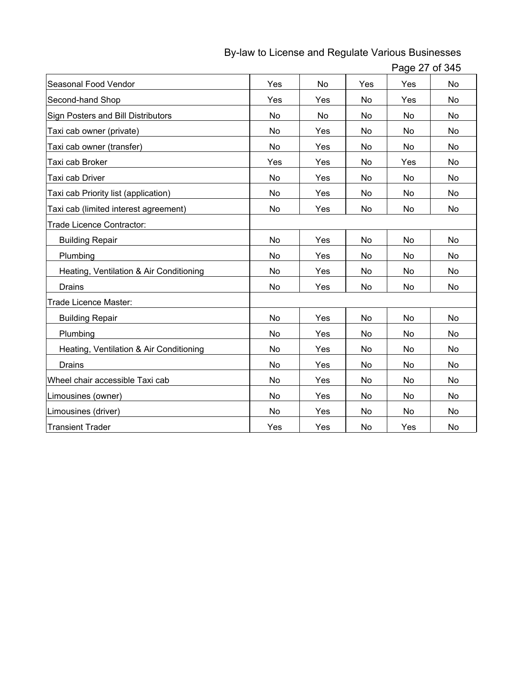| Seasonal Food Vendor                    | Yes       | No  | Yes | Yes | No        |
|-----------------------------------------|-----------|-----|-----|-----|-----------|
| Second-hand Shop                        | Yes       | Yes | No  | Yes | No        |
| Sign Posters and Bill Distributors      | No        | No  | No  | No  | No        |
| Taxi cab owner (private)                | <b>No</b> | Yes | No  | No  | <b>No</b> |
| Taxi cab owner (transfer)               | No        | Yes | No  | No  | No        |
| Taxi cab Broker                         | Yes       | Yes | No  | Yes | No        |
| Taxi cab Driver                         | No        | Yes | No  | No  | No        |
| Taxi cab Priority list (application)    | <b>No</b> | Yes | No  | No. | No        |
| Taxi cab (limited interest agreement)   | No        | Yes | No  | No  | No        |
| Trade Licence Contractor:               |           |     |     |     |           |
| <b>Building Repair</b>                  | No        | Yes | No  | No  | No        |
| Plumbing                                | No        | Yes | No  | No  | No        |
| Heating, Ventilation & Air Conditioning | No        | Yes | No  | No  | No        |
| <b>Drains</b>                           | No        | Yes | No  | No  | No        |
| Trade Licence Master:                   |           |     |     |     |           |
| <b>Building Repair</b>                  | No        | Yes | No  | No  | No        |
| Plumbing                                | <b>No</b> | Yes | No  | No. | <b>No</b> |
| Heating, Ventilation & Air Conditioning | No        | Yes | No  | No  | No        |
| <b>Drains</b>                           | No        | Yes | No  | No  | No        |
| Wheel chair accessible Taxi cab         | <b>No</b> | Yes | No  | No  | No        |
| Limousines (owner)                      | No        | Yes | No  | No  | No        |
| Limousines (driver)                     | No        | Yes | No  | No  | No        |
| <b>Transient Trader</b>                 | Yes       | Yes | No  | Yes | No        |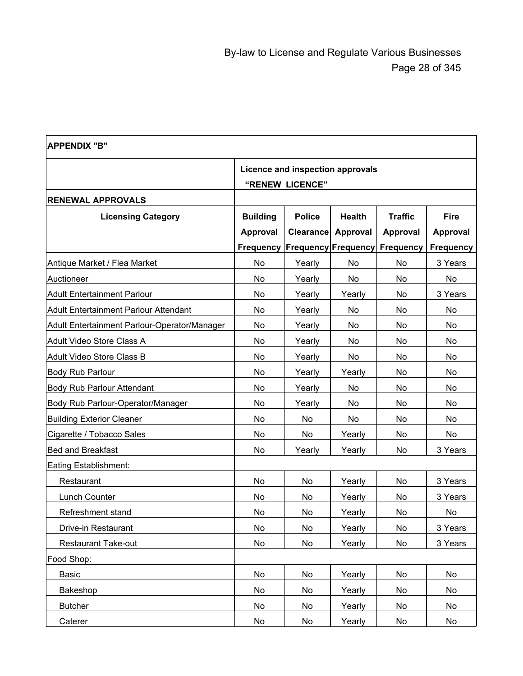| <b>APPENDIX "B"</b>                          |                 |                                  |               |                  |                  |
|----------------------------------------------|-----------------|----------------------------------|---------------|------------------|------------------|
|                                              |                 | Licence and inspection approvals |               |                  |                  |
|                                              |                 | "RENEW LICENCE"                  |               |                  |                  |
| <b>RENEWAL APPROVALS</b>                     |                 |                                  |               |                  |                  |
| <b>Licensing Category</b>                    | <b>Building</b> | <b>Police</b>                    | <b>Health</b> | <b>Traffic</b>   | <b>Fire</b>      |
|                                              | <b>Approval</b> | <b>Clearance</b>                 | Approval      | Approval         | <b>Approval</b>  |
|                                              | Frequency       | <b>Frequency Frequency</b>       |               | <b>Frequency</b> | <b>Frequency</b> |
| Antique Market / Flea Market                 | <b>No</b>       | Yearly                           | No            | No               | 3 Years          |
| Auctioneer                                   | <b>No</b>       | Yearly                           | No            | No               | No               |
| Adult Entertainment Parlour                  | No              | Yearly                           | Yearly        | No               | 3 Years          |
| Adult Entertainment Parlour Attendant        | No              | Yearly                           | No            | No               | No               |
| Adult Entertainment Parlour-Operator/Manager | No              | Yearly                           | No            | No               | No               |
| Adult Video Store Class A                    | No              | Yearly                           | No.           | No               | No               |
| Adult Video Store Class B                    | No              | Yearly                           | No            | No               | No               |
| <b>Body Rub Parlour</b>                      | No              | Yearly                           | Yearly        | No               | No               |
| <b>Body Rub Parlour Attendant</b>            | No              | Yearly                           | No            | No               | No               |
| Body Rub Parlour-Operator/Manager            | No              | Yearly                           | No            | No               | No               |
| <b>Building Exterior Cleaner</b>             | No              | No                               | No            | No               | No               |
| Cigarette / Tobacco Sales                    | No              | No                               | Yearly        | No               | No               |
| <b>Bed and Breakfast</b>                     | No              | Yearly                           | Yearly        | No               | 3 Years          |
| Eating Establishment:                        |                 |                                  |               |                  |                  |
| Restaurant                                   | No              | No                               | Yearly        | No               | 3 Years          |
| Lunch Counter                                | No              | No                               | Yearly        | No               | 3 Years          |
| Refreshment stand                            | No              | No                               | Yearly        | No               | No               |
| Drive-in Restaurant                          | No              | No                               | Yearly        | No               | 3 Years          |
| <b>Restaurant Take-out</b>                   | No              | No                               | Yearly        | No               | 3 Years          |
| Food Shop:                                   |                 |                                  |               |                  |                  |
| <b>Basic</b>                                 | No              | No                               | Yearly        | No               | No               |
| Bakeshop                                     | No              | No                               | Yearly        | No               | No               |
| <b>Butcher</b>                               | No              | No                               | Yearly        | No               | No               |
| Caterer                                      | No              | No                               | Yearly        | No               | No               |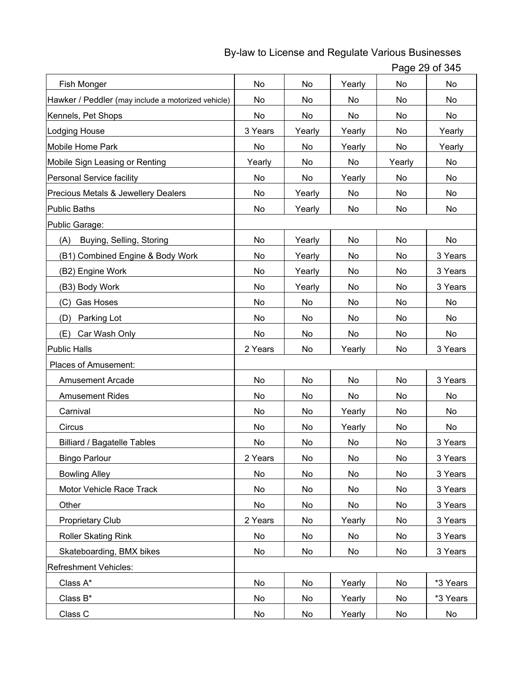| Page 29 of 345 |  |  |
|----------------|--|--|
|----------------|--|--|

| Fish Monger                                        | <b>No</b> | <b>No</b> | Yearly    | No     | <b>No</b> |
|----------------------------------------------------|-----------|-----------|-----------|--------|-----------|
| Hawker / Peddler (may include a motorized vehicle) | No        | No        | No        | No     | No        |
| Kennels, Pet Shops                                 | No        | No        | No        | No     | No        |
| <b>Lodging House</b>                               | 3 Years   | Yearly    | Yearly    | No     | Yearly    |
| <b>Mobile Home Park</b>                            | No        | No        | Yearly    | No     | Yearly    |
| Mobile Sign Leasing or Renting                     | Yearly    | No        | No        | Yearly | No        |
| Personal Service facility                          | No        | No        | Yearly    | No     | No        |
| Precious Metals & Jewellery Dealers                | No        | Yearly    | No        | No     | No        |
| <b>Public Baths</b>                                | No        | Yearly    | No        | No     | No        |
| Public Garage:                                     |           |           |           |        |           |
| Buying, Selling, Storing<br>(A)                    | <b>No</b> | Yearly    | No        | No     | No        |
| (B1) Combined Engine & Body Work                   | No        | Yearly    | No        | No     | 3 Years   |
| (B2) Engine Work                                   | No        | Yearly    | No        | No     | 3 Years   |
| (B3) Body Work                                     | No        | Yearly    | No        | No     | 3 Years   |
| Gas Hoses<br>(C)                                   | No        | No        | No        | No     | No        |
| Parking Lot<br>(D)                                 | No        | No        | No        | No     | No        |
| Car Wash Only<br>(E)                               | No        | No        | No        | No     | No        |
| <b>Public Halls</b>                                | 2 Years   | No        | Yearly    | No     | 3 Years   |
| Places of Amusement:                               |           |           |           |        |           |
| <b>Amusement Arcade</b>                            | No        | No        | No        | No     | 3 Years   |
| <b>Amusement Rides</b>                             | No        | No        | No        | No     | No        |
| Carnival                                           | <b>No</b> | No        | Yearly    | No     | No        |
| Circus                                             | <b>No</b> | No        | Yearly    | No     | No        |
| <b>Billiard / Bagatelle Tables</b>                 | <b>No</b> | No        | <b>No</b> | No     | 3 Years   |
| <b>Bingo Parlour</b>                               | 2 Years   | No        | No        | No     | 3 Years   |
| <b>Bowling Alley</b>                               | No        | No        | No        | No     | 3 Years   |
| Motor Vehicle Race Track                           | No        | No        | No        | No     | 3 Years   |
| Other                                              | No        | No        | No        | No     | 3 Years   |
| Proprietary Club                                   | 2 Years   | No        | Yearly    | No     | 3 Years   |
| <b>Roller Skating Rink</b>                         | No        | No        | No        | No     | 3 Years   |
| Skateboarding, BMX bikes                           | No        | No        | No        | No     | 3 Years   |
| Refreshment Vehicles:                              |           |           |           |        |           |
| Class A*                                           | No        | No        | Yearly    | No     | *3 Years  |
| Class B*                                           | No        | No        | Yearly    | No     | *3 Years  |
| Class C                                            | No        | No        | Yearly    | No     | No        |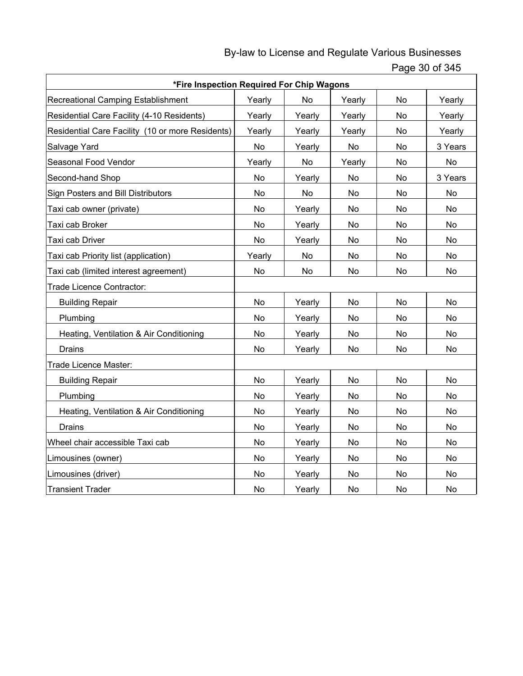Page 30 of 345

| *Fire Inspection Required For Chip Wagons        |           |           |           |           |           |
|--------------------------------------------------|-----------|-----------|-----------|-----------|-----------|
| Recreational Camping Establishment               | Yearly    | <b>No</b> | Yearly    | <b>No</b> | Yearly    |
| Residential Care Facility (4-10 Residents)       | Yearly    | Yearly    | Yearly    | No        | Yearly    |
| Residential Care Facility (10 or more Residents) | Yearly    | Yearly    | Yearly    | No        | Yearly    |
| Salvage Yard                                     | <b>No</b> | Yearly    | <b>No</b> | <b>No</b> | 3 Years   |
| Seasonal Food Vendor                             | Yearly    | No        | Yearly    | No        | No        |
| Second-hand Shop                                 | No        | Yearly    | No        | No        | 3 Years   |
| Sign Posters and Bill Distributors               | <b>No</b> | <b>No</b> | <b>No</b> | <b>No</b> | No        |
| Taxi cab owner (private)                         | <b>No</b> | Yearly    | <b>No</b> | <b>No</b> | <b>No</b> |
| Taxi cab Broker                                  | No.       | Yearly    | No        | No        | <b>No</b> |
| Taxi cab Driver                                  | <b>No</b> | Yearly    | <b>No</b> | <b>No</b> | No        |
| Taxi cab Priority list (application)             | Yearly    | <b>No</b> | <b>No</b> | <b>No</b> | <b>No</b> |
| Taxi cab (limited interest agreement)            | <b>No</b> | <b>No</b> | <b>No</b> | No        | No        |
| Trade Licence Contractor:                        |           |           |           |           |           |
| <b>Building Repair</b>                           | No        | Yearly    | No        | No        | No        |
| Plumbing                                         | No        | Yearly    | No        | No        | <b>No</b> |
| Heating, Ventilation & Air Conditioning          | No        | Yearly    | No        | No        | No        |
| <b>Drains</b>                                    | No        | Yearly    | No        | No        | No        |
| Trade Licence Master:                            |           |           |           |           |           |
| <b>Building Repair</b>                           | <b>No</b> | Yearly    | <b>No</b> | <b>No</b> | No        |
| Plumbing                                         | No        | Yearly    | No        | No        | No        |
| Heating, Ventilation & Air Conditioning          | <b>No</b> | Yearly    | <b>No</b> | No        | <b>No</b> |
| <b>Drains</b>                                    | <b>No</b> | Yearly    | No        | No        | <b>No</b> |
| Wheel chair accessible Taxi cab                  | <b>No</b> | Yearly    | <b>No</b> | No        | <b>No</b> |
| Limousines (owner)                               | No        | Yearly    | <b>No</b> | <b>No</b> | No        |
| Limousines (driver)                              | No        | Yearly    | No        | No        | No        |
| <b>Transient Trader</b>                          | No        | Yearly    | No        | No        | No        |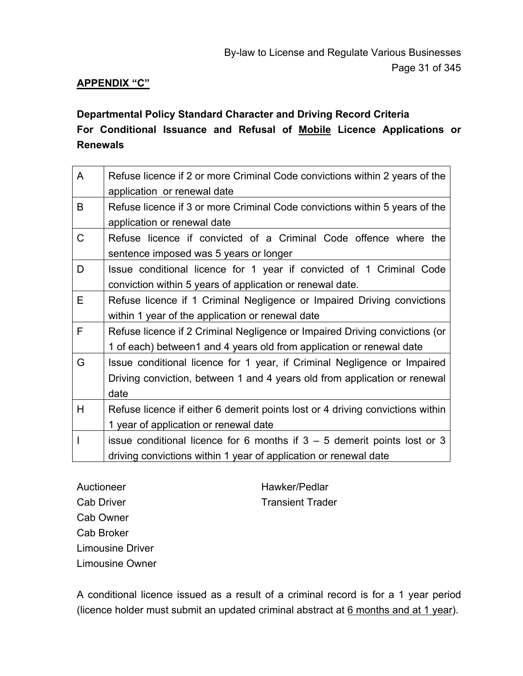### **APPENDIX "C"**

# **Departmental Policy Standard Character and Driving Record Criteria For Conditional Issuance and Refusal of Mobile Licence Applications or Renewals**

| A           | Refuse licence if 2 or more Criminal Code convictions within 2 years of the<br>application or renewal date |
|-------------|------------------------------------------------------------------------------------------------------------|
| B           | Refuse licence if 3 or more Criminal Code convictions within 5 years of the                                |
|             | application or renewal date                                                                                |
| $\mathsf C$ | Refuse licence if convicted of a Criminal Code offence where the                                           |
|             | sentence imposed was 5 years or longer                                                                     |
| D           | Issue conditional licence for 1 year if convicted of 1 Criminal Code                                       |
|             | conviction within 5 years of application or renewal date.                                                  |
| Е           | Refuse licence if 1 Criminal Negligence or Impaired Driving convictions                                    |
|             | within 1 year of the application or renewal date                                                           |
| F           | Refuse licence if 2 Criminal Negligence or Impaired Driving convictions (or                                |
|             | 1 of each) between1 and 4 years old from application or renewal date                                       |
| G           | Issue conditional licence for 1 year, if Criminal Negligence or Impaired                                   |
|             | Driving conviction, between 1 and 4 years old from application or renewal                                  |
|             | date                                                                                                       |
| Н           | Refuse licence if either 6 demerit points lost or 4 driving convictions within                             |
|             | 1 year of application or renewal date                                                                      |
|             | issue conditional licence for 6 months if $3 - 5$ demerit points lost or 3                                 |
|             | driving convictions within 1 year of application or renewal date                                           |

Auctioneer Hawker/Pedlar Cab Driver **Transient Trader** Transient Trader Cab Owner Cab Broker Limousine Driver Limousine Owner

A conditional licence issued as a result of a criminal record is for a 1 year period (licence holder must submit an updated criminal abstract at 6 months and at 1 year).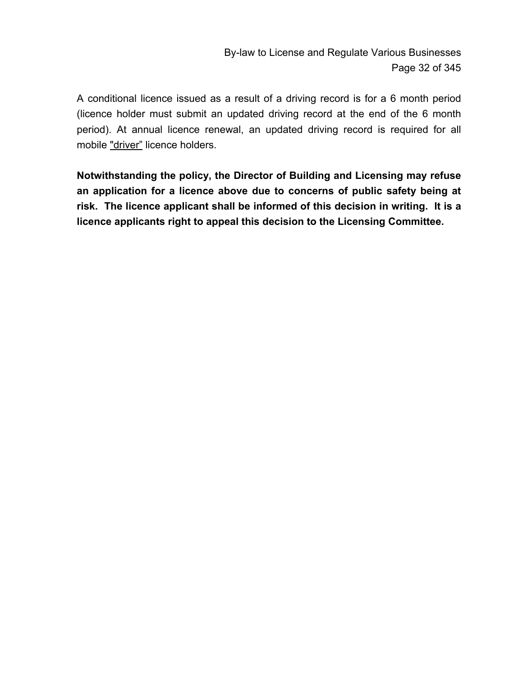By-law to License and Regulate Various Businesses Page 32 of 345

A conditional licence issued as a result of a driving record is for a 6 month period (licence holder must submit an updated driving record at the end of the 6 month period). At annual licence renewal, an updated driving record is required for all mobile "driver" licence holders.

**Notwithstanding the policy, the Director of Building and Licensing may refuse an application for a licence above due to concerns of public safety being at risk. The licence applicant shall be informed of this decision in writing. It is a licence applicants right to appeal this decision to the Licensing Committee.**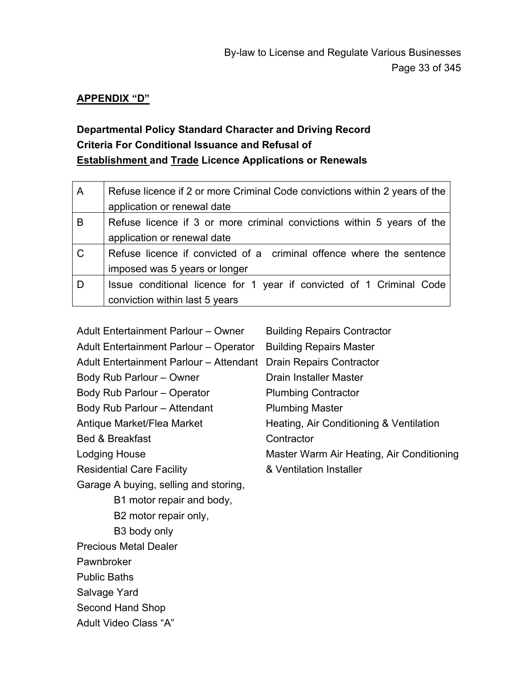#### **APPENDIX "D"**

# **Departmental Policy Standard Character and Driving Record Criteria For Conditional Issuance and Refusal of Establishment and Trade Licence Applications or Renewals**

| $\mathsf{A}$ | Refuse licence if 2 or more Criminal Code convictions within 2 years of the |
|--------------|-----------------------------------------------------------------------------|
|              | application or renewal date                                                 |
| B            | Refuse licence if 3 or more criminal convictions within 5 years of the      |
|              | application or renewal date                                                 |
| $\mathsf{C}$ | Refuse licence if convicted of a criminal offence where the sentence        |
|              | imposed was 5 years or longer                                               |
| D            | Issue conditional licence for 1 year if convicted of 1 Criminal Code        |
|              | conviction within last 5 years                                              |

| Adult Entertainment Parlour - Owner     | <b>Building Repairs Contractor</b>        |
|-----------------------------------------|-------------------------------------------|
| Adult Entertainment Parlour - Operator  | <b>Building Repairs Master</b>            |
| Adult Entertainment Parlour - Attendant | Drain Repairs Contractor                  |
| Body Rub Parlour - Owner                | Drain Installer Master                    |
| Body Rub Parlour - Operator             | <b>Plumbing Contractor</b>                |
| Body Rub Parlour - Attendant            | <b>Plumbing Master</b>                    |
| Antique Market/Flea Market              | Heating, Air Conditioning & Ventilation   |
| <b>Bed &amp; Breakfast</b>              | Contractor                                |
| <b>Lodging House</b>                    | Master Warm Air Heating, Air Conditioning |
| <b>Residential Care Facility</b>        | & Ventilation Installer                   |
| Garage A buying, selling and storing,   |                                           |
| B1 motor repair and body,               |                                           |
| B2 motor repair only,                   |                                           |
| B3 body only                            |                                           |
| <b>Precious Metal Dealer</b>            |                                           |
| Pawnbroker                              |                                           |
| <b>Public Baths</b>                     |                                           |
| Salvage Yard                            |                                           |
| Second Hand Shop                        |                                           |
| Adult Video Class "A"                   |                                           |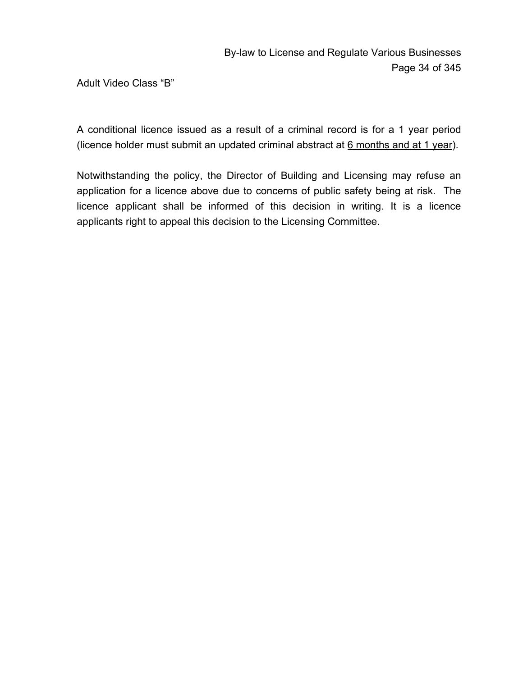Adult Video Class "B"

A conditional licence issued as a result of a criminal record is for a 1 year period (licence holder must submit an updated criminal abstract at 6 months and at 1 year).

Notwithstanding the policy, the Director of Building and Licensing may refuse an application for a licence above due to concerns of public safety being at risk. The licence applicant shall be informed of this decision in writing. It is a licence applicants right to appeal this decision to the Licensing Committee.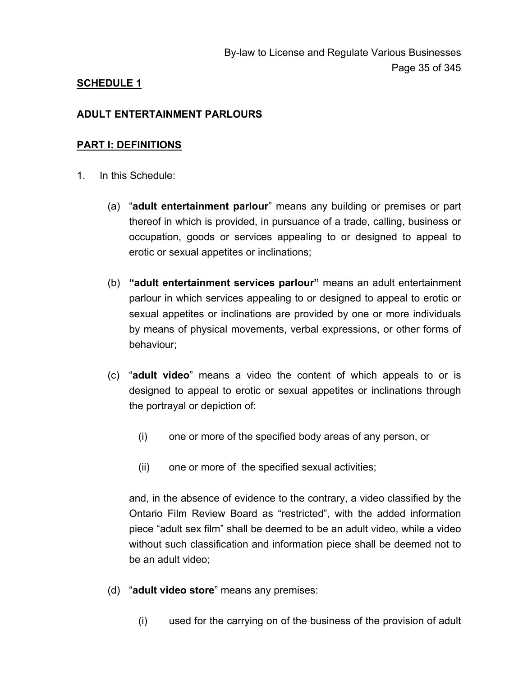### **SCHEDULE 1**

### **ADULT ENTERTAINMENT PARLOURS**

#### **PART I: DEFINITIONS**

- 1. In this Schedule:
	- (a) "**adult entertainment parlour**" means any building or premises or part thereof in which is provided, in pursuance of a trade, calling, business or occupation, goods or services appealing to or designed to appeal to erotic or sexual appetites or inclinations;
	- (b) **"adult entertainment services parlour"** means an adult entertainment parlour in which services appealing to or designed to appeal to erotic or sexual appetites or inclinations are provided by one or more individuals by means of physical movements, verbal expressions, or other forms of behaviour;
	- (c) "**adult video**" means a video the content of which appeals to or is designed to appeal to erotic or sexual appetites or inclinations through the portrayal or depiction of:
		- (i) one or more of the specified body areas of any person, or
		- (ii) one or more of the specified sexual activities;

and, in the absence of evidence to the contrary, a video classified by the Ontario Film Review Board as "restricted", with the added information piece "adult sex film" shall be deemed to be an adult video, while a video without such classification and information piece shall be deemed not to be an adult video;

- (d) "**adult video store**" means any premises:
	- (i) used for the carrying on of the business of the provision of adult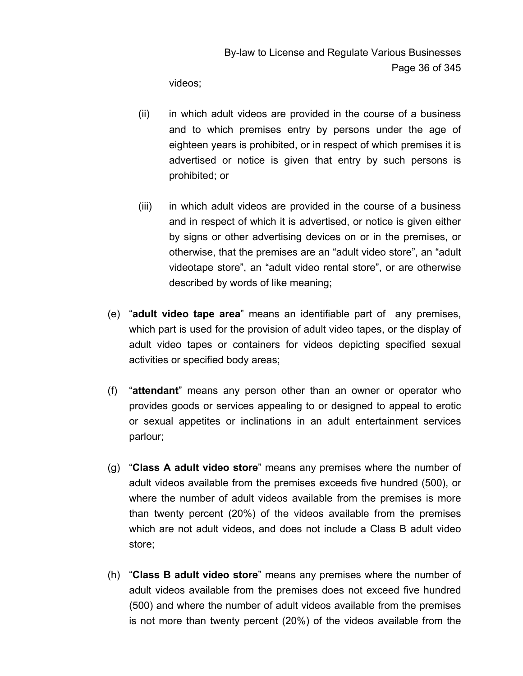videos;

- (ii) in which adult videos are provided in the course of a business and to which premises entry by persons under the age of eighteen years is prohibited, or in respect of which premises it is advertised or notice is given that entry by such persons is prohibited; or
- (iii) in which adult videos are provided in the course of a business and in respect of which it is advertised, or notice is given either by signs or other advertising devices on or in the premises, or otherwise, that the premises are an "adult video store", an "adult videotape store", an "adult video rental store", or are otherwise described by words of like meaning;
- (e) "**adult video tape area**" means an identifiable part of any premises, which part is used for the provision of adult video tapes, or the display of adult video tapes or containers for videos depicting specified sexual activities or specified body areas;
- (f) "**attendant**" means any person other than an owner or operator who provides goods or services appealing to or designed to appeal to erotic or sexual appetites or inclinations in an adult entertainment services parlour;
- (g) "**Class A adult video store**" means any premises where the number of adult videos available from the premises exceeds five hundred (500), or where the number of adult videos available from the premises is more than twenty percent (20%) of the videos available from the premises which are not adult videos, and does not include a Class B adult video store;
- (h) "**Class B adult video store**" means any premises where the number of adult videos available from the premises does not exceed five hundred (500) and where the number of adult videos available from the premises is not more than twenty percent (20%) of the videos available from the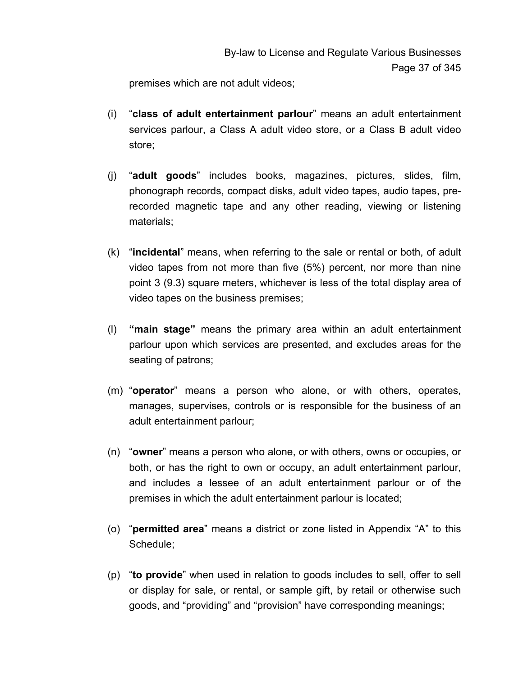premises which are not adult videos;

- (i) "**class of adult entertainment parlour**" means an adult entertainment services parlour, a Class A adult video store, or a Class B adult video store;
- (j) "**adult goods**" includes books, magazines, pictures, slides, film, phonograph records, compact disks, adult video tapes, audio tapes, prerecorded magnetic tape and any other reading, viewing or listening materials;
- (k) "**incidental**" means, when referring to the sale or rental or both, of adult video tapes from not more than five (5%) percent, nor more than nine point 3 (9.3) square meters, whichever is less of the total display area of video tapes on the business premises;
- (l) **"main stage"** means the primary area within an adult entertainment parlour upon which services are presented, and excludes areas for the seating of patrons;
- (m) "**operator**" means a person who alone, or with others, operates, manages, supervises, controls or is responsible for the business of an adult entertainment parlour;
- (n) "**owner**" means a person who alone, or with others, owns or occupies, or both, or has the right to own or occupy, an adult entertainment parlour, and includes a lessee of an adult entertainment parlour or of the premises in which the adult entertainment parlour is located;
- (o) "**permitted area**" means a district or zone listed in Appendix "A" to this Schedule;
- (p) "**to provide**" when used in relation to goods includes to sell, offer to sell or display for sale, or rental, or sample gift, by retail or otherwise such goods, and "providing" and "provision" have corresponding meanings;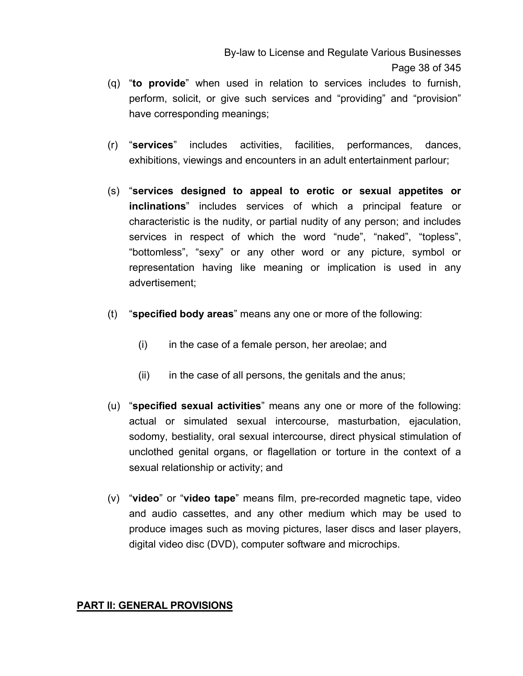- (q) "**to provide**" when used in relation to services includes to furnish, perform, solicit, or give such services and "providing" and "provision" have corresponding meanings;
- (r) "**services**" includes activities, facilities, performances, dances, exhibitions, viewings and encounters in an adult entertainment parlour;
- (s) "**services designed to appeal to erotic or sexual appetites or inclinations**" includes services of which a principal feature or characteristic is the nudity, or partial nudity of any person; and includes services in respect of which the word "nude", "naked", "topless", "bottomless", "sexy" or any other word or any picture, symbol or representation having like meaning or implication is used in any advertisement;
- (t) "**specified body areas**" means any one or more of the following:
	- (i) in the case of a female person, her areolae; and
	- (ii) in the case of all persons, the genitals and the anus;
- (u) "**specified sexual activities**" means any one or more of the following: actual or simulated sexual intercourse, masturbation, ejaculation, sodomy, bestiality, oral sexual intercourse, direct physical stimulation of unclothed genital organs, or flagellation or torture in the context of a sexual relationship or activity; and
- (v) "**video**" or "**video tape**" means film, pre-recorded magnetic tape, video and audio cassettes, and any other medium which may be used to produce images such as moving pictures, laser discs and laser players, digital video disc (DVD), computer software and microchips.

### **PART II: GENERAL PROVISIONS**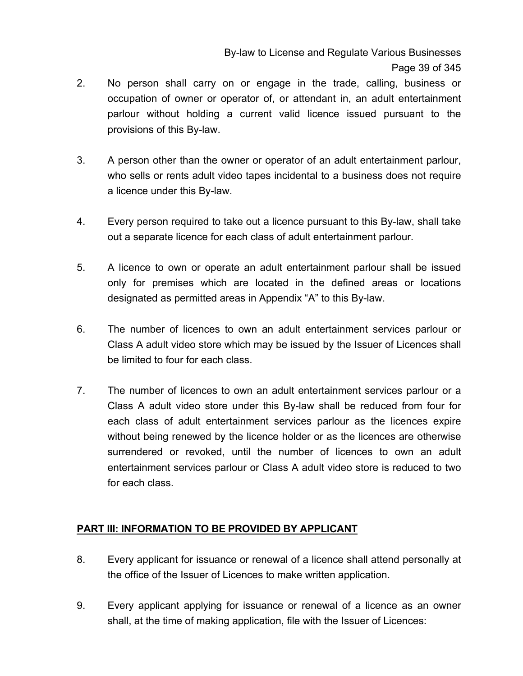By-law to License and Regulate Various Businesses Page 39 of 345

- 2. No person shall carry on or engage in the trade, calling, business or occupation of owner or operator of, or attendant in, an adult entertainment parlour without holding a current valid licence issued pursuant to the provisions of this By-law.
- 3. A person other than the owner or operator of an adult entertainment parlour, who sells or rents adult video tapes incidental to a business does not require a licence under this By-law.
- 4. Every person required to take out a licence pursuant to this By-law, shall take out a separate licence for each class of adult entertainment parlour.
- 5. A licence to own or operate an adult entertainment parlour shall be issued only for premises which are located in the defined areas or locations designated as permitted areas in Appendix "A" to this By-law.
- 6. The number of licences to own an adult entertainment services parlour or Class A adult video store which may be issued by the Issuer of Licences shall be limited to four for each class.
- 7. The number of licences to own an adult entertainment services parlour or a Class A adult video store under this By-law shall be reduced from four for each class of adult entertainment services parlour as the licences expire without being renewed by the licence holder or as the licences are otherwise surrendered or revoked, until the number of licences to own an adult entertainment services parlour or Class A adult video store is reduced to two for each class.

## **PART III: INFORMATION TO BE PROVIDED BY APPLICANT**

- 8. Every applicant for issuance or renewal of a licence shall attend personally at the office of the Issuer of Licences to make written application.
- 9. Every applicant applying for issuance or renewal of a licence as an owner shall, at the time of making application, file with the Issuer of Licences: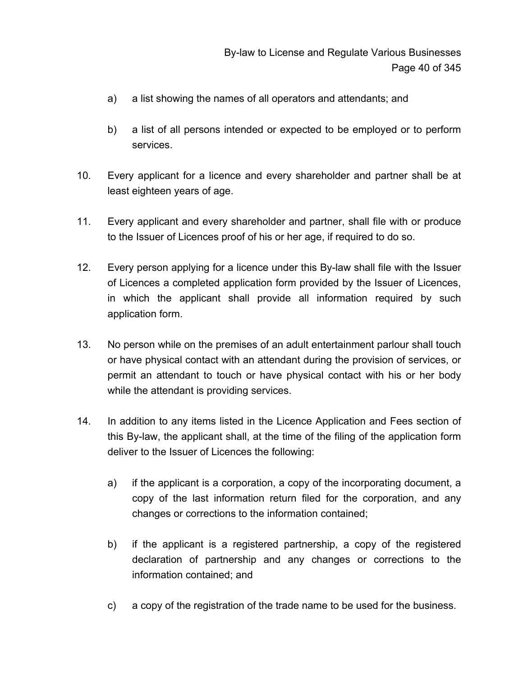- a) a list showing the names of all operators and attendants; and
- b) a list of all persons intended or expected to be employed or to perform services.
- 10. Every applicant for a licence and every shareholder and partner shall be at least eighteen years of age.
- 11. Every applicant and every shareholder and partner, shall file with or produce to the Issuer of Licences proof of his or her age, if required to do so.
- 12. Every person applying for a licence under this By-law shall file with the Issuer of Licences a completed application form provided by the Issuer of Licences, in which the applicant shall provide all information required by such application form.
- 13. No person while on the premises of an adult entertainment parlour shall touch or have physical contact with an attendant during the provision of services, or permit an attendant to touch or have physical contact with his or her body while the attendant is providing services.
- 14. In addition to any items listed in the Licence Application and Fees section of this By-law, the applicant shall, at the time of the filing of the application form deliver to the Issuer of Licences the following:
	- a) if the applicant is a corporation, a copy of the incorporating document, a copy of the last information return filed for the corporation, and any changes or corrections to the information contained;
	- b) if the applicant is a registered partnership, a copy of the registered declaration of partnership and any changes or corrections to the information contained; and
	- c) a copy of the registration of the trade name to be used for the business.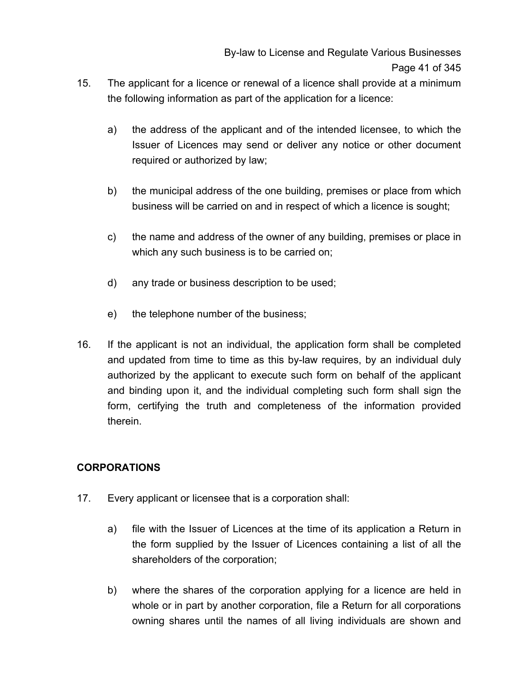- 15. The applicant for a licence or renewal of a licence shall provide at a minimum the following information as part of the application for a licence:
	- a) the address of the applicant and of the intended licensee, to which the Issuer of Licences may send or deliver any notice or other document required or authorized by law;
	- b) the municipal address of the one building, premises or place from which business will be carried on and in respect of which a licence is sought;
	- c) the name and address of the owner of any building, premises or place in which any such business is to be carried on;
	- d) any trade or business description to be used;
	- e) the telephone number of the business;
- 16. If the applicant is not an individual, the application form shall be completed and updated from time to time as this by-law requires, by an individual duly authorized by the applicant to execute such form on behalf of the applicant and binding upon it, and the individual completing such form shall sign the form, certifying the truth and completeness of the information provided therein.

## **CORPORATIONS**

- 17. Every applicant or licensee that is a corporation shall:
	- a) file with the Issuer of Licences at the time of its application a Return in the form supplied by the Issuer of Licences containing a list of all the shareholders of the corporation;
	- b) where the shares of the corporation applying for a licence are held in whole or in part by another corporation, file a Return for all corporations owning shares until the names of all living individuals are shown and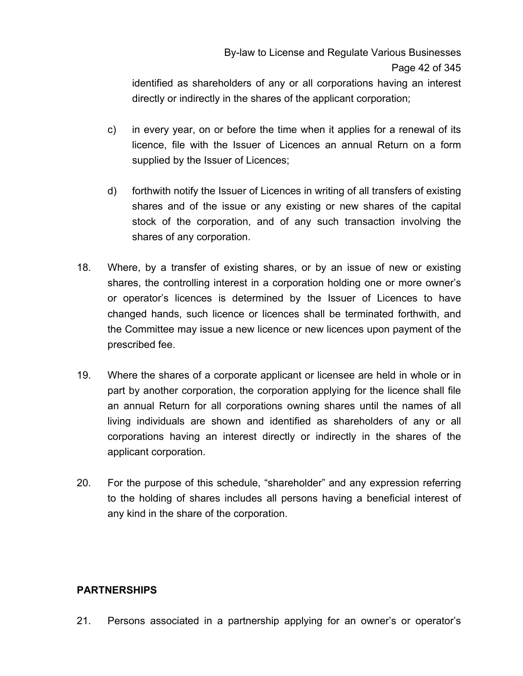identified as shareholders of any or all corporations having an interest directly or indirectly in the shares of the applicant corporation;

- c) in every year, on or before the time when it applies for a renewal of its licence, file with the Issuer of Licences an annual Return on a form supplied by the Issuer of Licences;
- d) forthwith notify the Issuer of Licences in writing of all transfers of existing shares and of the issue or any existing or new shares of the capital stock of the corporation, and of any such transaction involving the shares of any corporation.
- 18. Where, by a transfer of existing shares, or by an issue of new or existing shares, the controlling interest in a corporation holding one or more owner's or operator's licences is determined by the Issuer of Licences to have changed hands, such licence or licences shall be terminated forthwith, and the Committee may issue a new licence or new licences upon payment of the prescribed fee.
- 19. Where the shares of a corporate applicant or licensee are held in whole or in part by another corporation, the corporation applying for the licence shall file an annual Return for all corporations owning shares until the names of all living individuals are shown and identified as shareholders of any or all corporations having an interest directly or indirectly in the shares of the applicant corporation.
- 20. For the purpose of this schedule, "shareholder" and any expression referring to the holding of shares includes all persons having a beneficial interest of any kind in the share of the corporation.

## **PARTNERSHIPS**

21. Persons associated in a partnership applying for an owner's or operator's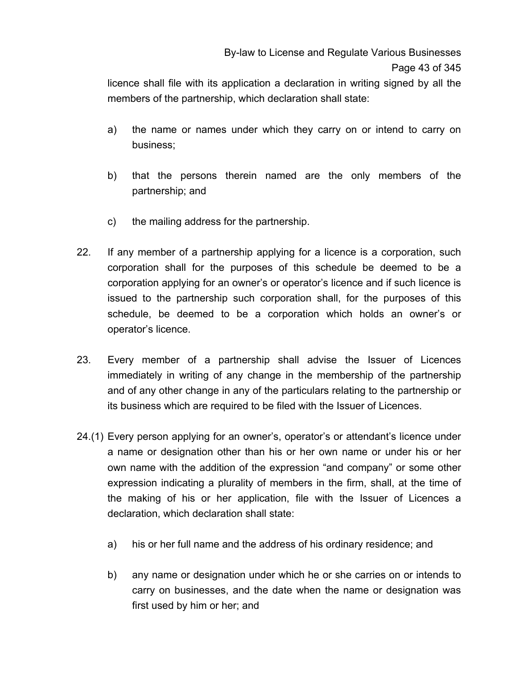licence shall file with its application a declaration in writing signed by all the members of the partnership, which declaration shall state:

- a) the name or names under which they carry on or intend to carry on business;
- b) that the persons therein named are the only members of the partnership; and
- c) the mailing address for the partnership.
- 22. If any member of a partnership applying for a licence is a corporation, such corporation shall for the purposes of this schedule be deemed to be a corporation applying for an owner's or operator's licence and if such licence is issued to the partnership such corporation shall, for the purposes of this schedule, be deemed to be a corporation which holds an owner's or operator's licence.
- 23. Every member of a partnership shall advise the Issuer of Licences immediately in writing of any change in the membership of the partnership and of any other change in any of the particulars relating to the partnership or its business which are required to be filed with the Issuer of Licences.
- 24.(1) Every person applying for an owner's, operator's or attendant's licence under a name or designation other than his or her own name or under his or her own name with the addition of the expression "and company" or some other expression indicating a plurality of members in the firm, shall, at the time of the making of his or her application, file with the Issuer of Licences a declaration, which declaration shall state:
	- a) his or her full name and the address of his ordinary residence; and
	- b) any name or designation under which he or she carries on or intends to carry on businesses, and the date when the name or designation was first used by him or her; and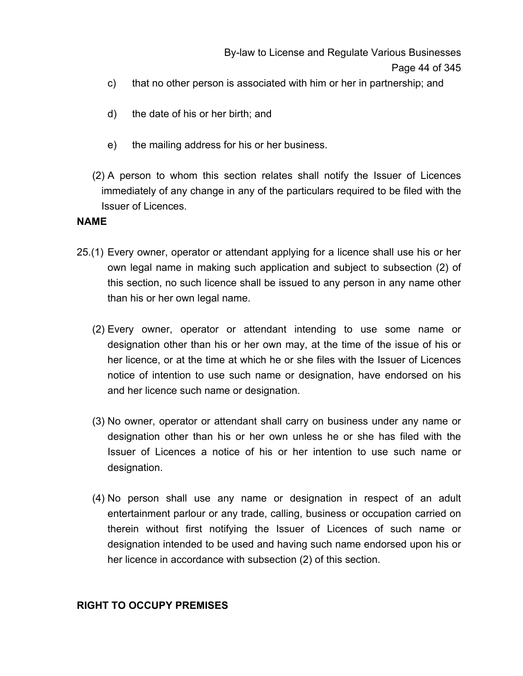By-law to License and Regulate Various Businesses Page 44 of 345

- c) that no other person is associated with him or her in partnership; and
- d) the date of his or her birth; and
- e) the mailing address for his or her business.
- (2) A person to whom this section relates shall notify the Issuer of Licences immediately of any change in any of the particulars required to be filed with the Issuer of Licences.

### **NAME**

- 25.(1) Every owner, operator or attendant applying for a licence shall use his or her own legal name in making such application and subject to subsection (2) of this section, no such licence shall be issued to any person in any name other than his or her own legal name.
	- (2) Every owner, operator or attendant intending to use some name or designation other than his or her own may, at the time of the issue of his or her licence, or at the time at which he or she files with the Issuer of Licences notice of intention to use such name or designation, have endorsed on his and her licence such name or designation.
	- (3) No owner, operator or attendant shall carry on business under any name or designation other than his or her own unless he or she has filed with the Issuer of Licences a notice of his or her intention to use such name or designation.
	- (4) No person shall use any name or designation in respect of an adult entertainment parlour or any trade, calling, business or occupation carried on therein without first notifying the Issuer of Licences of such name or designation intended to be used and having such name endorsed upon his or her licence in accordance with subsection (2) of this section.

### **RIGHT TO OCCUPY PREMISES**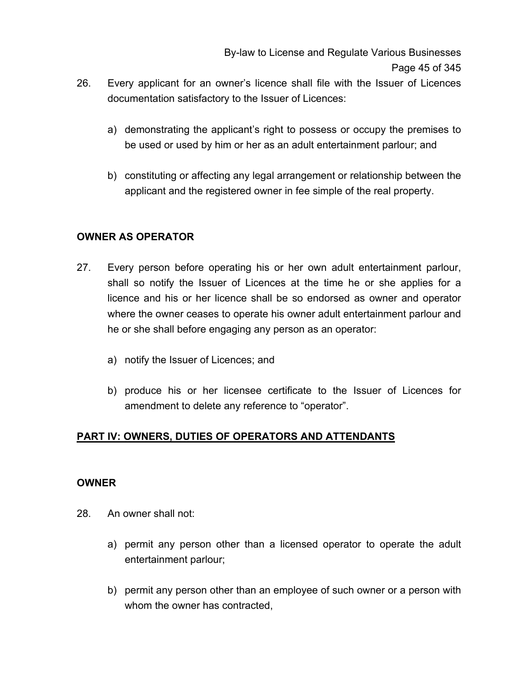By-law to License and Regulate Various Businesses Page 45 of 345

- 26. Every applicant for an owner's licence shall file with the Issuer of Licences documentation satisfactory to the Issuer of Licences:
	- a) demonstrating the applicant's right to possess or occupy the premises to be used or used by him or her as an adult entertainment parlour; and
	- b) constituting or affecting any legal arrangement or relationship between the applicant and the registered owner in fee simple of the real property.

## **OWNER AS OPERATOR**

- 27. Every person before operating his or her own adult entertainment parlour, shall so notify the Issuer of Licences at the time he or she applies for a licence and his or her licence shall be so endorsed as owner and operator where the owner ceases to operate his owner adult entertainment parlour and he or she shall before engaging any person as an operator:
	- a) notify the Issuer of Licences; and
	- b) produce his or her licensee certificate to the Issuer of Licences for amendment to delete any reference to "operator".

## **PART IV: OWNERS, DUTIES OF OPERATORS AND ATTENDANTS**

### **OWNER**

- 28. An owner shall not:
	- a) permit any person other than a licensed operator to operate the adult entertainment parlour;
	- b) permit any person other than an employee of such owner or a person with whom the owner has contracted,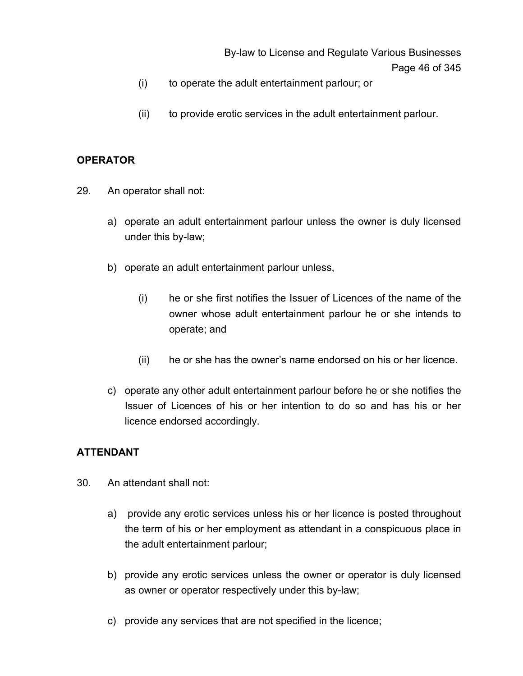By-law to License and Regulate Various Businesses Page 46 of 345

- (i) to operate the adult entertainment parlour; or
- (ii) to provide erotic services in the adult entertainment parlour.

### **OPERATOR**

- 29. An operator shall not:
	- a) operate an adult entertainment parlour unless the owner is duly licensed under this by-law;
	- b) operate an adult entertainment parlour unless,
		- (i) he or she first notifies the Issuer of Licences of the name of the owner whose adult entertainment parlour he or she intends to operate; and
		- (ii) he or she has the owner's name endorsed on his or her licence.
	- c) operate any other adult entertainment parlour before he or she notifies the Issuer of Licences of his or her intention to do so and has his or her licence endorsed accordingly.

### **ATTENDANT**

- 30. An attendant shall not:
	- a) provide any erotic services unless his or her licence is posted throughout the term of his or her employment as attendant in a conspicuous place in the adult entertainment parlour;
	- b) provide any erotic services unless the owner or operator is duly licensed as owner or operator respectively under this by-law;
	- c) provide any services that are not specified in the licence;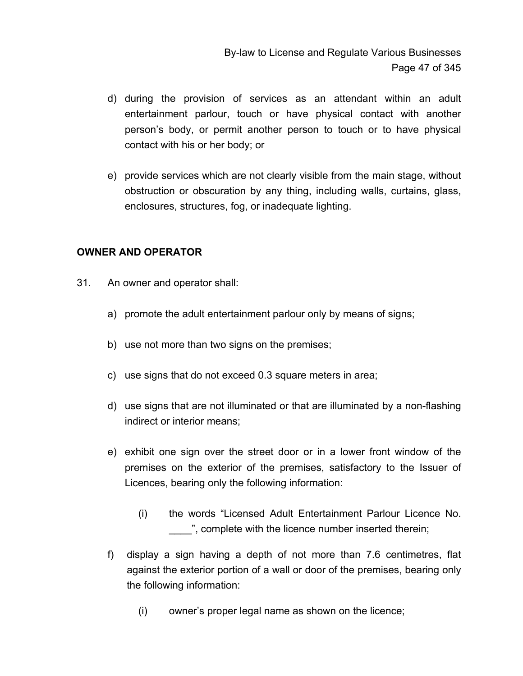- d) during the provision of services as an attendant within an adult entertainment parlour, touch or have physical contact with another person's body, or permit another person to touch or to have physical contact with his or her body; or
- e) provide services which are not clearly visible from the main stage, without obstruction or obscuration by any thing, including walls, curtains, glass, enclosures, structures, fog, or inadequate lighting.

## **OWNER AND OPERATOR**

- 31. An owner and operator shall:
	- a) promote the adult entertainment parlour only by means of signs;
	- b) use not more than two signs on the premises;
	- c) use signs that do not exceed 0.3 square meters in area;
	- d) use signs that are not illuminated or that are illuminated by a non-flashing indirect or interior means;
	- e) exhibit one sign over the street door or in a lower front window of the premises on the exterior of the premises, satisfactory to the Issuer of Licences, bearing only the following information:
		- (i) the words "Licensed Adult Entertainment Parlour Licence No.  $\Box$ ", complete with the licence number inserted therein;
	- f) display a sign having a depth of not more than 7.6 centimetres, flat against the exterior portion of a wall or door of the premises, bearing only the following information:
		- (i) owner's proper legal name as shown on the licence;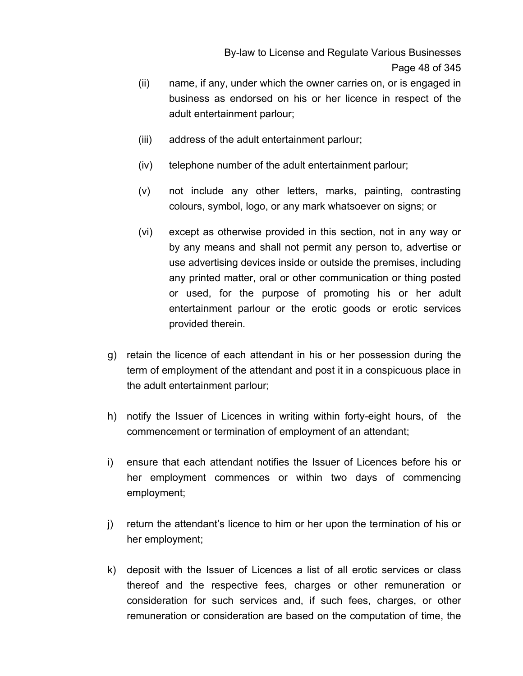By-law to License and Regulate Various Businesses Page 48 of 345

- (ii) name, if any, under which the owner carries on, or is engaged in business as endorsed on his or her licence in respect of the adult entertainment parlour;
- (iii) address of the adult entertainment parlour;
- (iv) telephone number of the adult entertainment parlour;
- (v) not include any other letters, marks, painting, contrasting colours, symbol, logo, or any mark whatsoever on signs; or
- (vi) except as otherwise provided in this section, not in any way or by any means and shall not permit any person to, advertise or use advertising devices inside or outside the premises, including any printed matter, oral or other communication or thing posted or used, for the purpose of promoting his or her adult entertainment parlour or the erotic goods or erotic services provided therein.
- g) retain the licence of each attendant in his or her possession during the term of employment of the attendant and post it in a conspicuous place in the adult entertainment parlour;
- h) notify the Issuer of Licences in writing within forty-eight hours, of the commencement or termination of employment of an attendant;
- i) ensure that each attendant notifies the Issuer of Licences before his or her employment commences or within two days of commencing employment;
- j) return the attendant's licence to him or her upon the termination of his or her employment;
- k) deposit with the Issuer of Licences a list of all erotic services or class thereof and the respective fees, charges or other remuneration or consideration for such services and, if such fees, charges, or other remuneration or consideration are based on the computation of time, the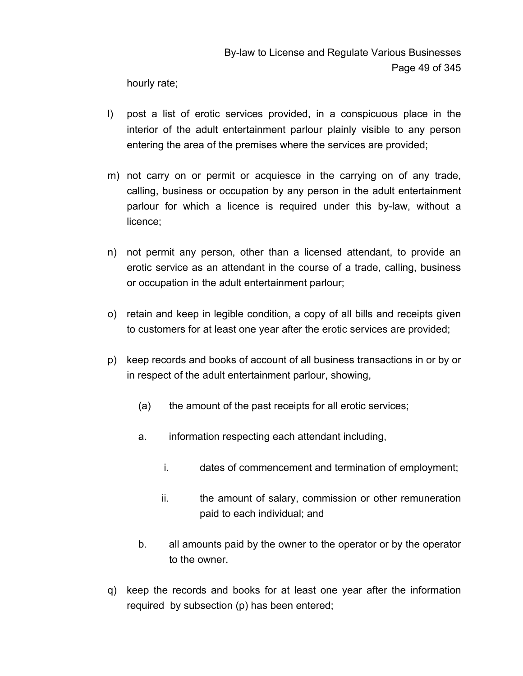hourly rate;

- l) post a list of erotic services provided, in a conspicuous place in the interior of the adult entertainment parlour plainly visible to any person entering the area of the premises where the services are provided;
- m) not carry on or permit or acquiesce in the carrying on of any trade, calling, business or occupation by any person in the adult entertainment parlour for which a licence is required under this by-law, without a licence;
- n) not permit any person, other than a licensed attendant, to provide an erotic service as an attendant in the course of a trade, calling, business or occupation in the adult entertainment parlour;
- o) retain and keep in legible condition, a copy of all bills and receipts given to customers for at least one year after the erotic services are provided;
- p) keep records and books of account of all business transactions in or by or in respect of the adult entertainment parlour, showing,
	- (a) the amount of the past receipts for all erotic services;
	- a. information respecting each attendant including,
		- i. dates of commencement and termination of employment;
		- ii. the amount of salary, commission or other remuneration paid to each individual; and
	- b. all amounts paid by the owner to the operator or by the operator to the owner.
- q) keep the records and books for at least one year after the information required by subsection (p) has been entered;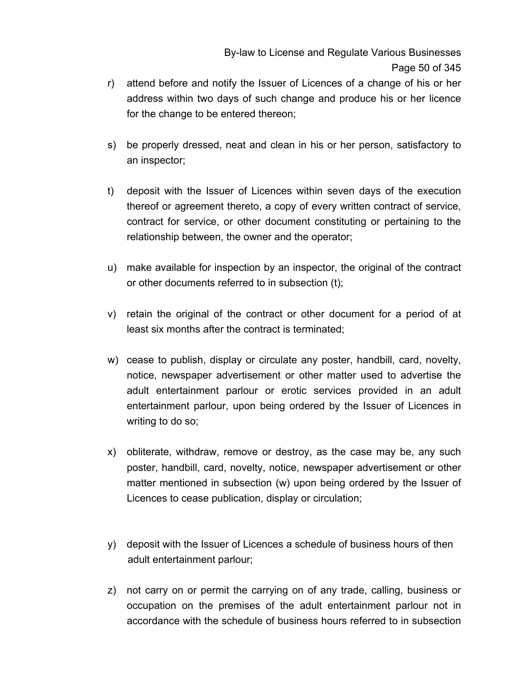- r) attend before and notify the Issuer of Licences of a change of his or her address within two days of such change and produce his or her licence for the change to be entered thereon;
- s) be properly dressed, neat and clean in his or her person, satisfactory to an inspector;
- t) deposit with the Issuer of Licences within seven days of the execution thereof or agreement thereto, a copy of every written contract of service, contract for service, or other document constituting or pertaining to the relationship between, the owner and the operator;
- u) make available for inspection by an inspector, the original of the contract or other documents referred to in subsection (t);
- v) retain the original of the contract or other document for a period of at least six months after the contract is terminated;
- w) cease to publish, display or circulate any poster, handbill, card, novelty, notice, newspaper advertisement or other matter used to advertise the adult entertainment parlour or erotic services provided in an adult entertainment parlour, upon being ordered by the Issuer of Licences in writing to do so;
- x) obliterate, withdraw, remove or destroy, as the case may be, any such poster, handbill, card, novelty, notice, newspaper advertisement or other matter mentioned in subsection (w) upon being ordered by the Issuer of Licences to cease publication, display or circulation;
- y) deposit with the Issuer of Licences a schedule of business hours of then adult entertainment parlour;
- z) not carry on or permit the carrying on of any trade, calling, business or occupation on the premises of the adult entertainment parlour not in accordance with the schedule of business hours referred to in subsection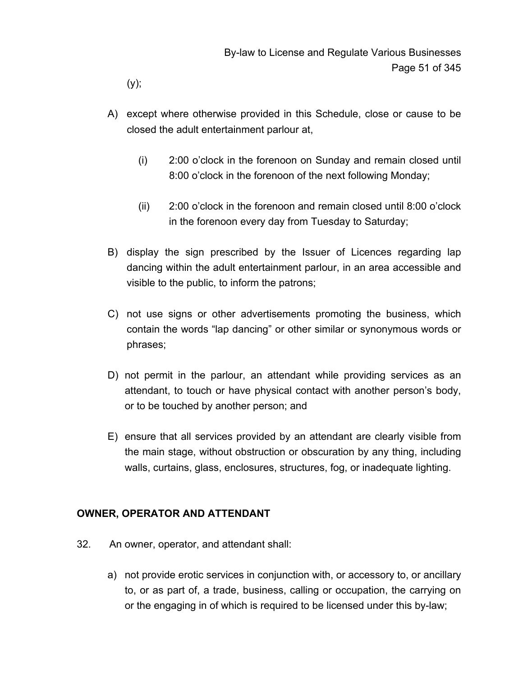(y);

- A) except where otherwise provided in this Schedule, close or cause to be closed the adult entertainment parlour at,
	- (i) 2:00 o'clock in the forenoon on Sunday and remain closed until 8:00 o'clock in the forenoon of the next following Monday;
	- (ii) 2:00 o'clock in the forenoon and remain closed until 8:00 o'clock in the forenoon every day from Tuesday to Saturday;
- B) display the sign prescribed by the Issuer of Licences regarding lap dancing within the adult entertainment parlour, in an area accessible and visible to the public, to inform the patrons;
- C) not use signs or other advertisements promoting the business, which contain the words "lap dancing" or other similar or synonymous words or phrases;
- D) not permit in the parlour, an attendant while providing services as an attendant, to touch or have physical contact with another person's body, or to be touched by another person; and
- E) ensure that all services provided by an attendant are clearly visible from the main stage, without obstruction or obscuration by any thing, including walls, curtains, glass, enclosures, structures, fog, or inadequate lighting.

## **OWNER, OPERATOR AND ATTENDANT**

- 32. An owner, operator, and attendant shall:
	- a) not provide erotic services in conjunction with, or accessory to, or ancillary to, or as part of, a trade, business, calling or occupation, the carrying on or the engaging in of which is required to be licensed under this by-law;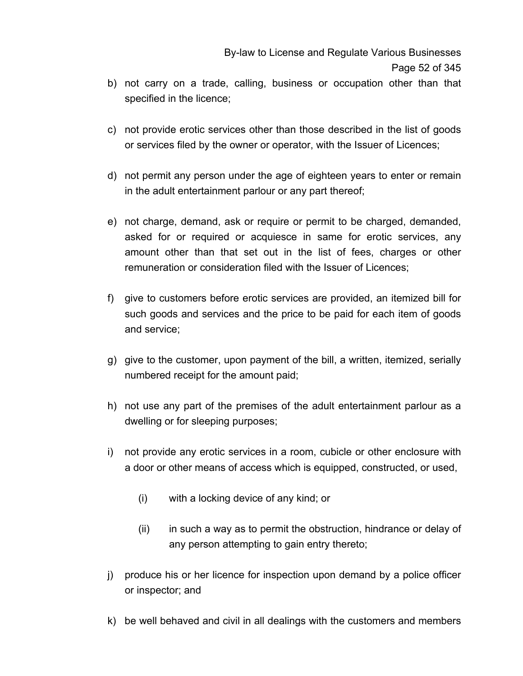- b) not carry on a trade, calling, business or occupation other than that specified in the licence;
- c) not provide erotic services other than those described in the list of goods or services filed by the owner or operator, with the Issuer of Licences;
- d) not permit any person under the age of eighteen years to enter or remain in the adult entertainment parlour or any part thereof;
- e) not charge, demand, ask or require or permit to be charged, demanded, asked for or required or acquiesce in same for erotic services, any amount other than that set out in the list of fees, charges or other remuneration or consideration filed with the Issuer of Licences;
- f) give to customers before erotic services are provided, an itemized bill for such goods and services and the price to be paid for each item of goods and service;
- g) give to the customer, upon payment of the bill, a written, itemized, serially numbered receipt for the amount paid;
- h) not use any part of the premises of the adult entertainment parlour as a dwelling or for sleeping purposes;
- i) not provide any erotic services in a room, cubicle or other enclosure with a door or other means of access which is equipped, constructed, or used,
	- (i) with a locking device of any kind; or
	- (ii) in such a way as to permit the obstruction, hindrance or delay of any person attempting to gain entry thereto;
- j) produce his or her licence for inspection upon demand by a police officer or inspector; and
- k) be well behaved and civil in all dealings with the customers and members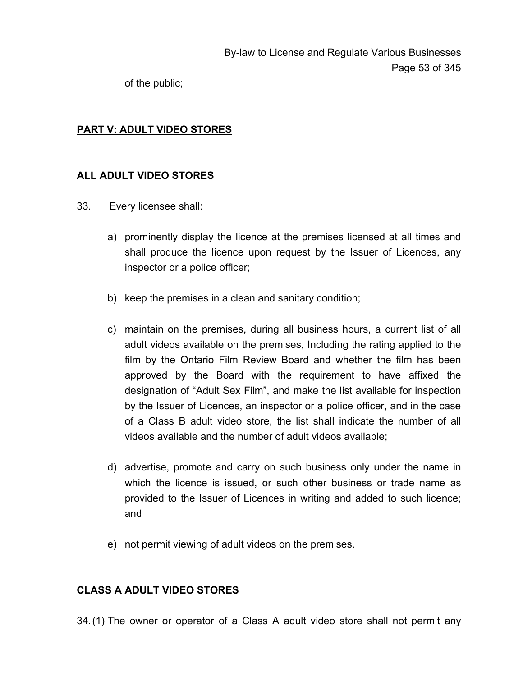of the public;

## **PART V: ADULT VIDEO STORES**

## **ALL ADULT VIDEO STORES**

- 33. Every licensee shall:
	- a) prominently display the licence at the premises licensed at all times and shall produce the licence upon request by the Issuer of Licences, any inspector or a police officer;
	- b) keep the premises in a clean and sanitary condition;
	- c) maintain on the premises, during all business hours, a current list of all adult videos available on the premises, Including the rating applied to the film by the Ontario Film Review Board and whether the film has been approved by the Board with the requirement to have affixed the designation of "Adult Sex Film", and make the list available for inspection by the Issuer of Licences, an inspector or a police officer, and in the case of a Class B adult video store, the list shall indicate the number of all videos available and the number of adult videos available;
	- d) advertise, promote and carry on such business only under the name in which the licence is issued, or such other business or trade name as provided to the Issuer of Licences in writing and added to such licence; and
	- e) not permit viewing of adult videos on the premises.

## **CLASS A ADULT VIDEO STORES**

34. (1) The owner or operator of a Class A adult video store shall not permit any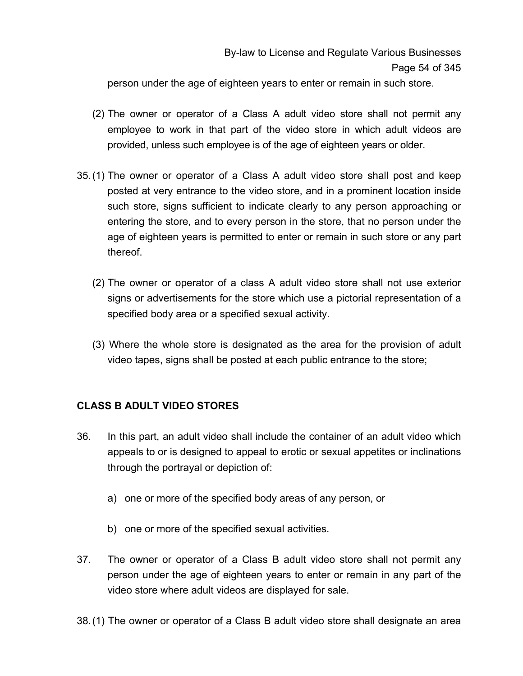person under the age of eighteen years to enter or remain in such store.

- (2) The owner or operator of a Class A adult video store shall not permit any employee to work in that part of the video store in which adult videos are provided, unless such employee is of the age of eighteen years or older.
- 35. (1) The owner or operator of a Class A adult video store shall post and keep posted at very entrance to the video store, and in a prominent location inside such store, signs sufficient to indicate clearly to any person approaching or entering the store, and to every person in the store, that no person under the age of eighteen years is permitted to enter or remain in such store or any part thereof.
	- (2) The owner or operator of a class A adult video store shall not use exterior signs or advertisements for the store which use a pictorial representation of a specified body area or a specified sexual activity.
	- (3) Where the whole store is designated as the area for the provision of adult video tapes, signs shall be posted at each public entrance to the store;

# **CLASS B ADULT VIDEO STORES**

- 36. In this part, an adult video shall include the container of an adult video which appeals to or is designed to appeal to erotic or sexual appetites or inclinations through the portrayal or depiction of:
	- a) one or more of the specified body areas of any person, or
	- b) one or more of the specified sexual activities.
- 37. The owner or operator of a Class B adult video store shall not permit any person under the age of eighteen years to enter or remain in any part of the video store where adult videos are displayed for sale.
- 38. (1) The owner or operator of a Class B adult video store shall designate an area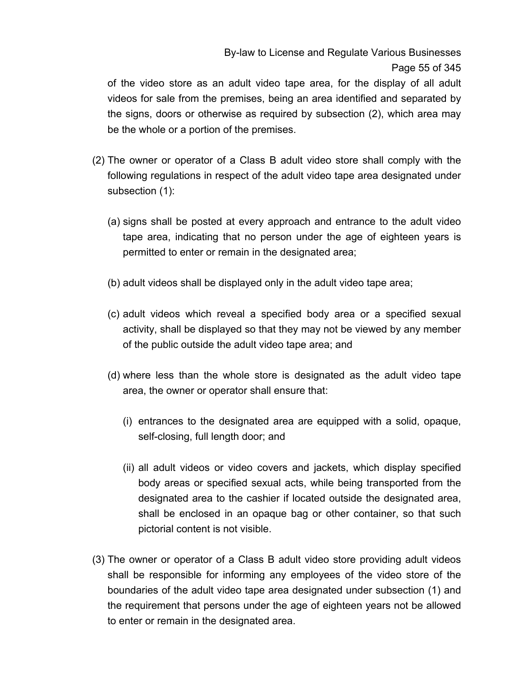# By-law to License and Regulate Various Businesses Page 55 of 345

of the video store as an adult video tape area, for the display of all adult videos for sale from the premises, being an area identified and separated by the signs, doors or otherwise as required by subsection (2), which area may be the whole or a portion of the premises.

- (2) The owner or operator of a Class B adult video store shall comply with the following regulations in respect of the adult video tape area designated under subsection (1):
	- (a) signs shall be posted at every approach and entrance to the adult video tape area, indicating that no person under the age of eighteen years is permitted to enter or remain in the designated area;
	- (b) adult videos shall be displayed only in the adult video tape area;
	- (c) adult videos which reveal a specified body area or a specified sexual activity, shall be displayed so that they may not be viewed by any member of the public outside the adult video tape area; and
	- (d) where less than the whole store is designated as the adult video tape area, the owner or operator shall ensure that:
		- (i) entrances to the designated area are equipped with a solid, opaque, self-closing, full length door; and
		- (ii) all adult videos or video covers and jackets, which display specified body areas or specified sexual acts, while being transported from the designated area to the cashier if located outside the designated area, shall be enclosed in an opaque bag or other container, so that such pictorial content is not visible.
- (3) The owner or operator of a Class B adult video store providing adult videos shall be responsible for informing any employees of the video store of the boundaries of the adult video tape area designated under subsection (1) and the requirement that persons under the age of eighteen years not be allowed to enter or remain in the designated area.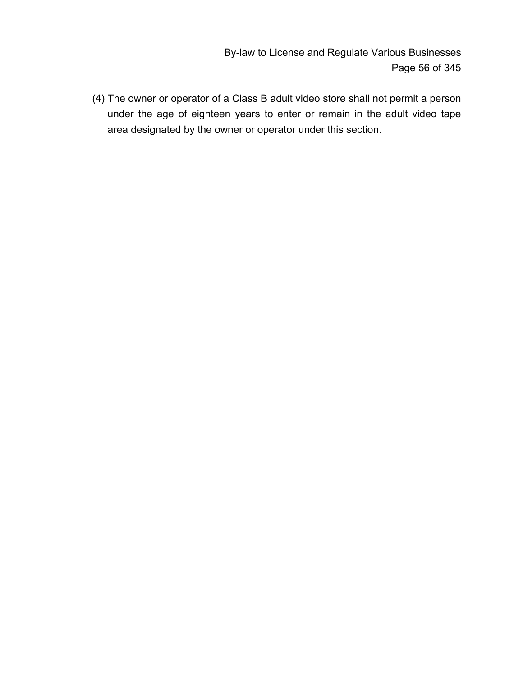By-law to License and Regulate Various Businesses Page 56 of 345

(4) The owner or operator of a Class B adult video store shall not permit a person under the age of eighteen years to enter or remain in the adult video tape area designated by the owner or operator under this section.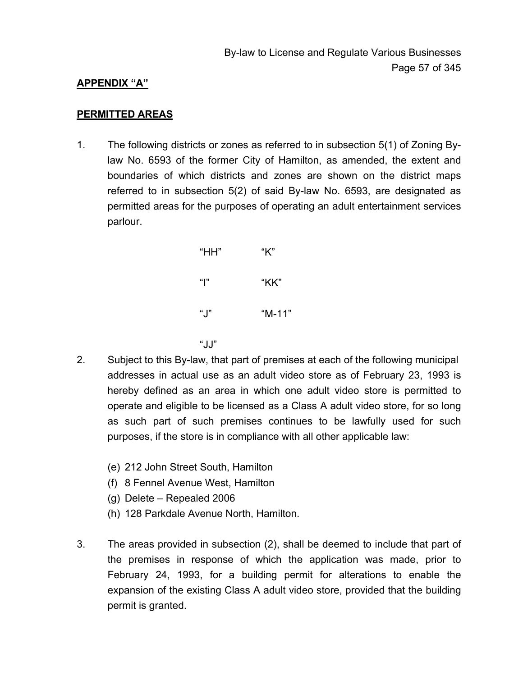### **APPENDIX "A"**

#### **PERMITTED AREAS**

1. The following districts or zones as referred to in subsection 5(1) of Zoning Bylaw No. 6593 of the former City of Hamilton, as amended, the extent and boundaries of which districts and zones are shown on the district maps referred to in subsection 5(2) of said By-law No. 6593, are designated as permitted areas for the purposes of operating an adult entertainment services parlour.

| $H$ HH" | "K"    |
|---------|--------|
| " "     | "KK"   |
| "J"     | "M-11" |
|         |        |

- $"JJ"$ 2. Subject to this By-law, that part of premises at each of the following municipal addresses in actual use as an adult video store as of February 23, 1993 is hereby defined as an area in which one adult video store is permitted to operate and eligible to be licensed as a Class A adult video store, for so long as such part of such premises continues to be lawfully used for such purposes, if the store is in compliance with all other applicable law:
	- (e) 212 John Street South, Hamilton
	- (f) 8 Fennel Avenue West, Hamilton
	- (g) Delete Repealed 2006
	- (h) 128 Parkdale Avenue North, Hamilton.
	- 3. The areas provided in subsection (2), shall be deemed to include that part of the premises in response of which the application was made, prior to February 24, 1993, for a building permit for alterations to enable the expansion of the existing Class A adult video store, provided that the building permit is granted.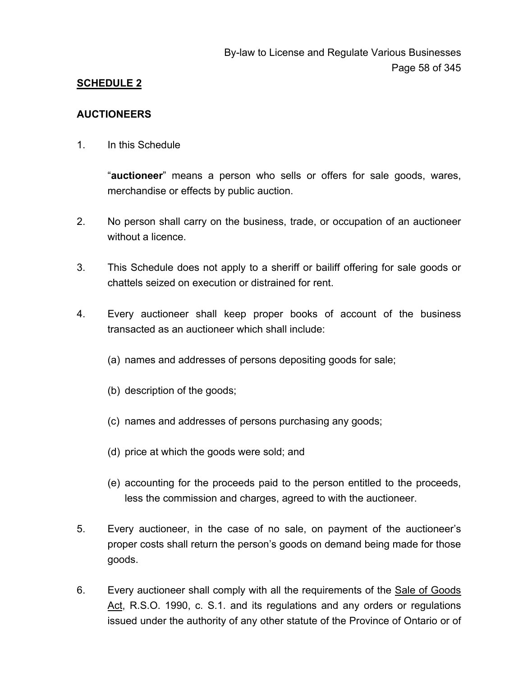## **SCHEDULE 2**

### **AUCTIONEERS**

1. In this Schedule

"**auctioneer**" means a person who sells or offers for sale goods, wares, merchandise or effects by public auction.

- 2. No person shall carry on the business, trade, or occupation of an auctioneer without a licence.
- 3. This Schedule does not apply to a sheriff or bailiff offering for sale goods or chattels seized on execution or distrained for rent.
- 4. Every auctioneer shall keep proper books of account of the business transacted as an auctioneer which shall include:
	- (a) names and addresses of persons depositing goods for sale;
	- (b) description of the goods;
	- (c) names and addresses of persons purchasing any goods;
	- (d) price at which the goods were sold; and
	- (e) accounting for the proceeds paid to the person entitled to the proceeds, less the commission and charges, agreed to with the auctioneer.
- 5. Every auctioneer, in the case of no sale, on payment of the auctioneer's proper costs shall return the person's goods on demand being made for those goods.
- 6. Every auctioneer shall comply with all the requirements of the Sale of Goods Act, R.S.O. 1990, c. S.1. and its regulations and any orders or regulations issued under the authority of any other statute of the Province of Ontario or of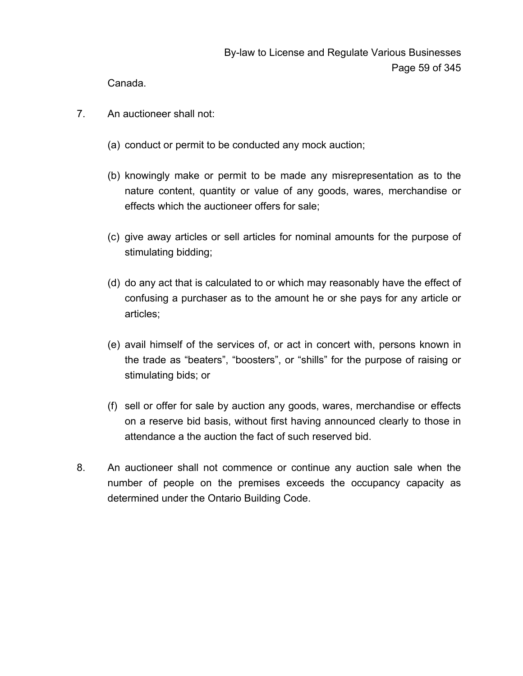Canada.

- 7. An auctioneer shall not:
	- (a) conduct or permit to be conducted any mock auction;
	- (b) knowingly make or permit to be made any misrepresentation as to the nature content, quantity or value of any goods, wares, merchandise or effects which the auctioneer offers for sale;
	- (c) give away articles or sell articles for nominal amounts for the purpose of stimulating bidding;
	- (d) do any act that is calculated to or which may reasonably have the effect of confusing a purchaser as to the amount he or she pays for any article or articles;
	- (e) avail himself of the services of, or act in concert with, persons known in the trade as "beaters", "boosters", or "shills" for the purpose of raising or stimulating bids; or
	- (f) sell or offer for sale by auction any goods, wares, merchandise or effects on a reserve bid basis, without first having announced clearly to those in attendance a the auction the fact of such reserved bid.
- 8. An auctioneer shall not commence or continue any auction sale when the number of people on the premises exceeds the occupancy capacity as determined under the Ontario Building Code.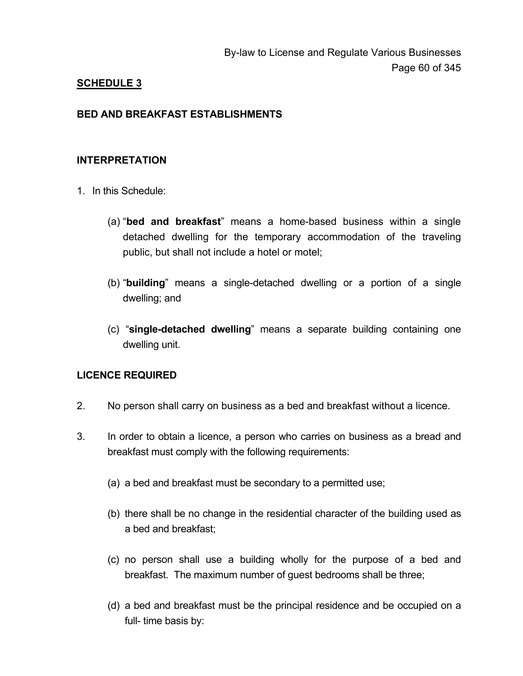## **SCHEDULE 3**

### **BED AND BREAKFAST ESTABLISHMENTS**

### **INTERPRETATION**

- 1. In this Schedule:
	- (a) "**bed and breakfast**" means a home-based business within a single detached dwelling for the temporary accommodation of the traveling public, but shall not include a hotel or motel;
	- (b) "**building**" means a single-detached dwelling or a portion of a single dwelling; and
	- (c) "**single-detached dwelling**" means a separate building containing one dwelling unit.

### **LICENCE REQUIRED**

- 2. No person shall carry on business as a bed and breakfast without a licence.
- 3. In order to obtain a licence, a person who carries on business as a bread and breakfast must comply with the following requirements:
	- (a) a bed and breakfast must be secondary to a permitted use;
	- (b) there shall be no change in the residential character of the building used as a bed and breakfast;
	- (c) no person shall use a building wholly for the purpose of a bed and breakfast. The maximum number of guest bedrooms shall be three;
	- (d) a bed and breakfast must be the principal residence and be occupied on a full- time basis by: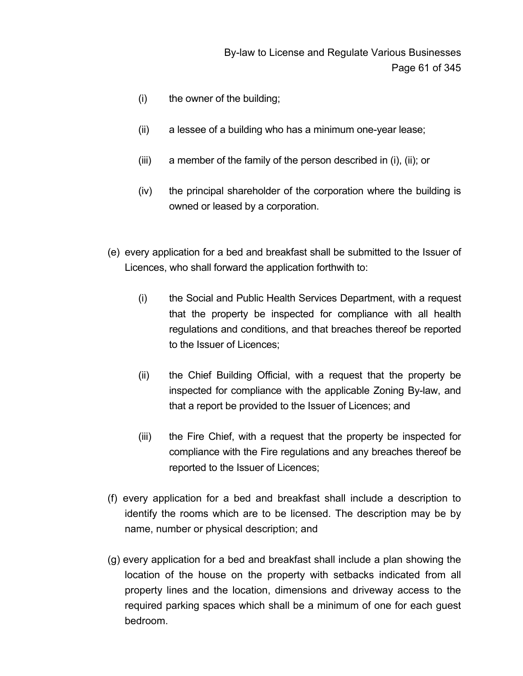- (i) the owner of the building;
- (ii) a lessee of a building who has a minimum one-year lease;
- (iii) a member of the family of the person described in (i), (ii); or
- (iv) the principal shareholder of the corporation where the building is owned or leased by a corporation.
- (e) every application for a bed and breakfast shall be submitted to the Issuer of Licences, who shall forward the application forthwith to:
	- (i) the Social and Public Health Services Department, with a request that the property be inspected for compliance with all health regulations and conditions, and that breaches thereof be reported to the Issuer of Licences;
	- (ii) the Chief Building Official, with a request that the property be inspected for compliance with the applicable Zoning By-law, and that a report be provided to the Issuer of Licences; and
	- (iii) the Fire Chief, with a request that the property be inspected for compliance with the Fire regulations and any breaches thereof be reported to the Issuer of Licences;
- (f) every application for a bed and breakfast shall include a description to identify the rooms which are to be licensed. The description may be by name, number or physical description; and
- (g) every application for a bed and breakfast shall include a plan showing the location of the house on the property with setbacks indicated from all property lines and the location, dimensions and driveway access to the required parking spaces which shall be a minimum of one for each guest bedroom.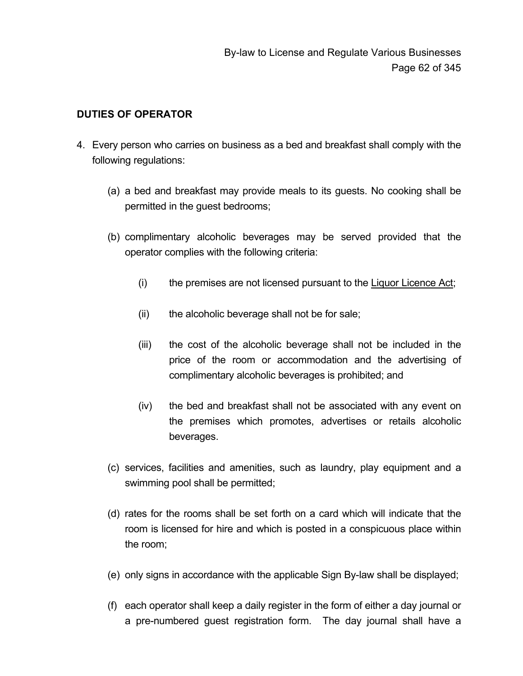## **DUTIES OF OPERATOR**

- 4. Every person who carries on business as a bed and breakfast shall comply with the following regulations:
	- (a) a bed and breakfast may provide meals to its guests. No cooking shall be permitted in the guest bedrooms;
	- (b) complimentary alcoholic beverages may be served provided that the operator complies with the following criteria:
		- (i) the premises are not licensed pursuant to the Liquor Licence Act;
		- (ii) the alcoholic beverage shall not be for sale;
		- (iii) the cost of the alcoholic beverage shall not be included in the price of the room or accommodation and the advertising of complimentary alcoholic beverages is prohibited; and
		- (iv) the bed and breakfast shall not be associated with any event on the premises which promotes, advertises or retails alcoholic beverages.
	- (c) services, facilities and amenities, such as laundry, play equipment and a swimming pool shall be permitted;
	- (d) rates for the rooms shall be set forth on a card which will indicate that the room is licensed for hire and which is posted in a conspicuous place within the room;
	- (e) only signs in accordance with the applicable Sign By-law shall be displayed;
	- (f) each operator shall keep a daily register in the form of either a day journal or a pre-numbered guest registration form. The day journal shall have a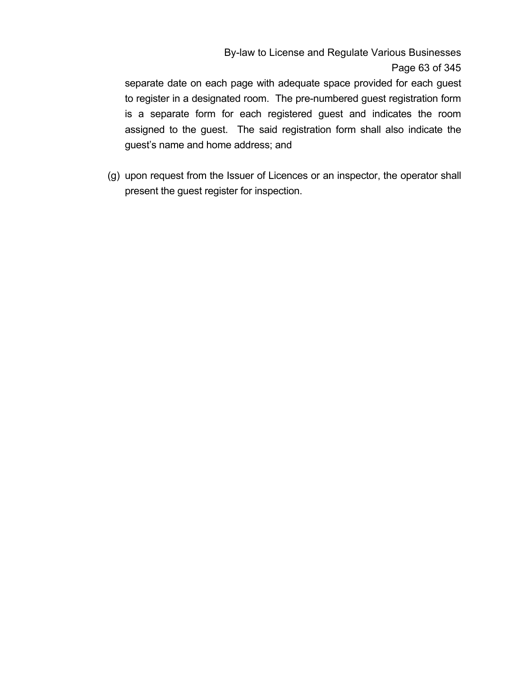By-law to License and Regulate Various Businesses Page 63 of 345

separate date on each page with adequate space provided for each guest to register in a designated room. The pre-numbered guest registration form is a separate form for each registered guest and indicates the room assigned to the guest. The said registration form shall also indicate the guest's name and home address; and

(g) upon request from the Issuer of Licences or an inspector, the operator shall present the guest register for inspection.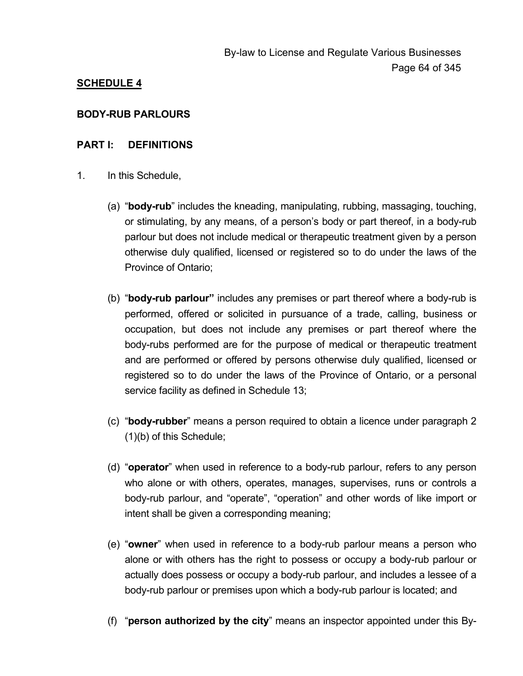# **SCHEDULE 4**

### **BODY-RUB PARLOURS**

### **PART I: DEFINITIONS**

- 1. In this Schedule,
	- (a) "**body-rub**" includes the kneading, manipulating, rubbing, massaging, touching, or stimulating, by any means, of a person's body or part thereof, in a body-rub parlour but does not include medical or therapeutic treatment given by a person otherwise duly qualified, licensed or registered so to do under the laws of the Province of Ontario;
	- (b) "**body-rub parlour"** includes any premises or part thereof where a body-rub is performed, offered or solicited in pursuance of a trade, calling, business or occupation, but does not include any premises or part thereof where the body-rubs performed are for the purpose of medical or therapeutic treatment and are performed or offered by persons otherwise duly qualified, licensed or registered so to do under the laws of the Province of Ontario, or a personal service facility as defined in Schedule 13;
	- (c) "**body-rubber**" means a person required to obtain a licence under paragraph 2 (1)(b) of this Schedule;
	- (d) "**operator**" when used in reference to a body-rub parlour, refers to any person who alone or with others, operates, manages, supervises, runs or controls a body-rub parlour, and "operate", "operation" and other words of like import or intent shall be given a corresponding meaning;
	- (e) "**owner**" when used in reference to a body-rub parlour means a person who alone or with others has the right to possess or occupy a body-rub parlour or actually does possess or occupy a body-rub parlour, and includes a lessee of a body-rub parlour or premises upon which a body-rub parlour is located; and
	- (f) "**person authorized by the city**" means an inspector appointed under this By-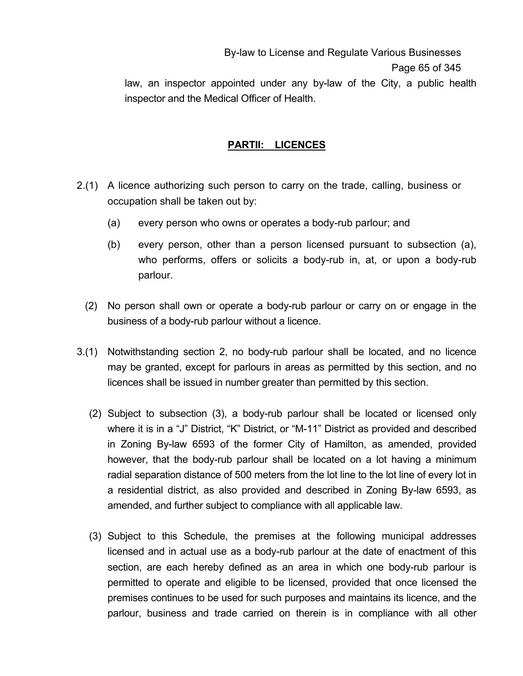By-law to License and Regulate Various Businesses Page 65 of 345

law, an inspector appointed under any by-law of the City, a public health inspector and the Medical Officer of Health.

## **PARTII: LICENCES**

- 2.(1) A licence authorizing such person to carry on the trade, calling, business or occupation shall be taken out by:
	- (a) every person who owns or operates a body-rub parlour; and
	- (b) every person, other than a person licensed pursuant to subsection (a), who performs, offers or solicits a body-rub in, at, or upon a body-rub parlour.
	- (2) No person shall own or operate a body-rub parlour or carry on or engage in the business of a body-rub parlour without a licence.
- 3.(1) Notwithstanding section 2, no body-rub parlour shall be located, and no licence may be granted, except for parlours in areas as permitted by this section, and no licences shall be issued in number greater than permitted by this section.
	- (2) Subject to subsection (3), a body-rub parlour shall be located or licensed only where it is in a "J" District, "K" District, or "M-11" District as provided and described in Zoning By-law 6593 of the former City of Hamilton, as amended, provided however, that the body-rub parlour shall be located on a lot having a minimum radial separation distance of 500 meters from the lot line to the lot line of every lot in a residential district, as also provided and described in Zoning By-law 6593, as amended, and further subject to compliance with all applicable law.
	- (3) Subject to this Schedule, the premises at the following municipal addresses licensed and in actual use as a body-rub parlour at the date of enactment of this section, are each hereby defined as an area in which one body-rub parlour is permitted to operate and eligible to be licensed, provided that once licensed the premises continues to be used for such purposes and maintains its licence, and the parlour, business and trade carried on therein is in compliance with all other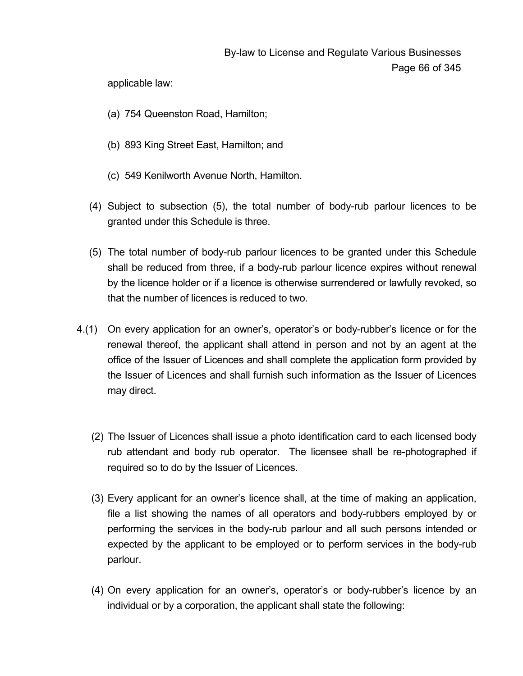applicable law:

- (a) 754 Queenston Road, Hamilton;
- (b) 893 King Street East, Hamilton; and
- (c) 549 Kenilworth Avenue North, Hamilton.
- (4) Subject to subsection (5), the total number of body-rub parlour licences to be granted under this Schedule is three.
- (5) The total number of body-rub parlour licences to be granted under this Schedule shall be reduced from three, if a body-rub parlour licence expires without renewal by the licence holder or if a licence is otherwise surrendered or lawfully revoked, so that the number of licences is reduced to two.
- 4.(1) On every application for an owner's, operator's or body-rubber's licence or for the renewal thereof, the applicant shall attend in person and not by an agent at the office of the Issuer of Licences and shall complete the application form provided by the Issuer of Licences and shall furnish such information as the Issuer of Licences may direct.
	- (2) The Issuer of Licences shall issue a photo identification card to each licensed body rub attendant and body rub operator. The licensee shall be re-photographed if required so to do by the Issuer of Licences.
	- (3) Every applicant for an owner's licence shall, at the time of making an application, file a list showing the names of all operators and body-rubbers employed by or performing the services in the body-rub parlour and all such persons intended or expected by the applicant to be employed or to perform services in the body-rub parlour.
	- (4) On every application for an owner's, operator's or body-rubber's licence by an individual or by a corporation, the applicant shall state the following: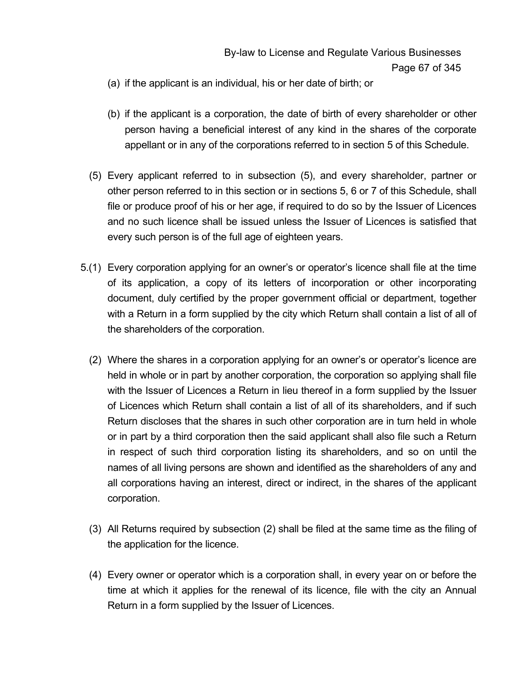- (a) if the applicant is an individual, his or her date of birth; or
- (b) if the applicant is a corporation, the date of birth of every shareholder or other person having a beneficial interest of any kind in the shares of the corporate appellant or in any of the corporations referred to in section 5 of this Schedule.
- (5) Every applicant referred to in subsection (5), and every shareholder, partner or other person referred to in this section or in sections 5, 6 or 7 of this Schedule, shall file or produce proof of his or her age, if required to do so by the Issuer of Licences and no such licence shall be issued unless the Issuer of Licences is satisfied that every such person is of the full age of eighteen years.
- 5.(1) Every corporation applying for an owner's or operator's licence shall file at the time of its application, a copy of its letters of incorporation or other incorporating document, duly certified by the proper government official or department, together with a Return in a form supplied by the city which Return shall contain a list of all of the shareholders of the corporation.
	- (2) Where the shares in a corporation applying for an owner's or operator's licence are held in whole or in part by another corporation, the corporation so applying shall file with the Issuer of Licences a Return in lieu thereof in a form supplied by the Issuer of Licences which Return shall contain a list of all of its shareholders, and if such Return discloses that the shares in such other corporation are in turn held in whole or in part by a third corporation then the said applicant shall also file such a Return in respect of such third corporation listing its shareholders, and so on until the names of all living persons are shown and identified as the shareholders of any and all corporations having an interest, direct or indirect, in the shares of the applicant corporation.
	- (3) All Returns required by subsection (2) shall be filed at the same time as the filing of the application for the licence.
	- (4) Every owner or operator which is a corporation shall, in every year on or before the time at which it applies for the renewal of its licence, file with the city an Annual Return in a form supplied by the Issuer of Licences.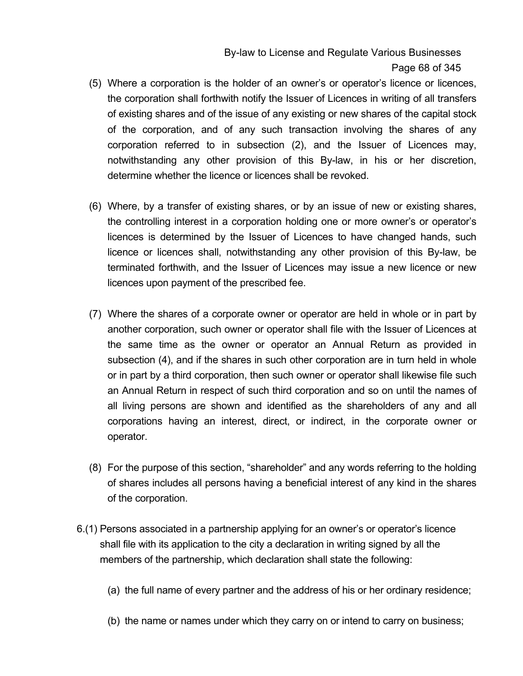By-law to License and Regulate Various Businesses Page 68 of 345

- (5) Where a corporation is the holder of an owner's or operator's licence or licences, the corporation shall forthwith notify the Issuer of Licences in writing of all transfers of existing shares and of the issue of any existing or new shares of the capital stock of the corporation, and of any such transaction involving the shares of any corporation referred to in subsection (2), and the Issuer of Licences may, notwithstanding any other provision of this By-law, in his or her discretion, determine whether the licence or licences shall be revoked.
- (6) Where, by a transfer of existing shares, or by an issue of new or existing shares, the controlling interest in a corporation holding one or more owner's or operator's licences is determined by the Issuer of Licences to have changed hands, such licence or licences shall, notwithstanding any other provision of this By-law, be terminated forthwith, and the Issuer of Licences may issue a new licence or new licences upon payment of the prescribed fee.
- (7) Where the shares of a corporate owner or operator are held in whole or in part by another corporation, such owner or operator shall file with the Issuer of Licences at the same time as the owner or operator an Annual Return as provided in subsection (4), and if the shares in such other corporation are in turn held in whole or in part by a third corporation, then such owner or operator shall likewise file such an Annual Return in respect of such third corporation and so on until the names of all living persons are shown and identified as the shareholders of any and all corporations having an interest, direct, or indirect, in the corporate owner or operator.
- (8) For the purpose of this section, "shareholder" and any words referring to the holding of shares includes all persons having a beneficial interest of any kind in the shares of the corporation.
- 6.(1) Persons associated in a partnership applying for an owner's or operator's licence shall file with its application to the city a declaration in writing signed by all the members of the partnership, which declaration shall state the following:
	- (a) the full name of every partner and the address of his or her ordinary residence;
	- (b) the name or names under which they carry on or intend to carry on business;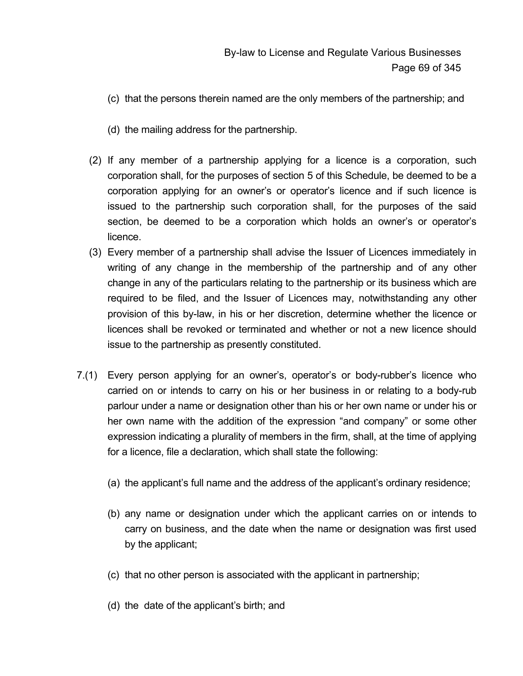- (c) that the persons therein named are the only members of the partnership; and
- (d) the mailing address for the partnership.
- (2) If any member of a partnership applying for a licence is a corporation, such corporation shall, for the purposes of section 5 of this Schedule, be deemed to be a corporation applying for an owner's or operator's licence and if such licence is issued to the partnership such corporation shall, for the purposes of the said section, be deemed to be a corporation which holds an owner's or operator's licence.
- (3) Every member of a partnership shall advise the Issuer of Licences immediately in writing of any change in the membership of the partnership and of any other change in any of the particulars relating to the partnership or its business which are required to be filed, and the Issuer of Licences may, notwithstanding any other provision of this by-law, in his or her discretion, determine whether the licence or licences shall be revoked or terminated and whether or not a new licence should issue to the partnership as presently constituted.
- 7.(1) Every person applying for an owner's, operator's or body-rubber's licence who carried on or intends to carry on his or her business in or relating to a body-rub parlour under a name or designation other than his or her own name or under his or her own name with the addition of the expression "and company" or some other expression indicating a plurality of members in the firm, shall, at the time of applying for a licence, file a declaration, which shall state the following:
	- (a) the applicant's full name and the address of the applicant's ordinary residence;
	- (b) any name or designation under which the applicant carries on or intends to carry on business, and the date when the name or designation was first used by the applicant;
	- (c) that no other person is associated with the applicant in partnership;
	- (d) the date of the applicant's birth; and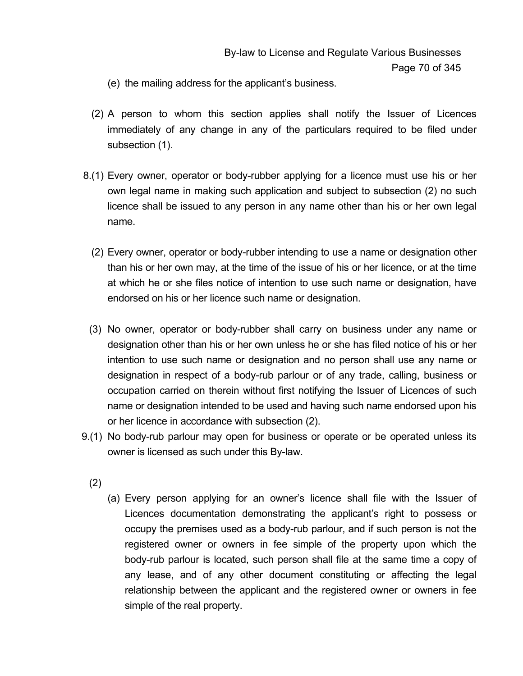- (e) the mailing address for the applicant's business.
- (2) A person to whom this section applies shall notify the Issuer of Licences immediately of any change in any of the particulars required to be filed under subsection (1).
- 8.(1) Every owner, operator or body-rubber applying for a licence must use his or her own legal name in making such application and subject to subsection (2) no such licence shall be issued to any person in any name other than his or her own legal name.
	- (2) Every owner, operator or body-rubber intending to use a name or designation other than his or her own may, at the time of the issue of his or her licence, or at the time at which he or she files notice of intention to use such name or designation, have endorsed on his or her licence such name or designation.
	- (3) No owner, operator or body-rubber shall carry on business under any name or designation other than his or her own unless he or she has filed notice of his or her intention to use such name or designation and no person shall use any name or designation in respect of a body-rub parlour or of any trade, calling, business or occupation carried on therein without first notifying the Issuer of Licences of such name or designation intended to be used and having such name endorsed upon his or her licence in accordance with subsection (2).
- 9.(1) No body-rub parlour may open for business or operate or be operated unless its owner is licensed as such under this By-law.
	- (2)
- (a) Every person applying for an owner's licence shall file with the Issuer of Licences documentation demonstrating the applicant's right to possess or occupy the premises used as a body-rub parlour, and if such person is not the registered owner or owners in fee simple of the property upon which the body-rub parlour is located, such person shall file at the same time a copy of any lease, and of any other document constituting or affecting the legal relationship between the applicant and the registered owner or owners in fee simple of the real property.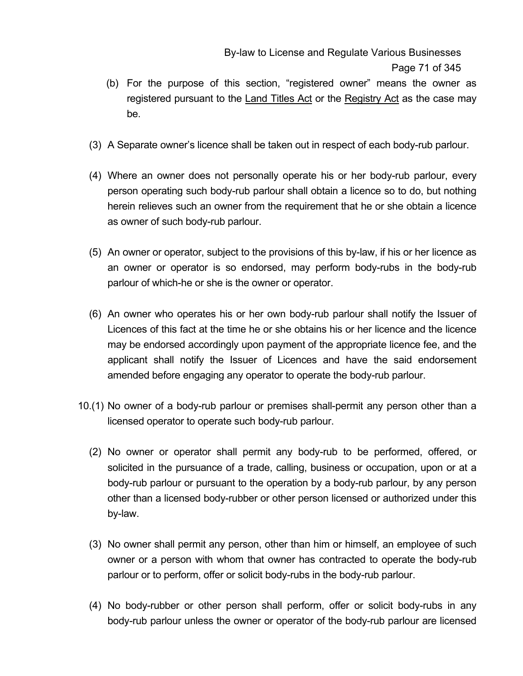By-law to License and Regulate Various Businesses Page 71 of 345

- (b) For the purpose of this section, "registered owner" means the owner as registered pursuant to the Land Titles Act or the Registry Act as the case may be.
- (3) A Separate owner's licence shall be taken out in respect of each body-rub parlour.
- (4) Where an owner does not personally operate his or her body-rub parlour, every person operating such body-rub parlour shall obtain a licence so to do, but nothing herein relieves such an owner from the requirement that he or she obtain a licence as owner of such body-rub parlour.
- (5) An owner or operator, subject to the provisions of this by-law, if his or her licence as an owner or operator is so endorsed, may perform body-rubs in the body-rub parlour of which-he or she is the owner or operator.
- (6) An owner who operates his or her own body-rub parlour shall notify the Issuer of Licences of this fact at the time he or she obtains his or her licence and the licence may be endorsed accordingly upon payment of the appropriate licence fee, and the applicant shall notify the Issuer of Licences and have the said endorsement amended before engaging any operator to operate the body-rub parlour.
- 10.(1) No owner of a body-rub parlour or premises shall-permit any person other than a licensed operator to operate such body-rub parlour.
	- (2) No owner or operator shall permit any body-rub to be performed, offered, or solicited in the pursuance of a trade, calling, business or occupation, upon or at a body-rub parlour or pursuant to the operation by a body-rub parlour, by any person other than a licensed body-rubber or other person licensed or authorized under this by-law.
	- (3) No owner shall permit any person, other than him or himself, an employee of such owner or a person with whom that owner has contracted to operate the body-rub parlour or to perform, offer or solicit body-rubs in the body-rub parlour.
	- (4) No body-rubber or other person shall perform, offer or solicit body-rubs in any body-rub parlour unless the owner or operator of the body-rub parlour are licensed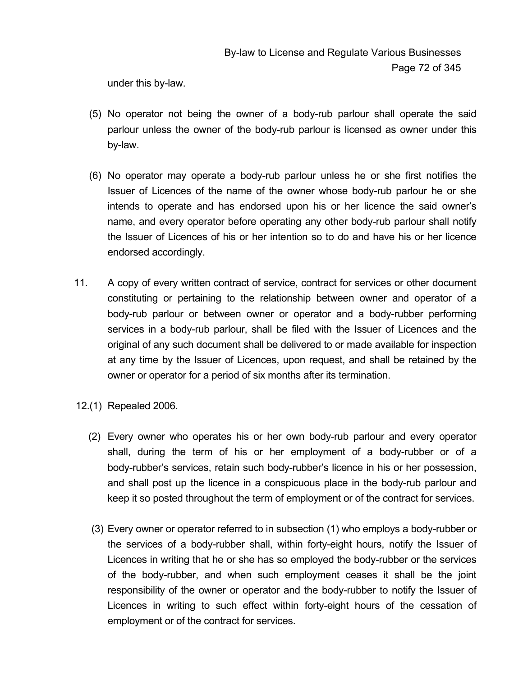under this by-law.

- (5) No operator not being the owner of a body-rub parlour shall operate the said parlour unless the owner of the body-rub parlour is licensed as owner under this by-law.
- (6) No operator may operate a body-rub parlour unless he or she first notifies the Issuer of Licences of the name of the owner whose body-rub parlour he or she intends to operate and has endorsed upon his or her licence the said owner's name, and every operator before operating any other body-rub parlour shall notify the Issuer of Licences of his or her intention so to do and have his or her licence endorsed accordingly.
- 11. A copy of every written contract of service, contract for services or other document constituting or pertaining to the relationship between owner and operator of a body-rub parlour or between owner or operator and a body-rubber performing services in a body-rub parlour, shall be filed with the Issuer of Licences and the original of any such document shall be delivered to or made available for inspection at any time by the Issuer of Licences, upon request, and shall be retained by the owner or operator for a period of six months after its termination.
- 12.(1) Repealed 2006.
	- (2) Every owner who operates his or her own body-rub parlour and every operator shall, during the term of his or her employment of a body-rubber or of a body-rubber's services, retain such body-rubber's licence in his or her possession, and shall post up the licence in a conspicuous place in the body-rub parlour and keep it so posted throughout the term of employment or of the contract for services.
	- (3) Every owner or operator referred to in subsection (1) who employs a body-rubber or the services of a body-rubber shall, within forty-eight hours, notify the Issuer of Licences in writing that he or she has so employed the body-rubber or the services of the body-rubber, and when such employment ceases it shall be the joint responsibility of the owner or operator and the body-rubber to notify the Issuer of Licences in writing to such effect within forty-eight hours of the cessation of employment or of the contract for services.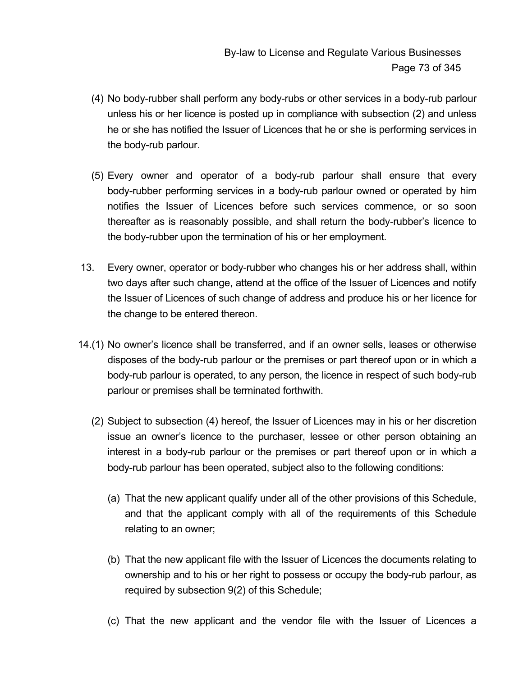- (4) No body-rubber shall perform any body-rubs or other services in a body-rub parlour unless his or her licence is posted up in compliance with subsection (2) and unless he or she has notified the Issuer of Licences that he or she is performing services in the body-rub parlour.
- (5) Every owner and operator of a body-rub parlour shall ensure that every body-rubber performing services in a body-rub parlour owned or operated by him notifies the Issuer of Licences before such services commence, or so soon thereafter as is reasonably possible, and shall return the body-rubber's licence to the body-rubber upon the termination of his or her employment.
- 13. Every owner, operator or body-rubber who changes his or her address shall, within two days after such change, attend at the office of the Issuer of Licences and notify the Issuer of Licences of such change of address and produce his or her licence for the change to be entered thereon.
- 14.(1) No owner's licence shall be transferred, and if an owner sells, leases or otherwise disposes of the body-rub parlour or the premises or part thereof upon or in which a body-rub parlour is operated, to any person, the licence in respect of such body-rub parlour or premises shall be terminated forthwith.
	- (2) Subject to subsection (4) hereof, the Issuer of Licences may in his or her discretion issue an owner's licence to the purchaser, lessee or other person obtaining an interest in a body-rub parlour or the premises or part thereof upon or in which a body-rub parlour has been operated, subject also to the following conditions:
		- (a) That the new applicant qualify under all of the other provisions of this Schedule, and that the applicant comply with all of the requirements of this Schedule relating to an owner;
		- (b) That the new applicant file with the Issuer of Licences the documents relating to ownership and to his or her right to possess or occupy the body-rub parlour, as required by subsection 9(2) of this Schedule;
		- (c) That the new applicant and the vendor file with the Issuer of Licences a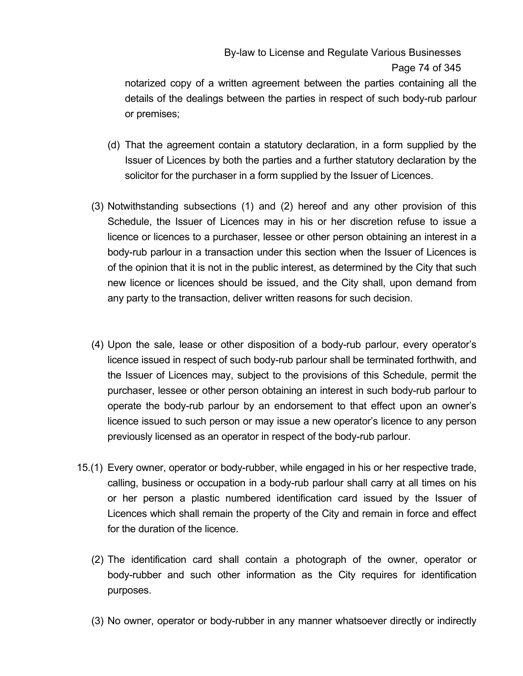# By-law to License and Regulate Various Businesses Page 74 of 345

notarized copy of a written agreement between the parties containing all the details of the dealings between the parties in respect of such body-rub parlour or premises;

- (d) That the agreement contain a statutory declaration, in a form supplied by the Issuer of Licences by both the parties and a further statutory declaration by the solicitor for the purchaser in a form supplied by the Issuer of Licences.
- (3) Notwithstanding subsections (1) and (2) hereof and any other provision of this Schedule, the Issuer of Licences may in his or her discretion refuse to issue a licence or licences to a purchaser, lessee or other person obtaining an interest in a body-rub parlour in a transaction under this section when the Issuer of Licences is of the opinion that it is not in the public interest, as determined by the City that such new licence or licences should be issued, and the City shall, upon demand from any party to the transaction, deliver written reasons for such decision.
- (4) Upon the sale, lease or other disposition of a body-rub parlour, every operator's licence issued in respect of such body-rub parlour shall be terminated forthwith, and the Issuer of Licences may, subject to the provisions of this Schedule, permit the purchaser, lessee or other person obtaining an interest in such body-rub parlour to operate the body-rub parlour by an endorsement to that effect upon an owner's licence issued to such person or may issue a new operator's licence to any person previously licensed as an operator in respect of the body-rub parlour.
- 15.(1) Every owner, operator or body-rubber, while engaged in his or her respective trade, calling, business or occupation in a body-rub parlour shall carry at all times on his or her person a plastic numbered identification card issued by the Issuer of Licences which shall remain the property of the City and remain in force and effect for the duration of the licence.
	- (2) The identification card shall contain a photograph of the owner, operator or body-rubber and such other information as the City requires for identification purposes.
	- (3) No owner, operator or body-rubber in any manner whatsoever directly or indirectly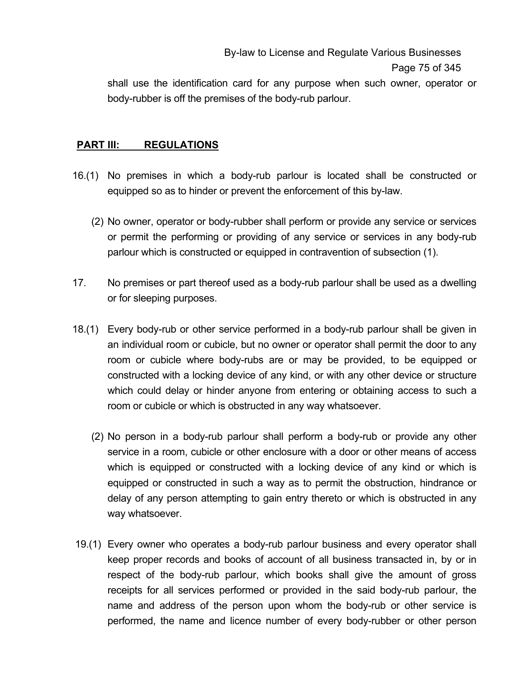By-law to License and Regulate Various Businesses Page 75 of 345

shall use the identification card for any purpose when such owner, operator or body-rubber is off the premises of the body-rub parlour.

#### **PART III: REGULATIONS**

- 16.(1) No premises in which a body-rub parlour is located shall be constructed or equipped so as to hinder or prevent the enforcement of this by-law.
	- (2) No owner, operator or body-rubber shall perform or provide any service or services or permit the performing or providing of any service or services in any body-rub parlour which is constructed or equipped in contravention of subsection (1).
- 17. No premises or part thereof used as a body-rub parlour shall be used as a dwelling or for sleeping purposes.
- 18.(1) Every body-rub or other service performed in a body-rub parlour shall be given in an individual room or cubicle, but no owner or operator shall permit the door to any room or cubicle where body-rubs are or may be provided, to be equipped or constructed with a locking device of any kind, or with any other device or structure which could delay or hinder anyone from entering or obtaining access to such a room or cubicle or which is obstructed in any way whatsoever.
	- (2) No person in a body-rub parlour shall perform a body-rub or provide any other service in a room, cubicle or other enclosure with a door or other means of access which is equipped or constructed with a locking device of any kind or which is equipped or constructed in such a way as to permit the obstruction, hindrance or delay of any person attempting to gain entry thereto or which is obstructed in any way whatsoever.
- 19.(1) Every owner who operates a body-rub parlour business and every operator shall keep proper records and books of account of all business transacted in, by or in respect of the body-rub parlour, which books shall give the amount of gross receipts for all services performed or provided in the said body-rub parlour, the name and address of the person upon whom the body-rub or other service is performed, the name and licence number of every body-rubber or other person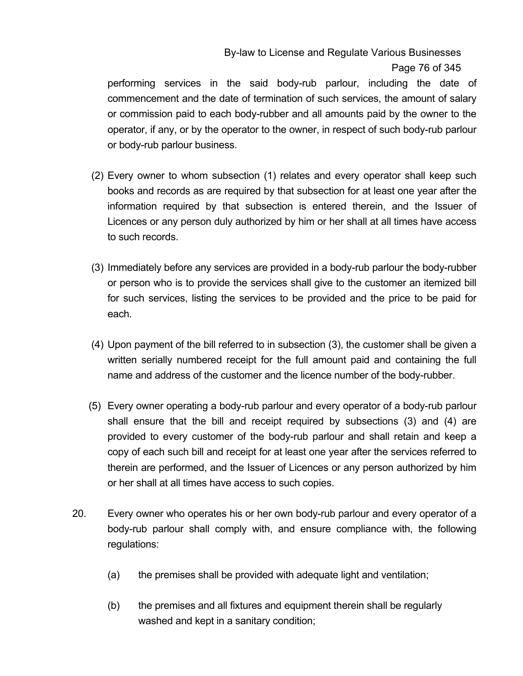## By-law to License and Regulate Various Businesses Page 76 of 345

performing services in the said body-rub parlour, including the date of commencement and the date of termination of such services, the amount of salary or commission paid to each body-rubber and all amounts paid by the owner to the operator, if any, or by the operator to the owner, in respect of such body-rub parlour or body-rub parlour business.

- (2) Every owner to whom subsection (1) relates and every operator shall keep such books and records as are required by that subsection for at least one year after the information required by that subsection is entered therein, and the Issuer of Licences or any person duly authorized by him or her shall at all times have access to such records.
- (3) Immediately before any services are provided in a body-rub parlour the body-rubber or person who is to provide the services shall give to the customer an itemized bill for such services, listing the services to be provided and the price to be paid for each.
- (4) Upon payment of the bill referred to in subsection (3), the customer shall be given a written serially numbered receipt for the full amount paid and containing the full name and address of the customer and the licence number of the body-rubber.
- (5) Every owner operating a body-rub parlour and every operator of a body-rub parlour shall ensure that the bill and receipt required by subsections (3) and (4) are provided to every customer of the body-rub parlour and shall retain and keep a copy of each such bill and receipt for at least one year after the services referred to therein are performed, and the Issuer of Licences or any person authorized by him or her shall at all times have access to such copies.
- 20. Every owner who operates his or her own body-rub parlour and every operator of a body-rub parlour shall comply with, and ensure compliance with, the following regulations:
	- (a) the premises shall be provided with adequate light and ventilation;
	- (b) the premises and all fixtures and equipment therein shall be regularly washed and kept in a sanitary condition;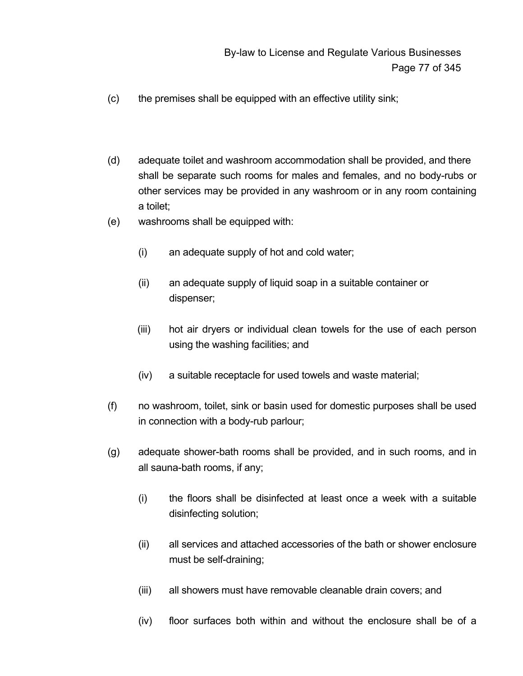- (c) the premises shall be equipped with an effective utility sink;
- (d) adequate toilet and washroom accommodation shall be provided, and there shall be separate such rooms for males and females, and no body-rubs or other services may be provided in any washroom or in any room containing a toilet;
- (e) washrooms shall be equipped with:
	- (i) an adequate supply of hot and cold water;
	- (ii) an adequate supply of liquid soap in a suitable container or dispenser;
	- (iii) hot air dryers or individual clean towels for the use of each person using the washing facilities; and
	- (iv) a suitable receptacle for used towels and waste material;
- (f) no washroom, toilet, sink or basin used for domestic purposes shall be used in connection with a body-rub parlour;
- (g) adequate shower-bath rooms shall be provided, and in such rooms, and in all sauna-bath rooms, if any;
	- (i) the floors shall be disinfected at least once a week with a suitable disinfecting solution;
	- (ii) all services and attached accessories of the bath or shower enclosure must be self-draining;
	- (iii) all showers must have removable cleanable drain covers; and
	- (iv) floor surfaces both within and without the enclosure shall be of a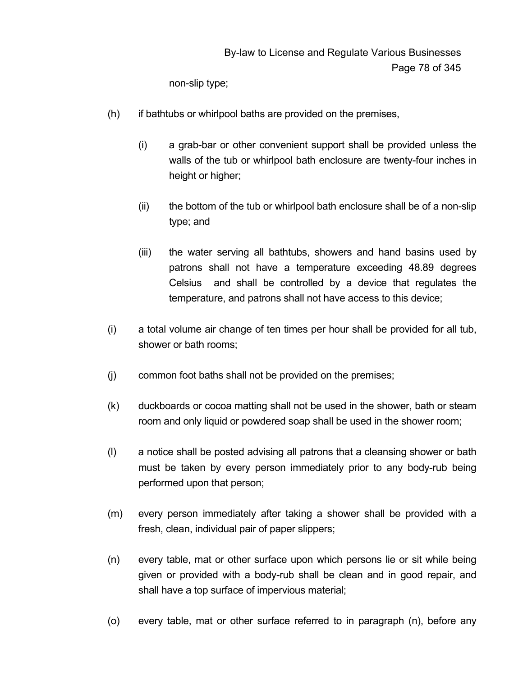non-slip type;

- (h) if bathtubs or whirlpool baths are provided on the premises,
	- (i) a grab-bar or other convenient support shall be provided unless the walls of the tub or whirlpool bath enclosure are twenty-four inches in height or higher;
	- (ii) the bottom of the tub or whirlpool bath enclosure shall be of a non-slip type; and
	- (iii) the water serving all bathtubs, showers and hand basins used by patrons shall not have a temperature exceeding 48.89 degrees Celsius and shall be controlled by a device that regulates the temperature, and patrons shall not have access to this device;
- (i) a total volume air change of ten times per hour shall be provided for all tub, shower or bath rooms;
- (j) common foot baths shall not be provided on the premises;
- (k) duckboards or cocoa matting shall not be used in the shower, bath or steam room and only liquid or powdered soap shall be used in the shower room;
- (l) a notice shall be posted advising all patrons that a cleansing shower or bath must be taken by every person immediately prior to any body-rub being performed upon that person;
- (m) every person immediately after taking a shower shall be provided with a fresh, clean, individual pair of paper slippers;
- (n) every table, mat or other surface upon which persons lie or sit while being given or provided with a body-rub shall be clean and in good repair, and shall have a top surface of impervious material;
- (o) every table, mat or other surface referred to in paragraph (n), before any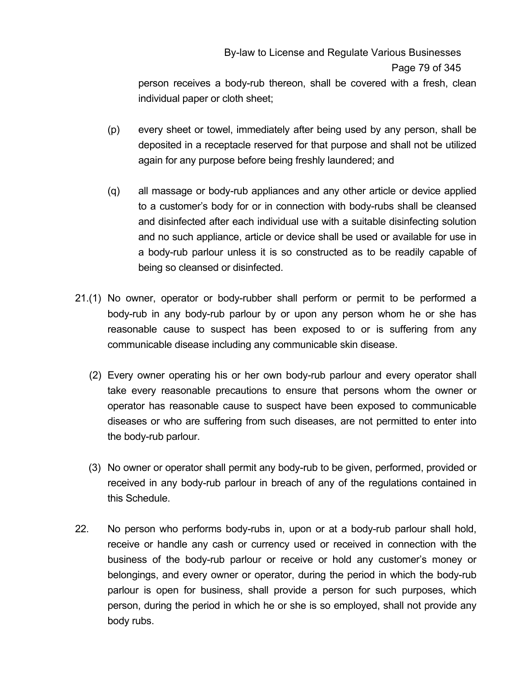# By-law to License and Regulate Various Businesses Page 79 of 345

person receives a body-rub thereon, shall be covered with a fresh, clean individual paper or cloth sheet;

- (p) every sheet or towel, immediately after being used by any person, shall be deposited in a receptacle reserved for that purpose and shall not be utilized again for any purpose before being freshly laundered; and
- (q) all massage or body-rub appliances and any other article or device applied to a customer's body for or in connection with body-rubs shall be cleansed and disinfected after each individual use with a suitable disinfecting solution and no such appliance, article or device shall be used or available for use in a body-rub parlour unless it is so constructed as to be readily capable of being so cleansed or disinfected.
- 21.(1) No owner, operator or body-rubber shall perform or permit to be performed a body-rub in any body-rub parlour by or upon any person whom he or she has reasonable cause to suspect has been exposed to or is suffering from any communicable disease including any communicable skin disease.
	- (2) Every owner operating his or her own body-rub parlour and every operator shall take every reasonable precautions to ensure that persons whom the owner or operator has reasonable cause to suspect have been exposed to communicable diseases or who are suffering from such diseases, are not permitted to enter into the body-rub parlour.
	- (3) No owner or operator shall permit any body-rub to be given, performed, provided or received in any body-rub parlour in breach of any of the regulations contained in this Schedule.
- 22. No person who performs body-rubs in, upon or at a body-rub parlour shall hold, receive or handle any cash or currency used or received in connection with the business of the body-rub parlour or receive or hold any customer's money or belongings, and every owner or operator, during the period in which the body-rub parlour is open for business, shall provide a person for such purposes, which person, during the period in which he or she is so employed, shall not provide any body rubs.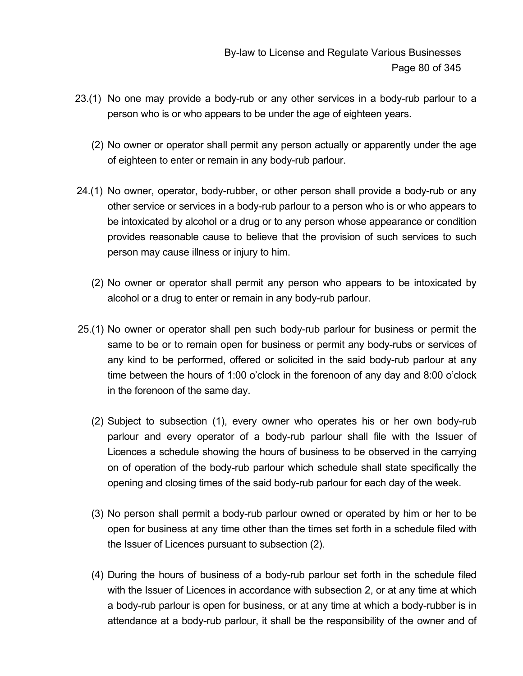- 23.(1) No one may provide a body-rub or any other services in a body-rub parlour to a person who is or who appears to be under the age of eighteen years.
	- (2) No owner or operator shall permit any person actually or apparently under the age of eighteen to enter or remain in any body-rub parlour.
- 24.(1) No owner, operator, body-rubber, or other person shall provide a body-rub or any other service or services in a body-rub parlour to a person who is or who appears to be intoxicated by alcohol or a drug or to any person whose appearance or condition provides reasonable cause to believe that the provision of such services to such person may cause illness or injury to him.
	- (2) No owner or operator shall permit any person who appears to be intoxicated by alcohol or a drug to enter or remain in any body-rub parlour.
- 25.(1) No owner or operator shall pen such body-rub parlour for business or permit the same to be or to remain open for business or permit any body-rubs or services of any kind to be performed, offered or solicited in the said body-rub parlour at any time between the hours of 1:00 o'clock in the forenoon of any day and 8:00 o'clock in the forenoon of the same day.
	- (2) Subject to subsection (1), every owner who operates his or her own body-rub parlour and every operator of a body-rub parlour shall file with the Issuer of Licences a schedule showing the hours of business to be observed in the carrying on of operation of the body-rub parlour which schedule shall state specifically the opening and closing times of the said body-rub parlour for each day of the week.
	- (3) No person shall permit a body-rub parlour owned or operated by him or her to be open for business at any time other than the times set forth in a schedule filed with the Issuer of Licences pursuant to subsection (2).
	- (4) During the hours of business of a body-rub parlour set forth in the schedule filed with the Issuer of Licences in accordance with subsection 2, or at any time at which a body-rub parlour is open for business, or at any time at which a body-rubber is in attendance at a body-rub parlour, it shall be the responsibility of the owner and of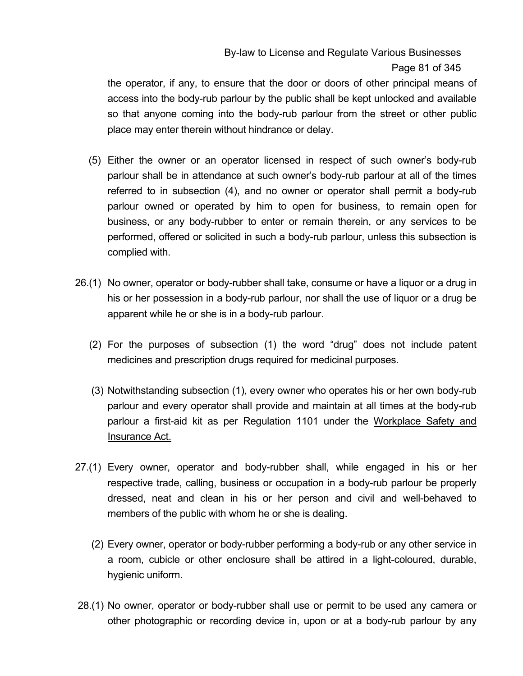# By-law to License and Regulate Various Businesses Page 81 of 345

the operator, if any, to ensure that the door or doors of other principal means of access into the body-rub parlour by the public shall be kept unlocked and available so that anyone coming into the body-rub parlour from the street or other public place may enter therein without hindrance or delay.

- (5) Either the owner or an operator licensed in respect of such owner's body-rub parlour shall be in attendance at such owner's body-rub parlour at all of the times referred to in subsection (4), and no owner or operator shall permit a body-rub parlour owned or operated by him to open for business, to remain open for business, or any body-rubber to enter or remain therein, or any services to be performed, offered or solicited in such a body-rub parlour, unless this subsection is complied with.
- 26.(1) No owner, operator or body-rubber shall take, consume or have a liquor or a drug in his or her possession in a body-rub parlour, nor shall the use of liquor or a drug be apparent while he or she is in a body-rub parlour.
	- (2) For the purposes of subsection (1) the word "drug" does not include patent medicines and prescription drugs required for medicinal purposes.
	- (3) Notwithstanding subsection (1), every owner who operates his or her own body-rub parlour and every operator shall provide and maintain at all times at the body-rub parlour a first-aid kit as per Regulation 1101 under the Workplace Safety and Insurance Act.
- 27.(1) Every owner, operator and body-rubber shall, while engaged in his or her respective trade, calling, business or occupation in a body-rub parlour be properly dressed, neat and clean in his or her person and civil and well-behaved to members of the public with whom he or she is dealing.
	- (2) Every owner, operator or body-rubber performing a body-rub or any other service in a room, cubicle or other enclosure shall be attired in a light-coloured, durable, hygienic uniform.
- 28.(1) No owner, operator or body-rubber shall use or permit to be used any camera or other photographic or recording device in, upon or at a body-rub parlour by any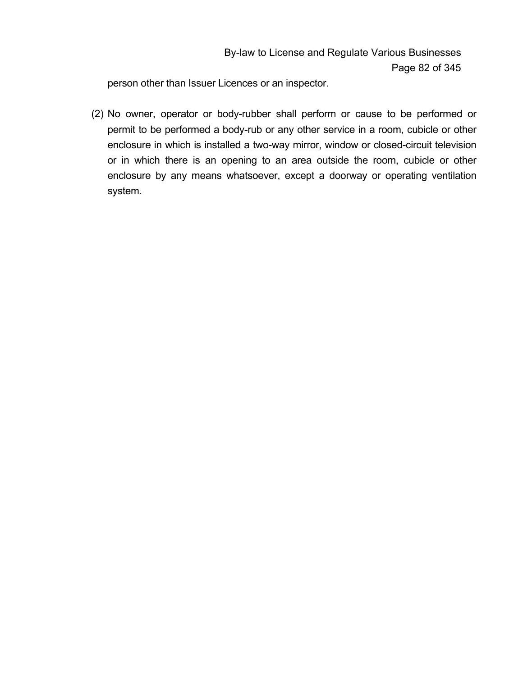person other than Issuer Licences or an inspector.

 (2) No owner, operator or body-rubber shall perform or cause to be performed or permit to be performed a body-rub or any other service in a room, cubicle or other enclosure in which is installed a two-way mirror, window or closed-circuit television or in which there is an opening to an area outside the room, cubicle or other enclosure by any means whatsoever, except a doorway or operating ventilation system.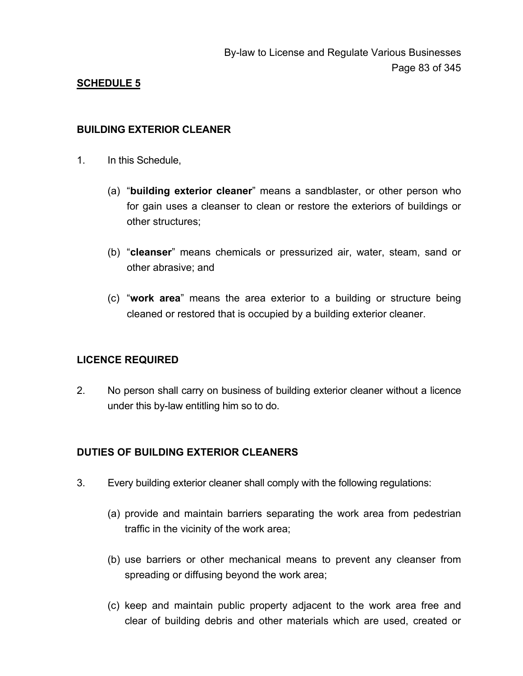#### **BUILDING EXTERIOR CLEANER**

- 1. In this Schedule,
	- (a) "**building exterior cleaner**" means a sandblaster, or other person who for gain uses a cleanser to clean or restore the exteriors of buildings or other structures;
	- (b) "**cleanser**" means chemicals or pressurized air, water, steam, sand or other abrasive; and
	- (c) "**work area**" means the area exterior to a building or structure being cleaned or restored that is occupied by a building exterior cleaner.

## **LICENCE REQUIRED**

2. No person shall carry on business of building exterior cleaner without a licence under this by-law entitling him so to do.

## **DUTIES OF BUILDING EXTERIOR CLEANERS**

- 3. Every building exterior cleaner shall comply with the following regulations:
	- (a) provide and maintain barriers separating the work area from pedestrian traffic in the vicinity of the work area;
	- (b) use barriers or other mechanical means to prevent any cleanser from spreading or diffusing beyond the work area;
	- (c) keep and maintain public property adjacent to the work area free and clear of building debris and other materials which are used, created or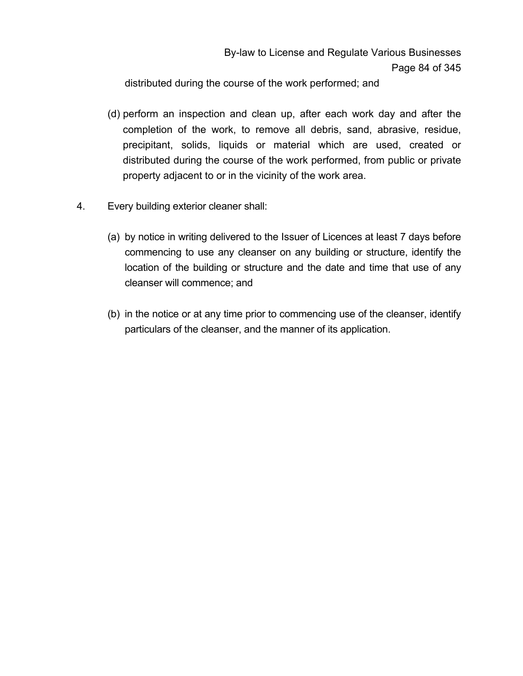distributed during the course of the work performed; and

- (d) perform an inspection and clean up, after each work day and after the completion of the work, to remove all debris, sand, abrasive, residue, precipitant, solids, liquids or material which are used, created or distributed during the course of the work performed, from public or private property adjacent to or in the vicinity of the work area.
- 4. Every building exterior cleaner shall:
	- (a) by notice in writing delivered to the Issuer of Licences at least 7 days before commencing to use any cleanser on any building or structure, identify the location of the building or structure and the date and time that use of any cleanser will commence; and
	- (b) in the notice or at any time prior to commencing use of the cleanser, identify particulars of the cleanser, and the manner of its application.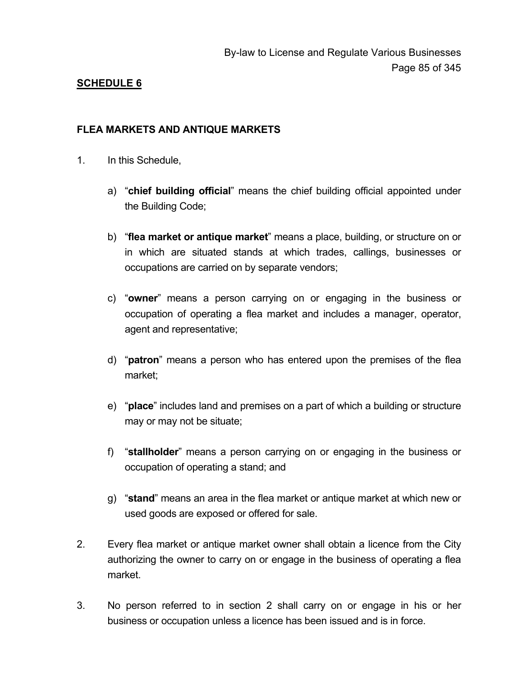#### **FLEA MARKETS AND ANTIQUE MARKETS**

- 1. In this Schedule,
	- a) "**chief building official**" means the chief building official appointed under the Building Code;
	- b) "**flea market or antique market**" means a place, building, or structure on or in which are situated stands at which trades, callings, businesses or occupations are carried on by separate vendors;
	- c) "**owner**" means a person carrying on or engaging in the business or occupation of operating a flea market and includes a manager, operator, agent and representative;
	- d) "**patron**" means a person who has entered upon the premises of the flea market;
	- e) "**place**" includes land and premises on a part of which a building or structure may or may not be situate;
	- f) "**stallholder**" means a person carrying on or engaging in the business or occupation of operating a stand; and
	- g) "**stand**" means an area in the flea market or antique market at which new or used goods are exposed or offered for sale.
- 2. Every flea market or antique market owner shall obtain a licence from the City authorizing the owner to carry on or engage in the business of operating a flea market.
- 3. No person referred to in section 2 shall carry on or engage in his or her business or occupation unless a licence has been issued and is in force.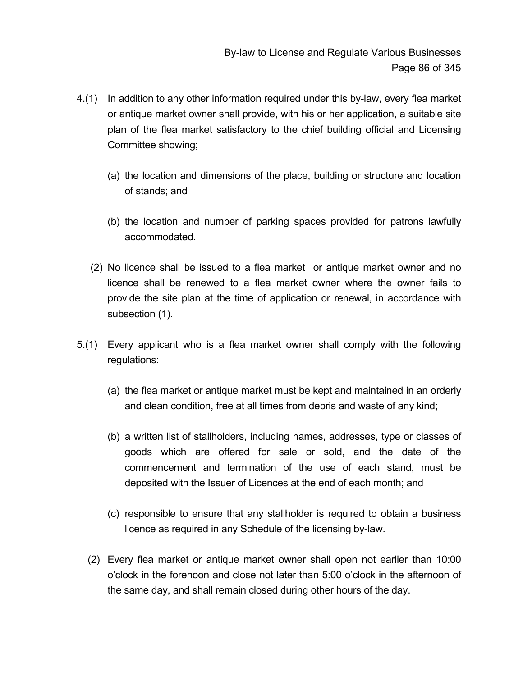- 4.(1) In addition to any other information required under this by-law, every flea market or antique market owner shall provide, with his or her application, a suitable site plan of the flea market satisfactory to the chief building official and Licensing Committee showing;
	- (a) the location and dimensions of the place, building or structure and location of stands; and
	- (b) the location and number of parking spaces provided for patrons lawfully accommodated.
	- (2) No licence shall be issued to a flea market or antique market owner and no licence shall be renewed to a flea market owner where the owner fails to provide the site plan at the time of application or renewal, in accordance with subsection (1).
- 5.(1) Every applicant who is a flea market owner shall comply with the following regulations:
	- (a) the flea market or antique market must be kept and maintained in an orderly and clean condition, free at all times from debris and waste of any kind;
	- (b) a written list of stallholders, including names, addresses, type or classes of goods which are offered for sale or sold, and the date of the commencement and termination of the use of each stand, must be deposited with the Issuer of Licences at the end of each month; and
	- (c) responsible to ensure that any stallholder is required to obtain a business licence as required in any Schedule of the licensing by-law.
	- (2) Every flea market or antique market owner shall open not earlier than 10:00 o'clock in the forenoon and close not later than 5:00 o'clock in the afternoon of the same day, and shall remain closed during other hours of the day.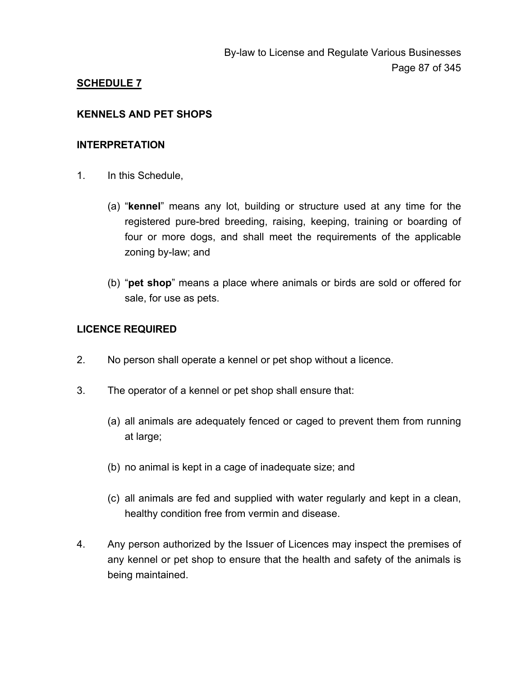#### **KENNELS AND PET SHOPS**

#### **INTERPRETATION**

- 1. In this Schedule,
	- (a) "**kennel**" means any lot, building or structure used at any time for the registered pure-bred breeding, raising, keeping, training or boarding of four or more dogs, and shall meet the requirements of the applicable zoning by-law; and
	- (b) "**pet shop**" means a place where animals or birds are sold or offered for sale, for use as pets.

#### **LICENCE REQUIRED**

- 2. No person shall operate a kennel or pet shop without a licence.
- 3. The operator of a kennel or pet shop shall ensure that:
	- (a) all animals are adequately fenced or caged to prevent them from running at large;
	- (b) no animal is kept in a cage of inadequate size; and
	- (c) all animals are fed and supplied with water regularly and kept in a clean, healthy condition free from vermin and disease.
- 4. Any person authorized by the Issuer of Licences may inspect the premises of any kennel or pet shop to ensure that the health and safety of the animals is being maintained.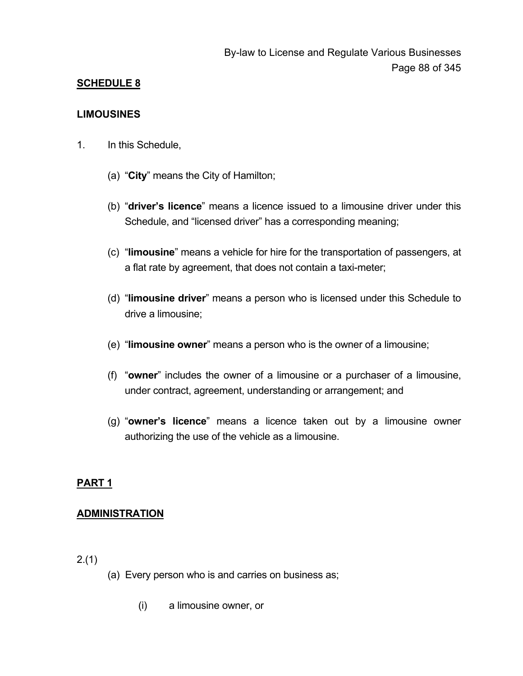#### **LIMOUSINES**

- 1. In this Schedule,
	- (a) "**City**" means the City of Hamilton;
	- (b) "**driver's licence**" means a licence issued to a limousine driver under this Schedule, and "licensed driver" has a corresponding meaning;
	- (c) "**limousine**" means a vehicle for hire for the transportation of passengers, at a flat rate by agreement, that does not contain a taxi-meter;
	- (d) "**limousine driver**" means a person who is licensed under this Schedule to drive a limousine;
	- (e) "**limousine owner**" means a person who is the owner of a limousine;
	- (f) "**owner**" includes the owner of a limousine or a purchaser of a limousine, under contract, agreement, understanding or arrangement; and
	- (g) "**owner's licence**" means a licence taken out by a limousine owner authorizing the use of the vehicle as a limousine.

## **PART 1**

## **ADMINISTRATION**

2.(1)

- (a) Every person who is and carries on business as;
	- (i) a limousine owner, or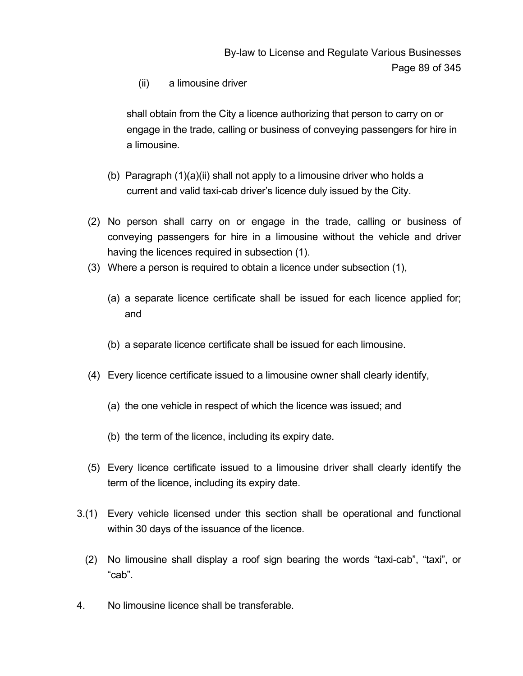(ii) a limousine driver

 shall obtain from the City a licence authorizing that person to carry on or engage in the trade, calling or business of conveying passengers for hire in a limousine.

- (b) Paragraph (1)(a)(ii) shall not apply to a limousine driver who holds a current and valid taxi-cab driver's licence duly issued by the City.
- (2) No person shall carry on or engage in the trade, calling or business of conveying passengers for hire in a limousine without the vehicle and driver having the licences required in subsection (1).
- (3) Where a person is required to obtain a licence under subsection (1),
	- (a) a separate licence certificate shall be issued for each licence applied for; and
	- (b) a separate licence certificate shall be issued for each limousine.
- (4) Every licence certificate issued to a limousine owner shall clearly identify,
	- (a) the one vehicle in respect of which the licence was issued; and
	- (b) the term of the licence, including its expiry date.
- (5) Every licence certificate issued to a limousine driver shall clearly identify the term of the licence, including its expiry date.
- 3.(1) Every vehicle licensed under this section shall be operational and functional within 30 days of the issuance of the licence.
	- (2) No limousine shall display a roof sign bearing the words "taxi-cab", "taxi", or "cab".
- 4. No limousine licence shall be transferable.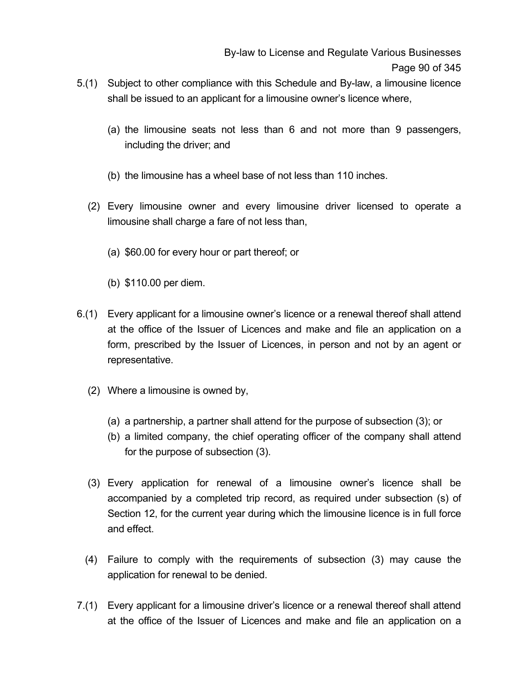- 5.(1) Subject to other compliance with this Schedule and By-law, a limousine licence shall be issued to an applicant for a limousine owner's licence where,
	- (a) the limousine seats not less than 6 and not more than 9 passengers, including the driver; and
	- (b) the limousine has a wheel base of not less than 110 inches.
	- (2) Every limousine owner and every limousine driver licensed to operate a limousine shall charge a fare of not less than,
		- (a) \$60.00 for every hour or part thereof; or
		- (b) \$110.00 per diem.
- 6.(1) Every applicant for a limousine owner's licence or a renewal thereof shall attend at the office of the Issuer of Licences and make and file an application on a form, prescribed by the Issuer of Licences, in person and not by an agent or representative.
	- (2) Where a limousine is owned by,
		- (a) a partnership, a partner shall attend for the purpose of subsection (3); or
		- (b) a limited company, the chief operating officer of the company shall attend for the purpose of subsection (3).
	- (3) Every application for renewal of a limousine owner's licence shall be accompanied by a completed trip record, as required under subsection (s) of Section 12, for the current year during which the limousine licence is in full force and effect.
	- (4) Failure to comply with the requirements of subsection (3) may cause the application for renewal to be denied.
- 7.(1) Every applicant for a limousine driver's licence or a renewal thereof shall attend at the office of the Issuer of Licences and make and file an application on a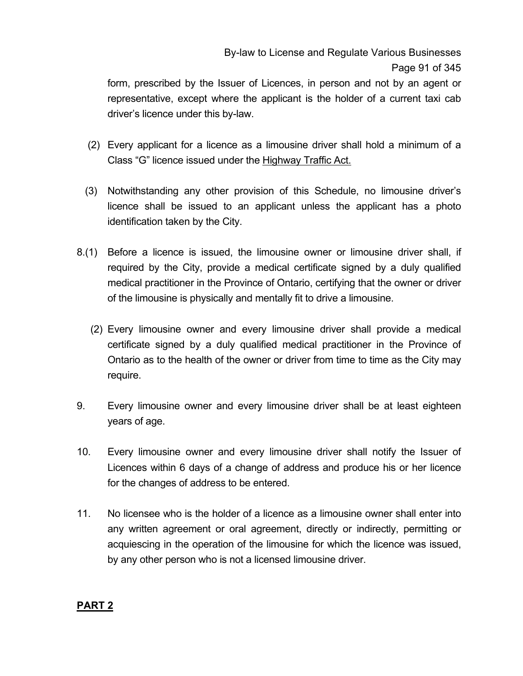form, prescribed by the Issuer of Licences, in person and not by an agent or representative, except where the applicant is the holder of a current taxi cab driver's licence under this by-law.

- (2) Every applicant for a licence as a limousine driver shall hold a minimum of a Class "G" licence issued under the Highway Traffic Act.
- (3) Notwithstanding any other provision of this Schedule, no limousine driver's licence shall be issued to an applicant unless the applicant has a photo identification taken by the City.
- 8.(1) Before a licence is issued, the limousine owner or limousine driver shall, if required by the City, provide a medical certificate signed by a duly qualified medical practitioner in the Province of Ontario, certifying that the owner or driver of the limousine is physically and mentally fit to drive a limousine.
	- (2) Every limousine owner and every limousine driver shall provide a medical certificate signed by a duly qualified medical practitioner in the Province of Ontario as to the health of the owner or driver from time to time as the City may require.
- 9. Every limousine owner and every limousine driver shall be at least eighteen years of age.
- 10. Every limousine owner and every limousine driver shall notify the Issuer of Licences within 6 days of a change of address and produce his or her licence for the changes of address to be entered.
- 11. No licensee who is the holder of a licence as a limousine owner shall enter into any written agreement or oral agreement, directly or indirectly, permitting or acquiescing in the operation of the limousine for which the licence was issued, by any other person who is not a licensed limousine driver.

## **PART 2**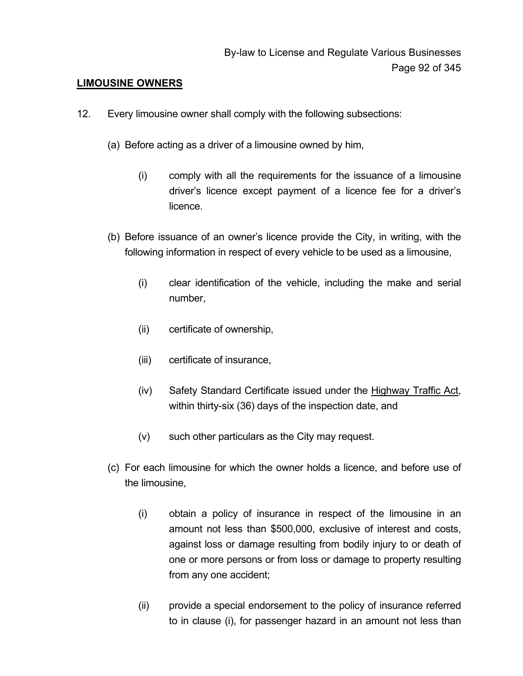#### **LIMOUSINE OWNERS**

- 12. Every limousine owner shall comply with the following subsections:
	- (a) Before acting as a driver of a limousine owned by him,
		- (i) comply with all the requirements for the issuance of a limousine driver's licence except payment of a licence fee for a driver's licence.
	- (b) Before issuance of an owner's licence provide the City, in writing, with the following information in respect of every vehicle to be used as a limousine,
		- (i) clear identification of the vehicle, including the make and serial number,
		- (ii) certificate of ownership,
		- (iii) certificate of insurance,
		- (iv) Safety Standard Certificate issued under the Highway Traffic Act, within thirty-six (36) days of the inspection date, and
		- (v) such other particulars as the City may request.
	- (c) For each limousine for which the owner holds a licence, and before use of the limousine,
		- (i) obtain a policy of insurance in respect of the limousine in an amount not less than \$500,000, exclusive of interest and costs, against loss or damage resulting from bodily injury to or death of one or more persons or from loss or damage to property resulting from any one accident;
		- (ii) provide a special endorsement to the policy of insurance referred to in clause (i), for passenger hazard in an amount not less than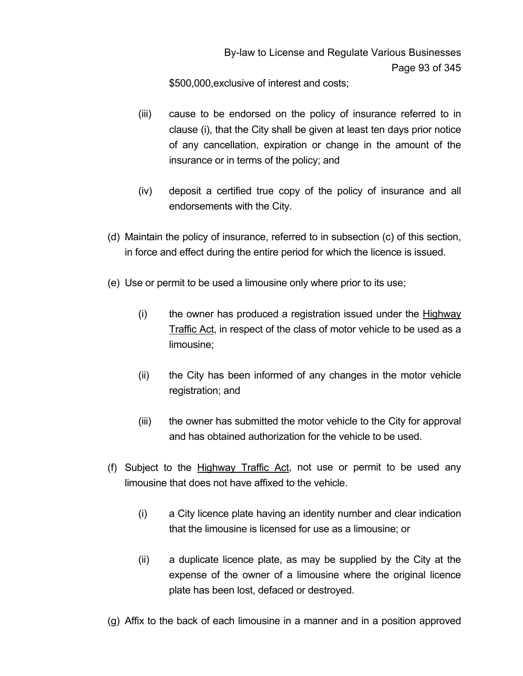\$500,000,exclusive of interest and costs;

- (iii) cause to be endorsed on the policy of insurance referred to in clause (i), that the City shall be given at least ten days prior notice of any cancellation, expiration or change in the amount of the insurance or in terms of the policy; and
- (iv) deposit a certified true copy of the policy of insurance and all endorsements with the City.
- (d) Maintain the policy of insurance, referred to in subsection (c) of this section, in force and effect during the entire period for which the licence is issued.
- (e) Use or permit to be used a limousine only where prior to its use;
	- $(i)$  the owner has produced a registration issued under the Highway Traffic Act, in respect of the class of motor vehicle to be used as a limousine;
	- (ii) the City has been informed of any changes in the motor vehicle registration; and
	- (iii) the owner has submitted the motor vehicle to the City for approval and has obtained authorization for the vehicle to be used.
- (f) Subject to the Highway Traffic Act, not use or permit to be used any limousine that does not have affixed to the vehicle.
	- (i) a City licence plate having an identity number and clear indication that the limousine is licensed for use as a limousine; or
	- (ii) a duplicate licence plate, as may be supplied by the City at the expense of the owner of a limousine where the original licence plate has been lost, defaced or destroyed.
- (g) Affix to the back of each limousine in a manner and in a position approved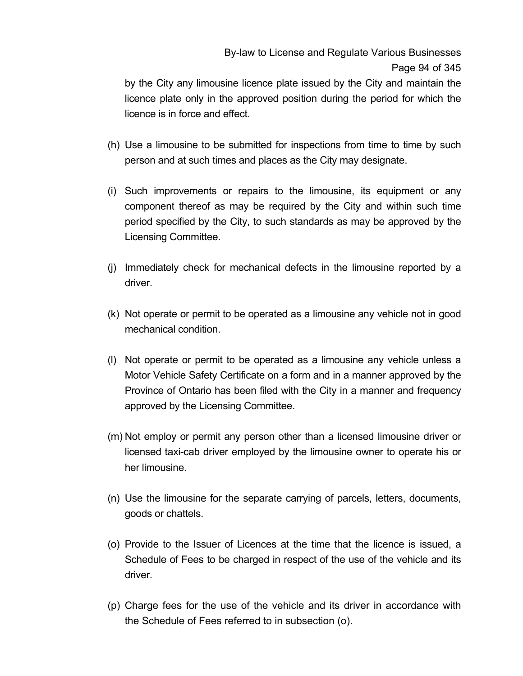# By-law to License and Regulate Various Businesses Page 94 of 345

by the City any limousine licence plate issued by the City and maintain the licence plate only in the approved position during the period for which the licence is in force and effect.

- (h) Use a limousine to be submitted for inspections from time to time by such person and at such times and places as the City may designate.
- (i) Such improvements or repairs to the limousine, its equipment or any component thereof as may be required by the City and within such time period specified by the City, to such standards as may be approved by the Licensing Committee.
- (j) Immediately check for mechanical defects in the limousine reported by a driver.
- (k) Not operate or permit to be operated as a limousine any vehicle not in good mechanical condition.
- (l) Not operate or permit to be operated as a limousine any vehicle unless a Motor Vehicle Safety Certificate on a form and in a manner approved by the Province of Ontario has been filed with the City in a manner and frequency approved by the Licensing Committee.
- (m) Not employ or permit any person other than a licensed limousine driver or licensed taxi-cab driver employed by the limousine owner to operate his or her limousine.
- (n) Use the limousine for the separate carrying of parcels, letters, documents, goods or chattels.
- (o) Provide to the Issuer of Licences at the time that the licence is issued, a Schedule of Fees to be charged in respect of the use of the vehicle and its driver.
- (p) Charge fees for the use of the vehicle and its driver in accordance with the Schedule of Fees referred to in subsection (o).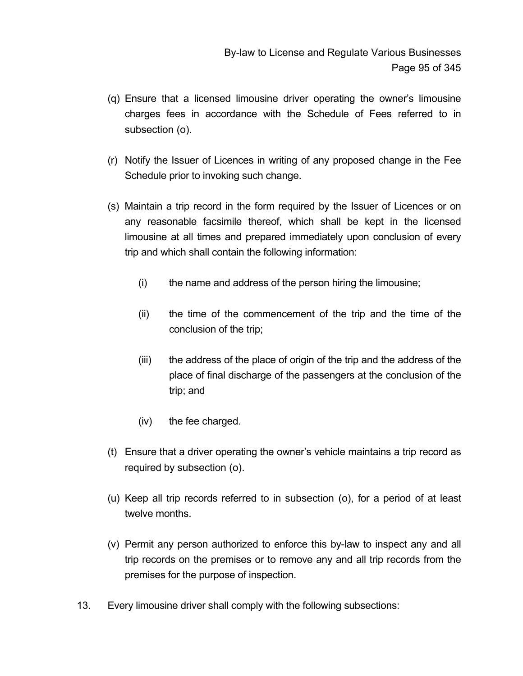- (q) Ensure that a licensed limousine driver operating the owner's limousine charges fees in accordance with the Schedule of Fees referred to in subsection (o).
- (r) Notify the Issuer of Licences in writing of any proposed change in the Fee Schedule prior to invoking such change.
- (s) Maintain a trip record in the form required by the Issuer of Licences or on any reasonable facsimile thereof, which shall be kept in the licensed limousine at all times and prepared immediately upon conclusion of every trip and which shall contain the following information:
	- (i) the name and address of the person hiring the limousine;
	- (ii) the time of the commencement of the trip and the time of the conclusion of the trip;
	- (iii) the address of the place of origin of the trip and the address of the place of final discharge of the passengers at the conclusion of the trip; and
	- (iv) the fee charged.
- (t) Ensure that a driver operating the owner's vehicle maintains a trip record as required by subsection (o).
- (u) Keep all trip records referred to in subsection (o), for a period of at least twelve months.
- (v) Permit any person authorized to enforce this by-law to inspect any and all trip records on the premises or to remove any and all trip records from the premises for the purpose of inspection.
- 13. Every limousine driver shall comply with the following subsections: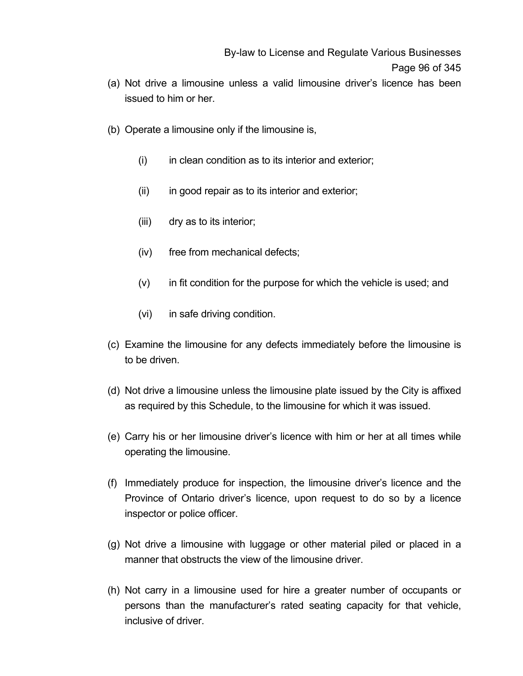- (a) Not drive a limousine unless a valid limousine driver's licence has been issued to him or her.
- (b) Operate a limousine only if the limousine is,
	- $(i)$  in clean condition as to its interior and exterior;
	- (ii) in good repair as to its interior and exterior;
	- (iii) dry as to its interior;
	- (iv) free from mechanical defects;
	- $(v)$  in fit condition for the purpose for which the vehicle is used; and
	- (vi) in safe driving condition.
- (c) Examine the limousine for any defects immediately before the limousine is to be driven.
- (d) Not drive a limousine unless the limousine plate issued by the City is affixed as required by this Schedule, to the limousine for which it was issued.
- (e) Carry his or her limousine driver's licence with him or her at all times while operating the limousine.
- (f) Immediately produce for inspection, the limousine driver's licence and the Province of Ontario driver's licence, upon request to do so by a licence inspector or police officer.
- (g) Not drive a limousine with luggage or other material piled or placed in a manner that obstructs the view of the limousine driver.
- (h) Not carry in a limousine used for hire a greater number of occupants or persons than the manufacturer's rated seating capacity for that vehicle, inclusive of driver.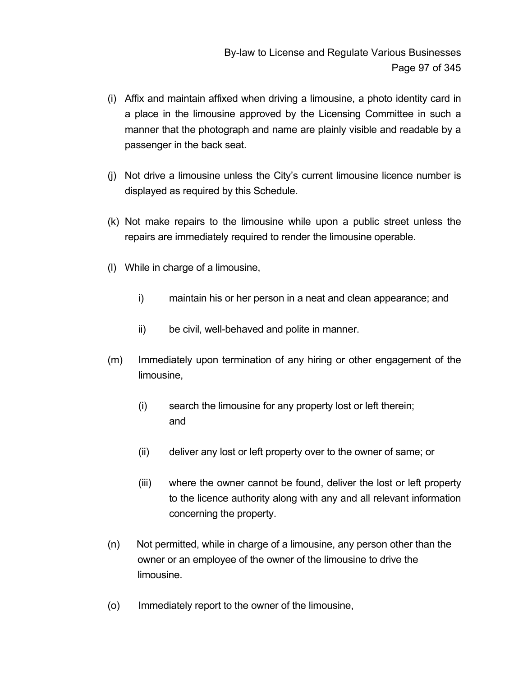- (i) Affix and maintain affixed when driving a limousine, a photo identity card in a place in the limousine approved by the Licensing Committee in such a manner that the photograph and name are plainly visible and readable by a passenger in the back seat.
- (j) Not drive a limousine unless the City's current limousine licence number is displayed as required by this Schedule.
- (k) Not make repairs to the limousine while upon a public street unless the repairs are immediately required to render the limousine operable.
- (l) While in charge of a limousine,
	- i) maintain his or her person in a neat and clean appearance; and
	- ii) be civil, well-behaved and polite in manner.
- (m) Immediately upon termination of any hiring or other engagement of the limousine,
	- (i) search the limousine for any property lost or left therein; and
	- (ii) deliver any lost or left property over to the owner of same; or
	- (iii) where the owner cannot be found, deliver the lost or left property to the licence authority along with any and all relevant information concerning the property.
- (n) Not permitted, while in charge of a limousine, any person other than the owner or an employee of the owner of the limousine to drive the limousine.
- (o) Immediately report to the owner of the limousine,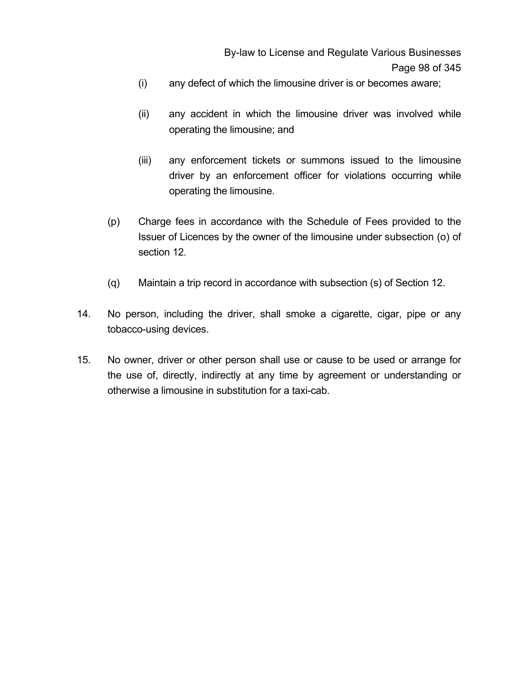- (i) any defect of which the limousine driver is or becomes aware;
- (ii) any accident in which the limousine driver was involved while operating the limousine; and
- (iii) any enforcement tickets or summons issued to the limousine driver by an enforcement officer for violations occurring while operating the limousine.
- (p) Charge fees in accordance with the Schedule of Fees provided to the Issuer of Licences by the owner of the limousine under subsection (o) of section 12.
- (q) Maintain a trip record in accordance with subsection (s) of Section 12.
- 14. No person, including the driver, shall smoke a cigarette, cigar, pipe or any tobacco-using devices.
- 15. No owner, driver or other person shall use or cause to be used or arrange for the use of, directly, indirectly at any time by agreement or understanding or otherwise a limousine in substitution for a taxi-cab.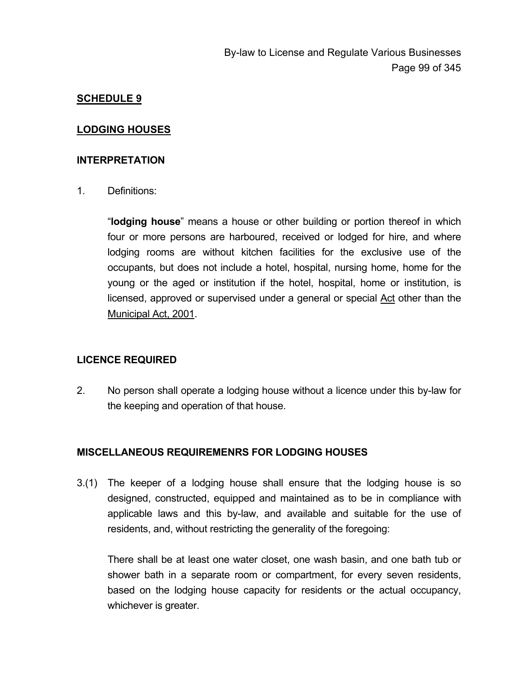#### **LODGING HOUSES**

#### **INTERPRETATION**

1. Definitions:

"**lodging house**" means a house or other building or portion thereof in which four or more persons are harboured, received or lodged for hire, and where lodging rooms are without kitchen facilities for the exclusive use of the occupants, but does not include a hotel, hospital, nursing home, home for the young or the aged or institution if the hotel, hospital, home or institution, is licensed, approved or supervised under a general or special Act other than the Municipal Act, 2001.

#### **LICENCE REQUIRED**

2. No person shall operate a lodging house without a licence under this by-law for the keeping and operation of that house.

#### **MISCELLANEOUS REQUIREMENRS FOR LODGING HOUSES**

3.(1) The keeper of a lodging house shall ensure that the lodging house is so designed, constructed, equipped and maintained as to be in compliance with applicable laws and this by-law, and available and suitable for the use of residents, and, without restricting the generality of the foregoing:

There shall be at least one water closet, one wash basin, and one bath tub or shower bath in a separate room or compartment, for every seven residents, based on the lodging house capacity for residents or the actual occupancy, whichever is greater.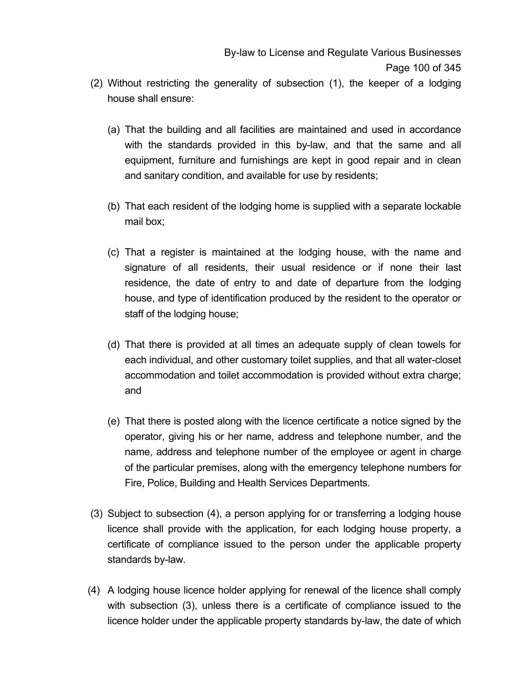- (2) Without restricting the generality of subsection (1), the keeper of a lodging house shall ensure:
	- (a) That the building and all facilities are maintained and used in accordance with the standards provided in this by-law, and that the same and all equipment, furniture and furnishings are kept in good repair and in clean and sanitary condition, and available for use by residents;
	- (b) That each resident of the lodging home is supplied with a separate lockable mail box;
	- (c) That a register is maintained at the lodging house, with the name and signature of all residents, their usual residence or if none their last residence, the date of entry to and date of departure from the lodging house, and type of identification produced by the resident to the operator or staff of the lodging house;
	- (d) That there is provided at all times an adequate supply of clean towels for each individual, and other customary toilet supplies, and that all water-closet accommodation and toilet accommodation is provided without extra charge; and
	- (e) That there is posted along with the licence certificate a notice signed by the operator, giving his or her name, address and telephone number, and the name, address and telephone number of the employee or agent in charge of the particular premises, along with the emergency telephone numbers for Fire, Police, Building and Health Services Departments.
- (3) Subject to subsection (4), a person applying for or transferring a lodging house licence shall provide with the application, for each lodging house property, a certificate of compliance issued to the person under the applicable property standards by-law.
- (4) A lodging house licence holder applying for renewal of the licence shall comply with subsection (3), unless there is a certificate of compliance issued to the licence holder under the applicable property standards by-law, the date of which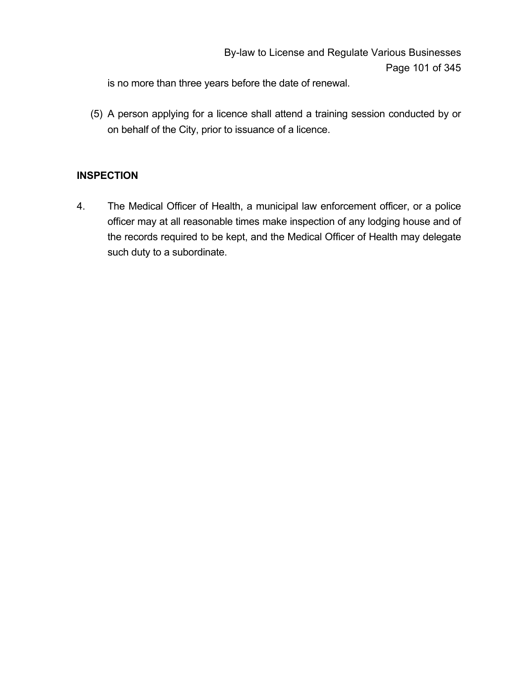is no more than three years before the date of renewal.

 (5) A person applying for a licence shall attend a training session conducted by or on behalf of the City, prior to issuance of a licence.

# **INSPECTION**

4. The Medical Officer of Health, a municipal law enforcement officer, or a police officer may at all reasonable times make inspection of any lodging house and of the records required to be kept, and the Medical Officer of Health may delegate such duty to a subordinate.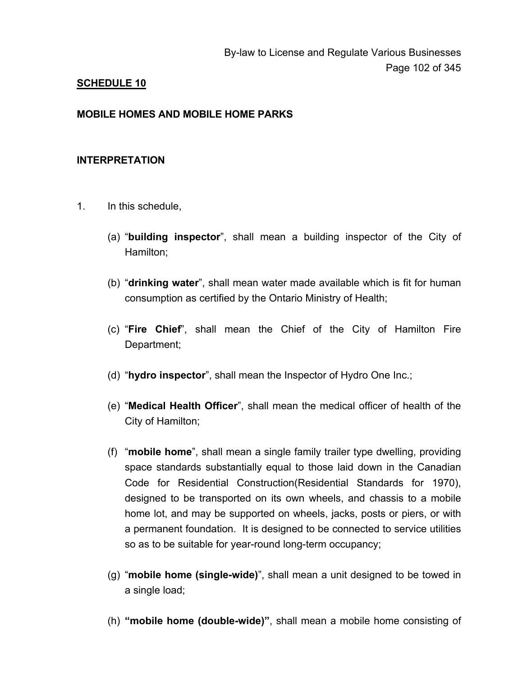#### **MOBILE HOMES AND MOBILE HOME PARKS**

#### **INTERPRETATION**

- 1. In this schedule,
	- (a) "**building inspector**", shall mean a building inspector of the City of Hamilton;
	- (b) "**drinking water**", shall mean water made available which is fit for human consumption as certified by the Ontario Ministry of Health;
	- (c) "**Fire Chief**", shall mean the Chief of the City of Hamilton Fire Department;
	- (d) "**hydro inspector**", shall mean the Inspector of Hydro One Inc.;
	- (e) "**Medical Health Officer**", shall mean the medical officer of health of the City of Hamilton;
	- (f) "**mobile home**", shall mean a single family trailer type dwelling, providing space standards substantially equal to those laid down in the Canadian Code for Residential Construction(Residential Standards for 1970), designed to be transported on its own wheels, and chassis to a mobile home lot, and may be supported on wheels, jacks, posts or piers, or with a permanent foundation. It is designed to be connected to service utilities so as to be suitable for year-round long-term occupancy;
	- (g) "**mobile home (single-wide)**", shall mean a unit designed to be towed in a single load;
	- (h) **"mobile home (double-wide)"**, shall mean a mobile home consisting of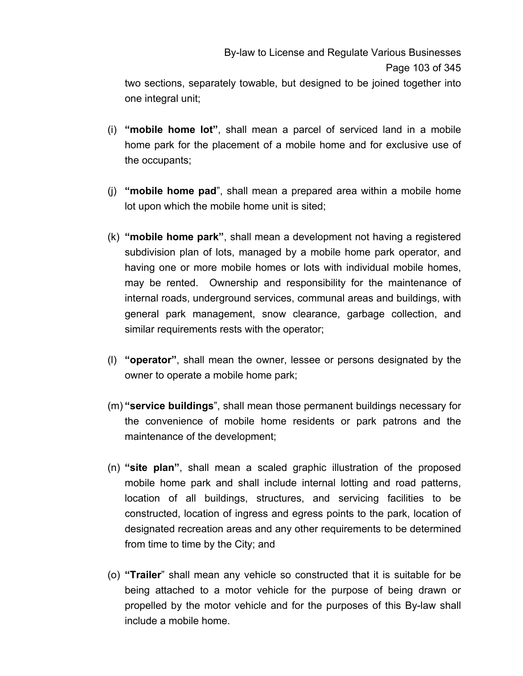two sections, separately towable, but designed to be joined together into one integral unit;

- (i) **"mobile home lot"**, shall mean a parcel of serviced land in a mobile home park for the placement of a mobile home and for exclusive use of the occupants;
- (j) **"mobile home pad**", shall mean a prepared area within a mobile home lot upon which the mobile home unit is sited;
- (k) **"mobile home park"**, shall mean a development not having a registered subdivision plan of lots, managed by a mobile home park operator, and having one or more mobile homes or lots with individual mobile homes, may be rented. Ownership and responsibility for the maintenance of internal roads, underground services, communal areas and buildings, with general park management, snow clearance, garbage collection, and similar requirements rests with the operator;
- (l) **"operator"**, shall mean the owner, lessee or persons designated by the owner to operate a mobile home park;
- (m) **"service buildings**", shall mean those permanent buildings necessary for the convenience of mobile home residents or park patrons and the maintenance of the development;
- (n) **"site plan"**, shall mean a scaled graphic illustration of the proposed mobile home park and shall include internal lotting and road patterns, location of all buildings, structures, and servicing facilities to be constructed, location of ingress and egress points to the park, location of designated recreation areas and any other requirements to be determined from time to time by the City; and
- (o) **"Trailer**" shall mean any vehicle so constructed that it is suitable for be being attached to a motor vehicle for the purpose of being drawn or propelled by the motor vehicle and for the purposes of this By-law shall include a mobile home.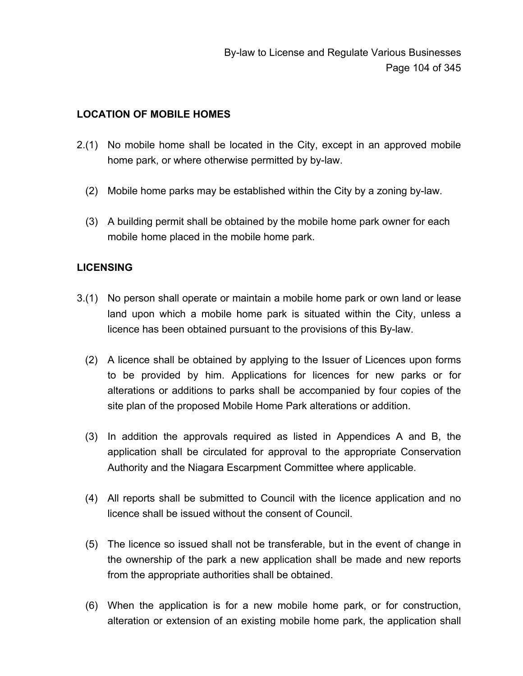## **LOCATION OF MOBILE HOMES**

- 2.(1) No mobile home shall be located in the City, except in an approved mobile home park, or where otherwise permitted by by-law.
	- (2) Mobile home parks may be established within the City by a zoning by-law.
	- (3) A building permit shall be obtained by the mobile home park owner for each mobile home placed in the mobile home park.

# **LICENSING**

- 3.(1) No person shall operate or maintain a mobile home park or own land or lease land upon which a mobile home park is situated within the City, unless a licence has been obtained pursuant to the provisions of this By-law.
	- (2) A licence shall be obtained by applying to the Issuer of Licences upon forms to be provided by him. Applications for licences for new parks or for alterations or additions to parks shall be accompanied by four copies of the site plan of the proposed Mobile Home Park alterations or addition.
	- (3) In addition the approvals required as listed in Appendices A and B, the application shall be circulated for approval to the appropriate Conservation Authority and the Niagara Escarpment Committee where applicable.
	- (4) All reports shall be submitted to Council with the licence application and no licence shall be issued without the consent of Council.
	- (5) The licence so issued shall not be transferable, but in the event of change in the ownership of the park a new application shall be made and new reports from the appropriate authorities shall be obtained.
	- (6) When the application is for a new mobile home park, or for construction, alteration or extension of an existing mobile home park, the application shall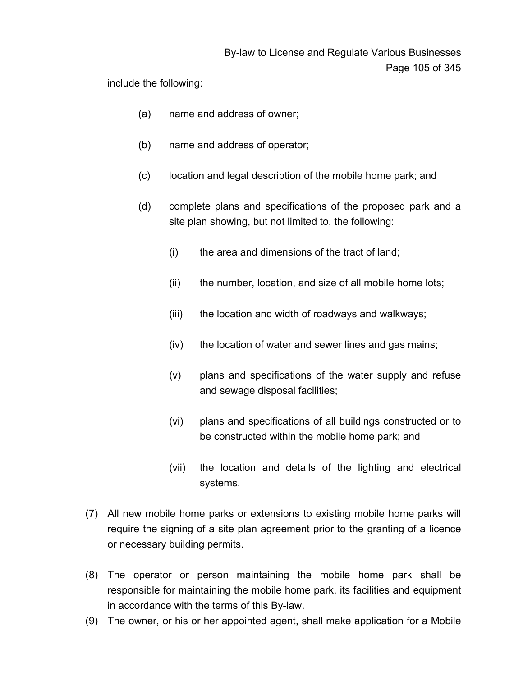include the following:

- (a) name and address of owner;
- (b) name and address of operator;
- (c) location and legal description of the mobile home park; and
- (d) complete plans and specifications of the proposed park and a site plan showing, but not limited to, the following:
	- (i) the area and dimensions of the tract of land;
	- (ii) the number, location, and size of all mobile home lots;
	- (iii) the location and width of roadways and walkways;
	- (iv) the location of water and sewer lines and gas mains;
	- (v) plans and specifications of the water supply and refuse and sewage disposal facilities;
	- (vi) plans and specifications of all buildings constructed or to be constructed within the mobile home park; and
	- (vii) the location and details of the lighting and electrical systems.
- (7) All new mobile home parks or extensions to existing mobile home parks will require the signing of a site plan agreement prior to the granting of a licence or necessary building permits.
- (8) The operator or person maintaining the mobile home park shall be responsible for maintaining the mobile home park, its facilities and equipment in accordance with the terms of this By-law.
- (9) The owner, or his or her appointed agent, shall make application for a Mobile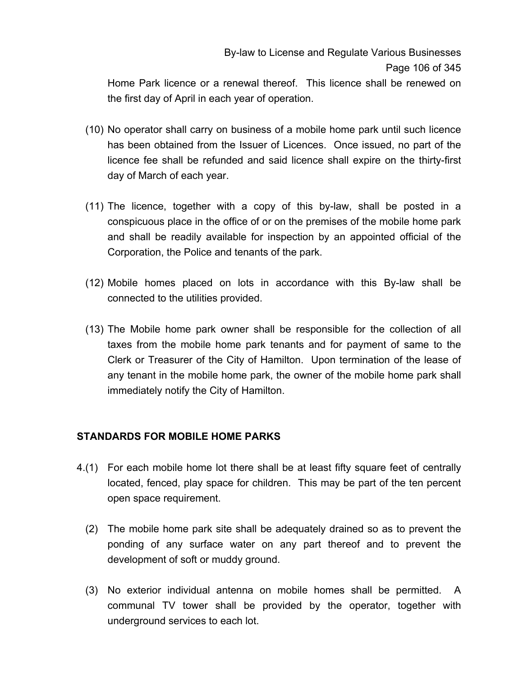Home Park licence or a renewal thereof. This licence shall be renewed on the first day of April in each year of operation.

- (10) No operator shall carry on business of a mobile home park until such licence has been obtained from the Issuer of Licences. Once issued, no part of the licence fee shall be refunded and said licence shall expire on the thirty-first day of March of each year.
- (11) The licence, together with a copy of this by-law, shall be posted in a conspicuous place in the office of or on the premises of the mobile home park and shall be readily available for inspection by an appointed official of the Corporation, the Police and tenants of the park.
- (12) Mobile homes placed on lots in accordance with this By-law shall be connected to the utilities provided.
- (13) The Mobile home park owner shall be responsible for the collection of all taxes from the mobile home park tenants and for payment of same to the Clerk or Treasurer of the City of Hamilton. Upon termination of the lease of any tenant in the mobile home park, the owner of the mobile home park shall immediately notify the City of Hamilton.

## **STANDARDS FOR MOBILE HOME PARKS**

- 4.(1) For each mobile home lot there shall be at least fifty square feet of centrally located, fenced, play space for children. This may be part of the ten percent open space requirement.
	- (2) The mobile home park site shall be adequately drained so as to prevent the ponding of any surface water on any part thereof and to prevent the development of soft or muddy ground.
	- (3) No exterior individual antenna on mobile homes shall be permitted. A communal TV tower shall be provided by the operator, together with underground services to each lot.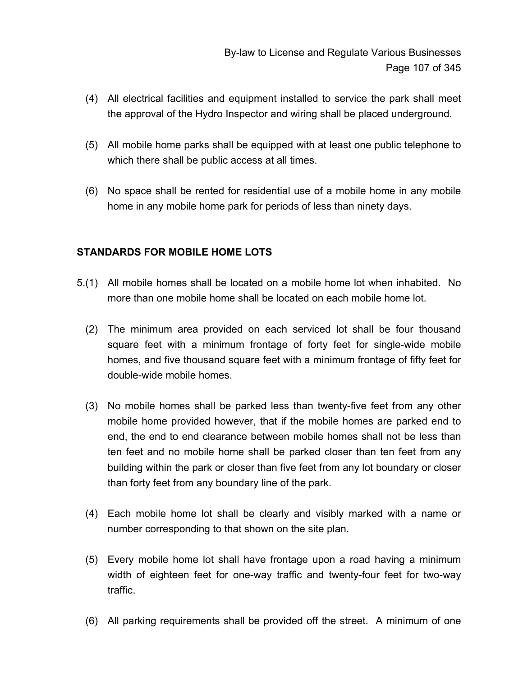- (4) All electrical facilities and equipment installed to service the park shall meet the approval of the Hydro Inspector and wiring shall be placed underground.
- (5) All mobile home parks shall be equipped with at least one public telephone to which there shall be public access at all times.
- (6) No space shall be rented for residential use of a mobile home in any mobile home in any mobile home park for periods of less than ninety days.

## **STANDARDS FOR MOBILE HOME LOTS**

- 5.(1) All mobile homes shall be located on a mobile home lot when inhabited. No more than one mobile home shall be located on each mobile home lot.
	- (2) The minimum area provided on each serviced lot shall be four thousand square feet with a minimum frontage of forty feet for single-wide mobile homes, and five thousand square feet with a minimum frontage of fifty feet for double-wide mobile homes.
	- (3) No mobile homes shall be parked less than twenty-five feet from any other mobile home provided however, that if the mobile homes are parked end to end, the end to end clearance between mobile homes shall not be less than ten feet and no mobile home shall be parked closer than ten feet from any building within the park or closer than five feet from any lot boundary or closer than forty feet from any boundary line of the park.
	- (4) Each mobile home lot shall be clearly and visibly marked with a name or number corresponding to that shown on the site plan.
	- (5) Every mobile home lot shall have frontage upon a road having a minimum width of eighteen feet for one-way traffic and twenty-four feet for two-way traffic.
	- (6) All parking requirements shall be provided off the street. A minimum of one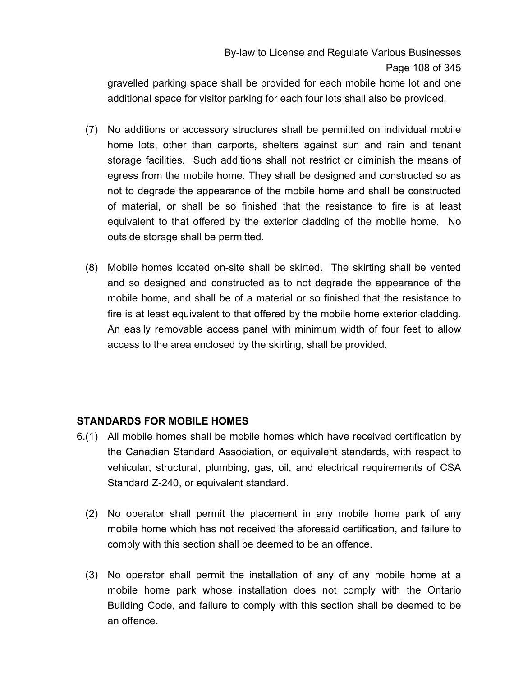gravelled parking space shall be provided for each mobile home lot and one additional space for visitor parking for each four lots shall also be provided.

- (7) No additions or accessory structures shall be permitted on individual mobile home lots, other than carports, shelters against sun and rain and tenant storage facilities. Such additions shall not restrict or diminish the means of egress from the mobile home. They shall be designed and constructed so as not to degrade the appearance of the mobile home and shall be constructed of material, or shall be so finished that the resistance to fire is at least equivalent to that offered by the exterior cladding of the mobile home. No outside storage shall be permitted.
- (8) Mobile homes located on-site shall be skirted. The skirting shall be vented and so designed and constructed as to not degrade the appearance of the mobile home, and shall be of a material or so finished that the resistance to fire is at least equivalent to that offered by the mobile home exterior cladding. An easily removable access panel with minimum width of four feet to allow access to the area enclosed by the skirting, shall be provided.

## **STANDARDS FOR MOBILE HOMES**

- 6.(1) All mobile homes shall be mobile homes which have received certification by the Canadian Standard Association, or equivalent standards, with respect to vehicular, structural, plumbing, gas, oil, and electrical requirements of CSA Standard Z-240, or equivalent standard.
	- (2) No operator shall permit the placement in any mobile home park of any mobile home which has not received the aforesaid certification, and failure to comply with this section shall be deemed to be an offence.
	- (3) No operator shall permit the installation of any of any mobile home at a mobile home park whose installation does not comply with the Ontario Building Code, and failure to comply with this section shall be deemed to be an offence.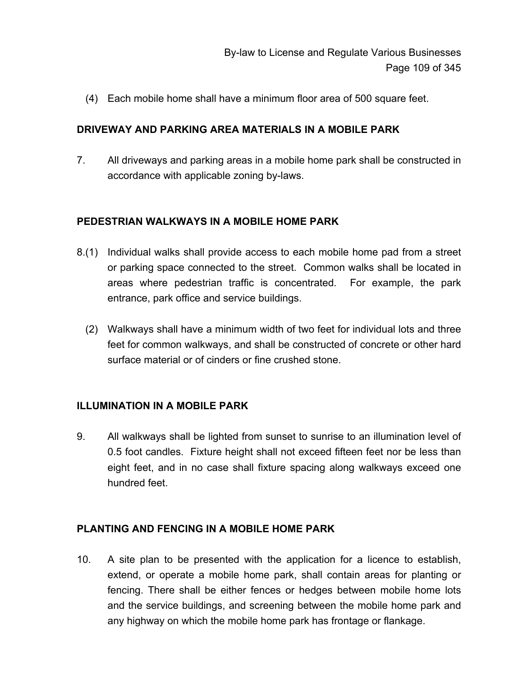(4) Each mobile home shall have a minimum floor area of 500 square feet.

### **DRIVEWAY AND PARKING AREA MATERIALS IN A MOBILE PARK**

7. All driveways and parking areas in a mobile home park shall be constructed in accordance with applicable zoning by-laws.

## **PEDESTRIAN WALKWAYS IN A MOBILE HOME PARK**

- 8.(1) Individual walks shall provide access to each mobile home pad from a street or parking space connected to the street. Common walks shall be located in areas where pedestrian traffic is concentrated. For example, the park entrance, park office and service buildings.
	- (2) Walkways shall have a minimum width of two feet for individual lots and three feet for common walkways, and shall be constructed of concrete or other hard surface material or of cinders or fine crushed stone.

## **ILLUMINATION IN A MOBILE PARK**

9. All walkways shall be lighted from sunset to sunrise to an illumination level of 0.5 foot candles. Fixture height shall not exceed fifteen feet nor be less than eight feet, and in no case shall fixture spacing along walkways exceed one hundred feet.

## **PLANTING AND FENCING IN A MOBILE HOME PARK**

10. A site plan to be presented with the application for a licence to establish, extend, or operate a mobile home park, shall contain areas for planting or fencing. There shall be either fences or hedges between mobile home lots and the service buildings, and screening between the mobile home park and any highway on which the mobile home park has frontage or flankage.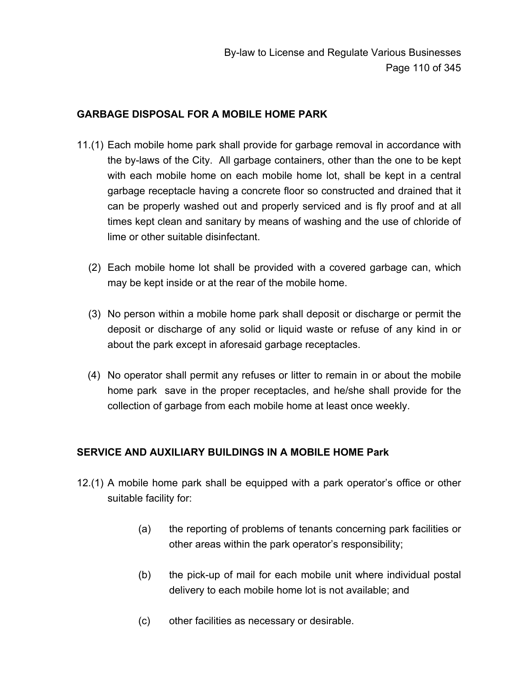## **GARBAGE DISPOSAL FOR A MOBILE HOME PARK**

- 11.(1) Each mobile home park shall provide for garbage removal in accordance with the by-laws of the City. All garbage containers, other than the one to be kept with each mobile home on each mobile home lot, shall be kept in a central garbage receptacle having a concrete floor so constructed and drained that it can be properly washed out and properly serviced and is fly proof and at all times kept clean and sanitary by means of washing and the use of chloride of lime or other suitable disinfectant.
	- (2) Each mobile home lot shall be provided with a covered garbage can, which may be kept inside or at the rear of the mobile home.
	- (3) No person within a mobile home park shall deposit or discharge or permit the deposit or discharge of any solid or liquid waste or refuse of any kind in or about the park except in aforesaid garbage receptacles.
	- (4) No operator shall permit any refuses or litter to remain in or about the mobile home park save in the proper receptacles, and he/she shall provide for the collection of garbage from each mobile home at least once weekly.

## **SERVICE AND AUXILIARY BUILDINGS IN A MOBILE HOME Park**

- 12.(1) A mobile home park shall be equipped with a park operator's office or other suitable facility for:
	- (a) the reporting of problems of tenants concerning park facilities or other areas within the park operator's responsibility;
	- (b) the pick-up of mail for each mobile unit where individual postal delivery to each mobile home lot is not available; and
	- (c) other facilities as necessary or desirable.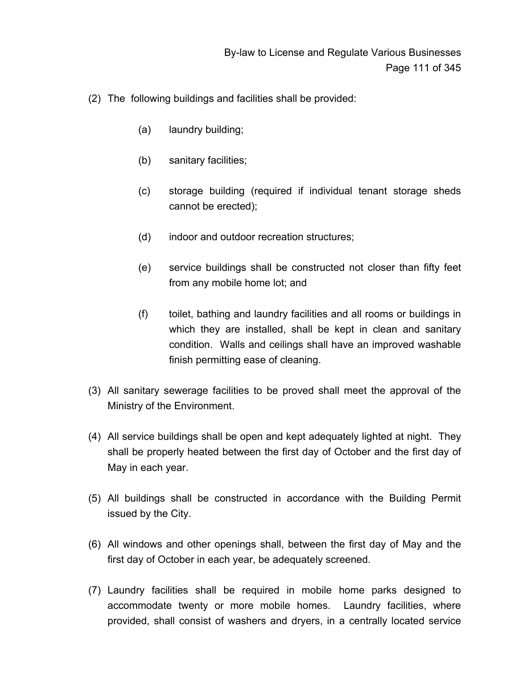- (2) The following buildings and facilities shall be provided:
	- (a) laundry building;
	- (b) sanitary facilities;
	- (c) storage building (required if individual tenant storage sheds cannot be erected);
	- (d) indoor and outdoor recreation structures;
	- (e) service buildings shall be constructed not closer than fifty feet from any mobile home lot; and
	- (f) toilet, bathing and laundry facilities and all rooms or buildings in which they are installed, shall be kept in clean and sanitary condition. Walls and ceilings shall have an improved washable finish permitting ease of cleaning.
- (3) All sanitary sewerage facilities to be proved shall meet the approval of the Ministry of the Environment.
- (4) All service buildings shall be open and kept adequately lighted at night. They shall be properly heated between the first day of October and the first day of May in each year.
- (5) All buildings shall be constructed in accordance with the Building Permit issued by the City.
- (6) All windows and other openings shall, between the first day of May and the first day of October in each year, be adequately screened.
- (7) Laundry facilities shall be required in mobile home parks designed to accommodate twenty or more mobile homes. Laundry facilities, where provided, shall consist of washers and dryers, in a centrally located service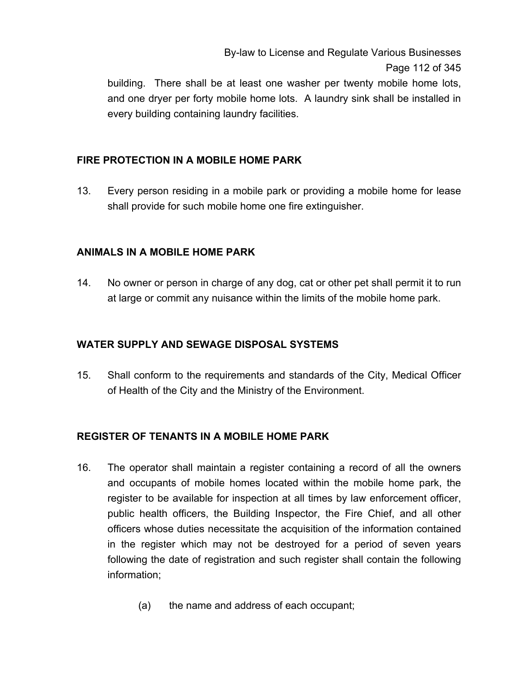By-law to License and Regulate Various Businesses Page 112 of 345

building. There shall be at least one washer per twenty mobile home lots, and one dryer per forty mobile home lots. A laundry sink shall be installed in every building containing laundry facilities.

## **FIRE PROTECTION IN A MOBILE HOME PARK**

13. Every person residing in a mobile park or providing a mobile home for lease shall provide for such mobile home one fire extinguisher.

### **ANIMALS IN A MOBILE HOME PARK**

14. No owner or person in charge of any dog, cat or other pet shall permit it to run at large or commit any nuisance within the limits of the mobile home park.

### **WATER SUPPLY AND SEWAGE DISPOSAL SYSTEMS**

15. Shall conform to the requirements and standards of the City, Medical Officer of Health of the City and the Ministry of the Environment.

## **REGISTER OF TENANTS IN A MOBILE HOME PARK**

- 16. The operator shall maintain a register containing a record of all the owners and occupants of mobile homes located within the mobile home park, the register to be available for inspection at all times by law enforcement officer, public health officers, the Building Inspector, the Fire Chief, and all other officers whose duties necessitate the acquisition of the information contained in the register which may not be destroyed for a period of seven years following the date of registration and such register shall contain the following information;
	- (a) the name and address of each occupant;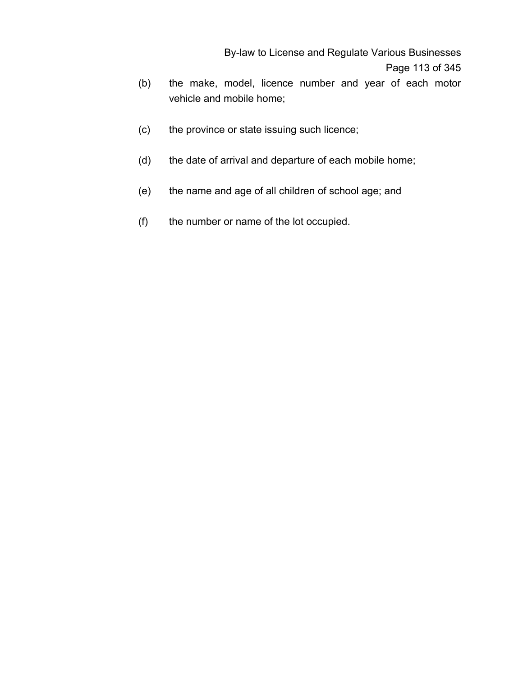By-law to License and Regulate Various Businesses Page 113 of 345

- (b) the make, model, licence number and year of each motor vehicle and mobile home;
- (c) the province or state issuing such licence;
- (d) the date of arrival and departure of each mobile home;
- (e) the name and age of all children of school age; and
- (f) the number or name of the lot occupied.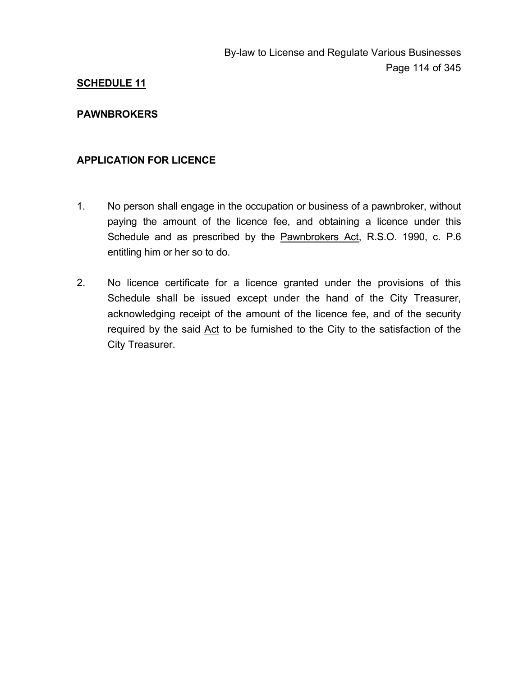### **PAWNBROKERS**

### **APPLICATION FOR LICENCE**

- 1. No person shall engage in the occupation or business of a pawnbroker, without paying the amount of the licence fee, and obtaining a licence under this Schedule and as prescribed by the Pawnbrokers Act, R.S.O. 1990, c. P.6 entitling him or her so to do.
- 2. No licence certificate for a licence granted under the provisions of this Schedule shall be issued except under the hand of the City Treasurer, acknowledging receipt of the amount of the licence fee, and of the security required by the said Act to be furnished to the City to the satisfaction of the City Treasurer.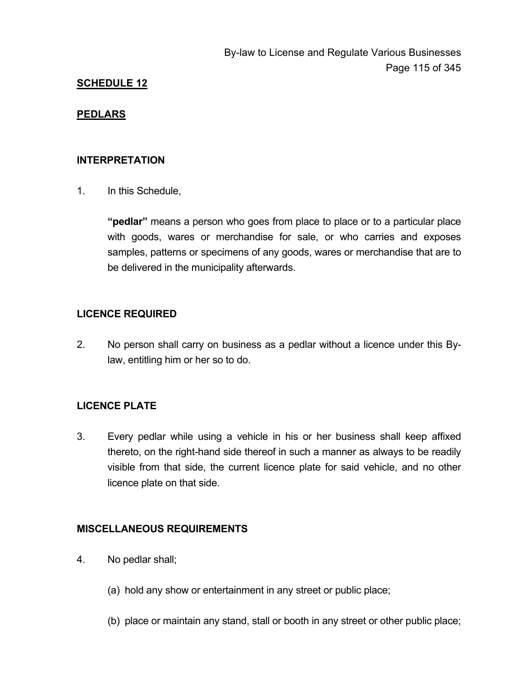### **PEDLARS**

#### **INTERPRETATION**

1. In this Schedule,

**"pedlar"** means a person who goes from place to place or to a particular place with goods, wares or merchandise for sale, or who carries and exposes samples, patterns or specimens of any goods, wares or merchandise that are to be delivered in the municipality afterwards.

### **LICENCE REQUIRED**

2. No person shall carry on business as a pedlar without a licence under this Bylaw, entitling him or her so to do.

## **LICENCE PLATE**

3. Every pedlar while using a vehicle in his or her business shall keep affixed thereto, on the right-hand side thereof in such a manner as always to be readily visible from that side, the current licence plate for said vehicle, and no other licence plate on that side.

### **MISCELLANEOUS REQUIREMENTS**

- 4. No pedlar shall;
	- (a) hold any show or entertainment in any street or public place;
	- (b) place or maintain any stand, stall or booth in any street or other public place;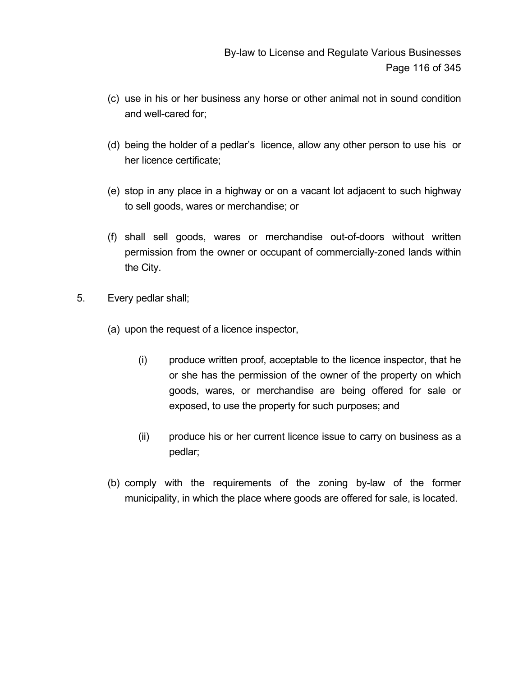- (c) use in his or her business any horse or other animal not in sound condition and well-cared for;
- (d) being the holder of a pedlar's licence, allow any other person to use his or her licence certificate;
- (e) stop in any place in a highway or on a vacant lot adjacent to such highway to sell goods, wares or merchandise; or
- (f) shall sell goods, wares or merchandise out-of-doors without written permission from the owner or occupant of commercially-zoned lands within the City.
- 5. Every pedlar shall;
	- (a) upon the request of a licence inspector,
		- (i) produce written proof, acceptable to the licence inspector, that he or she has the permission of the owner of the property on which goods, wares, or merchandise are being offered for sale or exposed, to use the property for such purposes; and
		- (ii) produce his or her current licence issue to carry on business as a pedlar;
	- (b) comply with the requirements of the zoning by-law of the former municipality, in which the place where goods are offered for sale, is located.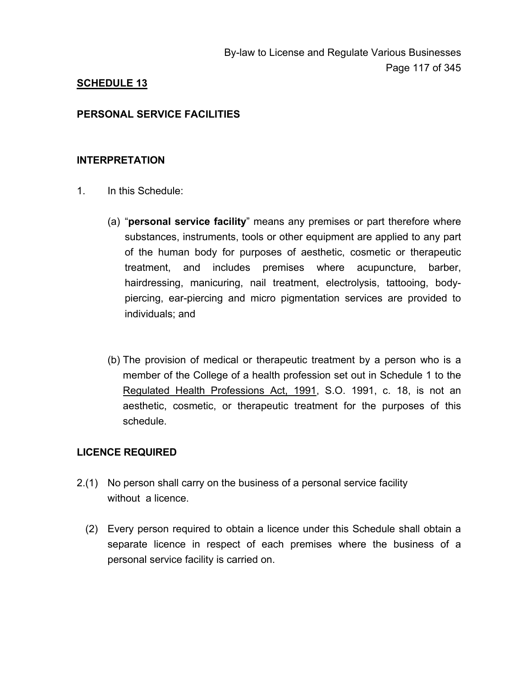### **PERSONAL SERVICE FACILITIES**

#### **INTERPRETATION**

- 1. In this Schedule:
	- (a) "**personal service facility**" means any premises or part therefore where substances, instruments, tools or other equipment are applied to any part of the human body for purposes of aesthetic, cosmetic or therapeutic treatment, and includes premises where acupuncture, barber, hairdressing, manicuring, nail treatment, electrolysis, tattooing, bodypiercing, ear-piercing and micro pigmentation services are provided to individuals; and
	- (b) The provision of medical or therapeutic treatment by a person who is a member of the College of a health profession set out in Schedule 1 to the Regulated Health Professions Act, 1991, S.O. 1991, c. 18, is not an aesthetic, cosmetic, or therapeutic treatment for the purposes of this schedule.

### **LICENCE REQUIRED**

- 2.(1) No person shall carry on the business of a personal service facility without a licence.
	- (2) Every person required to obtain a licence under this Schedule shall obtain a separate licence in respect of each premises where the business of a personal service facility is carried on.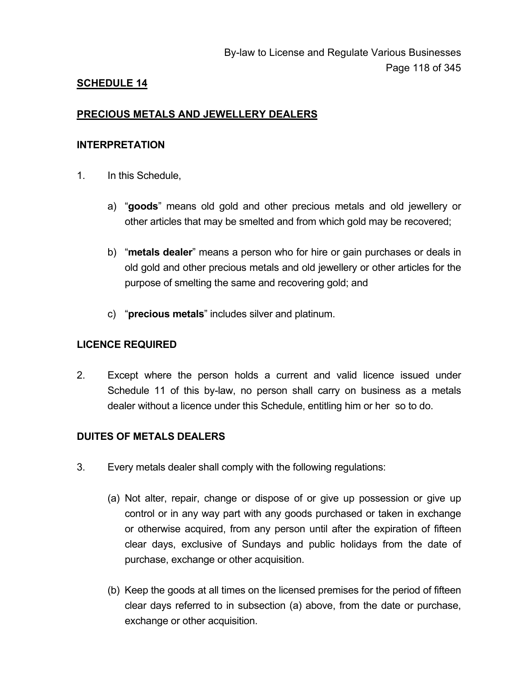## **PRECIOUS METALS AND JEWELLERY DEALERS**

#### **INTERPRETATION**

- 1. In this Schedule,
	- a) "**goods**" means old gold and other precious metals and old jewellery or other articles that may be smelted and from which gold may be recovered;
	- b) "**metals dealer**" means a person who for hire or gain purchases or deals in old gold and other precious metals and old jewellery or other articles for the purpose of smelting the same and recovering gold; and
	- c) "**precious metals**" includes silver and platinum.

### **LICENCE REQUIRED**

2. Except where the person holds a current and valid licence issued under Schedule 11 of this by-law, no person shall carry on business as a metals dealer without a licence under this Schedule, entitling him or her so to do.

### **DUITES OF METALS DEALERS**

- 3. Every metals dealer shall comply with the following regulations:
	- (a) Not alter, repair, change or dispose of or give up possession or give up control or in any way part with any goods purchased or taken in exchange or otherwise acquired, from any person until after the expiration of fifteen clear days, exclusive of Sundays and public holidays from the date of purchase, exchange or other acquisition.
	- (b) Keep the goods at all times on the licensed premises for the period of fifteen clear days referred to in subsection (a) above, from the date or purchase, exchange or other acquisition.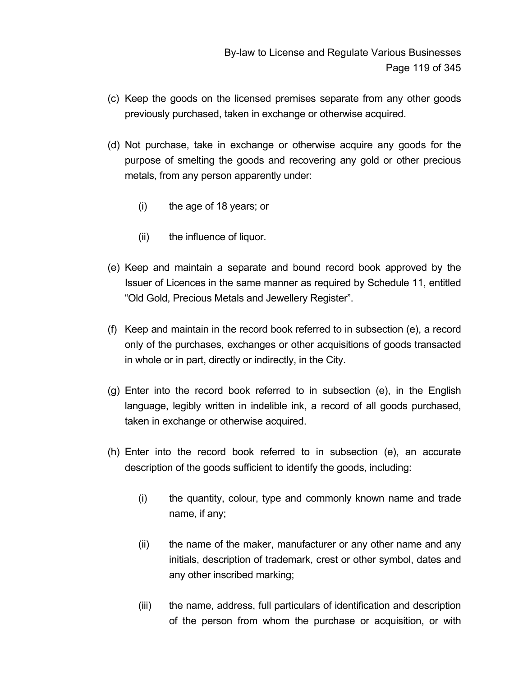- (c) Keep the goods on the licensed premises separate from any other goods previously purchased, taken in exchange or otherwise acquired.
- (d) Not purchase, take in exchange or otherwise acquire any goods for the purpose of smelting the goods and recovering any gold or other precious metals, from any person apparently under:
	- (i) the age of 18 years; or
	- (ii) the influence of liquor.
- (e) Keep and maintain a separate and bound record book approved by the Issuer of Licences in the same manner as required by Schedule 11, entitled "Old Gold, Precious Metals and Jewellery Register".
- (f) Keep and maintain in the record book referred to in subsection (e), a record only of the purchases, exchanges or other acquisitions of goods transacted in whole or in part, directly or indirectly, in the City.
- (g) Enter into the record book referred to in subsection (e), in the English language, legibly written in indelible ink, a record of all goods purchased, taken in exchange or otherwise acquired.
- (h) Enter into the record book referred to in subsection (e), an accurate description of the goods sufficient to identify the goods, including:
	- (i) the quantity, colour, type and commonly known name and trade name, if any;
	- (ii) the name of the maker, manufacturer or any other name and any initials, description of trademark, crest or other symbol, dates and any other inscribed marking;
	- (iii) the name, address, full particulars of identification and description of the person from whom the purchase or acquisition, or with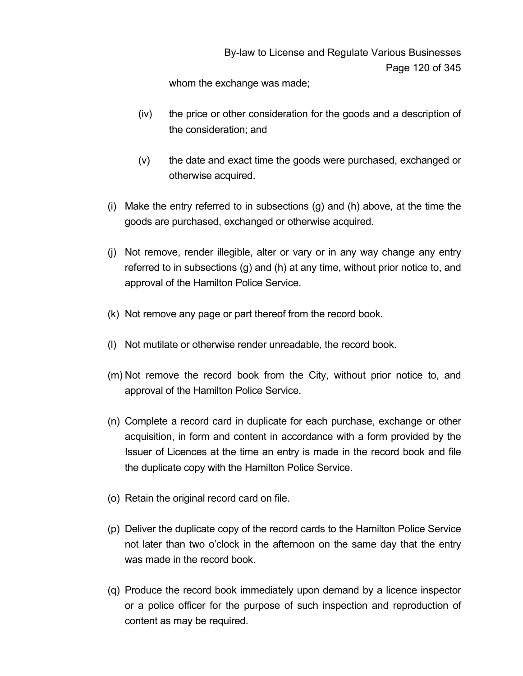whom the exchange was made;

- (iv) the price or other consideration for the goods and a description of the consideration; and
- (v) the date and exact time the goods were purchased, exchanged or otherwise acquired.
- (i) Make the entry referred to in subsections (g) and (h) above, at the time the goods are purchased, exchanged or otherwise acquired.
- (j) Not remove, render illegible, alter or vary or in any way change any entry referred to in subsections (g) and (h) at any time, without prior notice to, and approval of the Hamilton Police Service.
- (k) Not remove any page or part thereof from the record book.
- (l) Not mutilate or otherwise render unreadable, the record book.
- (m) Not remove the record book from the City, without prior notice to, and approval of the Hamilton Police Service.
- (n) Complete a record card in duplicate for each purchase, exchange or other acquisition, in form and content in accordance with a form provided by the Issuer of Licences at the time an entry is made in the record book and file the duplicate copy with the Hamilton Police Service.
- (o) Retain the original record card on file.
- (p) Deliver the duplicate copy of the record cards to the Hamilton Police Service not later than two o'clock in the afternoon on the same day that the entry was made in the record book.
- (q) Produce the record book immediately upon demand by a licence inspector or a police officer for the purpose of such inspection and reproduction of content as may be required.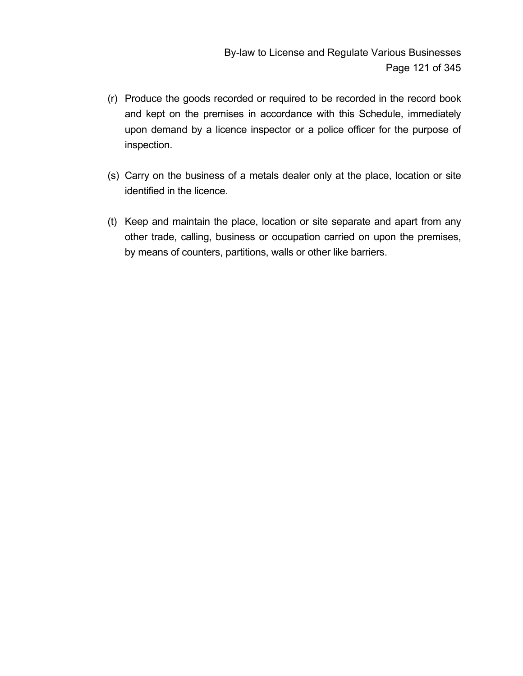- (r) Produce the goods recorded or required to be recorded in the record book and kept on the premises in accordance with this Schedule, immediately upon demand by a licence inspector or a police officer for the purpose of inspection.
- (s) Carry on the business of a metals dealer only at the place, location or site identified in the licence.
- (t) Keep and maintain the place, location or site separate and apart from any other trade, calling, business or occupation carried on upon the premises, by means of counters, partitions, walls or other like barriers.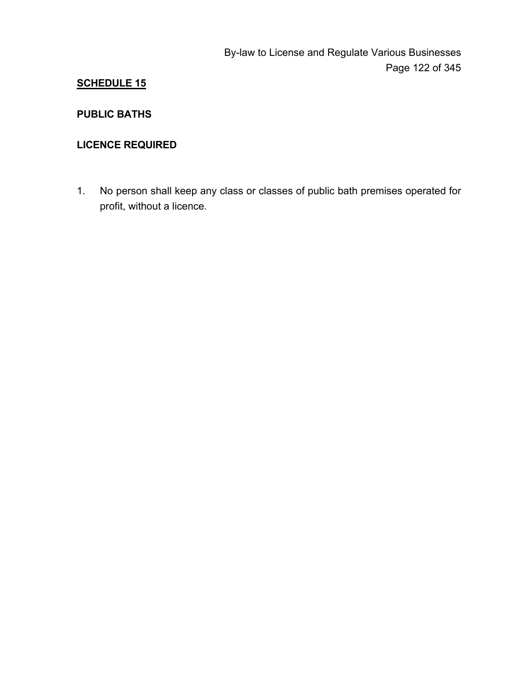## **PUBLIC BATHS**

## **LICENCE REQUIRED**

1. No person shall keep any class or classes of public bath premises operated for profit, without a licence.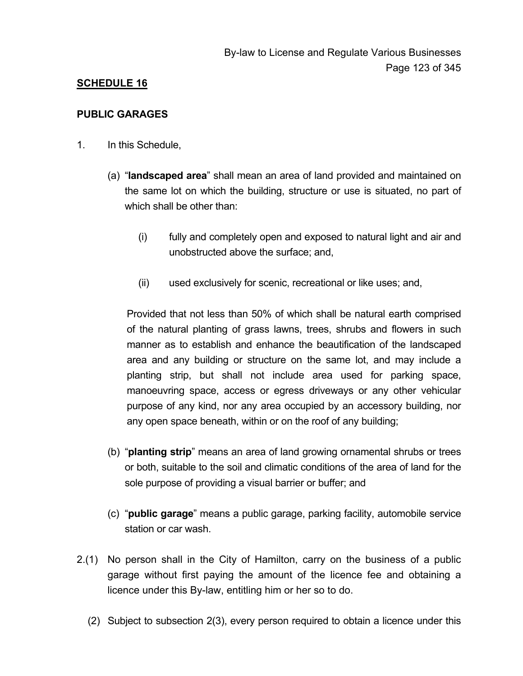### **PUBLIC GARAGES**

- 1. In this Schedule,
	- (a) "**landscaped area**" shall mean an area of land provided and maintained on the same lot on which the building, structure or use is situated, no part of which shall be other than:
		- (i) fully and completely open and exposed to natural light and air and unobstructed above the surface; and,
		- (ii) used exclusively for scenic, recreational or like uses; and,

 Provided that not less than 50% of which shall be natural earth comprised of the natural planting of grass lawns, trees, shrubs and flowers in such manner as to establish and enhance the beautification of the landscaped area and any building or structure on the same lot, and may include a planting strip, but shall not include area used for parking space, manoeuvring space, access or egress driveways or any other vehicular purpose of any kind, nor any area occupied by an accessory building, nor any open space beneath, within or on the roof of any building;

- (b) "**planting strip**" means an area of land growing ornamental shrubs or trees or both, suitable to the soil and climatic conditions of the area of land for the sole purpose of providing a visual barrier or buffer; and
- (c) "**public garage**" means a public garage, parking facility, automobile service station or car wash.
- 2.(1) No person shall in the City of Hamilton, carry on the business of a public garage without first paying the amount of the licence fee and obtaining a licence under this By-law, entitling him or her so to do.
	- (2) Subject to subsection 2(3), every person required to obtain a licence under this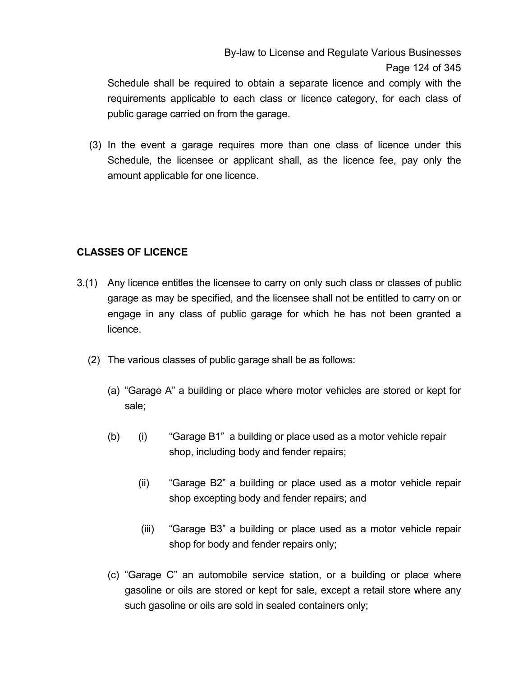By-law to License and Regulate Various Businesses Page 124 of 345

Schedule shall be required to obtain a separate licence and comply with the requirements applicable to each class or licence category, for each class of public garage carried on from the garage.

(3) In the event a garage requires more than one class of licence under this Schedule, the licensee or applicant shall, as the licence fee, pay only the amount applicable for one licence.

## **CLASSES OF LICENCE**

- 3.(1) Any licence entitles the licensee to carry on only such class or classes of public garage as may be specified, and the licensee shall not be entitled to carry on or engage in any class of public garage for which he has not been granted a licence.
	- (2) The various classes of public garage shall be as follows:
		- (a) "Garage A" a building or place where motor vehicles are stored or kept for sale;
		- (b) (i) "Garage B1" a building or place used as a motor vehicle repair shop, including body and fender repairs;
			- (ii) "Garage B2" a building or place used as a motor vehicle repair shop excepting body and fender repairs; and
			- (iii) "Garage B3" a building or place used as a motor vehicle repair shop for body and fender repairs only;
		- (c) "Garage C" an automobile service station, or a building or place where gasoline or oils are stored or kept for sale, except a retail store where any such gasoline or oils are sold in sealed containers only;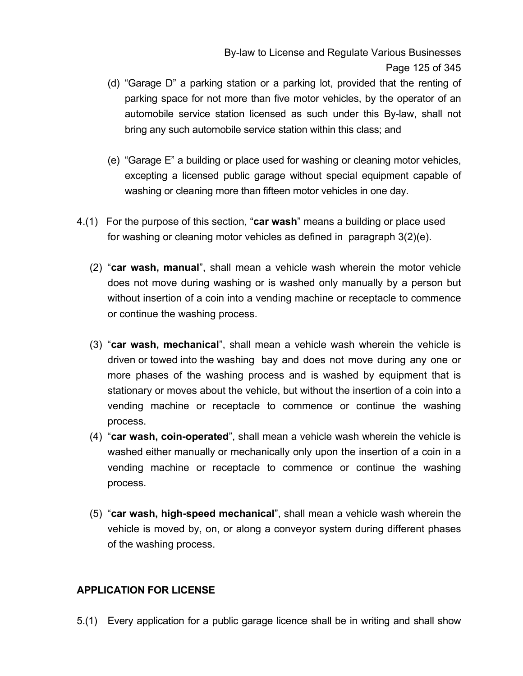- (d) "Garage D" a parking station or a parking lot, provided that the renting of parking space for not more than five motor vehicles, by the operator of an automobile service station licensed as such under this By-law, shall not bring any such automobile service station within this class; and
- (e) "Garage E" a building or place used for washing or cleaning motor vehicles, excepting a licensed public garage without special equipment capable of washing or cleaning more than fifteen motor vehicles in one day.
- 4.(1) For the purpose of this section, "**car wash**" means a building or place used for washing or cleaning motor vehicles as defined in paragraph 3(2)(e).
	- (2) "**car wash, manual**", shall mean a vehicle wash wherein the motor vehicle does not move during washing or is washed only manually by a person but without insertion of a coin into a vending machine or receptacle to commence or continue the washing process.
	- (3) "**car wash, mechanical**", shall mean a vehicle wash wherein the vehicle is driven or towed into the washing bay and does not move during any one or more phases of the washing process and is washed by equipment that is stationary or moves about the vehicle, but without the insertion of a coin into a vending machine or receptacle to commence or continue the washing process.
	- (4) "**car wash, coin-operated**", shall mean a vehicle wash wherein the vehicle is washed either manually or mechanically only upon the insertion of a coin in a vending machine or receptacle to commence or continue the washing process.
	- (5) "**car wash, high-speed mechanical**", shall mean a vehicle wash wherein the vehicle is moved by, on, or along a conveyor system during different phases of the washing process.

## **APPLICATION FOR LICENSE**

5.(1) Every application for a public garage licence shall be in writing and shall show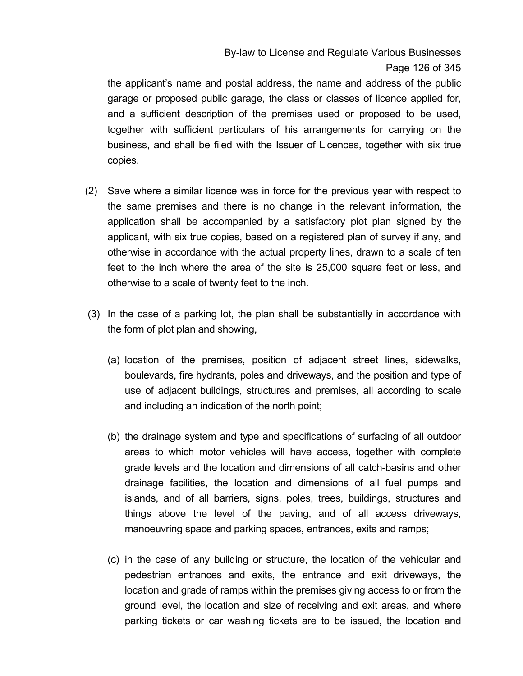By-law to License and Regulate Various Businesses Page 126 of 345

the applicant's name and postal address, the name and address of the public garage or proposed public garage, the class or classes of licence applied for, and a sufficient description of the premises used or proposed to be used, together with sufficient particulars of his arrangements for carrying on the business, and shall be filed with the Issuer of Licences, together with six true copies.

- (2) Save where a similar licence was in force for the previous year with respect to the same premises and there is no change in the relevant information, the application shall be accompanied by a satisfactory plot plan signed by the applicant, with six true copies, based on a registered plan of survey if any, and otherwise in accordance with the actual property lines, drawn to a scale of ten feet to the inch where the area of the site is 25,000 square feet or less, and otherwise to a scale of twenty feet to the inch.
- (3) In the case of a parking lot, the plan shall be substantially in accordance with the form of plot plan and showing,
	- (a) location of the premises, position of adjacent street lines, sidewalks, boulevards, fire hydrants, poles and driveways, and the position and type of use of adjacent buildings, structures and premises, all according to scale and including an indication of the north point;
	- (b) the drainage system and type and specifications of surfacing of all outdoor areas to which motor vehicles will have access, together with complete grade levels and the location and dimensions of all catch-basins and other drainage facilities, the location and dimensions of all fuel pumps and islands, and of all barriers, signs, poles, trees, buildings, structures and things above the level of the paving, and of all access driveways, manoeuvring space and parking spaces, entrances, exits and ramps;
	- (c) in the case of any building or structure, the location of the vehicular and pedestrian entrances and exits, the entrance and exit driveways, the location and grade of ramps within the premises giving access to or from the ground level, the location and size of receiving and exit areas, and where parking tickets or car washing tickets are to be issued, the location and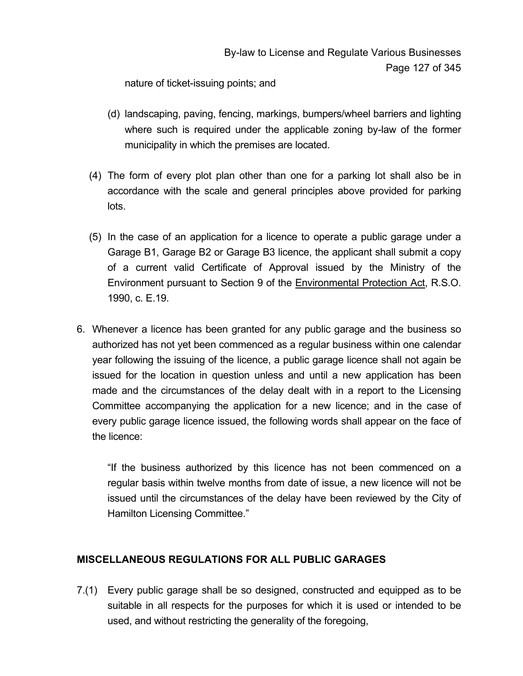nature of ticket-issuing points; and

- (d) landscaping, paving, fencing, markings, bumpers/wheel barriers and lighting where such is required under the applicable zoning by-law of the former municipality in which the premises are located.
- (4) The form of every plot plan other than one for a parking lot shall also be in accordance with the scale and general principles above provided for parking lots.
- (5) In the case of an application for a licence to operate a public garage under a Garage B1, Garage B2 or Garage B3 licence, the applicant shall submit a copy of a current valid Certificate of Approval issued by the Ministry of the Environment pursuant to Section 9 of the Environmental Protection Act, R.S.O. 1990, c. E.19.
- 6. Whenever a licence has been granted for any public garage and the business so authorized has not yet been commenced as a regular business within one calendar year following the issuing of the licence, a public garage licence shall not again be issued for the location in question unless and until a new application has been made and the circumstances of the delay dealt with in a report to the Licensing Committee accompanying the application for a new licence; and in the case of every public garage licence issued, the following words shall appear on the face of the licence:

 "If the business authorized by this licence has not been commenced on a regular basis within twelve months from date of issue, a new licence will not be issued until the circumstances of the delay have been reviewed by the City of Hamilton Licensing Committee."

## **MISCELLANEOUS REGULATIONS FOR ALL PUBLIC GARAGES**

7.(1) Every public garage shall be so designed, constructed and equipped as to be suitable in all respects for the purposes for which it is used or intended to be used, and without restricting the generality of the foregoing,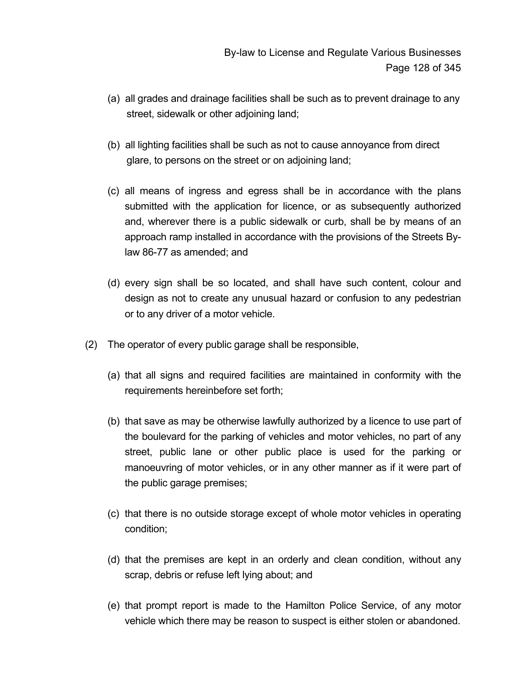- (a) all grades and drainage facilities shall be such as to prevent drainage to any street, sidewalk or other adjoining land;
- (b) all lighting facilities shall be such as not to cause annoyance from direct glare, to persons on the street or on adjoining land;
- (c) all means of ingress and egress shall be in accordance with the plans submitted with the application for licence, or as subsequently authorized and, wherever there is a public sidewalk or curb, shall be by means of an approach ramp installed in accordance with the provisions of the Streets Bylaw 86-77 as amended; and
- (d) every sign shall be so located, and shall have such content, colour and design as not to create any unusual hazard or confusion to any pedestrian or to any driver of a motor vehicle.
- (2) The operator of every public garage shall be responsible,
	- (a) that all signs and required facilities are maintained in conformity with the requirements hereinbefore set forth;
	- (b) that save as may be otherwise lawfully authorized by a licence to use part of the boulevard for the parking of vehicles and motor vehicles, no part of any street, public lane or other public place is used for the parking or manoeuvring of motor vehicles, or in any other manner as if it were part of the public garage premises;
	- (c) that there is no outside storage except of whole motor vehicles in operating condition;
	- (d) that the premises are kept in an orderly and clean condition, without any scrap, debris or refuse left lying about; and
	- (e) that prompt report is made to the Hamilton Police Service, of any motor vehicle which there may be reason to suspect is either stolen or abandoned.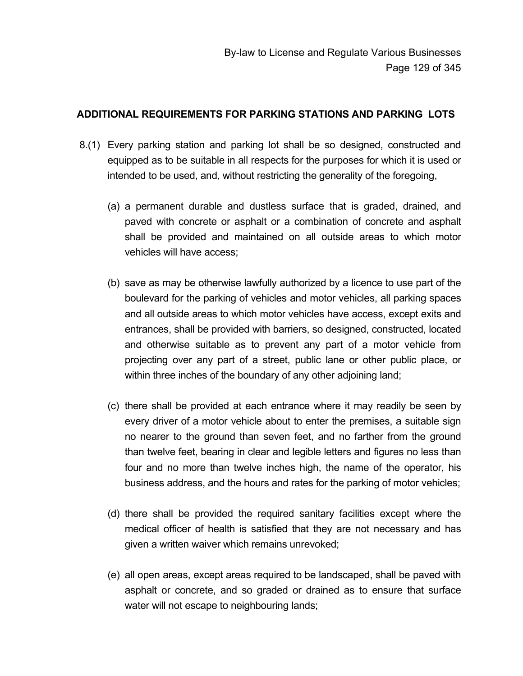### **ADDITIONAL REQUIREMENTS FOR PARKING STATIONS AND PARKING LOTS**

- 8.(1) Every parking station and parking lot shall be so designed, constructed and equipped as to be suitable in all respects for the purposes for which it is used or intended to be used, and, without restricting the generality of the foregoing,
	- (a) a permanent durable and dustless surface that is graded, drained, and paved with concrete or asphalt or a combination of concrete and asphalt shall be provided and maintained on all outside areas to which motor vehicles will have access;
	- (b) save as may be otherwise lawfully authorized by a licence to use part of the boulevard for the parking of vehicles and motor vehicles, all parking spaces and all outside areas to which motor vehicles have access, except exits and entrances, shall be provided with barriers, so designed, constructed, located and otherwise suitable as to prevent any part of a motor vehicle from projecting over any part of a street, public lane or other public place, or within three inches of the boundary of any other adjoining land;
	- (c) there shall be provided at each entrance where it may readily be seen by every driver of a motor vehicle about to enter the premises, a suitable sign no nearer to the ground than seven feet, and no farther from the ground than twelve feet, bearing in clear and legible letters and figures no less than four and no more than twelve inches high, the name of the operator, his business address, and the hours and rates for the parking of motor vehicles;
	- (d) there shall be provided the required sanitary facilities except where the medical officer of health is satisfied that they are not necessary and has given a written waiver which remains unrevoked;
	- (e) all open areas, except areas required to be landscaped, shall be paved with asphalt or concrete, and so graded or drained as to ensure that surface water will not escape to neighbouring lands;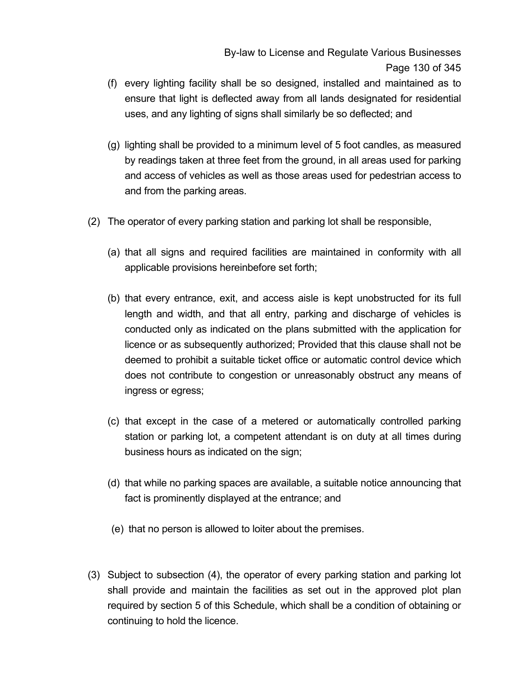- (f) every lighting facility shall be so designed, installed and maintained as to ensure that light is deflected away from all lands designated for residential uses, and any lighting of signs shall similarly be so deflected; and
- (g) lighting shall be provided to a minimum level of 5 foot candles, as measured by readings taken at three feet from the ground, in all areas used for parking and access of vehicles as well as those areas used for pedestrian access to and from the parking areas.
- (2) The operator of every parking station and parking lot shall be responsible,
	- (a) that all signs and required facilities are maintained in conformity with all applicable provisions hereinbefore set forth;
	- (b) that every entrance, exit, and access aisle is kept unobstructed for its full length and width, and that all entry, parking and discharge of vehicles is conducted only as indicated on the plans submitted with the application for licence or as subsequently authorized; Provided that this clause shall not be deemed to prohibit a suitable ticket office or automatic control device which does not contribute to congestion or unreasonably obstruct any means of ingress or egress;
	- (c) that except in the case of a metered or automatically controlled parking station or parking lot, a competent attendant is on duty at all times during business hours as indicated on the sign;
	- (d) that while no parking spaces are available, a suitable notice announcing that fact is prominently displayed at the entrance; and
	- (e) that no person is allowed to loiter about the premises.
- (3) Subject to subsection (4), the operator of every parking station and parking lot shall provide and maintain the facilities as set out in the approved plot plan required by section 5 of this Schedule, which shall be a condition of obtaining or continuing to hold the licence.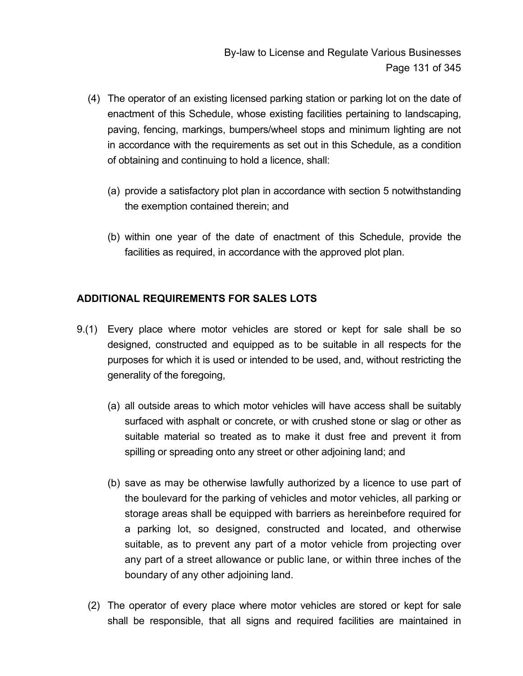- (4) The operator of an existing licensed parking station or parking lot on the date of enactment of this Schedule, whose existing facilities pertaining to landscaping, paving, fencing, markings, bumpers/wheel stops and minimum lighting are not in accordance with the requirements as set out in this Schedule, as a condition of obtaining and continuing to hold a licence, shall:
	- (a) provide a satisfactory plot plan in accordance with section 5 notwithstanding the exemption contained therein; and
	- (b) within one year of the date of enactment of this Schedule, provide the facilities as required, in accordance with the approved plot plan.

## **ADDITIONAL REQUIREMENTS FOR SALES LOTS**

- 9.(1) Every place where motor vehicles are stored or kept for sale shall be so designed, constructed and equipped as to be suitable in all respects for the purposes for which it is used or intended to be used, and, without restricting the generality of the foregoing,
	- (a) all outside areas to which motor vehicles will have access shall be suitably surfaced with asphalt or concrete, or with crushed stone or slag or other as suitable material so treated as to make it dust free and prevent it from spilling or spreading onto any street or other adjoining land; and
	- (b) save as may be otherwise lawfully authorized by a licence to use part of the boulevard for the parking of vehicles and motor vehicles, all parking or storage areas shall be equipped with barriers as hereinbefore required for a parking lot, so designed, constructed and located, and otherwise suitable, as to prevent any part of a motor vehicle from projecting over any part of a street allowance or public lane, or within three inches of the boundary of any other adjoining land.
	- (2) The operator of every place where motor vehicles are stored or kept for sale shall be responsible, that all signs and required facilities are maintained in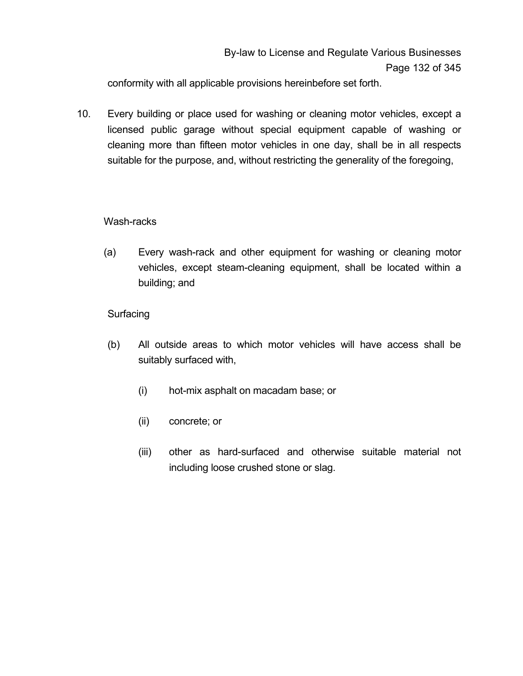conformity with all applicable provisions hereinbefore set forth.

10. Every building or place used for washing or cleaning motor vehicles, except a licensed public garage without special equipment capable of washing or cleaning more than fifteen motor vehicles in one day, shall be in all respects suitable for the purpose, and, without restricting the generality of the foregoing,

## Wash-racks

(a) Every wash-rack and other equipment for washing or cleaning motor vehicles, except steam-cleaning equipment, shall be located within a building; and

## **Surfacing**

- (b) All outside areas to which motor vehicles will have access shall be suitably surfaced with,
	- (i) hot-mix asphalt on macadam base; or
	- (ii) concrete; or
	- (iii) other as hard-surfaced and otherwise suitable material not including loose crushed stone or slag.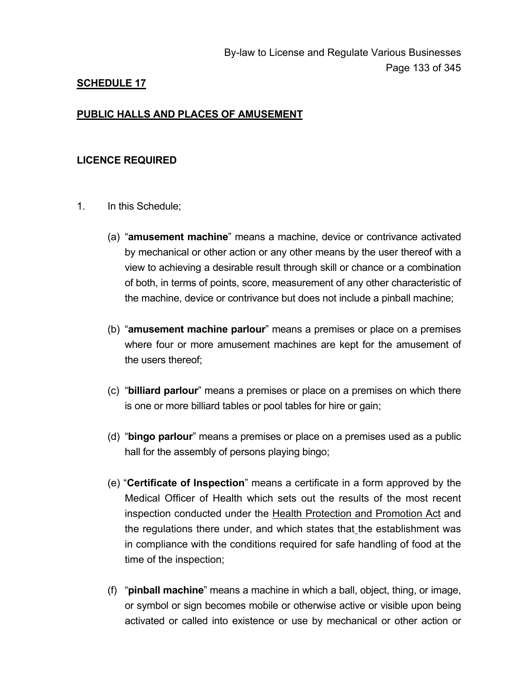### **PUBLIC HALLS AND PLACES OF AMUSEMENT**

#### **LICENCE REQUIRED**

- 1. In this Schedule;
	- (a) "**amusement machine**" means a machine, device or contrivance activated by mechanical or other action or any other means by the user thereof with a view to achieving a desirable result through skill or chance or a combination of both, in terms of points, score, measurement of any other characteristic of the machine, device or contrivance but does not include a pinball machine;
	- (b) "**amusement machine parlour**" means a premises or place on a premises where four or more amusement machines are kept for the amusement of the users thereof;
	- (c) "**billiard parlour**" means a premises or place on a premises on which there is one or more billiard tables or pool tables for hire or gain;
	- (d) "**bingo parlour**" means a premises or place on a premises used as a public hall for the assembly of persons playing bingo;
	- (e) "**Certificate of Inspection**" means a certificate in a form approved by the Medical Officer of Health which sets out the results of the most recent inspection conducted under the Health Protection and Promotion Act and the regulations there under, and which states that the establishment was in compliance with the conditions required for safe handling of food at the time of the inspection;
	- (f) "**pinball machine**" means a machine in which a ball, object, thing, or image, or symbol or sign becomes mobile or otherwise active or visible upon being activated or called into existence or use by mechanical or other action or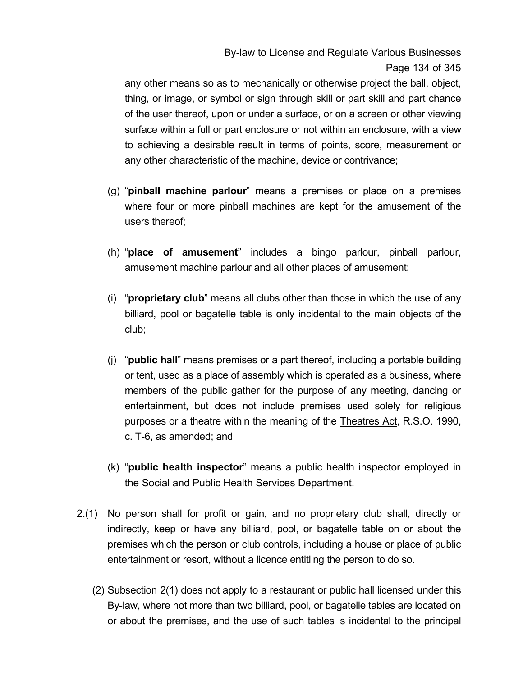By-law to License and Regulate Various Businesses Page 134 of 345

any other means so as to mechanically or otherwise project the ball, object, thing, or image, or symbol or sign through skill or part skill and part chance of the user thereof, upon or under a surface, or on a screen or other viewing surface within a full or part enclosure or not within an enclosure, with a view to achieving a desirable result in terms of points, score, measurement or any other characteristic of the machine, device or contrivance;

- (g) "**pinball machine parlour**" means a premises or place on a premises where four or more pinball machines are kept for the amusement of the users thereof;
- (h) "**place of amusement**" includes a bingo parlour, pinball parlour, amusement machine parlour and all other places of amusement;
- (i) "**proprietary club**" means all clubs other than those in which the use of any billiard, pool or bagatelle table is only incidental to the main objects of the club;
- (j) "**public hall**" means premises or a part thereof, including a portable building or tent, used as a place of assembly which is operated as a business, where members of the public gather for the purpose of any meeting, dancing or entertainment, but does not include premises used solely for religious purposes or a theatre within the meaning of the Theatres Act, R.S.O. 1990, c. T-6, as amended; and
- (k) "**public health inspector**" means a public health inspector employed in the Social and Public Health Services Department.
- 2.(1) No person shall for profit or gain, and no proprietary club shall, directly or indirectly, keep or have any billiard, pool, or bagatelle table on or about the premises which the person or club controls, including a house or place of public entertainment or resort, without a licence entitling the person to do so.
	- (2) Subsection 2(1) does not apply to a restaurant or public hall licensed under this By-law, where not more than two billiard, pool, or bagatelle tables are located on or about the premises, and the use of such tables is incidental to the principal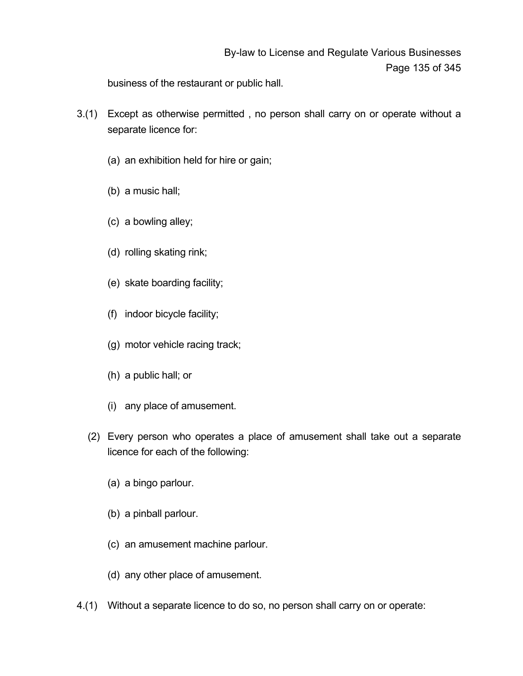# By-law to License and Regulate Various Businesses Page 135 of 345

business of the restaurant or public hall.

- 3.(1) Except as otherwise permitted , no person shall carry on or operate without a separate licence for:
	- (a) an exhibition held for hire or gain;
	- (b) a music hall;
	- (c) a bowling alley;
	- (d) rolling skating rink;
	- (e) skate boarding facility;
	- (f) indoor bicycle facility;
	- (g) motor vehicle racing track;
	- (h) a public hall; or
	- (i) any place of amusement.
	- (2) Every person who operates a place of amusement shall take out a separate licence for each of the following:
		- (a) a bingo parlour.
		- (b) a pinball parlour.
		- (c) an amusement machine parlour.
		- (d) any other place of amusement.
- 4.(1) Without a separate licence to do so, no person shall carry on or operate: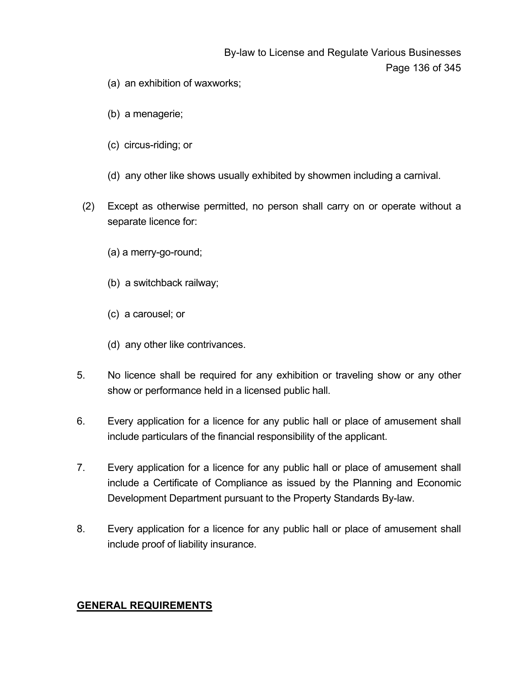# By-law to License and Regulate Various Businesses Page 136 of 345

- (a) an exhibition of waxworks;
- (b) a menagerie;
- (c) circus-riding; or
- (d) any other like shows usually exhibited by showmen including a carnival.
- (2) Except as otherwise permitted, no person shall carry on or operate without a separate licence for:
	- (a) a merry-go-round;
	- (b) a switchback railway;
	- (c) a carousel; or
	- (d) any other like contrivances.
- 5. No licence shall be required for any exhibition or traveling show or any other show or performance held in a licensed public hall.
- 6. Every application for a licence for any public hall or place of amusement shall include particulars of the financial responsibility of the applicant.
- 7. Every application for a licence for any public hall or place of amusement shall include a Certificate of Compliance as issued by the Planning and Economic Development Department pursuant to the Property Standards By-law.
- 8. Every application for a licence for any public hall or place of amusement shall include proof of liability insurance.

### **GENERAL REQUIREMENTS**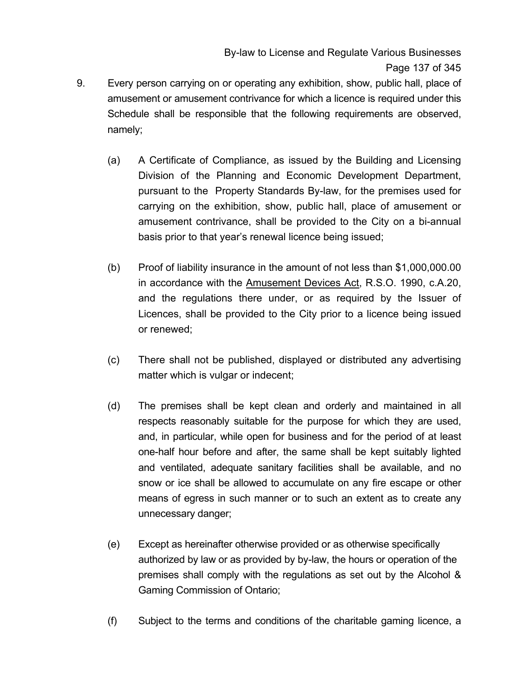By-law to License and Regulate Various Businesses Page 137 of 345

- 9. Every person carrying on or operating any exhibition, show, public hall, place of amusement or amusement contrivance for which a licence is required under this Schedule shall be responsible that the following requirements are observed, namely;
	- (a) A Certificate of Compliance, as issued by the Building and Licensing Division of the Planning and Economic Development Department, pursuant to the Property Standards By-law, for the premises used for carrying on the exhibition, show, public hall, place of amusement or amusement contrivance, shall be provided to the City on a bi-annual basis prior to that year's renewal licence being issued;
	- (b) Proof of liability insurance in the amount of not less than \$1,000,000.00 in accordance with the Amusement Devices Act, R.S.O. 1990, c.A.20, and the regulations there under, or as required by the Issuer of Licences, shall be provided to the City prior to a licence being issued or renewed;
	- (c) There shall not be published, displayed or distributed any advertising matter which is vulgar or indecent;
	- (d) The premises shall be kept clean and orderly and maintained in all respects reasonably suitable for the purpose for which they are used, and, in particular, while open for business and for the period of at least one-half hour before and after, the same shall be kept suitably lighted and ventilated, adequate sanitary facilities shall be available, and no snow or ice shall be allowed to accumulate on any fire escape or other means of egress in such manner or to such an extent as to create any unnecessary danger;
	- (e) Except as hereinafter otherwise provided or as otherwise specifically authorized by law or as provided by by-law, the hours or operation of the premises shall comply with the regulations as set out by the Alcohol & Gaming Commission of Ontario;
	- (f) Subject to the terms and conditions of the charitable gaming licence, a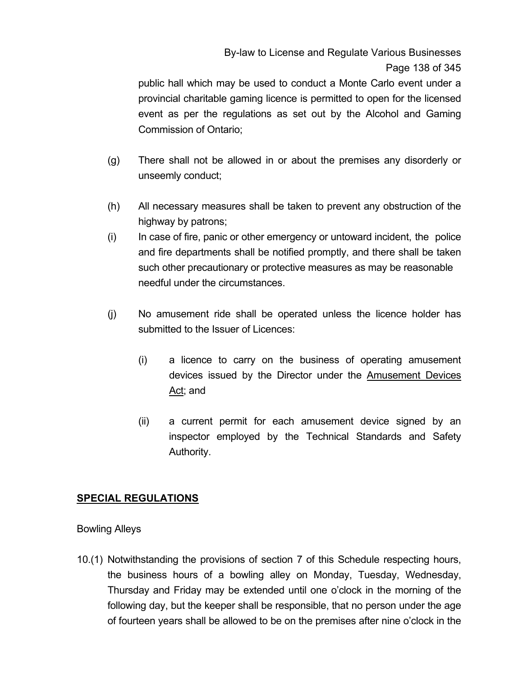# By-law to License and Regulate Various Businesses Page 138 of 345

public hall which may be used to conduct a Monte Carlo event under a provincial charitable gaming licence is permitted to open for the licensed event as per the regulations as set out by the Alcohol and Gaming Commission of Ontario;

- (g) There shall not be allowed in or about the premises any disorderly or unseemly conduct;
- (h) All necessary measures shall be taken to prevent any obstruction of the highway by patrons;
- (i) In case of fire, panic or other emergency or untoward incident, the police and fire departments shall be notified promptly, and there shall be taken such other precautionary or protective measures as may be reasonable needful under the circumstances.
- (j) No amusement ride shall be operated unless the licence holder has submitted to the Issuer of Licences:
	- (i) a licence to carry on the business of operating amusement devices issued by the Director under the Amusement Devices Act; and
	- (ii) a current permit for each amusement device signed by an inspector employed by the Technical Standards and Safety Authority.

### **SPECIAL REGULATIONS**

#### Bowling Alleys

10.(1) Notwithstanding the provisions of section 7 of this Schedule respecting hours, the business hours of a bowling alley on Monday, Tuesday, Wednesday, Thursday and Friday may be extended until one o'clock in the morning of the following day, but the keeper shall be responsible, that no person under the age of fourteen years shall be allowed to be on the premises after nine o'clock in the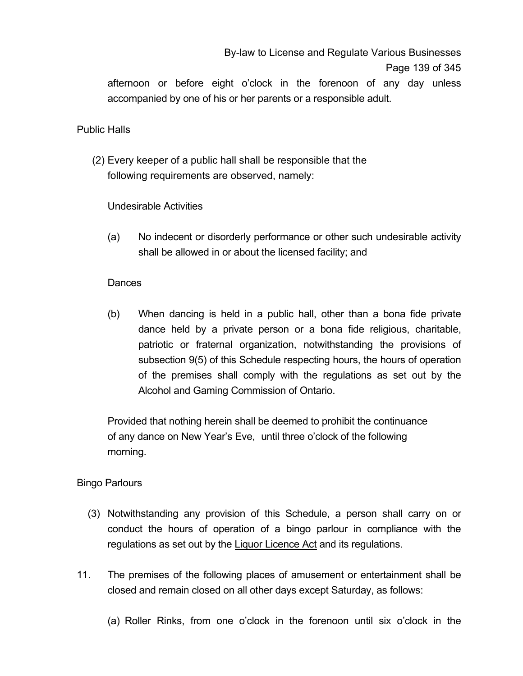By-law to License and Regulate Various Businesses

#### Page 139 of 345

afternoon or before eight o'clock in the forenoon of any day unless accompanied by one of his or her parents or a responsible adult.

### Public Halls

 (2) Every keeper of a public hall shall be responsible that the following requirements are observed, namely:

Undesirable Activities

 (a) No indecent or disorderly performance or other such undesirable activity shall be allowed in or about the licensed facility; and

### Dances

(b) When dancing is held in a public hall, other than a bona fide private dance held by a private person or a bona fide religious, charitable, patriotic or fraternal organization, notwithstanding the provisions of subsection 9(5) of this Schedule respecting hours, the hours of operation of the premises shall comply with the regulations as set out by the Alcohol and Gaming Commission of Ontario.

 Provided that nothing herein shall be deemed to prohibit the continuance of any dance on New Year's Eve, until three o'clock of the following morning.

### Bingo Parlours

- (3) Notwithstanding any provision of this Schedule, a person shall carry on or conduct the hours of operation of a bingo parlour in compliance with the regulations as set out by the Liquor Licence Act and its regulations.
- 11. The premises of the following places of amusement or entertainment shall be closed and remain closed on all other days except Saturday, as follows:
	- (a) Roller Rinks, from one o'clock in the forenoon until six o'clock in the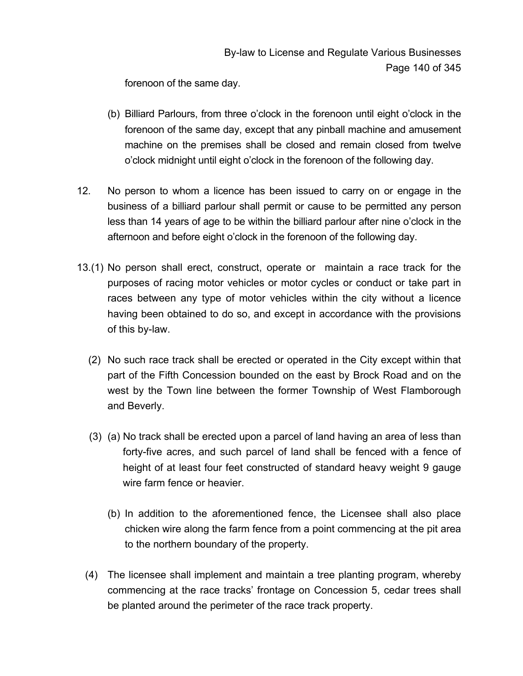forenoon of the same day.

- (b) Billiard Parlours, from three o'clock in the forenoon until eight o'clock in the forenoon of the same day, except that any pinball machine and amusement machine on the premises shall be closed and remain closed from twelve o'clock midnight until eight o'clock in the forenoon of the following day.
- 12. No person to whom a licence has been issued to carry on or engage in the business of a billiard parlour shall permit or cause to be permitted any person less than 14 years of age to be within the billiard parlour after nine o'clock in the afternoon and before eight o'clock in the forenoon of the following day.
- 13.(1) No person shall erect, construct, operate or maintain a race track for the purposes of racing motor vehicles or motor cycles or conduct or take part in races between any type of motor vehicles within the city without a licence having been obtained to do so, and except in accordance with the provisions of this by-law.
	- (2) No such race track shall be erected or operated in the City except within that part of the Fifth Concession bounded on the east by Brock Road and on the west by the Town line between the former Township of West Flamborough and Beverly.
	- (3) (a) No track shall be erected upon a parcel of land having an area of less than forty-five acres, and such parcel of land shall be fenced with a fence of height of at least four feet constructed of standard heavy weight 9 gauge wire farm fence or heavier.
		- (b) In addition to the aforementioned fence, the Licensee shall also place chicken wire along the farm fence from a point commencing at the pit area to the northern boundary of the property.
	- (4) The licensee shall implement and maintain a tree planting program, whereby commencing at the race tracks' frontage on Concession 5, cedar trees shall be planted around the perimeter of the race track property.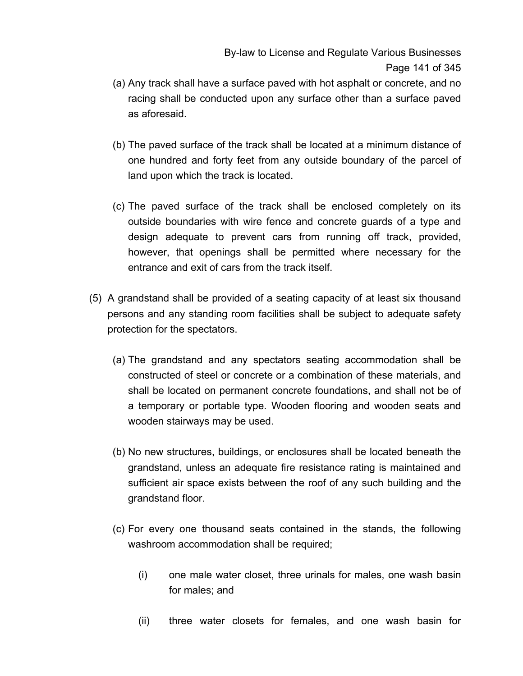- (a) Any track shall have a surface paved with hot asphalt or concrete, and no racing shall be conducted upon any surface other than a surface paved as aforesaid.
- (b) The paved surface of the track shall be located at a minimum distance of one hundred and forty feet from any outside boundary of the parcel of land upon which the track is located.
- (c) The paved surface of the track shall be enclosed completely on its outside boundaries with wire fence and concrete guards of a type and design adequate to prevent cars from running off track, provided, however, that openings shall be permitted where necessary for the entrance and exit of cars from the track itself.
- (5) A grandstand shall be provided of a seating capacity of at least six thousand persons and any standing room facilities shall be subject to adequate safety protection for the spectators.
	- (a) The grandstand and any spectators seating accommodation shall be constructed of steel or concrete or a combination of these materials, and shall be located on permanent concrete foundations, and shall not be of a temporary or portable type. Wooden flooring and wooden seats and wooden stairways may be used.
	- (b) No new structures, buildings, or enclosures shall be located beneath the grandstand, unless an adequate fire resistance rating is maintained and sufficient air space exists between the roof of any such building and the grandstand floor.
	- (c) For every one thousand seats contained in the stands, the following washroom accommodation shall be required;
		- (i) one male water closet, three urinals for males, one wash basin for males; and
		- (ii) three water closets for females, and one wash basin for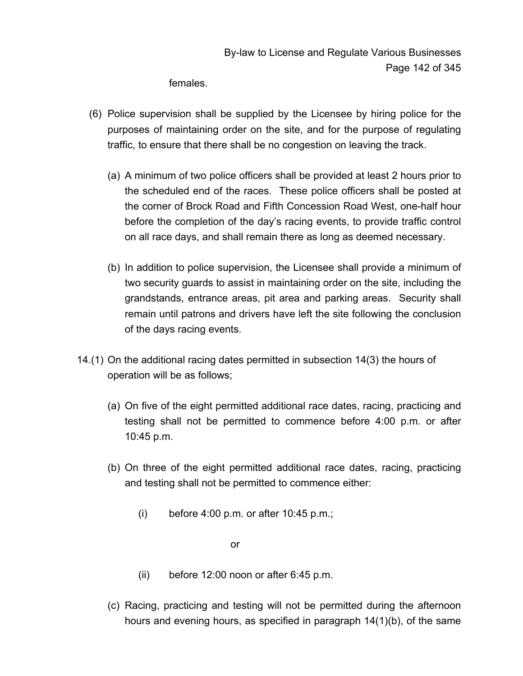females.

- (6) Police supervision shall be supplied by the Licensee by hiring police for the purposes of maintaining order on the site, and for the purpose of regulating traffic, to ensure that there shall be no congestion on leaving the track.
	- (a) A minimum of two police officers shall be provided at least 2 hours prior to the scheduled end of the races. These police officers shall be posted at the corner of Brock Road and Fifth Concession Road West, one-half hour before the completion of the day's racing events, to provide traffic control on all race days, and shall remain there as long as deemed necessary.
	- (b) In addition to police supervision, the Licensee shall provide a minimum of two security guards to assist in maintaining order on the site, including the grandstands, entrance areas, pit area and parking areas. Security shall remain until patrons and drivers have left the site following the conclusion of the days racing events.
- 14.(1) On the additional racing dates permitted in subsection 14(3) the hours of operation will be as follows;
	- (a) On five of the eight permitted additional race dates, racing, practicing and testing shall not be permitted to commence before 4:00 p.m. or after 10:45 p.m.
	- (b) On three of the eight permitted additional race dates, racing, practicing and testing shall not be permitted to commence either:
		- (i) before 4:00 p.m. or after 10:45 p.m.;

or

- (ii) before 12:00 noon or after 6:45 p.m.
- (c) Racing, practicing and testing will not be permitted during the afternoon hours and evening hours, as specified in paragraph 14(1)(b), of the same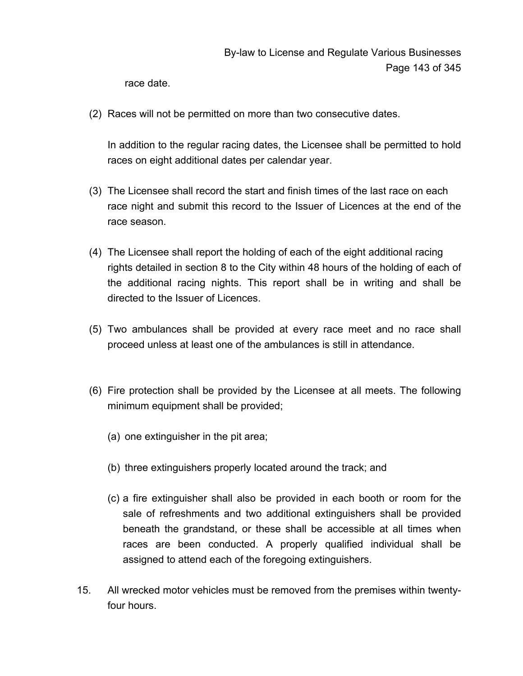race date.

(2) Races will not be permitted on more than two consecutive dates.

In addition to the regular racing dates, the Licensee shall be permitted to hold races on eight additional dates per calendar year.

- (3) The Licensee shall record the start and finish times of the last race on each race night and submit this record to the Issuer of Licences at the end of the race season.
- (4) The Licensee shall report the holding of each of the eight additional racing rights detailed in section 8 to the City within 48 hours of the holding of each of the additional racing nights. This report shall be in writing and shall be directed to the Issuer of Licences.
- (5) Two ambulances shall be provided at every race meet and no race shall proceed unless at least one of the ambulances is still in attendance.
- (6) Fire protection shall be provided by the Licensee at all meets. The following minimum equipment shall be provided;
	- (a) one extinguisher in the pit area;
	- (b) three extinguishers properly located around the track; and
	- (c) a fire extinguisher shall also be provided in each booth or room for the sale of refreshments and two additional extinguishers shall be provided beneath the grandstand, or these shall be accessible at all times when races are been conducted. A properly qualified individual shall be assigned to attend each of the foregoing extinguishers.
- 15. All wrecked motor vehicles must be removed from the premises within twentyfour hours.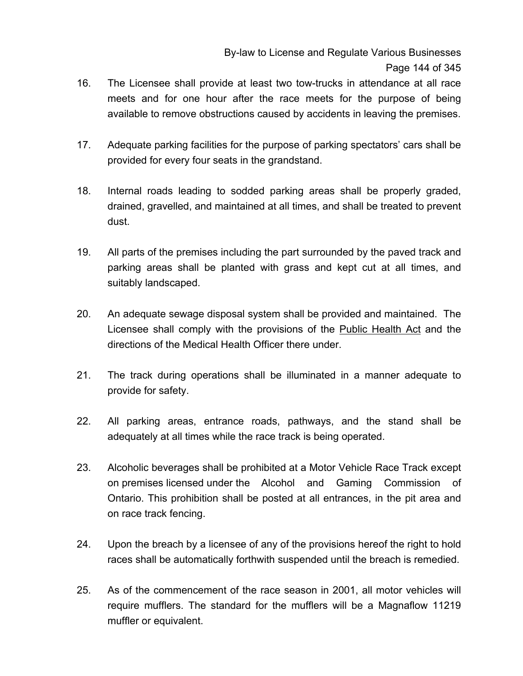- 16. The Licensee shall provide at least two tow-trucks in attendance at all race meets and for one hour after the race meets for the purpose of being available to remove obstructions caused by accidents in leaving the premises.
- 17. Adequate parking facilities for the purpose of parking spectators' cars shall be provided for every four seats in the grandstand.
- 18. Internal roads leading to sodded parking areas shall be properly graded, drained, gravelled, and maintained at all times, and shall be treated to prevent dust.
- 19. All parts of the premises including the part surrounded by the paved track and parking areas shall be planted with grass and kept cut at all times, and suitably landscaped.
- 20. An adequate sewage disposal system shall be provided and maintained. The Licensee shall comply with the provisions of the Public Health Act and the directions of the Medical Health Officer there under.
- 21. The track during operations shall be illuminated in a manner adequate to provide for safety.
- 22. All parking areas, entrance roads, pathways, and the stand shall be adequately at all times while the race track is being operated.
- 23. Alcoholic beverages shall be prohibited at a Motor Vehicle Race Track except on premises licensed under the Alcohol and Gaming Commission of Ontario. This prohibition shall be posted at all entrances, in the pit area and on race track fencing.
- 24. Upon the breach by a licensee of any of the provisions hereof the right to hold races shall be automatically forthwith suspended until the breach is remedied.
- 25. As of the commencement of the race season in 2001, all motor vehicles will require mufflers. The standard for the mufflers will be a Magnaflow 11219 muffler or equivalent.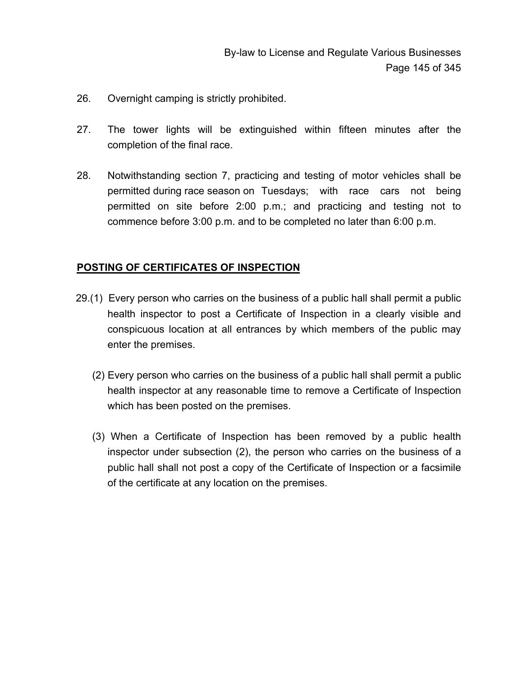- 26. Overnight camping is strictly prohibited.
- 27. The tower lights will be extinguished within fifteen minutes after the completion of the final race.
- 28. Notwithstanding section 7, practicing and testing of motor vehicles shall be permitted during race season on Tuesdays; with race cars not being permitted on site before 2:00 p.m.; and practicing and testing not to commence before 3:00 p.m. and to be completed no later than 6:00 p.m.

#### **POSTING OF CERTIFICATES OF INSPECTION**

- 29.(1) Every person who carries on the business of a public hall shall permit a public health inspector to post a Certificate of Inspection in a clearly visible and conspicuous location at all entrances by which members of the public may enter the premises.
	- (2) Every person who carries on the business of a public hall shall permit a public health inspector at any reasonable time to remove a Certificate of Inspection which has been posted on the premises.
	- (3) When a Certificate of Inspection has been removed by a public health inspector under subsection (2), the person who carries on the business of a public hall shall not post a copy of the Certificate of Inspection or a facsimile of the certificate at any location on the premises.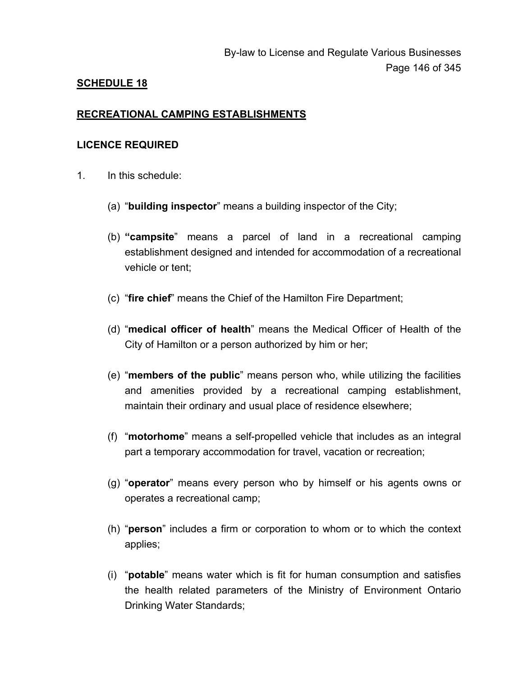## **SCHEDULE 18**

#### **RECREATIONAL CAMPING ESTABLISHMENTS**

#### **LICENCE REQUIRED**

- 1. In this schedule:
	- (a) "**building inspector**" means a building inspector of the City;
	- (b) **"campsite**" means a parcel of land in a recreational camping establishment designed and intended for accommodation of a recreational vehicle or tent;
	- (c) "**fire chief**" means the Chief of the Hamilton Fire Department;
	- (d) "**medical officer of health**" means the Medical Officer of Health of the City of Hamilton or a person authorized by him or her;
	- (e) "**members of the public**" means person who, while utilizing the facilities and amenities provided by a recreational camping establishment, maintain their ordinary and usual place of residence elsewhere;
	- (f) "**motorhome**" means a self-propelled vehicle that includes as an integral part a temporary accommodation for travel, vacation or recreation;
	- (g) "**operator**" means every person who by himself or his agents owns or operates a recreational camp;
	- (h) "**person**" includes a firm or corporation to whom or to which the context applies;
	- (i) "**potable**" means water which is fit for human consumption and satisfies the health related parameters of the Ministry of Environment Ontario Drinking Water Standards;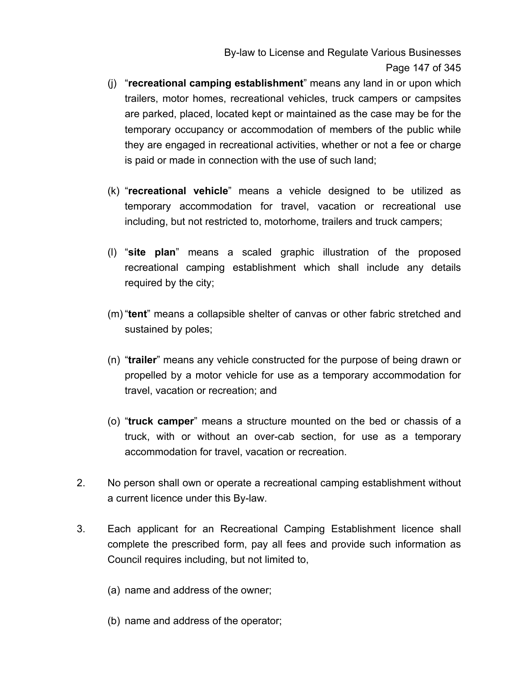By-law to License and Regulate Various Businesses Page 147 of 345

- (j) "**recreational camping establishment**" means any land in or upon which trailers, motor homes, recreational vehicles, truck campers or campsites are parked, placed, located kept or maintained as the case may be for the temporary occupancy or accommodation of members of the public while they are engaged in recreational activities, whether or not a fee or charge is paid or made in connection with the use of such land;
- (k) "**recreational vehicle**" means a vehicle designed to be utilized as temporary accommodation for travel, vacation or recreational use including, but not restricted to, motorhome, trailers and truck campers;
- (l) "**site plan**" means a scaled graphic illustration of the proposed recreational camping establishment which shall include any details required by the city;
- (m) "**tent**" means a collapsible shelter of canvas or other fabric stretched and sustained by poles;
- (n) "**trailer**" means any vehicle constructed for the purpose of being drawn or propelled by a motor vehicle for use as a temporary accommodation for travel, vacation or recreation; and
- (o) "**truck camper**" means a structure mounted on the bed or chassis of a truck, with or without an over-cab section, for use as a temporary accommodation for travel, vacation or recreation.
- 2. No person shall own or operate a recreational camping establishment without a current licence under this By-law.
- 3. Each applicant for an Recreational Camping Establishment licence shall complete the prescribed form, pay all fees and provide such information as Council requires including, but not limited to,
	- (a) name and address of the owner;
	- (b) name and address of the operator;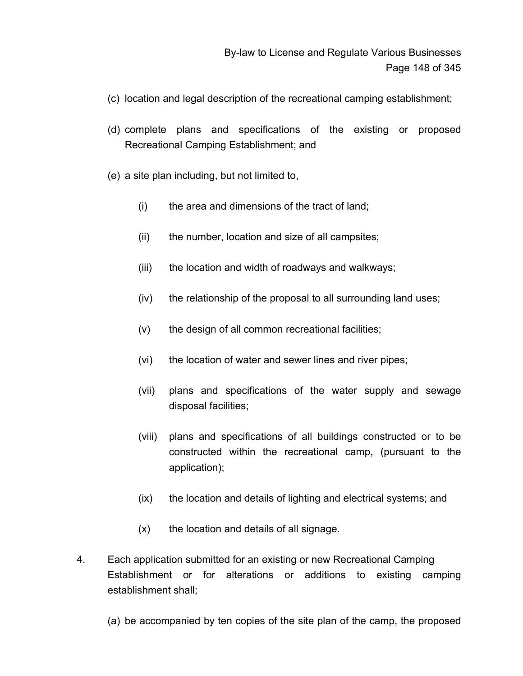- (c) location and legal description of the recreational camping establishment;
- (d) complete plans and specifications of the existing or proposed Recreational Camping Establishment; and
- (e) a site plan including, but not limited to,
	- (i) the area and dimensions of the tract of land;
	- (ii) the number, location and size of all campsites;
	- (iii) the location and width of roadways and walkways;
	- (iv) the relationship of the proposal to all surrounding land uses;
	- (v) the design of all common recreational facilities;
	- (vi) the location of water and sewer lines and river pipes;
	- (vii) plans and specifications of the water supply and sewage disposal facilities;
	- (viii) plans and specifications of all buildings constructed or to be constructed within the recreational camp, (pursuant to the application);
	- (ix) the location and details of lighting and electrical systems; and
	- (x) the location and details of all signage.
- 4. Each application submitted for an existing or new Recreational Camping Establishment or for alterations or additions to existing camping establishment shall;
	- (a) be accompanied by ten copies of the site plan of the camp, the proposed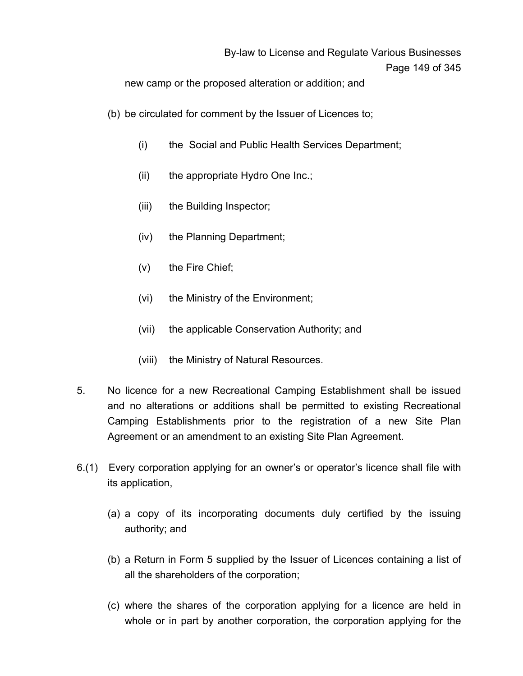new camp or the proposed alteration or addition; and

- (b) be circulated for comment by the Issuer of Licences to;
	- (i) the Social and Public Health Services Department;
	- (ii) the appropriate Hydro One Inc.;
	- (iii) the Building Inspector;
	- (iv) the Planning Department;
	- (v) the Fire Chief;
	- (vi) the Ministry of the Environment;
	- (vii) the applicable Conservation Authority; and
	- (viii) the Ministry of Natural Resources.
- 5. No licence for a new Recreational Camping Establishment shall be issued and no alterations or additions shall be permitted to existing Recreational Camping Establishments prior to the registration of a new Site Plan Agreement or an amendment to an existing Site Plan Agreement.
- 6.(1) Every corporation applying for an owner's or operator's licence shall file with its application,
	- (a) a copy of its incorporating documents duly certified by the issuing authority; and
	- (b) a Return in Form 5 supplied by the Issuer of Licences containing a list of all the shareholders of the corporation;
	- (c) where the shares of the corporation applying for a licence are held in whole or in part by another corporation, the corporation applying for the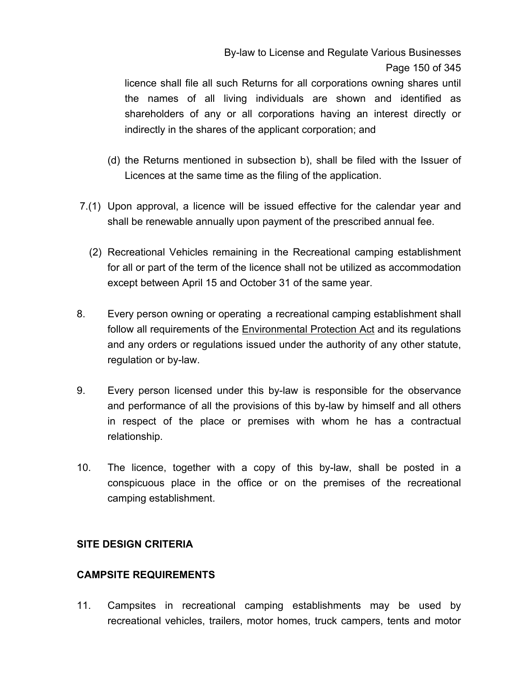# By-law to License and Regulate Various Businesses Page 150 of 345

licence shall file all such Returns for all corporations owning shares until the names of all living individuals are shown and identified as shareholders of any or all corporations having an interest directly or indirectly in the shares of the applicant corporation; and

- (d) the Returns mentioned in subsection b), shall be filed with the Issuer of Licences at the same time as the filing of the application.
- 7.(1) Upon approval, a licence will be issued effective for the calendar year and shall be renewable annually upon payment of the prescribed annual fee.
	- (2) Recreational Vehicles remaining in the Recreational camping establishment for all or part of the term of the licence shall not be utilized as accommodation except between April 15 and October 31 of the same year.
- 8. Every person owning or operating a recreational camping establishment shall follow all requirements of the Environmental Protection Act and its regulations and any orders or regulations issued under the authority of any other statute, regulation or by-law.
- 9. Every person licensed under this by-law is responsible for the observance and performance of all the provisions of this by-law by himself and all others in respect of the place or premises with whom he has a contractual relationship.
- 10. The licence, together with a copy of this by-law, shall be posted in a conspicuous place in the office or on the premises of the recreational camping establishment.

## **SITE DESIGN CRITERIA**

## **CAMPSITE REQUIREMENTS**

11. Campsites in recreational camping establishments may be used by recreational vehicles, trailers, motor homes, truck campers, tents and motor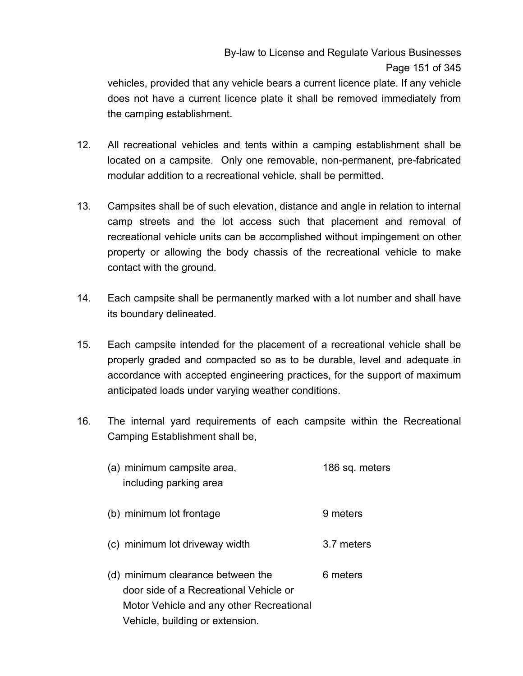# By-law to License and Regulate Various Businesses Page 151 of 345

vehicles, provided that any vehicle bears a current licence plate. If any vehicle does not have a current licence plate it shall be removed immediately from the camping establishment.

- 12. All recreational vehicles and tents within a camping establishment shall be located on a campsite. Only one removable, non-permanent, pre-fabricated modular addition to a recreational vehicle, shall be permitted.
- 13. Campsites shall be of such elevation, distance and angle in relation to internal camp streets and the lot access such that placement and removal of recreational vehicle units can be accomplished without impingement on other property or allowing the body chassis of the recreational vehicle to make contact with the ground.
- 14. Each campsite shall be permanently marked with a lot number and shall have its boundary delineated.
- 15. Each campsite intended for the placement of a recreational vehicle shall be properly graded and compacted so as to be durable, level and adequate in accordance with accepted engineering practices, for the support of maximum anticipated loads under varying weather conditions.
- 16. The internal yard requirements of each campsite within the Recreational Camping Establishment shall be,
	- (a) minimum campsite area, 186 sq. meters including parking area
	- (b) minimum lot frontage 9 meters
	- (c) minimum lot driveway width 3.7 meters
	- (d) minimum clearance between the  $6$  meters door side of a Recreational Vehicle or Motor Vehicle and any other Recreational Vehicle, building or extension.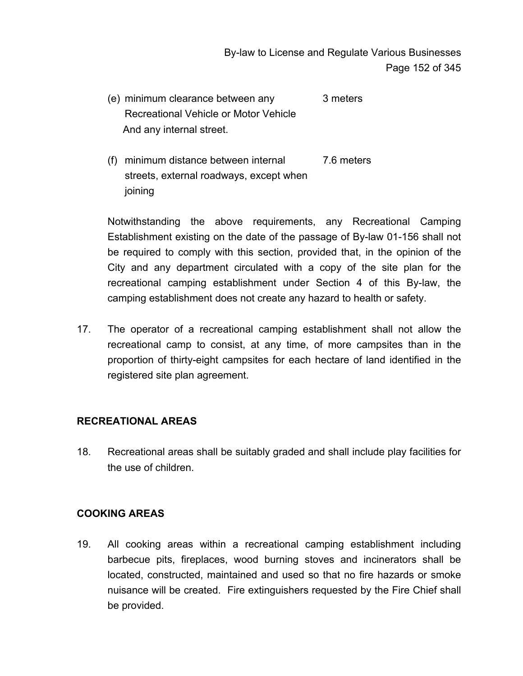- (e) minimum clearance between any 3 meters Recreational Vehicle or Motor Vehicle And any internal street.
- (f) minimum distance between internal 7.6 meters streets, external roadways, except when joining

Notwithstanding the above requirements, any Recreational Camping Establishment existing on the date of the passage of By-law 01-156 shall not be required to comply with this section, provided that, in the opinion of the City and any department circulated with a copy of the site plan for the recreational camping establishment under Section 4 of this By-law, the camping establishment does not create any hazard to health or safety.

17. The operator of a recreational camping establishment shall not allow the recreational camp to consist, at any time, of more campsites than in the proportion of thirty-eight campsites for each hectare of land identified in the registered site plan agreement.

## **RECREATIONAL AREAS**

18. Recreational areas shall be suitably graded and shall include play facilities for the use of children.

## **COOKING AREAS**

19. All cooking areas within a recreational camping establishment including barbecue pits, fireplaces, wood burning stoves and incinerators shall be located, constructed, maintained and used so that no fire hazards or smoke nuisance will be created. Fire extinguishers requested by the Fire Chief shall be provided.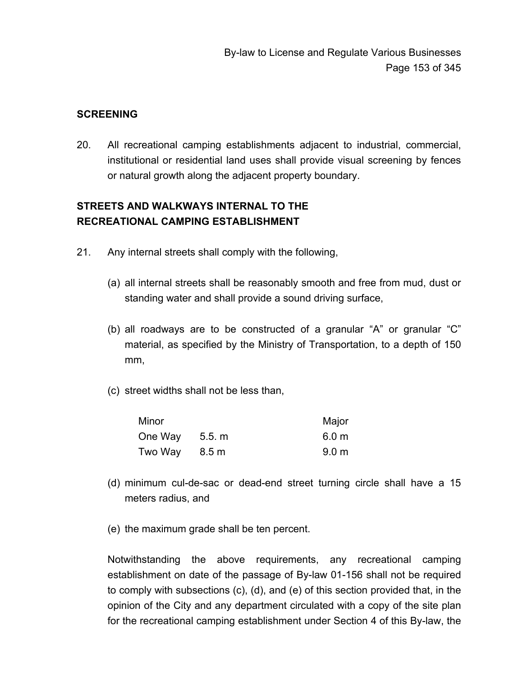#### **SCREENING**

20. All recreational camping establishments adjacent to industrial, commercial, institutional or residential land uses shall provide visual screening by fences or natural growth along the adjacent property boundary.

# **STREETS AND WALKWAYS INTERNAL TO THE RECREATIONAL CAMPING ESTABLISHMENT**

- 21. Any internal streets shall comply with the following,
	- (a) all internal streets shall be reasonably smooth and free from mud, dust or standing water and shall provide a sound driving surface,
	- (b) all roadways are to be constructed of a granular "A" or granular "C" material, as specified by the Ministry of Transportation, to a depth of 150 mm,
	- (c) street widths shall not be less than,

| Minor   |        | Major            |
|---------|--------|------------------|
| One Way | 5.5. m | 6.0 <sub>m</sub> |
| Two Way | 8.5 m  | 9.0 <sub>m</sub> |

- (d) minimum cul-de-sac or dead-end street turning circle shall have a 15 meters radius, and
- (e) the maximum grade shall be ten percent.

Notwithstanding the above requirements, any recreational camping establishment on date of the passage of By-law 01-156 shall not be required to comply with subsections (c), (d), and (e) of this section provided that, in the opinion of the City and any department circulated with a copy of the site plan for the recreational camping establishment under Section 4 of this By-law, the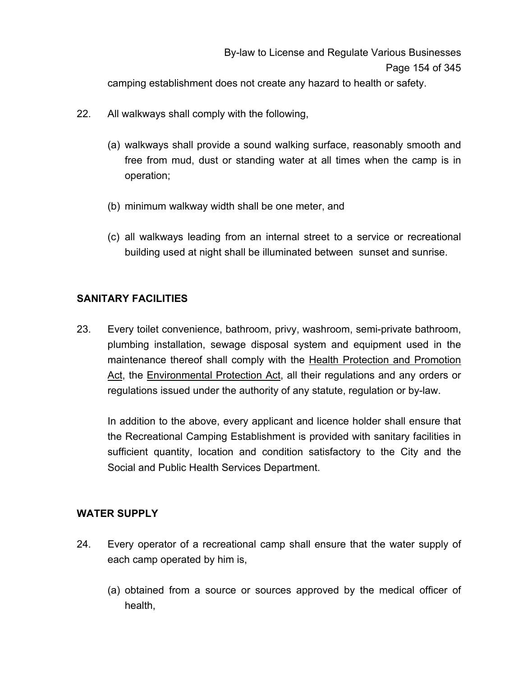camping establishment does not create any hazard to health or safety.

- 22. All walkways shall comply with the following,
	- (a) walkways shall provide a sound walking surface, reasonably smooth and free from mud, dust or standing water at all times when the camp is in operation;
	- (b) minimum walkway width shall be one meter, and
	- (c) all walkways leading from an internal street to a service or recreational building used at night shall be illuminated between sunset and sunrise.

## **SANITARY FACILITIES**

23. Every toilet convenience, bathroom, privy, washroom, semi-private bathroom, plumbing installation, sewage disposal system and equipment used in the maintenance thereof shall comply with the Health Protection and Promotion Act, the Environmental Protection Act, all their regulations and any orders or regulations issued under the authority of any statute, regulation or by-law.

In addition to the above, every applicant and licence holder shall ensure that the Recreational Camping Establishment is provided with sanitary facilities in sufficient quantity, location and condition satisfactory to the City and the Social and Public Health Services Department.

## **WATER SUPPLY**

- 24. Every operator of a recreational camp shall ensure that the water supply of each camp operated by him is,
	- (a) obtained from a source or sources approved by the medical officer of health,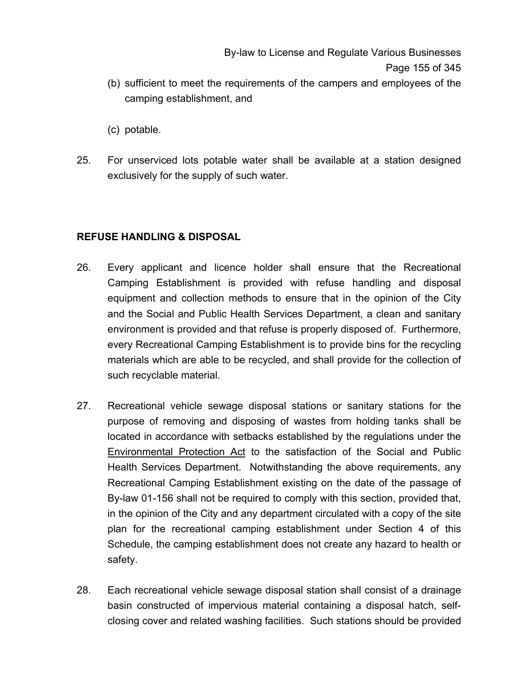- (b) sufficient to meet the requirements of the campers and employees of the camping establishment, and
- (c) potable.
- 25. For unserviced lots potable water shall be available at a station designed exclusively for the supply of such water.

## **REFUSE HANDLING & DISPOSAL**

- 26. Every applicant and licence holder shall ensure that the Recreational Camping Establishment is provided with refuse handling and disposal equipment and collection methods to ensure that in the opinion of the City and the Social and Public Health Services Department, a clean and sanitary environment is provided and that refuse is properly disposed of. Furthermore, every Recreational Camping Establishment is to provide bins for the recycling materials which are able to be recycled, and shall provide for the collection of such recyclable material.
- 27. Recreational vehicle sewage disposal stations or sanitary stations for the purpose of removing and disposing of wastes from holding tanks shall be located in accordance with setbacks established by the regulations under the Environmental Protection Act to the satisfaction of the Social and Public Health Services Department. Notwithstanding the above requirements, any Recreational Camping Establishment existing on the date of the passage of By-law 01-156 shall not be required to comply with this section, provided that, in the opinion of the City and any department circulated with a copy of the site plan for the recreational camping establishment under Section 4 of this Schedule, the camping establishment does not create any hazard to health or safety.
- 28. Each recreational vehicle sewage disposal station shall consist of a drainage basin constructed of impervious material containing a disposal hatch, selfclosing cover and related washing facilities. Such stations should be provided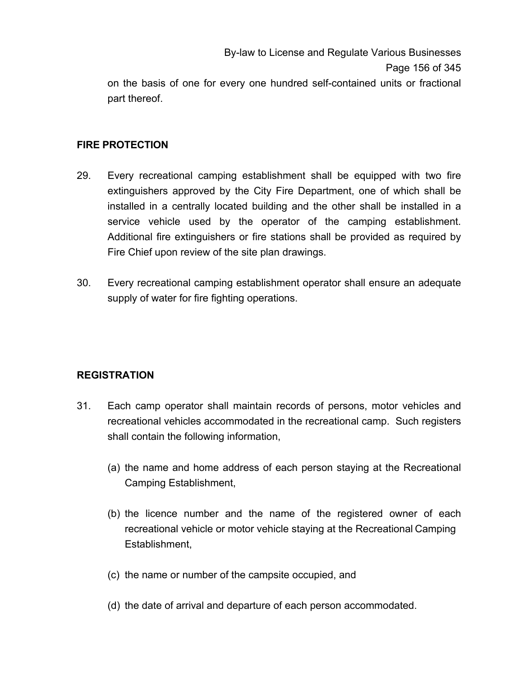By-law to License and Regulate Various Businesses Page 156 of 345 on the basis of one for every one hundred self-contained units or fractional part thereof.

#### **FIRE PROTECTION**

- 29. Every recreational camping establishment shall be equipped with two fire extinguishers approved by the City Fire Department, one of which shall be installed in a centrally located building and the other shall be installed in a service vehicle used by the operator of the camping establishment. Additional fire extinguishers or fire stations shall be provided as required by Fire Chief upon review of the site plan drawings.
- 30. Every recreational camping establishment operator shall ensure an adequate supply of water for fire fighting operations.

## **REGISTRATION**

- 31. Each camp operator shall maintain records of persons, motor vehicles and recreational vehicles accommodated in the recreational camp. Such registers shall contain the following information,
	- (a) the name and home address of each person staying at the Recreational Camping Establishment,
	- (b) the licence number and the name of the registered owner of each recreational vehicle or motor vehicle staying at the Recreational Camping Establishment,
	- (c) the name or number of the campsite occupied, and
	- (d) the date of arrival and departure of each person accommodated.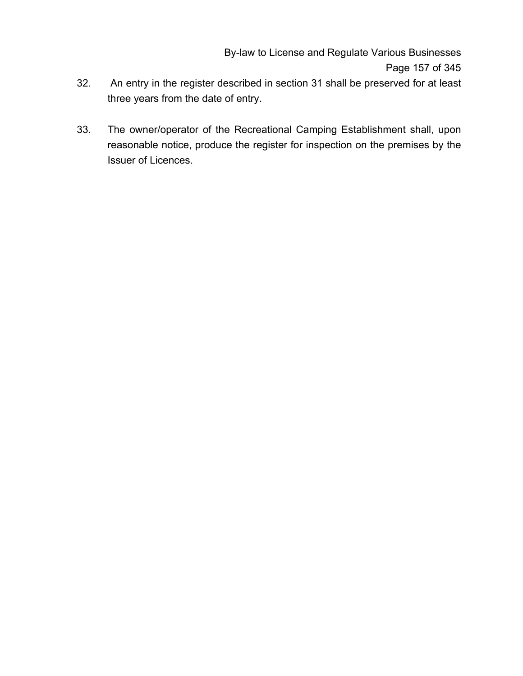By-law to License and Regulate Various Businesses Page 157 of 345

- 32. An entry in the register described in section 31 shall be preserved for at least three years from the date of entry.
- 33. The owner/operator of the Recreational Camping Establishment shall, upon reasonable notice, produce the register for inspection on the premises by the Issuer of Licences.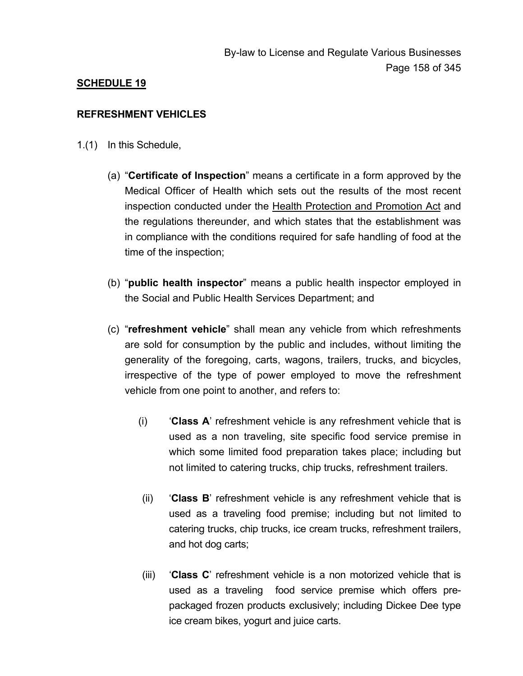## **SCHEDULE 19**

#### **REFRESHMENT VEHICLES**

- 1.(1) In this Schedule,
	- (a) "**Certificate of Inspection**" means a certificate in a form approved by the Medical Officer of Health which sets out the results of the most recent inspection conducted under the Health Protection and Promotion Act and the regulations thereunder, and which states that the establishment was in compliance with the conditions required for safe handling of food at the time of the inspection;
	- (b) "**public health inspector**" means a public health inspector employed in the Social and Public Health Services Department; and
	- (c) "**refreshment vehicle**" shall mean any vehicle from which refreshments are sold for consumption by the public and includes, without limiting the generality of the foregoing, carts, wagons, trailers, trucks, and bicycles, irrespective of the type of power employed to move the refreshment vehicle from one point to another, and refers to:
		- (i) '**Class A**' refreshment vehicle is any refreshment vehicle that is used as a non traveling, site specific food service premise in which some limited food preparation takes place; including but not limited to catering trucks, chip trucks, refreshment trailers.
		- (ii) '**Class B**' refreshment vehicle is any refreshment vehicle that is used as a traveling food premise; including but not limited to catering trucks, chip trucks, ice cream trucks, refreshment trailers, and hot dog carts;
		- (iii) '**Class C**' refreshment vehicle is a non motorized vehicle that is used as a traveling food service premise which offers prepackaged frozen products exclusively; including Dickee Dee type ice cream bikes, yogurt and juice carts.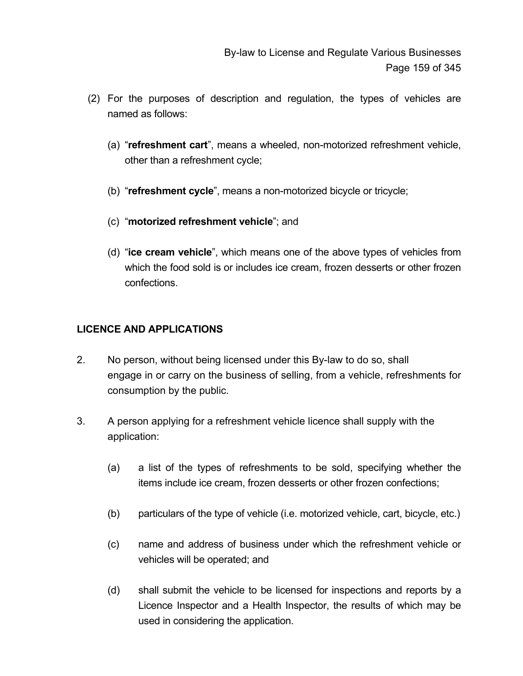- (2) For the purposes of description and regulation, the types of vehicles are named as follows:
	- (a) "**refreshment cart**", means a wheeled, non-motorized refreshment vehicle, other than a refreshment cycle;
	- (b) "**refreshment cycle**", means a non-motorized bicycle or tricycle;
	- (c) "**motorized refreshment vehicle**"; and
	- (d) "**ice cream vehicle**", which means one of the above types of vehicles from which the food sold is or includes ice cream, frozen desserts or other frozen confections.

## **LICENCE AND APPLICATIONS**

- 2. No person, without being licensed under this By-law to do so, shall engage in or carry on the business of selling, from a vehicle, refreshments for consumption by the public.
- 3. A person applying for a refreshment vehicle licence shall supply with the application:
	- (a) a list of the types of refreshments to be sold, specifying whether the items include ice cream, frozen desserts or other frozen confections;
	- (b) particulars of the type of vehicle (i.e. motorized vehicle, cart, bicycle, etc.)
	- (c) name and address of business under which the refreshment vehicle or vehicles will be operated; and
	- (d) shall submit the vehicle to be licensed for inspections and reports by a Licence Inspector and a Health Inspector, the results of which may be used in considering the application.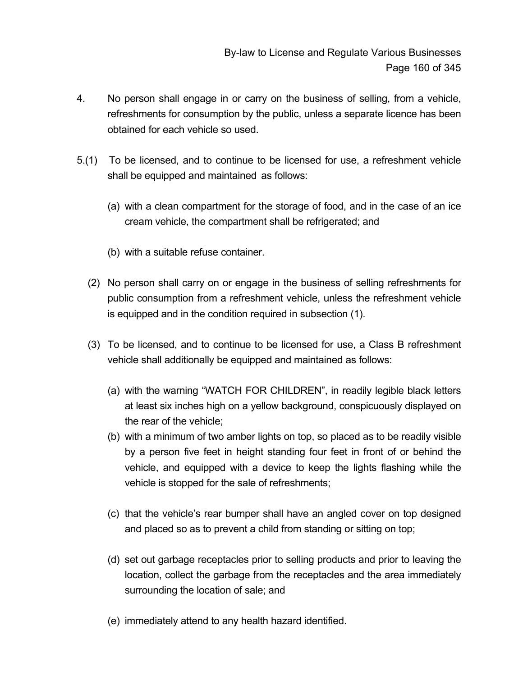- 4. No person shall engage in or carry on the business of selling, from a vehicle, refreshments for consumption by the public, unless a separate licence has been obtained for each vehicle so used.
- 5.(1) To be licensed, and to continue to be licensed for use, a refreshment vehicle shall be equipped and maintained as follows:
	- (a) with a clean compartment for the storage of food, and in the case of an ice cream vehicle, the compartment shall be refrigerated; and
	- (b) with a suitable refuse container.
	- (2) No person shall carry on or engage in the business of selling refreshments for public consumption from a refreshment vehicle, unless the refreshment vehicle is equipped and in the condition required in subsection (1).
	- (3) To be licensed, and to continue to be licensed for use, a Class B refreshment vehicle shall additionally be equipped and maintained as follows:
		- (a) with the warning "WATCH FOR CHILDREN", in readily legible black letters at least six inches high on a yellow background, conspicuously displayed on the rear of the vehicle;
		- (b) with a minimum of two amber lights on top, so placed as to be readily visible by a person five feet in height standing four feet in front of or behind the vehicle, and equipped with a device to keep the lights flashing while the vehicle is stopped for the sale of refreshments;
		- (c) that the vehicle's rear bumper shall have an angled cover on top designed and placed so as to prevent a child from standing or sitting on top;
		- (d) set out garbage receptacles prior to selling products and prior to leaving the location, collect the garbage from the receptacles and the area immediately surrounding the location of sale; and
		- (e) immediately attend to any health hazard identified.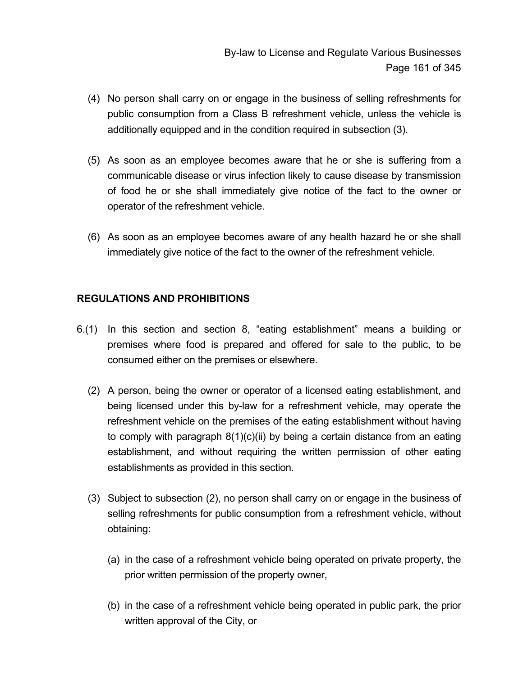- (4) No person shall carry on or engage in the business of selling refreshments for public consumption from a Class B refreshment vehicle, unless the vehicle is additionally equipped and in the condition required in subsection (3).
- (5) As soon as an employee becomes aware that he or she is suffering from a communicable disease or virus infection likely to cause disease by transmission of food he or she shall immediately give notice of the fact to the owner or operator of the refreshment vehicle.
- (6) As soon as an employee becomes aware of any health hazard he or she shall immediately give notice of the fact to the owner of the refreshment vehicle.

## **REGULATIONS AND PROHIBITIONS**

- 6.(1) In this section and section 8, "eating establishment" means a building or premises where food is prepared and offered for sale to the public, to be consumed either on the premises or elsewhere.
	- (2) A person, being the owner or operator of a licensed eating establishment, and being licensed under this by-law for a refreshment vehicle, may operate the refreshment vehicle on the premises of the eating establishment without having to comply with paragraph 8(1)(c)(ii) by being a certain distance from an eating establishment, and without requiring the written permission of other eating establishments as provided in this section.
	- (3) Subject to subsection (2), no person shall carry on or engage in the business of selling refreshments for public consumption from a refreshment vehicle, without obtaining:
		- (a) in the case of a refreshment vehicle being operated on private property, the prior written permission of the property owner,
		- (b) in the case of a refreshment vehicle being operated in public park, the prior written approval of the City, or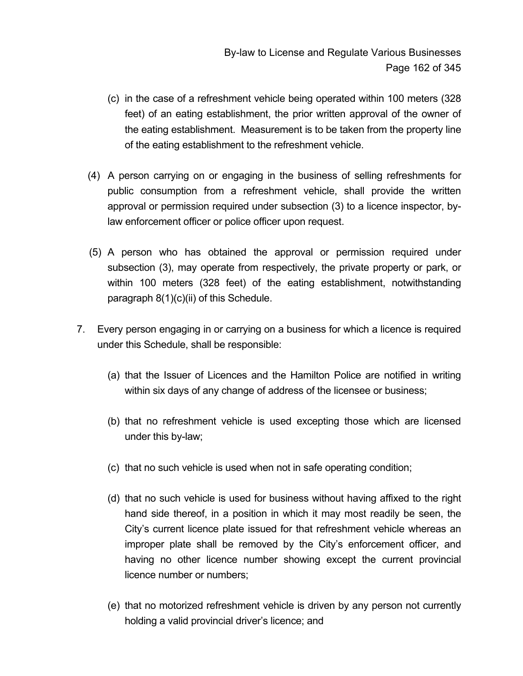- (c) in the case of a refreshment vehicle being operated within 100 meters (328 feet) of an eating establishment, the prior written approval of the owner of the eating establishment. Measurement is to be taken from the property line of the eating establishment to the refreshment vehicle.
- (4) A person carrying on or engaging in the business of selling refreshments for public consumption from a refreshment vehicle, shall provide the written approval or permission required under subsection (3) to a licence inspector, bylaw enforcement officer or police officer upon request.
- (5) A person who has obtained the approval or permission required under subsection (3), may operate from respectively, the private property or park, or within 100 meters (328 feet) of the eating establishment, notwithstanding paragraph 8(1)(c)(ii) of this Schedule.
- 7. Every person engaging in or carrying on a business for which a licence is required under this Schedule, shall be responsible:
	- (a) that the Issuer of Licences and the Hamilton Police are notified in writing within six days of any change of address of the licensee or business;
	- (b) that no refreshment vehicle is used excepting those which are licensed under this by-law;
	- (c) that no such vehicle is used when not in safe operating condition;
	- (d) that no such vehicle is used for business without having affixed to the right hand side thereof, in a position in which it may most readily be seen, the City's current licence plate issued for that refreshment vehicle whereas an improper plate shall be removed by the City's enforcement officer, and having no other licence number showing except the current provincial licence number or numbers;
	- (e) that no motorized refreshment vehicle is driven by any person not currently holding a valid provincial driver's licence; and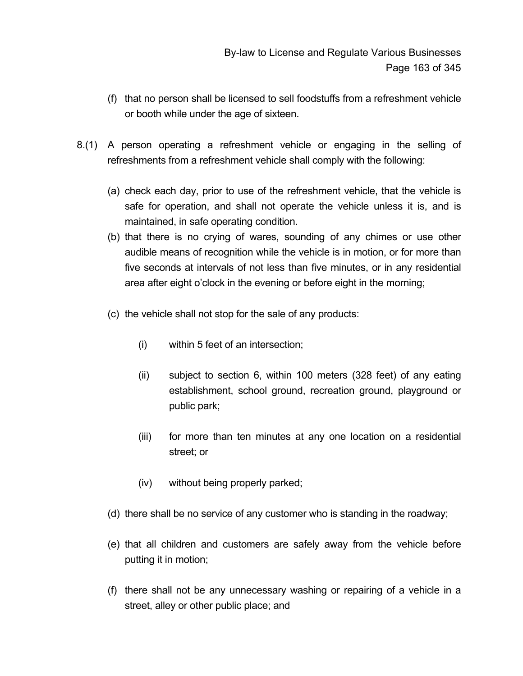- (f) that no person shall be licensed to sell foodstuffs from a refreshment vehicle or booth while under the age of sixteen.
- 8.(1) A person operating a refreshment vehicle or engaging in the selling of refreshments from a refreshment vehicle shall comply with the following:
	- (a) check each day, prior to use of the refreshment vehicle, that the vehicle is safe for operation, and shall not operate the vehicle unless it is, and is maintained, in safe operating condition.
	- (b) that there is no crying of wares, sounding of any chimes or use other audible means of recognition while the vehicle is in motion, or for more than five seconds at intervals of not less than five minutes, or in any residential area after eight o'clock in the evening or before eight in the morning;
	- (c) the vehicle shall not stop for the sale of any products:
		- (i) within 5 feet of an intersection;
		- (ii) subject to section 6, within 100 meters (328 feet) of any eating establishment, school ground, recreation ground, playground or public park;
		- (iii) for more than ten minutes at any one location on a residential street; or
		- (iv) without being properly parked;
	- (d) there shall be no service of any customer who is standing in the roadway;
	- (e) that all children and customers are safely away from the vehicle before putting it in motion;
	- (f) there shall not be any unnecessary washing or repairing of a vehicle in a street, alley or other public place; and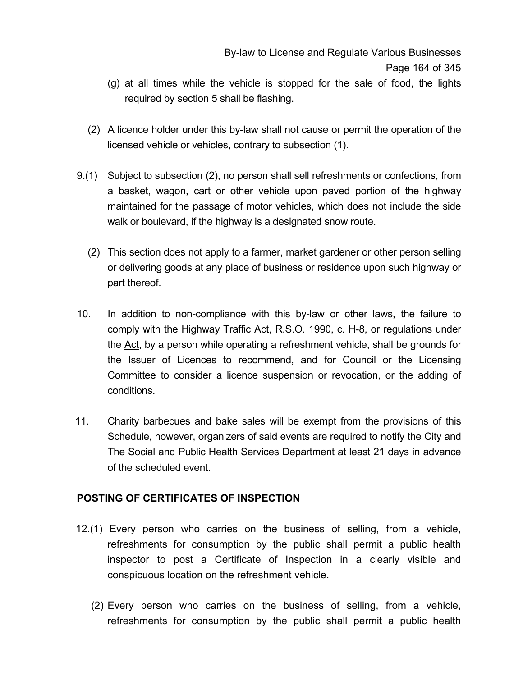- (g) at all times while the vehicle is stopped for the sale of food, the lights required by section 5 shall be flashing.
- (2) A licence holder under this by-law shall not cause or permit the operation of the licensed vehicle or vehicles, contrary to subsection (1).
- 9.(1) Subject to subsection (2), no person shall sell refreshments or confections, from a basket, wagon, cart or other vehicle upon paved portion of the highway maintained for the passage of motor vehicles, which does not include the side walk or boulevard, if the highway is a designated snow route.
	- (2) This section does not apply to a farmer, market gardener or other person selling or delivering goods at any place of business or residence upon such highway or part thereof.
- 10. In addition to non-compliance with this by-law or other laws, the failure to comply with the Highway Traffic Act, R.S.O. 1990, c. H-8, or regulations under the Act, by a person while operating a refreshment vehicle, shall be grounds for the Issuer of Licences to recommend, and for Council or the Licensing Committee to consider a licence suspension or revocation, or the adding of conditions.
- 11. Charity barbecues and bake sales will be exempt from the provisions of this Schedule, however, organizers of said events are required to notify the City and The Social and Public Health Services Department at least 21 days in advance of the scheduled event.

## **POSTING OF CERTIFICATES OF INSPECTION**

- 12.(1) Every person who carries on the business of selling, from a vehicle, refreshments for consumption by the public shall permit a public health inspector to post a Certificate of Inspection in a clearly visible and conspicuous location on the refreshment vehicle.
	- (2) Every person who carries on the business of selling, from a vehicle, refreshments for consumption by the public shall permit a public health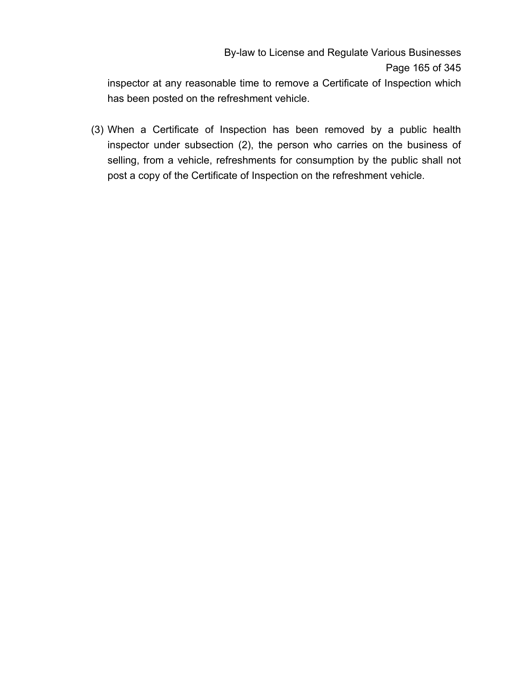inspector at any reasonable time to remove a Certificate of Inspection which has been posted on the refreshment vehicle.

 (3) When a Certificate of Inspection has been removed by a public health inspector under subsection (2), the person who carries on the business of selling, from a vehicle, refreshments for consumption by the public shall not post a copy of the Certificate of Inspection on the refreshment vehicle.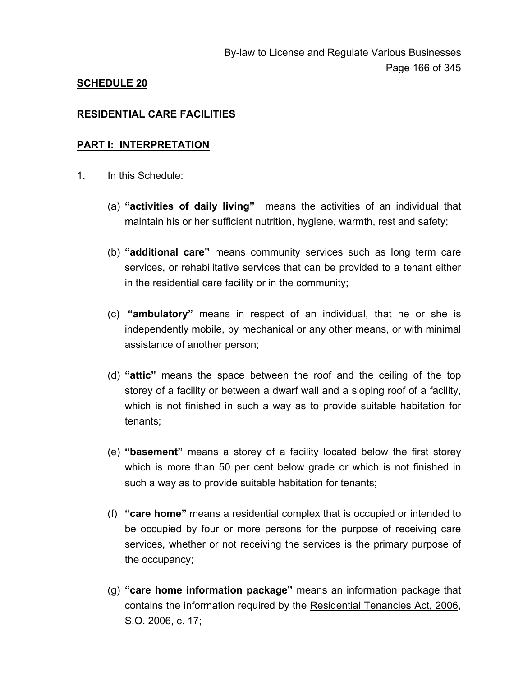## **SCHEDULE 20**

#### **RESIDENTIAL CARE FACILITIES**

#### **PART I: INTERPRETATION**

- 1. In this Schedule:
	- (a) **"activities of daily living"** means the activities of an individual that maintain his or her sufficient nutrition, hygiene, warmth, rest and safety;
	- (b) **"additional care"** means community services such as long term care services, or rehabilitative services that can be provided to a tenant either in the residential care facility or in the community;
	- (c) **"ambulatory"** means in respect of an individual, that he or she is independently mobile, by mechanical or any other means, or with minimal assistance of another person;
	- (d) **"attic"** means the space between the roof and the ceiling of the top storey of a facility or between a dwarf wall and a sloping roof of a facility, which is not finished in such a way as to provide suitable habitation for tenants;
	- (e) **"basement"** means a storey of a facility located below the first storey which is more than 50 per cent below grade or which is not finished in such a way as to provide suitable habitation for tenants;
	- (f) **"care home"** means a residential complex that is occupied or intended to be occupied by four or more persons for the purpose of receiving care services, whether or not receiving the services is the primary purpose of the occupancy;
	- (g) **"care home information package"** means an information package that contains the information required by the Residential Tenancies Act, 2006, S.O. 2006, c. 17;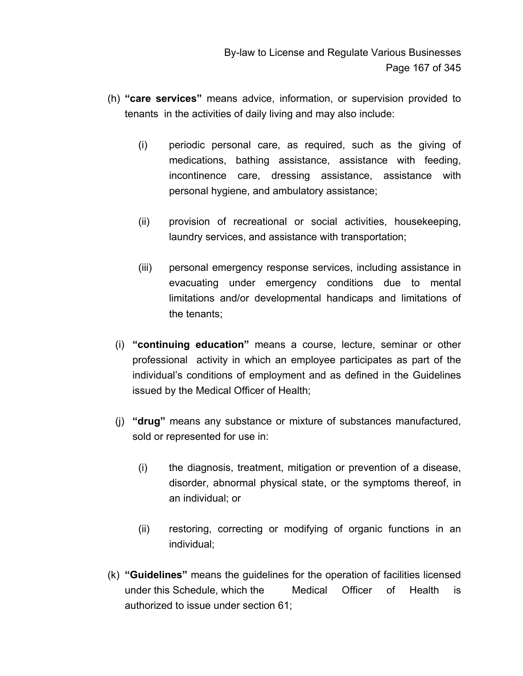- (h) **"care services"** means advice, information, or supervision provided to tenants in the activities of daily living and may also include:
	- (i) periodic personal care, as required, such as the giving of medications, bathing assistance, assistance with feeding, incontinence care, dressing assistance, assistance with personal hygiene, and ambulatory assistance;
	- (ii) provision of recreational or social activities, housekeeping, laundry services, and assistance with transportation;
	- (iii) personal emergency response services, including assistance in evacuating under emergency conditions due to mental limitations and/or developmental handicaps and limitations of the tenants;
	- (i) **"continuing education"** means a course, lecture, seminar or other professional activity in which an employee participates as part of the individual's conditions of employment and as defined in the Guidelines issued by the Medical Officer of Health;
	- (j) **"drug"** means any substance or mixture of substances manufactured, sold or represented for use in:
		- (i) the diagnosis, treatment, mitigation or prevention of a disease, disorder, abnormal physical state, or the symptoms thereof, in an individual; or
		- (ii) restoring, correcting or modifying of organic functions in an individual;
- (k) **"Guidelines"** means the guidelines for the operation of facilities licensed under this Schedule, which the Medical Officer of Health is authorized to issue under section 61;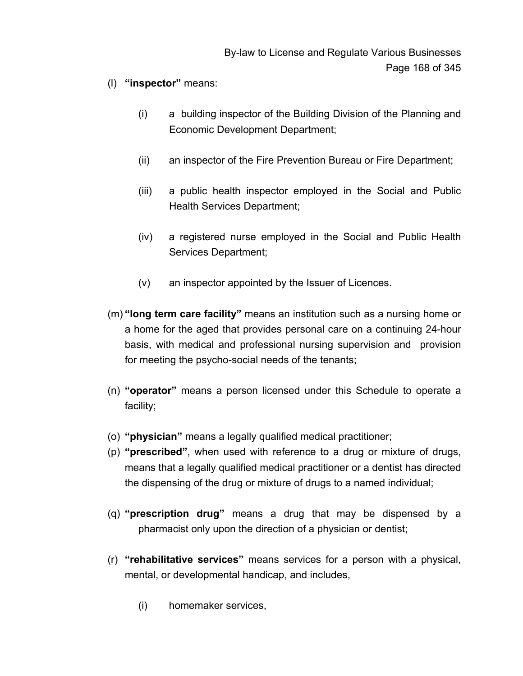- (l) **"inspector"** means:
	- (i) a building inspector of the Building Division of the Planning and Economic Development Department;
	- (ii) an inspector of the Fire Prevention Bureau or Fire Department;
	- (iii) a public health inspector employed in the Social and Public Health Services Department;
	- (iv) a registered nurse employed in the Social and Public Health Services Department;
	- (v) an inspector appointed by the Issuer of Licences.
- (m) **"long term care facility"** means an institution such as a nursing home or a home for the aged that provides personal care on a continuing 24-hour basis, with medical and professional nursing supervision and provision for meeting the psycho-social needs of the tenants;
- (n) **"operator"** means a person licensed under this Schedule to operate a facility;
- (o) **"physician"** means a legally qualified medical practitioner;
- (p) **"prescribed"**, when used with reference to a drug or mixture of drugs, means that a legally qualified medical practitioner or a dentist has directed the dispensing of the drug or mixture of drugs to a named individual;
- (q) **"prescription drug"** means a drug that may be dispensed by a pharmacist only upon the direction of a physician or dentist;
- (r) **"rehabilitative services"** means services for a person with a physical, mental, or developmental handicap, and includes,
	- (i) homemaker services,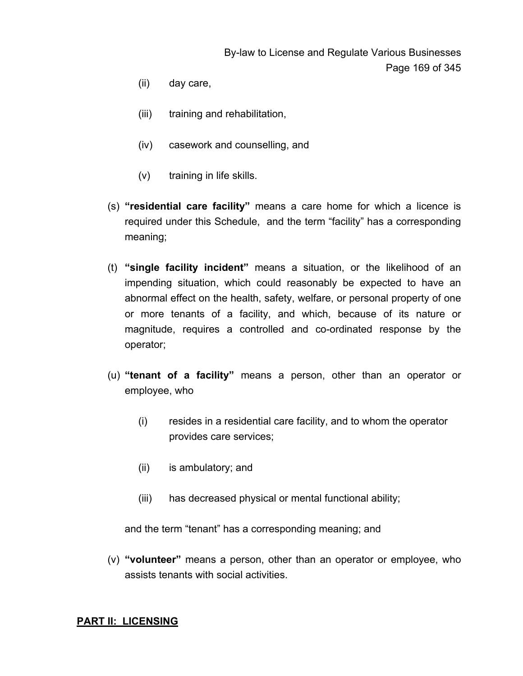- (ii) day care,
- (iii) training and rehabilitation,
- (iv) casework and counselling, and
- (v) training in life skills.
- (s) **"residential care facility"** means a care home for which a licence is required under this Schedule, and the term "facility" has a corresponding meaning;
- (t) **"single facility incident"** means a situation, or the likelihood of an impending situation, which could reasonably be expected to have an abnormal effect on the health, safety, welfare, or personal property of one or more tenants of a facility, and which, because of its nature or magnitude, requires a controlled and co-ordinated response by the operator;
- (u) **"tenant of a facility"** means a person, other than an operator or employee, who
	- (i) resides in a residential care facility, and to whom the operator provides care services;
	- (ii) is ambulatory; and
	- (iii) has decreased physical or mental functional ability;

and the term "tenant" has a corresponding meaning; and

(v) **"volunteer"** means a person, other than an operator or employee, who assists tenants with social activities.

#### **PART II: LICENSING**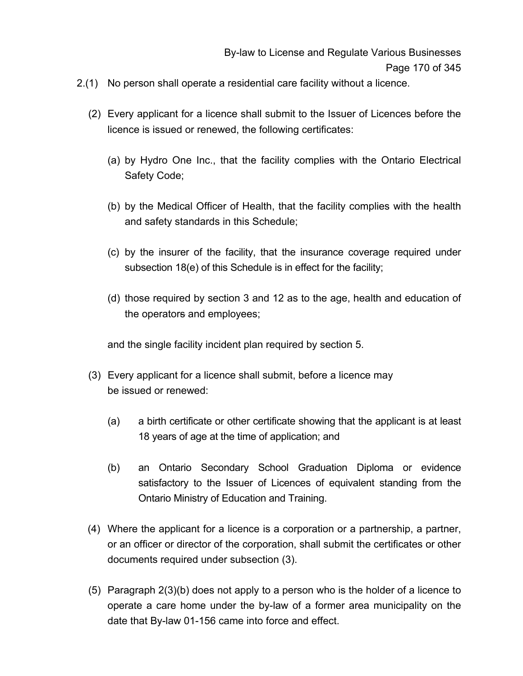- 2.(1) No person shall operate a residential care facility without a licence.
	- (2) Every applicant for a licence shall submit to the Issuer of Licences before the licence is issued or renewed, the following certificates:
		- (a) by Hydro One Inc., that the facility complies with the Ontario Electrical Safety Code;
		- (b) by the Medical Officer of Health, that the facility complies with the health and safety standards in this Schedule;
		- (c) by the insurer of the facility, that the insurance coverage required under subsection 18(e) of this Schedule is in effect for the facility;
		- (d) those required by section 3 and 12 as to the age, health and education of the operators and employees;

and the single facility incident plan required by section 5.

- (3) Every applicant for a licence shall submit, before a licence may be issued or renewed:
	- (a) a birth certificate or other certificate showing that the applicant is at least 18 years of age at the time of application; and
	- (b) an Ontario Secondary School Graduation Diploma or evidence satisfactory to the Issuer of Licences of equivalent standing from the Ontario Ministry of Education and Training.
- (4) Where the applicant for a licence is a corporation or a partnership, a partner, or an officer or director of the corporation, shall submit the certificates or other documents required under subsection (3).
- (5) Paragraph 2(3)(b) does not apply to a person who is the holder of a licence to operate a care home under the by-law of a former area municipality on the date that By-law 01-156 came into force and effect.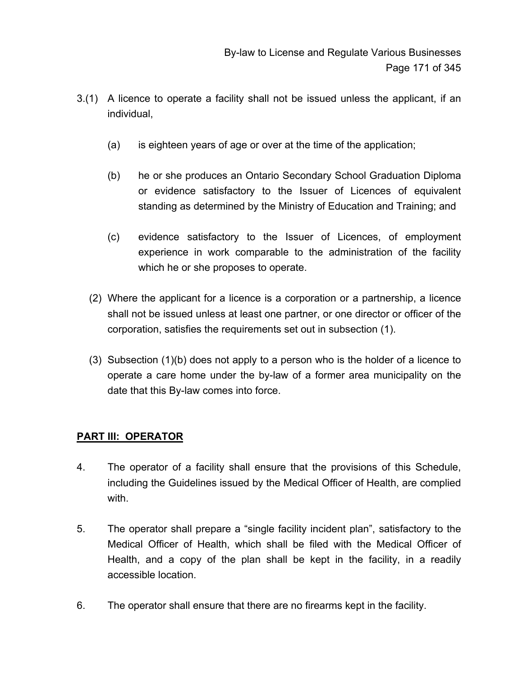- 3.(1) A licence to operate a facility shall not be issued unless the applicant, if an individual,
	- (a) is eighteen years of age or over at the time of the application;
	- (b) he or she produces an Ontario Secondary School Graduation Diploma or evidence satisfactory to the Issuer of Licences of equivalent standing as determined by the Ministry of Education and Training; and
	- (c) evidence satisfactory to the Issuer of Licences, of employment experience in work comparable to the administration of the facility which he or she proposes to operate.
	- (2) Where the applicant for a licence is a corporation or a partnership, a licence shall not be issued unless at least one partner, or one director or officer of the corporation, satisfies the requirements set out in subsection (1).
	- (3) Subsection (1)(b) does not apply to a person who is the holder of a licence to operate a care home under the by-law of a former area municipality on the date that this By-law comes into force.

#### **PART III: OPERATOR**

- 4. The operator of a facility shall ensure that the provisions of this Schedule, including the Guidelines issued by the Medical Officer of Health, are complied with.
- 5. The operator shall prepare a "single facility incident plan", satisfactory to the Medical Officer of Health, which shall be filed with the Medical Officer of Health, and a copy of the plan shall be kept in the facility, in a readily accessible location.
- 6. The operator shall ensure that there are no firearms kept in the facility.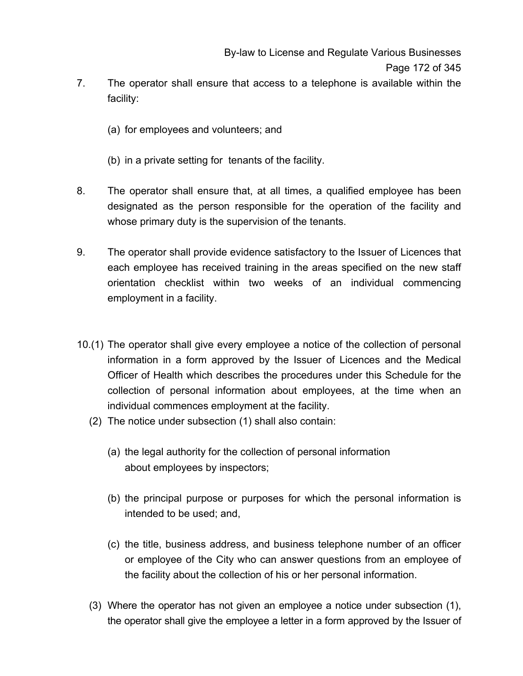- 7. The operator shall ensure that access to a telephone is available within the facility:
	- (a) for employees and volunteers; and
	- (b) in a private setting for tenants of the facility.
- 8. The operator shall ensure that, at all times, a qualified employee has been designated as the person responsible for the operation of the facility and whose primary duty is the supervision of the tenants.
- 9. The operator shall provide evidence satisfactory to the Issuer of Licences that each employee has received training in the areas specified on the new staff orientation checklist within two weeks of an individual commencing employment in a facility.
- 10.(1) The operator shall give every employee a notice of the collection of personal information in a form approved by the Issuer of Licences and the Medical Officer of Health which describes the procedures under this Schedule for the collection of personal information about employees, at the time when an individual commences employment at the facility.
	- (2) The notice under subsection (1) shall also contain:
		- (a) the legal authority for the collection of personal information about employees by inspectors;
		- (b) the principal purpose or purposes for which the personal information is intended to be used; and,
		- (c) the title, business address, and business telephone number of an officer or employee of the City who can answer questions from an employee of the facility about the collection of his or her personal information.
	- (3) Where the operator has not given an employee a notice under subsection (1), the operator shall give the employee a letter in a form approved by the Issuer of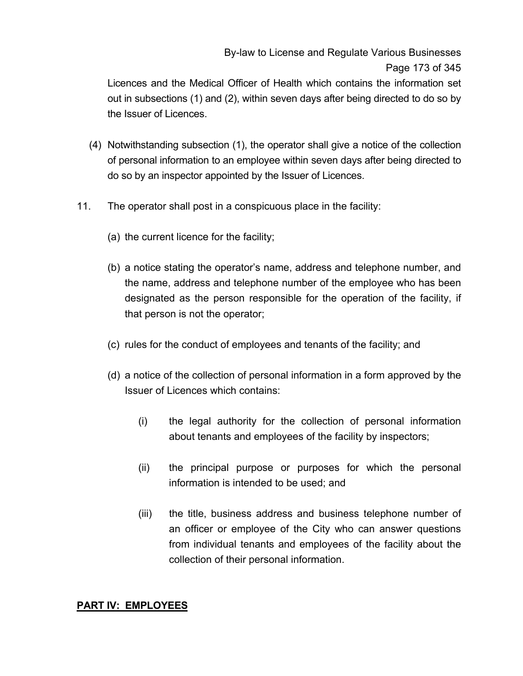# By-law to License and Regulate Various Businesses Page 173 of 345

Licences and the Medical Officer of Health which contains the information set out in subsections (1) and (2), within seven days after being directed to do so by the Issuer of Licences.

- (4) Notwithstanding subsection (1), the operator shall give a notice of the collection of personal information to an employee within seven days after being directed to do so by an inspector appointed by the Issuer of Licences.
- 11. The operator shall post in a conspicuous place in the facility:
	- (a) the current licence for the facility;
	- (b) a notice stating the operator's name, address and telephone number, and the name, address and telephone number of the employee who has been designated as the person responsible for the operation of the facility, if that person is not the operator;
	- (c) rules for the conduct of employees and tenants of the facility; and
	- (d) a notice of the collection of personal information in a form approved by the Issuer of Licences which contains:
		- (i) the legal authority for the collection of personal information about tenants and employees of the facility by inspectors;
		- (ii) the principal purpose or purposes for which the personal information is intended to be used; and
		- (iii) the title, business address and business telephone number of an officer or employee of the City who can answer questions from individual tenants and employees of the facility about the collection of their personal information.

#### **PART IV: EMPLOYEES**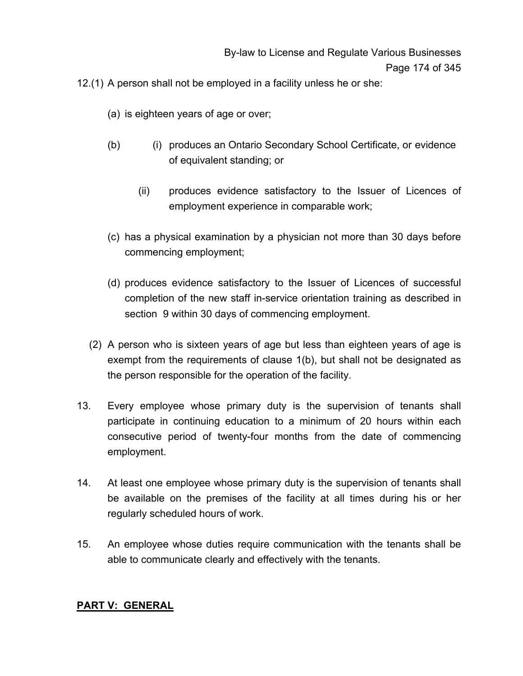12.(1) A person shall not be employed in a facility unless he or she:

- (a) is eighteen years of age or over;
- (b) (i) produces an Ontario Secondary School Certificate, or evidence of equivalent standing; or
	- (ii) produces evidence satisfactory to the Issuer of Licences of employment experience in comparable work;
- (c) has a physical examination by a physician not more than 30 days before commencing employment;
- (d) produces evidence satisfactory to the Issuer of Licences of successful completion of the new staff in-service orientation training as described in section 9 within 30 days of commencing employment.
- (2) A person who is sixteen years of age but less than eighteen years of age is exempt from the requirements of clause 1(b), but shall not be designated as the person responsible for the operation of the facility.
- 13. Every employee whose primary duty is the supervision of tenants shall participate in continuing education to a minimum of 20 hours within each consecutive period of twenty-four months from the date of commencing employment.
- 14. At least one employee whose primary duty is the supervision of tenants shall be available on the premises of the facility at all times during his or her regularly scheduled hours of work.
- 15. An employee whose duties require communication with the tenants shall be able to communicate clearly and effectively with the tenants.

#### **PART V: GENERAL**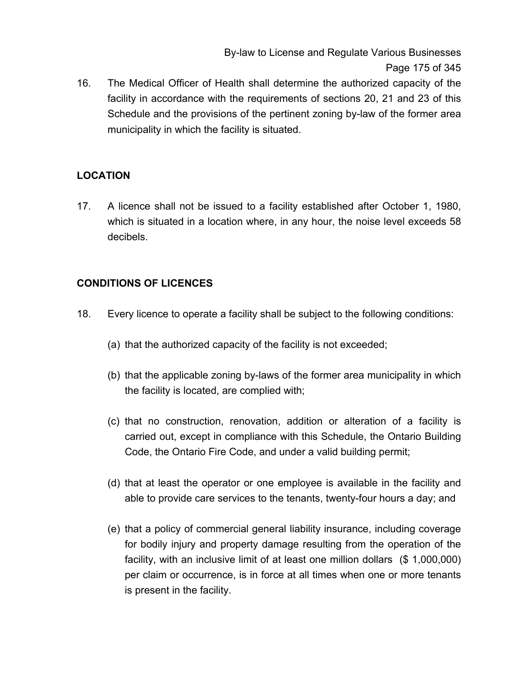By-law to License and Regulate Various Businesses Page 175 of 345

16. The Medical Officer of Health shall determine the authorized capacity of the facility in accordance with the requirements of sections 20, 21 and 23 of this Schedule and the provisions of the pertinent zoning by-law of the former area municipality in which the facility is situated.

# **LOCATION**

17. A licence shall not be issued to a facility established after October 1, 1980, which is situated in a location where, in any hour, the noise level exceeds 58 decibels.

# **CONDITIONS OF LICENCES**

- 18. Every licence to operate a facility shall be subject to the following conditions:
	- (a) that the authorized capacity of the facility is not exceeded;
	- (b) that the applicable zoning by-laws of the former area municipality in which the facility is located, are complied with;
	- (c) that no construction, renovation, addition or alteration of a facility is carried out, except in compliance with this Schedule, the Ontario Building Code, the Ontario Fire Code, and under a valid building permit;
	- (d) that at least the operator or one employee is available in the facility and able to provide care services to the tenants, twenty-four hours a day; and
	- (e) that a policy of commercial general liability insurance, including coverage for bodily injury and property damage resulting from the operation of the facility, with an inclusive limit of at least one million dollars (\$ 1,000,000) per claim or occurrence, is in force at all times when one or more tenants is present in the facility.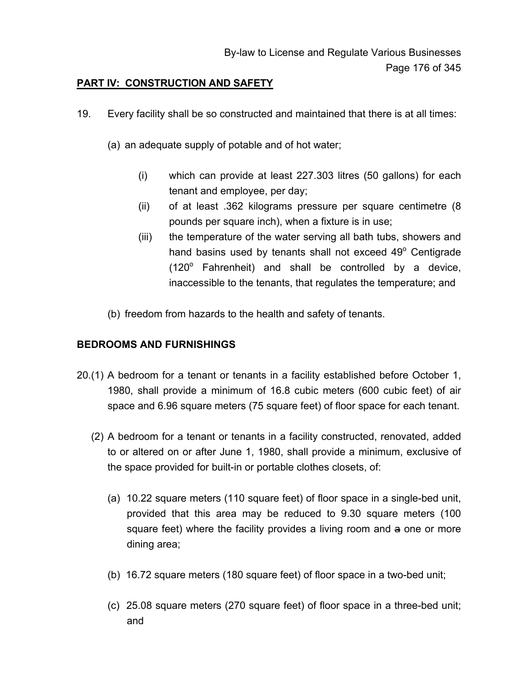## **PART IV: CONSTRUCTION AND SAFETY**

- 19. Every facility shall be so constructed and maintained that there is at all times:
	- (a) an adequate supply of potable and of hot water;
		- (i) which can provide at least 227.303 litres (50 gallons) for each tenant and employee, per day;
		- (ii) of at least .362 kilograms pressure per square centimetre (8 pounds per square inch), when a fixture is in use;
		- (iii) the temperature of the water serving all bath tubs, showers and hand basins used by tenants shall not exceed 49° Centigrade  $(120^{\circ}$  Fahrenheit) and shall be controlled by a device, inaccessible to the tenants, that regulates the temperature; and
	- (b) freedom from hazards to the health and safety of tenants.

## **BEDROOMS AND FURNISHINGS**

- 20.(1) A bedroom for a tenant or tenants in a facility established before October 1, 1980, shall provide a minimum of 16.8 cubic meters (600 cubic feet) of air space and 6.96 square meters (75 square feet) of floor space for each tenant.
	- (2) A bedroom for a tenant or tenants in a facility constructed, renovated, added to or altered on or after June 1, 1980, shall provide a minimum, exclusive of the space provided for built-in or portable clothes closets, of:
		- (a) 10.22 square meters (110 square feet) of floor space in a single-bed unit, provided that this area may be reduced to 9.30 square meters (100 square feet) where the facility provides a living room and a one or more dining area;
		- (b) 16.72 square meters (180 square feet) of floor space in a two-bed unit;
		- (c) 25.08 square meters (270 square feet) of floor space in a three-bed unit; and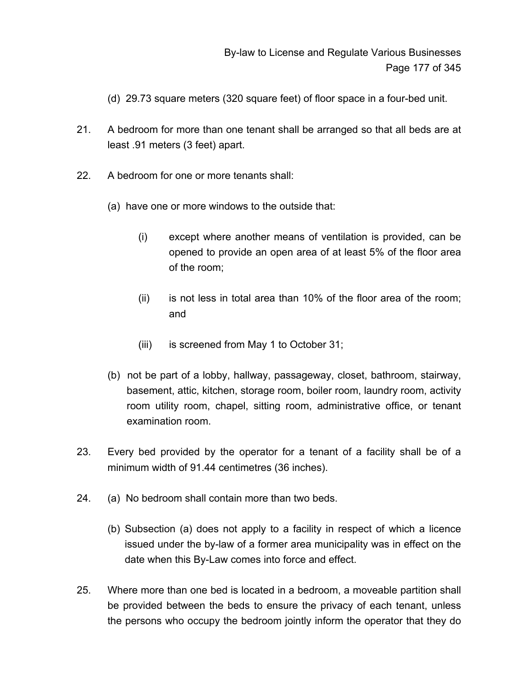- (d) 29.73 square meters (320 square feet) of floor space in a four-bed unit.
- 21. A bedroom for more than one tenant shall be arranged so that all beds are at least .91 meters (3 feet) apart.
- 22. A bedroom for one or more tenants shall:
	- (a) have one or more windows to the outside that:
		- (i) except where another means of ventilation is provided, can be opened to provide an open area of at least 5% of the floor area of the room;
		- (ii) is not less in total area than 10% of the floor area of the room; and
		- (iii) is screened from May 1 to October 31;
	- (b) not be part of a lobby, hallway, passageway, closet, bathroom, stairway, basement, attic, kitchen, storage room, boiler room, laundry room, activity room utility room, chapel, sitting room, administrative office, or tenant examination room.
- 23. Every bed provided by the operator for a tenant of a facility shall be of a minimum width of 91.44 centimetres (36 inches).
- 24. (a) No bedroom shall contain more than two beds.
	- (b) Subsection (a) does not apply to a facility in respect of which a licence issued under the by-law of a former area municipality was in effect on the date when this By-Law comes into force and effect.
- 25. Where more than one bed is located in a bedroom, a moveable partition shall be provided between the beds to ensure the privacy of each tenant, unless the persons who occupy the bedroom jointly inform the operator that they do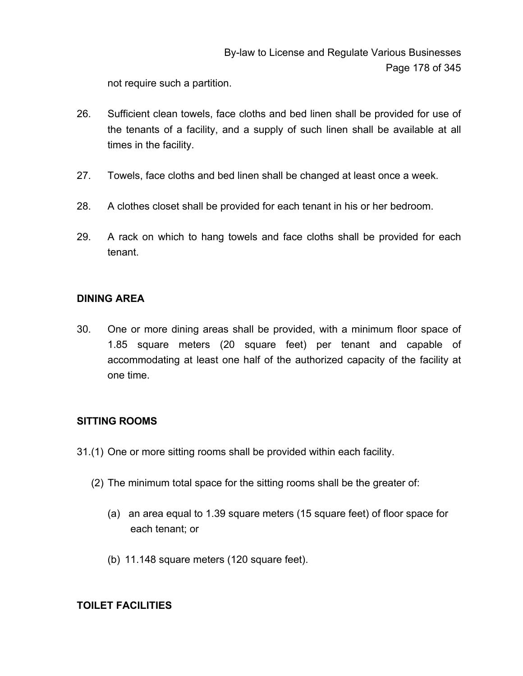not require such a partition.

- 26. Sufficient clean towels, face cloths and bed linen shall be provided for use of the tenants of a facility, and a supply of such linen shall be available at all times in the facility.
- 27. Towels, face cloths and bed linen shall be changed at least once a week.
- 28. A clothes closet shall be provided for each tenant in his or her bedroom.
- 29. A rack on which to hang towels and face cloths shall be provided for each tenant.

#### **DINING AREA**

30. One or more dining areas shall be provided, with a minimum floor space of 1.85 square meters (20 square feet) per tenant and capable of accommodating at least one half of the authorized capacity of the facility at one time.

## **SITTING ROOMS**

- 31.(1) One or more sitting rooms shall be provided within each facility.
	- (2) The minimum total space for the sitting rooms shall be the greater of:
		- (a) an area equal to 1.39 square meters (15 square feet) of floor space for each tenant; or
		- (b) 11.148 square meters (120 square feet).

## **TOILET FACILITIES**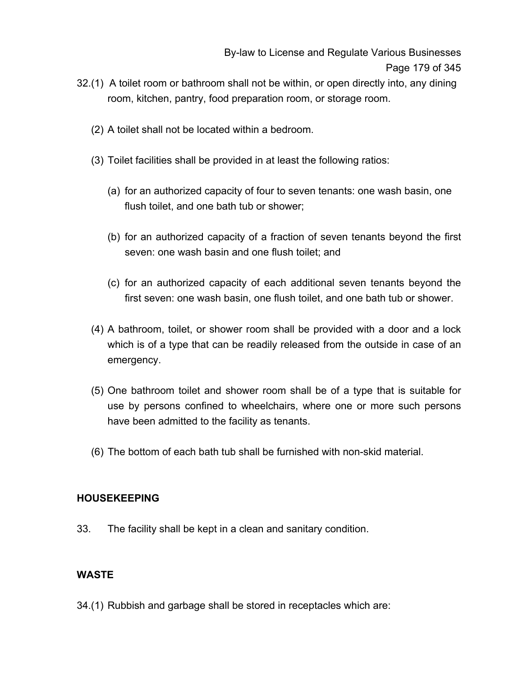- 32.(1) A toilet room or bathroom shall not be within, or open directly into, any dining room, kitchen, pantry, food preparation room, or storage room.
	- (2) A toilet shall not be located within a bedroom.
	- (3) Toilet facilities shall be provided in at least the following ratios:
		- (a) for an authorized capacity of four to seven tenants: one wash basin, one flush toilet, and one bath tub or shower;
		- (b) for an authorized capacity of a fraction of seven tenants beyond the first seven: one wash basin and one flush toilet; and
		- (c) for an authorized capacity of each additional seven tenants beyond the first seven: one wash basin, one flush toilet, and one bath tub or shower.
	- (4) A bathroom, toilet, or shower room shall be provided with a door and a lock which is of a type that can be readily released from the outside in case of an emergency.
	- (5) One bathroom toilet and shower room shall be of a type that is suitable for use by persons confined to wheelchairs, where one or more such persons have been admitted to the facility as tenants.
	- (6) The bottom of each bath tub shall be furnished with non-skid material.

#### **HOUSEKEEPING**

33. The facility shall be kept in a clean and sanitary condition.

#### **WASTE**

34.(1) Rubbish and garbage shall be stored in receptacles which are: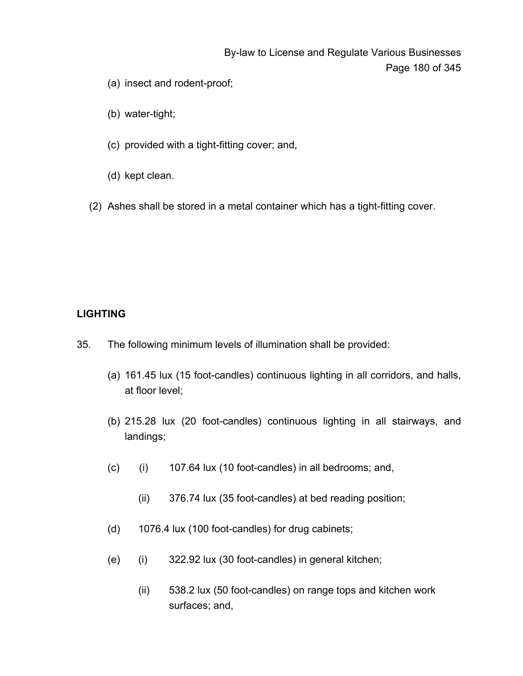# By-law to License and Regulate Various Businesses Page 180 of 345

- (a) insect and rodent-proof;
- (b) water-tight;
- (c) provided with a tight-fitting cover; and,
- (d) kept clean.
- (2) Ashes shall be stored in a metal container which has a tight-fitting cover.

## **LIGHTING**

- 35. The following minimum levels of illumination shall be provided:
	- (a) 161.45 lux (15 foot-candles) continuous lighting in all corridors, and halls, at floor level;
	- (b) 215.28 lux (20 foot-candles) continuous lighting in all stairways, and landings;
	- (c) (i) 107.64 lux (10 foot-candles) in all bedrooms; and,
		- (ii) 376.74 lux (35 foot-candles) at bed reading position;
	- (d) 1076.4 lux (100 foot-candles) for drug cabinets;
	- (e) (i) 322.92 lux (30 foot-candles) in general kitchen;
		- (ii) 538.2 lux (50 foot-candles) on range tops and kitchen work surfaces; and,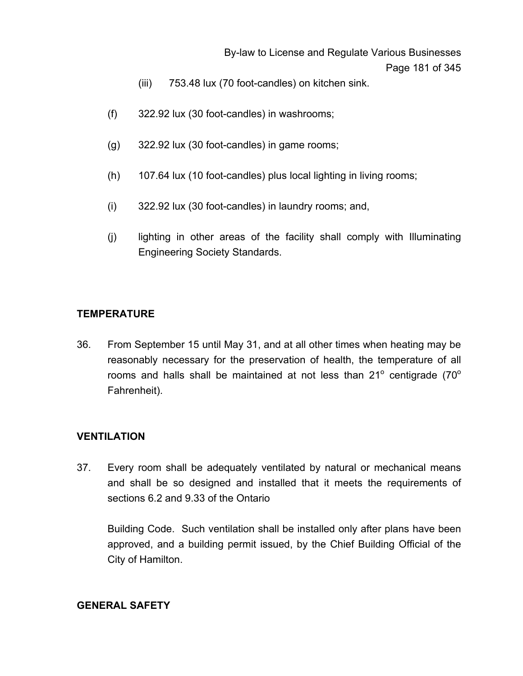By-law to License and Regulate Various Businesses Page 181 of 345

- (iii) 753.48 lux (70 foot-candles) on kitchen sink.
- (f) 322.92 lux (30 foot-candles) in washrooms;
- (g) 322.92 lux (30 foot-candles) in game rooms;
- (h) 107.64 lux (10 foot-candles) plus local lighting in living rooms;
- (i) 322.92 lux (30 foot-candles) in laundry rooms; and,
- (j) lighting in other areas of the facility shall comply with Illuminating Engineering Society Standards.

#### **TEMPERATURE**

36. From September 15 until May 31, and at all other times when heating may be reasonably necessary for the preservation of health, the temperature of all rooms and halls shall be maintained at not less than  $21^{\circ}$  centigrade (70 $^{\circ}$ Fahrenheit).

#### **VENTILATION**

37. Every room shall be adequately ventilated by natural or mechanical means and shall be so designed and installed that it meets the requirements of sections 6.2 and 9.33 of the Ontario

Building Code. Such ventilation shall be installed only after plans have been approved, and a building permit issued, by the Chief Building Official of the City of Hamilton.

#### **GENERAL SAFETY**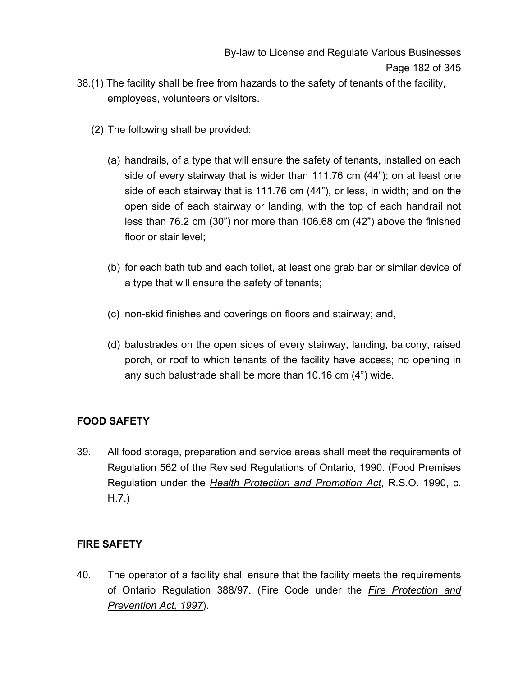- 38.(1) The facility shall be free from hazards to the safety of tenants of the facility, employees, volunteers or visitors.
	- (2) The following shall be provided:
		- (a) handrails, of a type that will ensure the safety of tenants, installed on each side of every stairway that is wider than 111.76 cm (44"); on at least one side of each stairway that is 111.76 cm (44"), or less, in width; and on the open side of each stairway or landing, with the top of each handrail not less than 76.2 cm (30") nor more than 106.68 cm (42") above the finished floor or stair level;
		- (b) for each bath tub and each toilet, at least one grab bar or similar device of a type that will ensure the safety of tenants;
		- (c) non-skid finishes and coverings on floors and stairway; and,
		- (d) balustrades on the open sides of every stairway, landing, balcony, raised porch, or roof to which tenants of the facility have access; no opening in any such balustrade shall be more than 10.16 cm (4") wide.

## **FOOD SAFETY**

39. All food storage, preparation and service areas shall meet the requirements of Regulation 562 of the Revised Regulations of Ontario, 1990. (Food Premises Regulation under the *Health Protection and Promotion Act*, R.S.O. 1990, c. H.7.)

## **FIRE SAFETY**

40. The operator of a facility shall ensure that the facility meets the requirements of Ontario Regulation 388/97. (Fire Code under the *Fire Protection and Prevention Act, 1997*).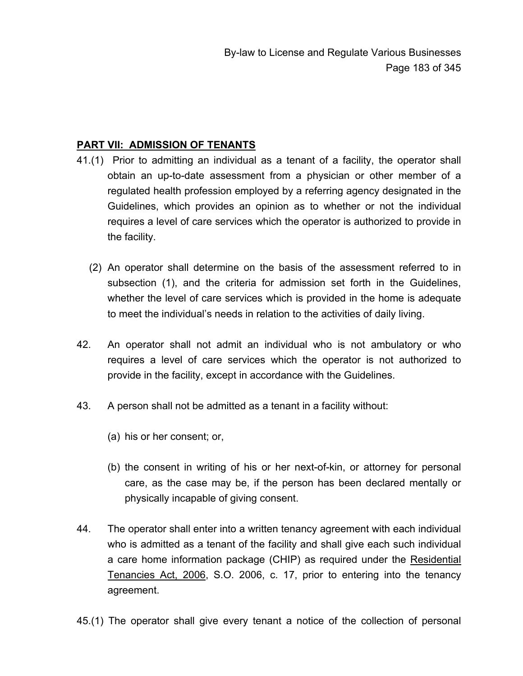## **PART VII: ADMISSION OF TENANTS**

- 41.(1) Prior to admitting an individual as a tenant of a facility, the operator shall obtain an up-to-date assessment from a physician or other member of a regulated health profession employed by a referring agency designated in the Guidelines, which provides an opinion as to whether or not the individual requires a level of care services which the operator is authorized to provide in the facility.
	- (2) An operator shall determine on the basis of the assessment referred to in subsection (1), and the criteria for admission set forth in the Guidelines, whether the level of care services which is provided in the home is adequate to meet the individual's needs in relation to the activities of daily living.
- 42. An operator shall not admit an individual who is not ambulatory or who requires a level of care services which the operator is not authorized to provide in the facility, except in accordance with the Guidelines.
- 43. A person shall not be admitted as a tenant in a facility without:
	- (a) his or her consent; or,
	- (b) the consent in writing of his or her next-of-kin, or attorney for personal care, as the case may be, if the person has been declared mentally or physically incapable of giving consent.
- 44. The operator shall enter into a written tenancy agreement with each individual who is admitted as a tenant of the facility and shall give each such individual a care home information package (CHIP) as required under the Residential Tenancies Act, 2006, S.O. 2006, c. 17, prior to entering into the tenancy agreement.
- 45.(1) The operator shall give every tenant a notice of the collection of personal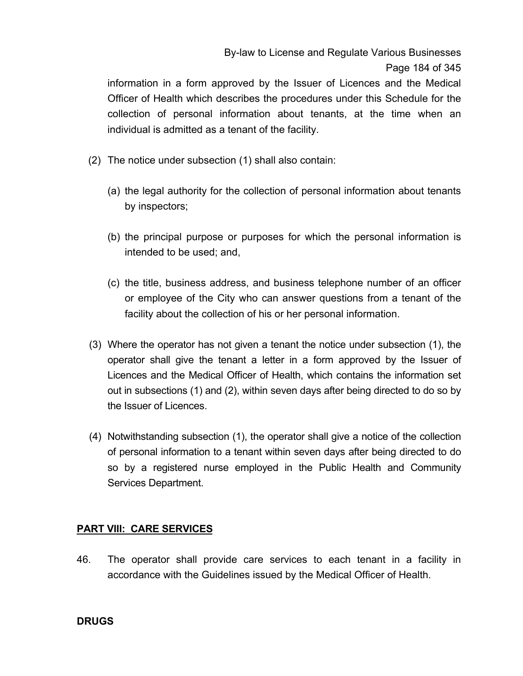# By-law to License and Regulate Various Businesses Page 184 of 345

information in a form approved by the Issuer of Licences and the Medical Officer of Health which describes the procedures under this Schedule for the collection of personal information about tenants, at the time when an individual is admitted as a tenant of the facility.

- (2) The notice under subsection (1) shall also contain:
	- (a) the legal authority for the collection of personal information about tenants by inspectors;
	- (b) the principal purpose or purposes for which the personal information is intended to be used; and,
	- (c) the title, business address, and business telephone number of an officer or employee of the City who can answer questions from a tenant of the facility about the collection of his or her personal information.
- (3) Where the operator has not given a tenant the notice under subsection (1), the operator shall give the tenant a letter in a form approved by the Issuer of Licences and the Medical Officer of Health, which contains the information set out in subsections (1) and (2), within seven days after being directed to do so by the Issuer of Licences.
- (4) Notwithstanding subsection (1), the operator shall give a notice of the collection of personal information to a tenant within seven days after being directed to do so by a registered nurse employed in the Public Health and Community Services Department.

### **PART VIII: CARE SERVICES**

46. The operator shall provide care services to each tenant in a facility in accordance with the Guidelines issued by the Medical Officer of Health.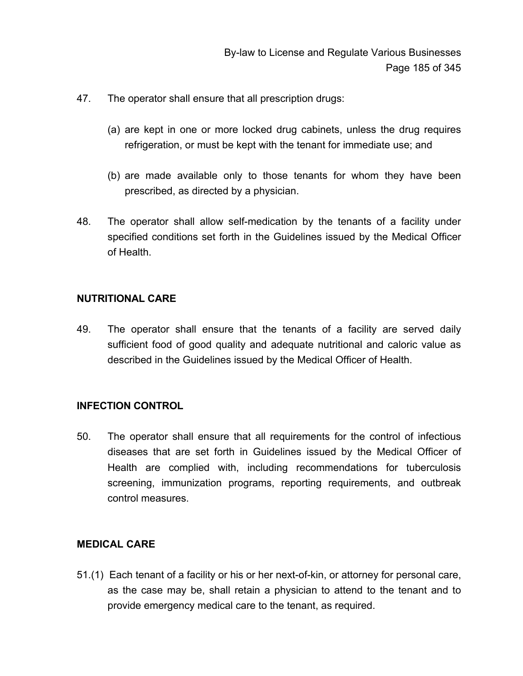- 47. The operator shall ensure that all prescription drugs:
	- (a) are kept in one or more locked drug cabinets, unless the drug requires refrigeration, or must be kept with the tenant for immediate use; and
	- (b) are made available only to those tenants for whom they have been prescribed, as directed by a physician.
- 48. The operator shall allow self-medication by the tenants of a facility under specified conditions set forth in the Guidelines issued by the Medical Officer of Health.

#### **NUTRITIONAL CARE**

49. The operator shall ensure that the tenants of a facility are served daily sufficient food of good quality and adequate nutritional and caloric value as described in the Guidelines issued by the Medical Officer of Health.

### **INFECTION CONTROL**

50. The operator shall ensure that all requirements for the control of infectious diseases that are set forth in Guidelines issued by the Medical Officer of Health are complied with, including recommendations for tuberculosis screening, immunization programs, reporting requirements, and outbreak control measures.

#### **MEDICAL CARE**

51.(1) Each tenant of a facility or his or her next-of-kin, or attorney for personal care, as the case may be, shall retain a physician to attend to the tenant and to provide emergency medical care to the tenant, as required.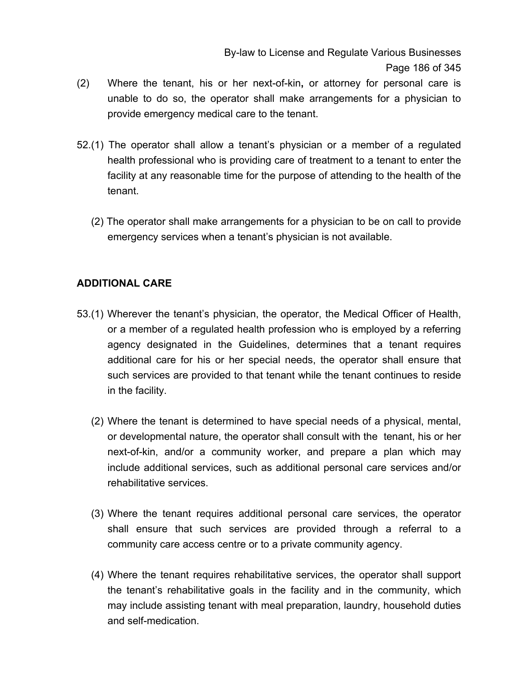- (2) Where the tenant, his or her next-of-kin**,** or attorney for personal care is unable to do so, the operator shall make arrangements for a physician to provide emergency medical care to the tenant.
- 52.(1) The operator shall allow a tenant's physician or a member of a regulated health professional who is providing care of treatment to a tenant to enter the facility at any reasonable time for the purpose of attending to the health of the tenant.
	- (2) The operator shall make arrangements for a physician to be on call to provide emergency services when a tenant's physician is not available.

## **ADDITIONAL CARE**

- 53.(1) Wherever the tenant's physician, the operator, the Medical Officer of Health, or a member of a regulated health profession who is employed by a referring agency designated in the Guidelines, determines that a tenant requires additional care for his or her special needs, the operator shall ensure that such services are provided to that tenant while the tenant continues to reside in the facility.
	- (2) Where the tenant is determined to have special needs of a physical, mental, or developmental nature, the operator shall consult with the tenant, his or her next-of-kin, and/or a community worker, and prepare a plan which may include additional services, such as additional personal care services and/or rehabilitative services.
	- (3) Where the tenant requires additional personal care services, the operator shall ensure that such services are provided through a referral to a community care access centre or to a private community agency.
	- (4) Where the tenant requires rehabilitative services, the operator shall support the tenant's rehabilitative goals in the facility and in the community, which may include assisting tenant with meal preparation, laundry, household duties and self-medication.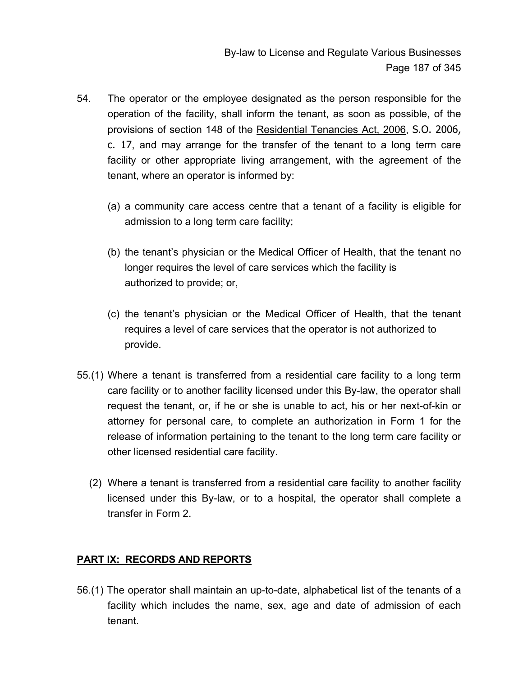- 54. The operator or the employee designated as the person responsible for the operation of the facility, shall inform the tenant, as soon as possible, of the provisions of section 148 of the Residential Tenancies Act, 2006, S.O. 2006, c. 17, and may arrange for the transfer of the tenant to a long term care facility or other appropriate living arrangement, with the agreement of the tenant, where an operator is informed by:
	- (a) a community care access centre that a tenant of a facility is eligible for admission to a long term care facility;
	- (b) the tenant's physician or the Medical Officer of Health, that the tenant no longer requires the level of care services which the facility is authorized to provide; or,
	- (c) the tenant's physician or the Medical Officer of Health, that the tenant requires a level of care services that the operator is not authorized to provide.
- 55.(1) Where a tenant is transferred from a residential care facility to a long term care facility or to another facility licensed under this By-law, the operator shall request the tenant, or, if he or she is unable to act, his or her next-of-kin or attorney for personal care, to complete an authorization in Form 1 for the release of information pertaining to the tenant to the long term care facility or other licensed residential care facility.
	- (2) Where a tenant is transferred from a residential care facility to another facility licensed under this By-law, or to a hospital, the operator shall complete a transfer in Form 2.

### **PART IX: RECORDS AND REPORTS**

56.(1) The operator shall maintain an up-to-date, alphabetical list of the tenants of a facility which includes the name, sex, age and date of admission of each tenant.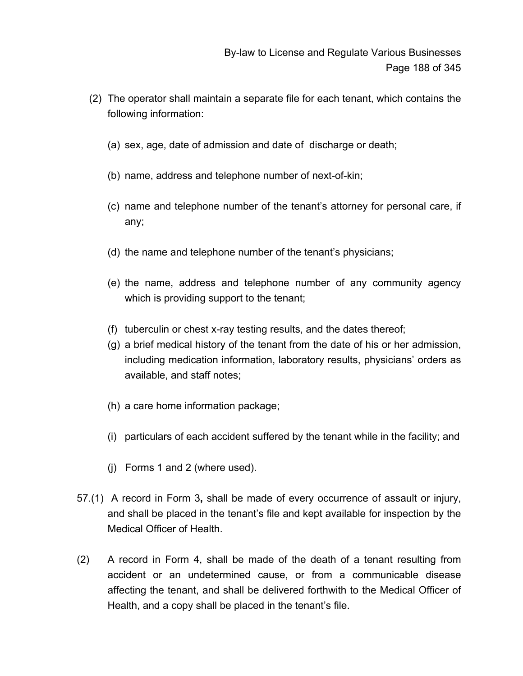- (2) The operator shall maintain a separate file for each tenant, which contains the following information:
	- (a) sex, age, date of admission and date of discharge or death;
	- (b) name, address and telephone number of next-of-kin;
	- (c) name and telephone number of the tenant's attorney for personal care, if any;
	- (d) the name and telephone number of the tenant's physicians;
	- (e) the name, address and telephone number of any community agency which is providing support to the tenant;
	- (f) tuberculin or chest x-ray testing results, and the dates thereof;
	- (g) a brief medical history of the tenant from the date of his or her admission, including medication information, laboratory results, physicians' orders as available, and staff notes;
	- (h) a care home information package;
	- (i) particulars of each accident suffered by the tenant while in the facility; and
	- (j) Forms 1 and 2 (where used).
- 57.(1) A record in Form 3**,** shall be made of every occurrence of assault or injury, and shall be placed in the tenant's file and kept available for inspection by the Medical Officer of Health.
- (2) A record in Form 4, shall be made of the death of a tenant resulting from accident or an undetermined cause, or from a communicable disease affecting the tenant, and shall be delivered forthwith to the Medical Officer of Health, and a copy shall be placed in the tenant's file.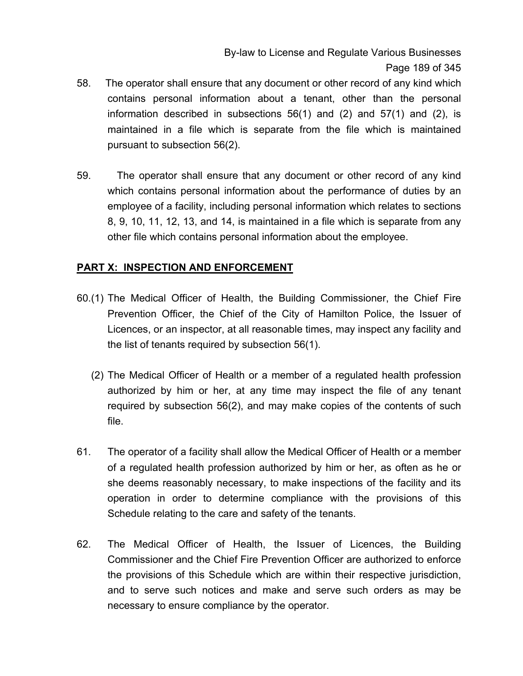By-law to License and Regulate Various Businesses Page 189 of 345

- 58. The operator shall ensure that any document or other record of any kind which contains personal information about a tenant, other than the personal information described in subsections  $56(1)$  and  $(2)$  and  $57(1)$  and  $(2)$ , is maintained in a file which is separate from the file which is maintained pursuant to subsection 56(2).
- 59. The operator shall ensure that any document or other record of any kind which contains personal information about the performance of duties by an employee of a facility, including personal information which relates to sections 8, 9, 10, 11, 12, 13, and 14, is maintained in a file which is separate from any other file which contains personal information about the employee.

### **PART X: INSPECTION AND ENFORCEMENT**

- 60.(1) The Medical Officer of Health, the Building Commissioner, the Chief Fire Prevention Officer, the Chief of the City of Hamilton Police, the Issuer of Licences, or an inspector, at all reasonable times, may inspect any facility and the list of tenants required by subsection 56(1).
	- (2) The Medical Officer of Health or a member of a regulated health profession authorized by him or her, at any time may inspect the file of any tenant required by subsection 56(2), and may make copies of the contents of such file.
- 61. The operator of a facility shall allow the Medical Officer of Health or a member of a regulated health profession authorized by him or her, as often as he or she deems reasonably necessary, to make inspections of the facility and its operation in order to determine compliance with the provisions of this Schedule relating to the care and safety of the tenants.
- 62. The Medical Officer of Health, the Issuer of Licences, the Building Commissioner and the Chief Fire Prevention Officer are authorized to enforce the provisions of this Schedule which are within their respective jurisdiction, and to serve such notices and make and serve such orders as may be necessary to ensure compliance by the operator.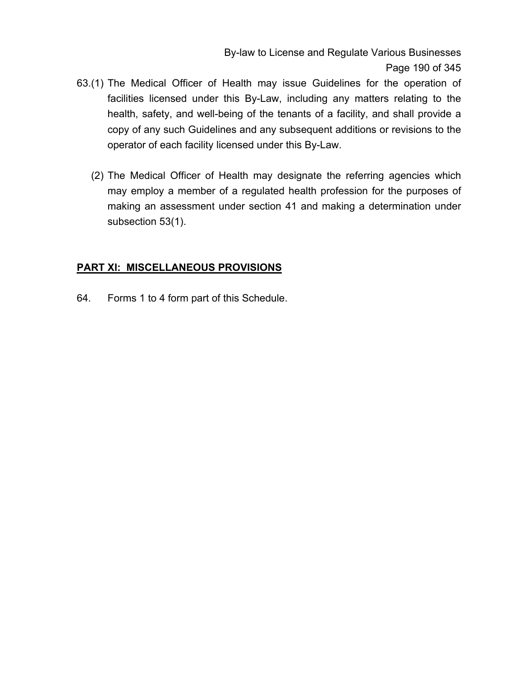By-law to License and Regulate Various Businesses Page 190 of 345

- 63.(1) The Medical Officer of Health may issue Guidelines for the operation of facilities licensed under this By-Law, including any matters relating to the health, safety, and well-being of the tenants of a facility, and shall provide a copy of any such Guidelines and any subsequent additions or revisions to the operator of each facility licensed under this By-Law.
	- (2) The Medical Officer of Health may designate the referring agencies which may employ a member of a regulated health profession for the purposes of making an assessment under section 41 and making a determination under subsection 53(1).

#### **PART XI: MISCELLANEOUS PROVISIONS**

64. Forms 1 to 4 form part of this Schedule.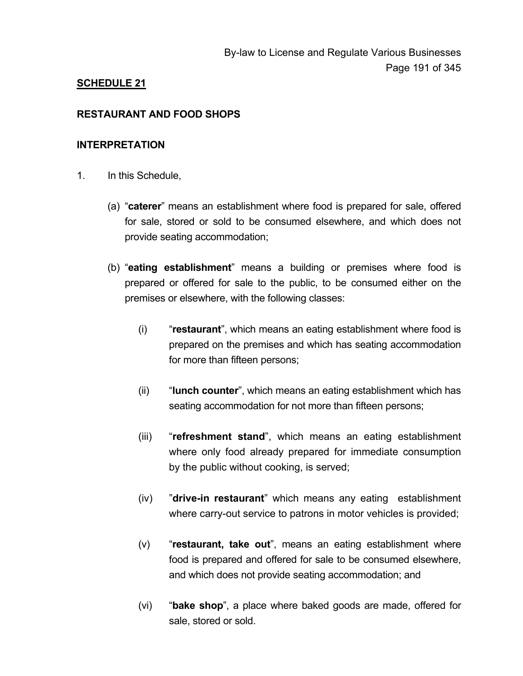### **SCHEDULE 21**

#### **RESTAURANT AND FOOD SHOPS**

#### **INTERPRETATION**

- 1. In this Schedule,
	- (a) "**caterer**" means an establishment where food is prepared for sale, offered for sale, stored or sold to be consumed elsewhere, and which does not provide seating accommodation;
	- (b) "**eating establishment**" means a building or premises where food is prepared or offered for sale to the public, to be consumed either on the premises or elsewhere, with the following classes:
		- (i) "**restaurant**", which means an eating establishment where food is prepared on the premises and which has seating accommodation for more than fifteen persons;
		- (ii) "**lunch counter**", which means an eating establishment which has seating accommodation for not more than fifteen persons;
		- (iii) "**refreshment stand**", which means an eating establishment where only food already prepared for immediate consumption by the public without cooking, is served;
		- (iv) "**drive-in restaurant**" which means any eating establishment where carry-out service to patrons in motor vehicles is provided;
		- (v) "**restaurant, take out**", means an eating establishment where food is prepared and offered for sale to be consumed elsewhere, and which does not provide seating accommodation; and
		- (vi) "**bake shop**", a place where baked goods are made, offered for sale, stored or sold.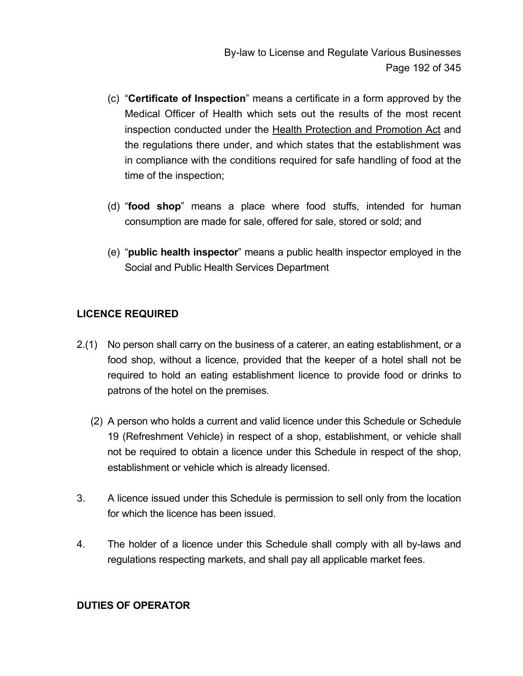- (c) "**Certificate of Inspection**" means a certificate in a form approved by the Medical Officer of Health which sets out the results of the most recent inspection conducted under the Health Protection and Promotion Act and the regulations there under, and which states that the establishment was in compliance with the conditions required for safe handling of food at the time of the inspection;
- (d) "**food shop**" means a place where food stuffs, intended for human consumption are made for sale, offered for sale, stored or sold; and
- (e) "**public health inspector**" means a public health inspector employed in the Social and Public Health Services Department

## **LICENCE REQUIRED**

- 2.(1) No person shall carry on the business of a caterer, an eating establishment, or a food shop, without a licence, provided that the keeper of a hotel shall not be required to hold an eating establishment licence to provide food or drinks to patrons of the hotel on the premises.
	- (2) A person who holds a current and valid licence under this Schedule or Schedule 19 (Refreshment Vehicle) in respect of a shop, establishment, or vehicle shall not be required to obtain a licence under this Schedule in respect of the shop, establishment or vehicle which is already licensed.
- 3. A licence issued under this Schedule is permission to sell only from the location for which the licence has been issued.
- 4. The holder of a licence under this Schedule shall comply with all by-laws and regulations respecting markets, and shall pay all applicable market fees.

#### **DUTIES OF OPERATOR**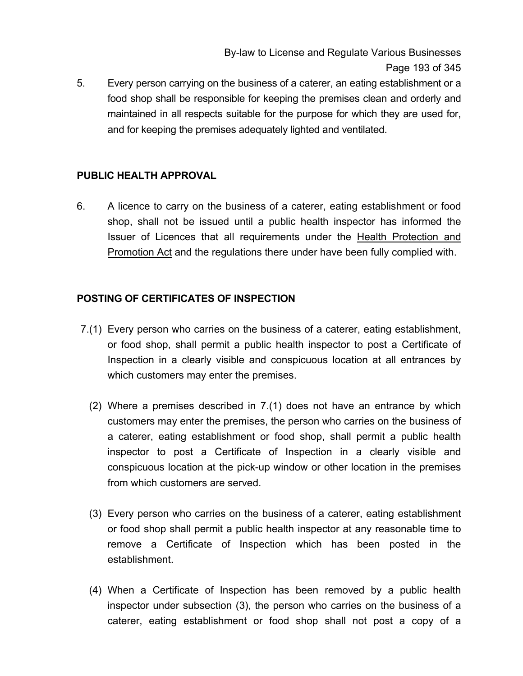5. Every person carrying on the business of a caterer, an eating establishment or a food shop shall be responsible for keeping the premises clean and orderly and maintained in all respects suitable for the purpose for which they are used for, and for keeping the premises adequately lighted and ventilated.

### **PUBLIC HEALTH APPROVAL**

6. A licence to carry on the business of a caterer, eating establishment or food shop, shall not be issued until a public health inspector has informed the Issuer of Licences that all requirements under the Health Protection and **Promotion Act and the regulations there under have been fully complied with.** 

### **POSTING OF CERTIFICATES OF INSPECTION**

- 7.(1) Every person who carries on the business of a caterer, eating establishment, or food shop, shall permit a public health inspector to post a Certificate of Inspection in a clearly visible and conspicuous location at all entrances by which customers may enter the premises.
	- (2) Where a premises described in 7.(1) does not have an entrance by which customers may enter the premises, the person who carries on the business of a caterer, eating establishment or food shop, shall permit a public health inspector to post a Certificate of Inspection in a clearly visible and conspicuous location at the pick-up window or other location in the premises from which customers are served.
	- (3) Every person who carries on the business of a caterer, eating establishment or food shop shall permit a public health inspector at any reasonable time to remove a Certificate of Inspection which has been posted in the establishment.
	- (4) When a Certificate of Inspection has been removed by a public health inspector under subsection (3), the person who carries on the business of a caterer, eating establishment or food shop shall not post a copy of a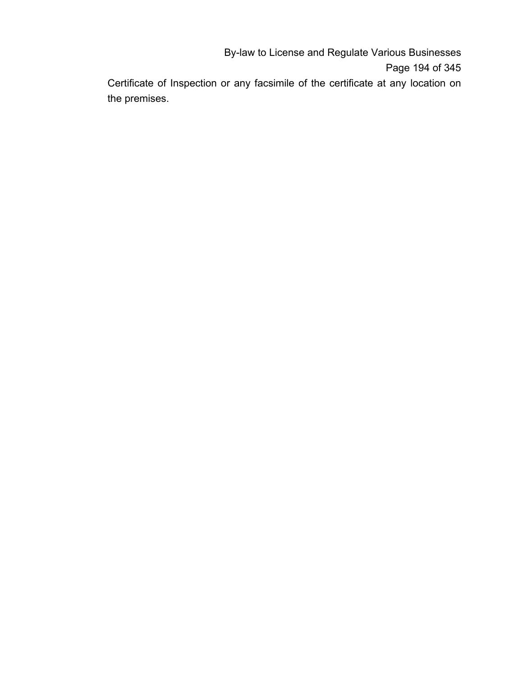By-law to License and Regulate Various Businesses Page 194 of 345

Certificate of Inspection or any facsimile of the certificate at any location on the premises.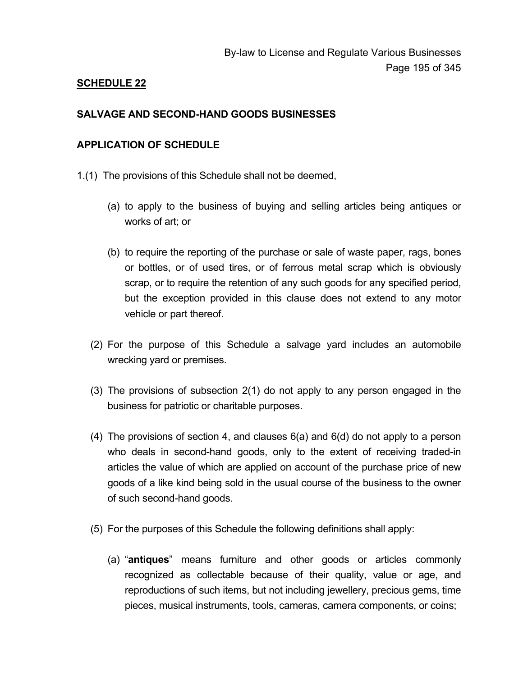### **SCHEDULE 22**

#### **SALVAGE AND SECOND-HAND GOODS BUSINESSES**

#### **APPLICATION OF SCHEDULE**

- 1.(1) The provisions of this Schedule shall not be deemed,
	- (a) to apply to the business of buying and selling articles being antiques or works of art; or
	- (b) to require the reporting of the purchase or sale of waste paper, rags, bones or bottles, or of used tires, or of ferrous metal scrap which is obviously scrap, or to require the retention of any such goods for any specified period, but the exception provided in this clause does not extend to any motor vehicle or part thereof.
	- (2) For the purpose of this Schedule a salvage yard includes an automobile wrecking yard or premises.
	- (3) The provisions of subsection 2(1) do not apply to any person engaged in the business for patriotic or charitable purposes.
	- (4) The provisions of section 4, and clauses 6(a) and 6(d) do not apply to a person who deals in second-hand goods, only to the extent of receiving traded-in articles the value of which are applied on account of the purchase price of new goods of a like kind being sold in the usual course of the business to the owner of such second-hand goods.
	- (5) For the purposes of this Schedule the following definitions shall apply:
		- (a) "**antiques**" means furniture and other goods or articles commonly recognized as collectable because of their quality, value or age, and reproductions of such items, but not including jewellery, precious gems, time pieces, musical instruments, tools, cameras, camera components, or coins;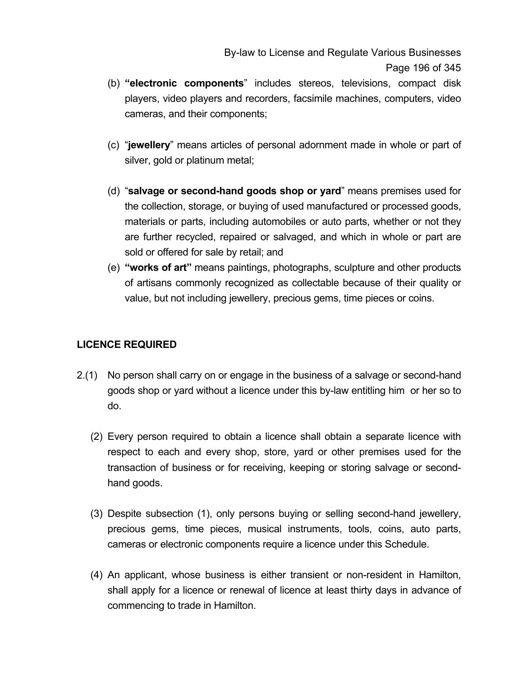By-law to License and Regulate Various Businesses Page 196 of 345

- (b) **"electronic components**" includes stereos, televisions, compact disk players, video players and recorders, facsimile machines, computers, video cameras, and their components;
- (c) "**jewellery**" means articles of personal adornment made in whole or part of silver, gold or platinum metal;
- (d) "**salvage or second-hand goods shop or yard**" means premises used for the collection, storage, or buying of used manufactured or processed goods, materials or parts, including automobiles or auto parts, whether or not they are further recycled, repaired or salvaged, and which in whole or part are sold or offered for sale by retail; and
- (e) **"works of art"** means paintings, photographs, sculpture and other products of artisans commonly recognized as collectable because of their quality or value, but not including jewellery, precious gems, time pieces or coins.

### **LICENCE REQUIRED**

- 2.(1) No person shall carry on or engage in the business of a salvage or second-hand goods shop or yard without a licence under this by-law entitling him or her so to do.
	- (2) Every person required to obtain a licence shall obtain a separate licence with respect to each and every shop, store, yard or other premises used for the transaction of business or for receiving, keeping or storing salvage or secondhand goods.
	- (3) Despite subsection (1), only persons buying or selling second-hand jewellery, precious gems, time pieces, musical instruments, tools, coins, auto parts, cameras or electronic components require a licence under this Schedule.
	- (4) An applicant, whose business is either transient or non-resident in Hamilton, shall apply for a licence or renewal of licence at least thirty days in advance of commencing to trade in Hamilton.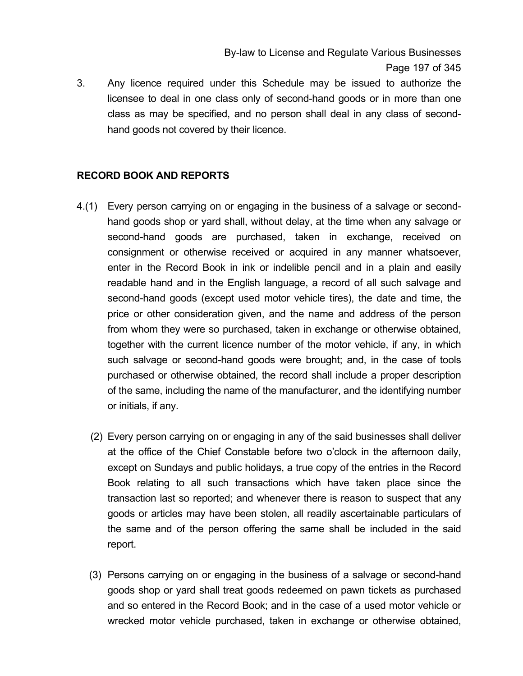By-law to License and Regulate Various Businesses Page 197 of 345

3. Any licence required under this Schedule may be issued to authorize the licensee to deal in one class only of second-hand goods or in more than one class as may be specified, and no person shall deal in any class of secondhand goods not covered by their licence.

#### **RECORD BOOK AND REPORTS**

- 4.(1) Every person carrying on or engaging in the business of a salvage or secondhand goods shop or yard shall, without delay, at the time when any salvage or second-hand goods are purchased, taken in exchange, received on consignment or otherwise received or acquired in any manner whatsoever, enter in the Record Book in ink or indelible pencil and in a plain and easily readable hand and in the English language, a record of all such salvage and second-hand goods (except used motor vehicle tires), the date and time, the price or other consideration given, and the name and address of the person from whom they were so purchased, taken in exchange or otherwise obtained, together with the current licence number of the motor vehicle, if any, in which such salvage or second-hand goods were brought; and, in the case of tools purchased or otherwise obtained, the record shall include a proper description of the same, including the name of the manufacturer, and the identifying number or initials, if any.
	- (2) Every person carrying on or engaging in any of the said businesses shall deliver at the office of the Chief Constable before two o'clock in the afternoon daily, except on Sundays and public holidays, a true copy of the entries in the Record Book relating to all such transactions which have taken place since the transaction last so reported; and whenever there is reason to suspect that any goods or articles may have been stolen, all readily ascertainable particulars of the same and of the person offering the same shall be included in the said report.
	- (3) Persons carrying on or engaging in the business of a salvage or second-hand goods shop or yard shall treat goods redeemed on pawn tickets as purchased and so entered in the Record Book; and in the case of a used motor vehicle or wrecked motor vehicle purchased, taken in exchange or otherwise obtained,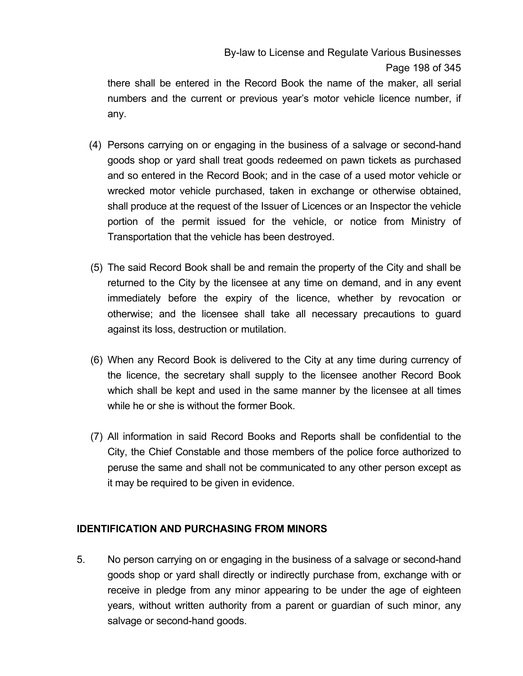there shall be entered in the Record Book the name of the maker, all serial numbers and the current or previous year's motor vehicle licence number, if any.

- (4) Persons carrying on or engaging in the business of a salvage or second-hand goods shop or yard shall treat goods redeemed on pawn tickets as purchased and so entered in the Record Book; and in the case of a used motor vehicle or wrecked motor vehicle purchased, taken in exchange or otherwise obtained, shall produce at the request of the Issuer of Licences or an Inspector the vehicle portion of the permit issued for the vehicle, or notice from Ministry of Transportation that the vehicle has been destroyed.
- (5) The said Record Book shall be and remain the property of the City and shall be returned to the City by the licensee at any time on demand, and in any event immediately before the expiry of the licence, whether by revocation or otherwise; and the licensee shall take all necessary precautions to guard against its loss, destruction or mutilation.
- (6) When any Record Book is delivered to the City at any time during currency of the licence, the secretary shall supply to the licensee another Record Book which shall be kept and used in the same manner by the licensee at all times while he or she is without the former Book.
- (7) All information in said Record Books and Reports shall be confidential to the City, the Chief Constable and those members of the police force authorized to peruse the same and shall not be communicated to any other person except as it may be required to be given in evidence.

### **IDENTIFICATION AND PURCHASING FROM MINORS**

5. No person carrying on or engaging in the business of a salvage or second-hand goods shop or yard shall directly or indirectly purchase from, exchange with or receive in pledge from any minor appearing to be under the age of eighteen years, without written authority from a parent or guardian of such minor, any salvage or second-hand goods.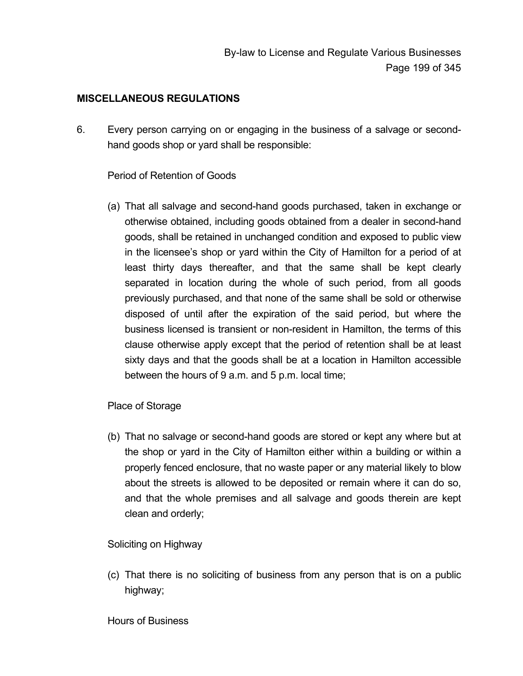#### **MISCELLANEOUS REGULATIONS**

6. Every person carrying on or engaging in the business of a salvage or secondhand goods shop or yard shall be responsible:

#### Period of Retention of Goods

(a) That all salvage and second-hand goods purchased, taken in exchange or otherwise obtained, including goods obtained from a dealer in second-hand goods, shall be retained in unchanged condition and exposed to public view in the licensee's shop or yard within the City of Hamilton for a period of at least thirty days thereafter, and that the same shall be kept clearly separated in location during the whole of such period, from all goods previously purchased, and that none of the same shall be sold or otherwise disposed of until after the expiration of the said period, but where the business licensed is transient or non-resident in Hamilton, the terms of this clause otherwise apply except that the period of retention shall be at least sixty days and that the goods shall be at a location in Hamilton accessible between the hours of 9 a.m. and 5 p.m. local time;

#### Place of Storage

(b) That no salvage or second-hand goods are stored or kept any where but at the shop or yard in the City of Hamilton either within a building or within a properly fenced enclosure, that no waste paper or any material likely to blow about the streets is allowed to be deposited or remain where it can do so, and that the whole premises and all salvage and goods therein are kept clean and orderly;

### Soliciting on Highway

(c) That there is no soliciting of business from any person that is on a public highway;

#### Hours of Business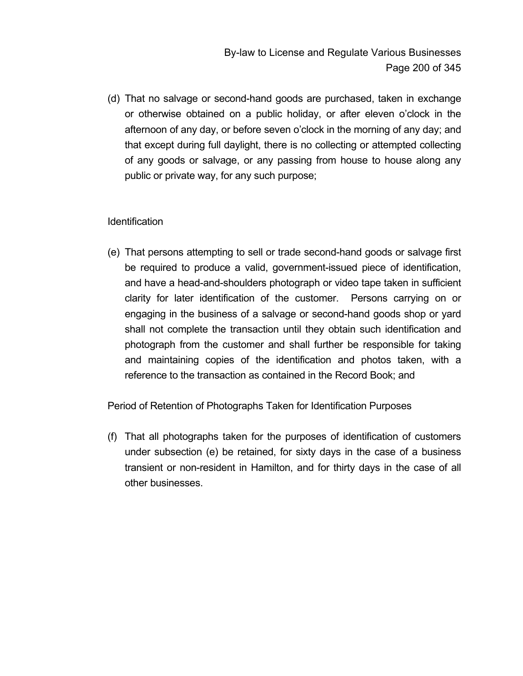(d) That no salvage or second-hand goods are purchased, taken in exchange or otherwise obtained on a public holiday, or after eleven o'clock in the afternoon of any day, or before seven o'clock in the morning of any day; and that except during full daylight, there is no collecting or attempted collecting of any goods or salvage, or any passing from house to house along any public or private way, for any such purpose;

### Identification

(e) That persons attempting to sell or trade second-hand goods or salvage first be required to produce a valid, government-issued piece of identification, and have a head-and-shoulders photograph or video tape taken in sufficient clarity for later identification of the customer. Persons carrying on or engaging in the business of a salvage or second-hand goods shop or yard shall not complete the transaction until they obtain such identification and photograph from the customer and shall further be responsible for taking and maintaining copies of the identification and photos taken, with a reference to the transaction as contained in the Record Book; and

Period of Retention of Photographs Taken for Identification Purposes

(f) That all photographs taken for the purposes of identification of customers under subsection (e) be retained, for sixty days in the case of a business transient or non-resident in Hamilton, and for thirty days in the case of all other businesses.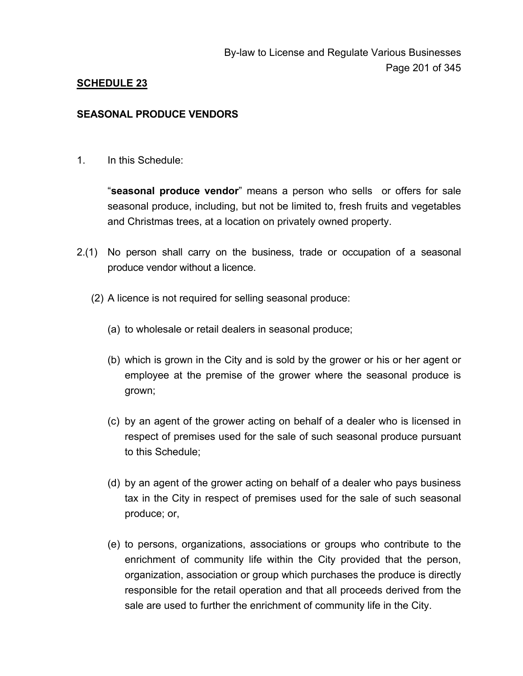## **SCHEDULE 23**

#### **SEASONAL PRODUCE VENDORS**

1. In this Schedule:

"**seasonal produce vendor**" means a person who sells or offers for sale seasonal produce, including, but not be limited to, fresh fruits and vegetables and Christmas trees, at a location on privately owned property.

- 2.(1) No person shall carry on the business, trade or occupation of a seasonal produce vendor without a licence.
	- (2) A licence is not required for selling seasonal produce:
		- (a) to wholesale or retail dealers in seasonal produce;
		- (b) which is grown in the City and is sold by the grower or his or her agent or employee at the premise of the grower where the seasonal produce is grown;
		- (c) by an agent of the grower acting on behalf of a dealer who is licensed in respect of premises used for the sale of such seasonal produce pursuant to this Schedule;
		- (d) by an agent of the grower acting on behalf of a dealer who pays business tax in the City in respect of premises used for the sale of such seasonal produce; or,
		- (e) to persons, organizations, associations or groups who contribute to the enrichment of community life within the City provided that the person, organization, association or group which purchases the produce is directly responsible for the retail operation and that all proceeds derived from the sale are used to further the enrichment of community life in the City.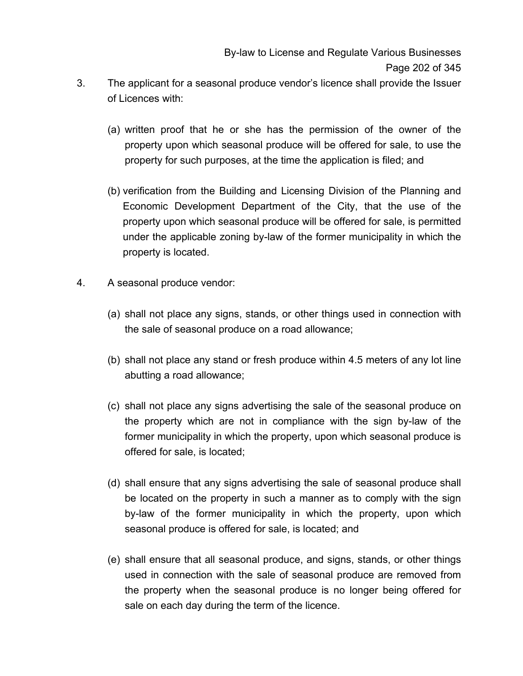- 3. The applicant for a seasonal produce vendor's licence shall provide the Issuer of Licences with:
	- (a) written proof that he or she has the permission of the owner of the property upon which seasonal produce will be offered for sale, to use the property for such purposes, at the time the application is filed; and
	- (b) verification from the Building and Licensing Division of the Planning and Economic Development Department of the City, that the use of the property upon which seasonal produce will be offered for sale, is permitted under the applicable zoning by-law of the former municipality in which the property is located.
- 4. A seasonal produce vendor:
	- (a) shall not place any signs, stands, or other things used in connection with the sale of seasonal produce on a road allowance;
	- (b) shall not place any stand or fresh produce within 4.5 meters of any lot line abutting a road allowance;
	- (c) shall not place any signs advertising the sale of the seasonal produce on the property which are not in compliance with the sign by-law of the former municipality in which the property, upon which seasonal produce is offered for sale, is located;
	- (d) shall ensure that any signs advertising the sale of seasonal produce shall be located on the property in such a manner as to comply with the sign by-law of the former municipality in which the property, upon which seasonal produce is offered for sale, is located; and
	- (e) shall ensure that all seasonal produce, and signs, stands, or other things used in connection with the sale of seasonal produce are removed from the property when the seasonal produce is no longer being offered for sale on each day during the term of the licence.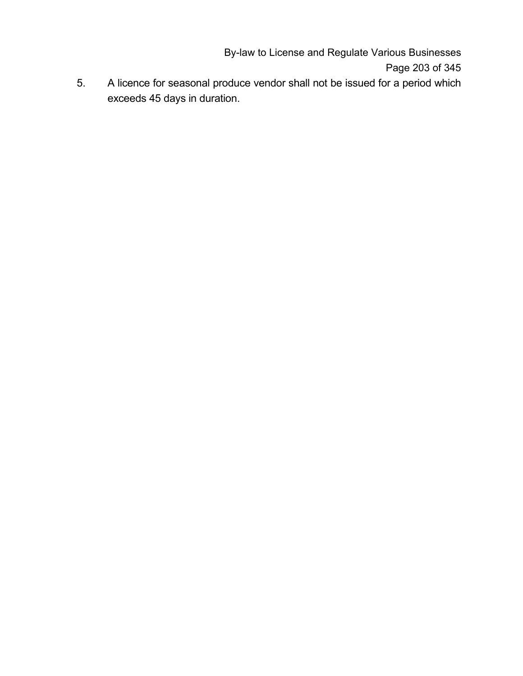By-law to License and Regulate Various Businesses Page 203 of 345

5. A licence for seasonal produce vendor shall not be issued for a period which exceeds 45 days in duration.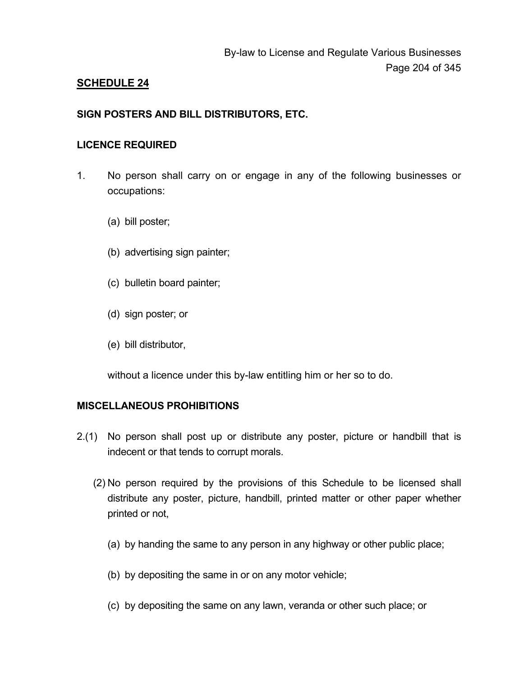## **SCHEDULE 24**

#### **SIGN POSTERS AND BILL DISTRIBUTORS, ETC.**

#### **LICENCE REQUIRED**

- 1. No person shall carry on or engage in any of the following businesses or occupations:
	- (a) bill poster;
	- (b) advertising sign painter;
	- (c) bulletin board painter;
	- (d) sign poster; or
	- (e) bill distributor,

without a licence under this by-law entitling him or her so to do.

#### **MISCELLANEOUS PROHIBITIONS**

- 2.(1) No person shall post up or distribute any poster, picture or handbill that is indecent or that tends to corrupt morals.
	- (2) No person required by the provisions of this Schedule to be licensed shall distribute any poster, picture, handbill, printed matter or other paper whether printed or not,
		- (a) by handing the same to any person in any highway or other public place;
		- (b) by depositing the same in or on any motor vehicle;
		- (c) by depositing the same on any lawn, veranda or other such place; or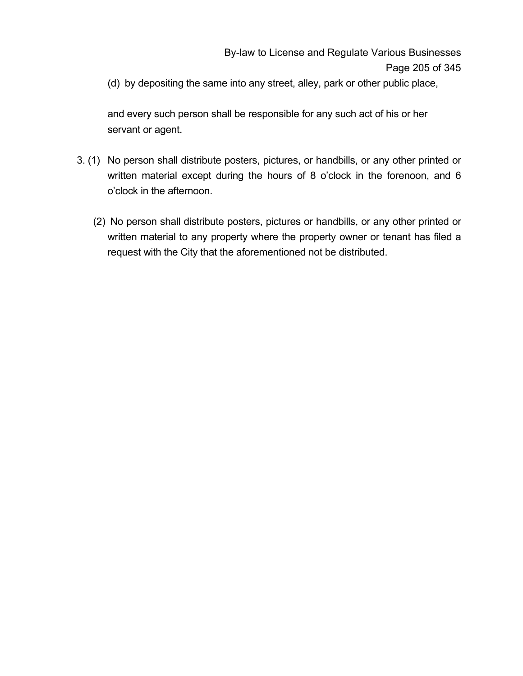(d) by depositing the same into any street, alley, park or other public place,

and every such person shall be responsible for any such act of his or her servant or agent.

- 3. (1) No person shall distribute posters, pictures, or handbills, or any other printed or written material except during the hours of 8 o'clock in the forenoon, and 6 o'clock in the afternoon.
	- (2) No person shall distribute posters, pictures or handbills, or any other printed or written material to any property where the property owner or tenant has filed a request with the City that the aforementioned not be distributed.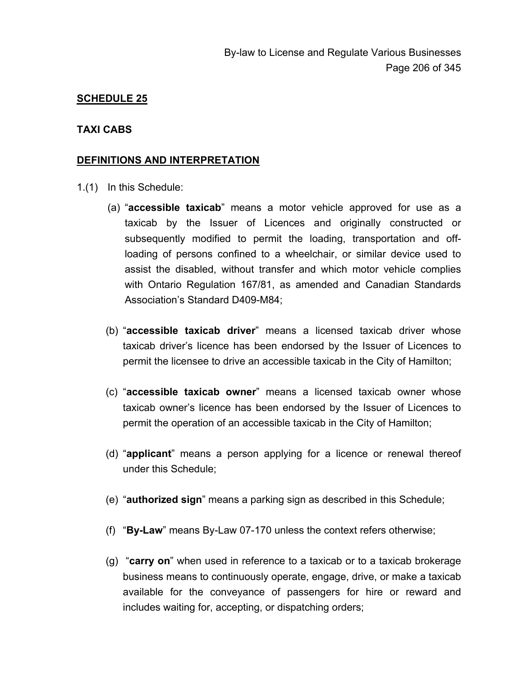#### **SCHEDULE 25**

#### **TAXI CABS**

#### **DEFINITIONS AND INTERPRETATION**

- 1.(1) In this Schedule:
	- (a) "**accessible taxicab**" means a motor vehicle approved for use as a taxicab by the Issuer of Licences and originally constructed or subsequently modified to permit the loading, transportation and offloading of persons confined to a wheelchair, or similar device used to assist the disabled, without transfer and which motor vehicle complies with Ontario Regulation 167/81, as amended and Canadian Standards Association's Standard D409-M84;
	- (b) "**accessible taxicab driver**" means a licensed taxicab driver whose taxicab driver's licence has been endorsed by the Issuer of Licences to permit the licensee to drive an accessible taxicab in the City of Hamilton;
	- (c) "**accessible taxicab owner**" means a licensed taxicab owner whose taxicab owner's licence has been endorsed by the Issuer of Licences to permit the operation of an accessible taxicab in the City of Hamilton;
	- (d) "**applicant**" means a person applying for a licence or renewal thereof under this Schedule;
	- (e) "**authorized sign**" means a parking sign as described in this Schedule;
	- (f) "**By-Law**" means By-Law 07-170 unless the context refers otherwise;
	- (g) "**carry on**" when used in reference to a taxicab or to a taxicab brokerage business means to continuously operate, engage, drive, or make a taxicab available for the conveyance of passengers for hire or reward and includes waiting for, accepting, or dispatching orders;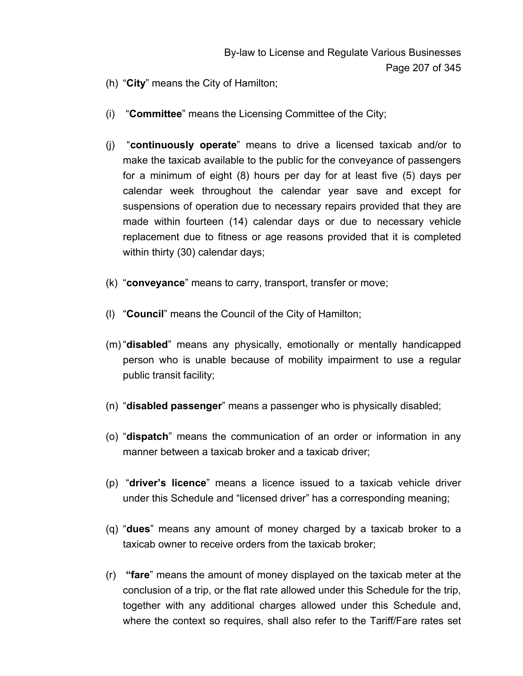- (h) "**City**" means the City of Hamilton;
- (i) "**Committee**" means the Licensing Committee of the City;
- (j) "**continuously operate**" means to drive a licensed taxicab and/or to make the taxicab available to the public for the conveyance of passengers for a minimum of eight (8) hours per day for at least five (5) days per calendar week throughout the calendar year save and except for suspensions of operation due to necessary repairs provided that they are made within fourteen (14) calendar days or due to necessary vehicle replacement due to fitness or age reasons provided that it is completed within thirty (30) calendar days;
- (k) "**conveyance**" means to carry, transport, transfer or move;
- (l) "**Council**" means the Council of the City of Hamilton;
- (m) "**disabled**" means any physically, emotionally or mentally handicapped person who is unable because of mobility impairment to use a regular public transit facility;
- (n) "**disabled passenger**" means a passenger who is physically disabled;
- (o) "**dispatch**" means the communication of an order or information in any manner between a taxicab broker and a taxicab driver;
- (p) "**driver's licence**" means a licence issued to a taxicab vehicle driver under this Schedule and "licensed driver" has a corresponding meaning;
- (q) "**dues**" means any amount of money charged by a taxicab broker to a taxicab owner to receive orders from the taxicab broker;
- (r) **"fare**" means the amount of money displayed on the taxicab meter at the conclusion of a trip, or the flat rate allowed under this Schedule for the trip, together with any additional charges allowed under this Schedule and, where the context so requires, shall also refer to the Tariff/Fare rates set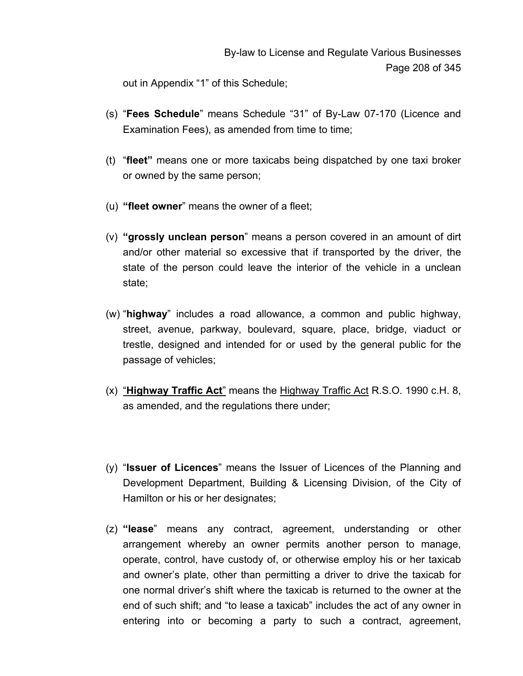out in Appendix "1" of this Schedule;

- (s) "**Fees Schedule**" means Schedule "31" of By-Law 07-170 (Licence and Examination Fees), as amended from time to time;
- (t) "**fleet"** means one or more taxicabs being dispatched by one taxi broker or owned by the same person;
- (u) **"fleet owner**" means the owner of a fleet;
- (v) **"grossly unclean person**" means a person covered in an amount of dirt and/or other material so excessive that if transported by the driver, the state of the person could leave the interior of the vehicle in a unclean state;
- (w) "**highway**" includes a road allowance, a common and public highway, street, avenue, parkway, boulevard, square, place, bridge, viaduct or trestle, designed and intended for or used by the general public for the passage of vehicles;
- (x) "**Highway Traffic Act**" means the Highway Traffic Act R.S.O. 1990 c.H. 8, as amended, and the regulations there under;
- (y) "**Issuer of Licences**" means the Issuer of Licences of the Planning and Development Department, Building & Licensing Division, of the City of Hamilton or his or her designates;
- (z) **"lease**" means any contract, agreement, understanding or other arrangement whereby an owner permits another person to manage, operate, control, have custody of, or otherwise employ his or her taxicab and owner's plate, other than permitting a driver to drive the taxicab for one normal driver's shift where the taxicab is returned to the owner at the end of such shift; and "to lease a taxicab" includes the act of any owner in entering into or becoming a party to such a contract, agreement,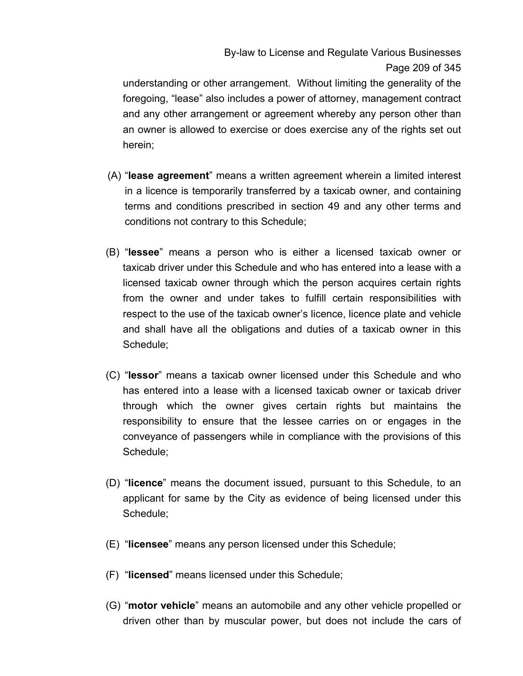By-law to License and Regulate Various Businesses Page 209 of 345

understanding or other arrangement. Without limiting the generality of the foregoing, "lease" also includes a power of attorney, management contract and any other arrangement or agreement whereby any person other than an owner is allowed to exercise or does exercise any of the rights set out herein;

- (A) "**lease agreement**" means a written agreement wherein a limited interest in a licence is temporarily transferred by a taxicab owner, and containing terms and conditions prescribed in section 49 and any other terms and conditions not contrary to this Schedule;
- (B) "**lessee**" means a person who is either a licensed taxicab owner or taxicab driver under this Schedule and who has entered into a lease with a licensed taxicab owner through which the person acquires certain rights from the owner and under takes to fulfill certain responsibilities with respect to the use of the taxicab owner's licence, licence plate and vehicle and shall have all the obligations and duties of a taxicab owner in this Schedule;
- (C) "**lessor**" means a taxicab owner licensed under this Schedule and who has entered into a lease with a licensed taxicab owner or taxicab driver through which the owner gives certain rights but maintains the responsibility to ensure that the lessee carries on or engages in the conveyance of passengers while in compliance with the provisions of this Schedule;
- (D) "**licence**" means the document issued, pursuant to this Schedule, to an applicant for same by the City as evidence of being licensed under this Schedule;
- (E) "**licensee**" means any person licensed under this Schedule;
- (F) "**licensed**" means licensed under this Schedule;
- (G) "**motor vehicle**" means an automobile and any other vehicle propelled or driven other than by muscular power, but does not include the cars of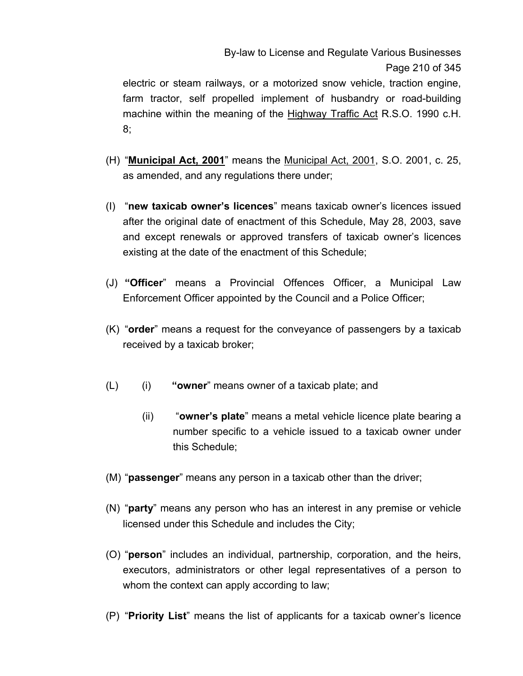# By-law to License and Regulate Various Businesses Page 210 of 345

electric or steam railways, or a motorized snow vehicle, traction engine, farm tractor, self propelled implement of husbandry or road-building machine within the meaning of the Highway Traffic Act R.S.O. 1990 c.H. 8;

- (H) "**Municipal Act, 2001**" means the Municipal Act, 2001, S.O. 2001, c. 25, as amended, and any regulations there under;
- (I) "**new taxicab owner's licences**" means taxicab owner's licences issued after the original date of enactment of this Schedule, May 28, 2003, save and except renewals or approved transfers of taxicab owner's licences existing at the date of the enactment of this Schedule;
- (J) **"Officer**" means a Provincial Offences Officer, a Municipal Law Enforcement Officer appointed by the Council and a Police Officer;
- (K) "**order**" means a request for the conveyance of passengers by a taxicab received by a taxicab broker;
- (L) (i) **"owner**" means owner of a taxicab plate; and
	- (ii) "**owner's plate**" means a metal vehicle licence plate bearing a number specific to a vehicle issued to a taxicab owner under this Schedule;
- (M) "**passenger**" means any person in a taxicab other than the driver;
- (N) "**party**" means any person who has an interest in any premise or vehicle licensed under this Schedule and includes the City;
- (O) "**person**" includes an individual, partnership, corporation, and the heirs, executors, administrators or other legal representatives of a person to whom the context can apply according to law;
- (P) "**Priority List**" means the list of applicants for a taxicab owner's licence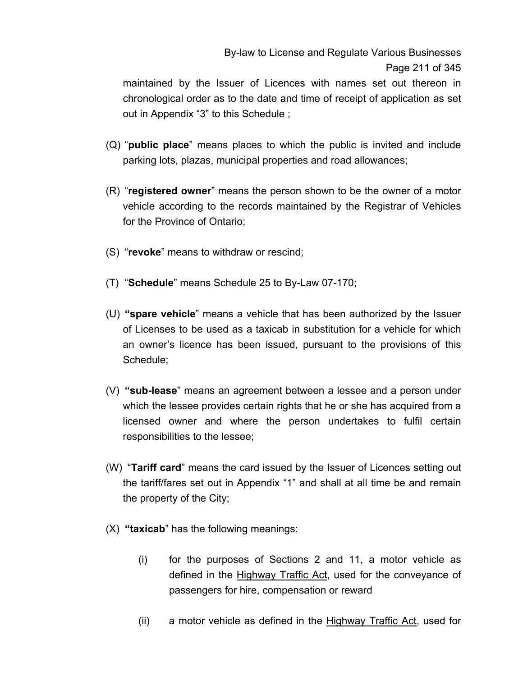maintained by the Issuer of Licences with names set out thereon in chronological order as to the date and time of receipt of application as set out in Appendix "3" to this Schedule ;

- (Q) "**public place**" means places to which the public is invited and include parking lots, plazas, municipal properties and road allowances;
- (R) "**registered owner**" means the person shown to be the owner of a motor vehicle according to the records maintained by the Registrar of Vehicles for the Province of Ontario;
- (S) "**revoke**" means to withdraw or rescind;
- (T) "**Schedule**" means Schedule 25 to By-Law 07-170;
- (U) **"spare vehicle**" means a vehicle that has been authorized by the Issuer of Licenses to be used as a taxicab in substitution for a vehicle for which an owner's licence has been issued, pursuant to the provisions of this Schedule;
- (V) **"sub-lease**" means an agreement between a lessee and a person under which the lessee provides certain rights that he or she has acquired from a licensed owner and where the person undertakes to fulfil certain responsibilities to the lessee;
- (W) "**Tariff card**" means the card issued by the Issuer of Licences setting out the tariff/fares set out in Appendix "1" and shall at all time be and remain the property of the City;
- (X) **"taxicab**" has the following meanings:
	- (i) for the purposes of Sections 2 and 11, a motor vehicle as defined in the **Highway Traffic Act**, used for the conveyance of passengers for hire, compensation or reward
	- (ii) a motor vehicle as defined in the Highway Traffic Act, used for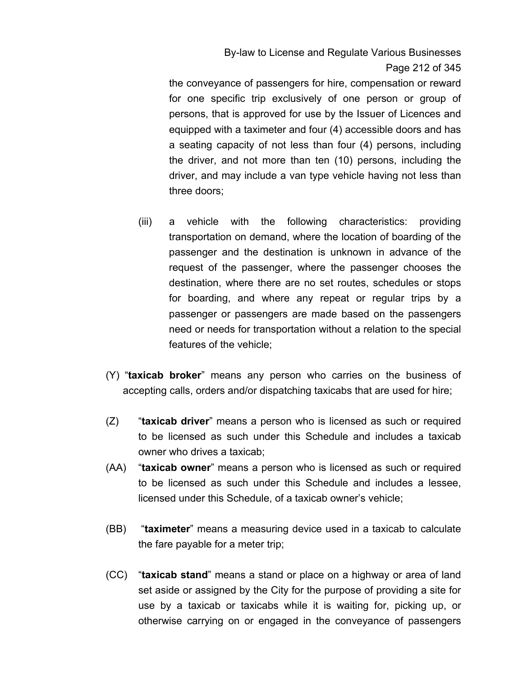By-law to License and Regulate Various Businesses Page 212 of 345

the conveyance of passengers for hire, compensation or reward for one specific trip exclusively of one person or group of persons, that is approved for use by the Issuer of Licences and equipped with a taximeter and four (4) accessible doors and has a seating capacity of not less than four (4) persons, including the driver, and not more than ten (10) persons, including the driver, and may include a van type vehicle having not less than three doors;

- (iii) a vehicle with the following characteristics: providing transportation on demand, where the location of boarding of the passenger and the destination is unknown in advance of the request of the passenger, where the passenger chooses the destination, where there are no set routes, schedules or stops for boarding, and where any repeat or regular trips by a passenger or passengers are made based on the passengers need or needs for transportation without a relation to the special features of the vehicle;
- (Y) "**taxicab broker**" means any person who carries on the business of accepting calls, orders and/or dispatching taxicabs that are used for hire;
- (Z) "**taxicab driver**" means a person who is licensed as such or required to be licensed as such under this Schedule and includes a taxicab owner who drives a taxicab;
- (AA) "**taxicab owner**" means a person who is licensed as such or required to be licensed as such under this Schedule and includes a lessee, licensed under this Schedule, of a taxicab owner's vehicle;
- (BB) "**taximeter**" means a measuring device used in a taxicab to calculate the fare payable for a meter trip;
- (CC) "**taxicab stand**" means a stand or place on a highway or area of land set aside or assigned by the City for the purpose of providing a site for use by a taxicab or taxicabs while it is waiting for, picking up, or otherwise carrying on or engaged in the conveyance of passengers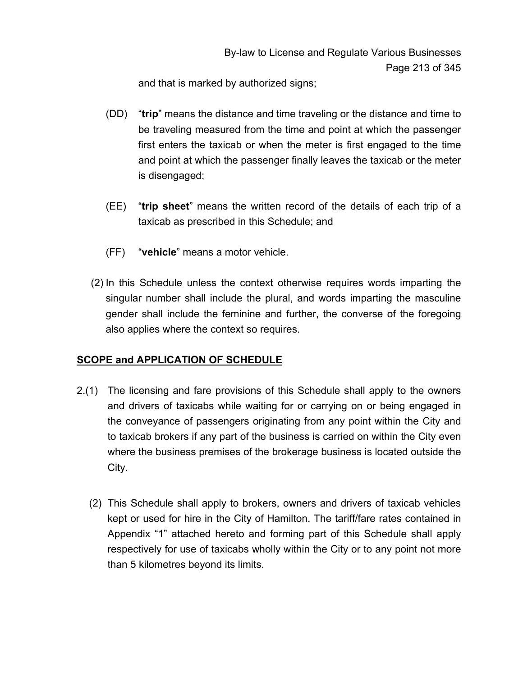and that is marked by authorized signs;

- (DD) "**trip**" means the distance and time traveling or the distance and time to be traveling measured from the time and point at which the passenger first enters the taxicab or when the meter is first engaged to the time and point at which the passenger finally leaves the taxicab or the meter is disengaged;
- (EE) "**trip sheet**" means the written record of the details of each trip of a taxicab as prescribed in this Schedule; and
- (FF) "**vehicle**" means a motor vehicle.
- (2) In this Schedule unless the context otherwise requires words imparting the singular number shall include the plural, and words imparting the masculine gender shall include the feminine and further, the converse of the foregoing also applies where the context so requires.

### **SCOPE and APPLICATION OF SCHEDULE**

- 2.(1) The licensing and fare provisions of this Schedule shall apply to the owners and drivers of taxicabs while waiting for or carrying on or being engaged in the conveyance of passengers originating from any point within the City and to taxicab brokers if any part of the business is carried on within the City even where the business premises of the brokerage business is located outside the City.
	- (2) This Schedule shall apply to brokers, owners and drivers of taxicab vehicles kept or used for hire in the City of Hamilton. The tariff/fare rates contained in Appendix "1" attached hereto and forming part of this Schedule shall apply respectively for use of taxicabs wholly within the City or to any point not more than 5 kilometres beyond its limits.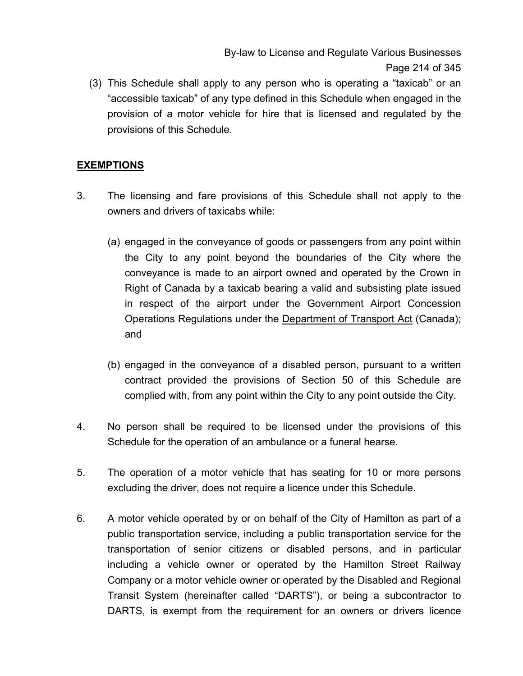By-law to License and Regulate Various Businesses Page 214 of 345

(3) This Schedule shall apply to any person who is operating a "taxicab" or an "accessible taxicab" of any type defined in this Schedule when engaged in the provision of a motor vehicle for hire that is licensed and regulated by the provisions of this Schedule.

### **EXEMPTIONS**

- 3. The licensing and fare provisions of this Schedule shall not apply to the owners and drivers of taxicabs while:
	- (a) engaged in the conveyance of goods or passengers from any point within the City to any point beyond the boundaries of the City where the conveyance is made to an airport owned and operated by the Crown in Right of Canada by a taxicab bearing a valid and subsisting plate issued in respect of the airport under the Government Airport Concession Operations Regulations under the Department of Transport Act (Canada); and
	- (b) engaged in the conveyance of a disabled person, pursuant to a written contract provided the provisions of Section 50 of this Schedule are complied with, from any point within the City to any point outside the City.
- 4. No person shall be required to be licensed under the provisions of this Schedule for the operation of an ambulance or a funeral hearse.
- 5. The operation of a motor vehicle that has seating for 10 or more persons excluding the driver, does not require a licence under this Schedule.
- 6. A motor vehicle operated by or on behalf of the City of Hamilton as part of a public transportation service, including a public transportation service for the transportation of senior citizens or disabled persons, and in particular including a vehicle owner or operated by the Hamilton Street Railway Company or a motor vehicle owner or operated by the Disabled and Regional Transit System (hereinafter called "DARTS"), or being a subcontractor to DARTS, is exempt from the requirement for an owners or drivers licence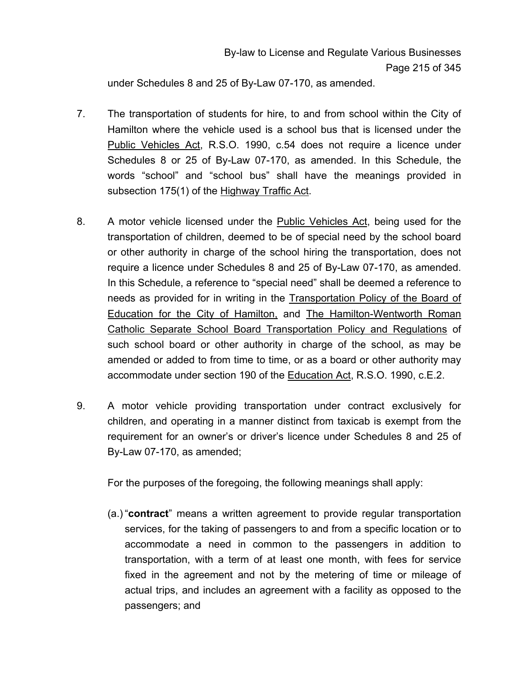under Schedules 8 and 25 of By-Law 07-170, as amended.

- 7. The transportation of students for hire, to and from school within the City of Hamilton where the vehicle used is a school bus that is licensed under the Public Vehicles Act, R.S.O. 1990, c.54 does not require a licence under Schedules 8 or 25 of By-Law 07-170, as amended. In this Schedule, the words "school" and "school bus" shall have the meanings provided in subsection 175(1) of the Highway Traffic Act.
- 8. A motor vehicle licensed under the Public Vehicles Act, being used for the transportation of children, deemed to be of special need by the school board or other authority in charge of the school hiring the transportation, does not require a licence under Schedules 8 and 25 of By-Law 07-170, as amended. In this Schedule, a reference to "special need" shall be deemed a reference to needs as provided for in writing in the Transportation Policy of the Board of Education for the City of Hamilton, and The Hamilton-Wentworth Roman Catholic Separate School Board Transportation Policy and Regulations of such school board or other authority in charge of the school, as may be amended or added to from time to time, or as a board or other authority may accommodate under section 190 of the Education Act, R.S.O. 1990, c.E.2.
- 9. A motor vehicle providing transportation under contract exclusively for children, and operating in a manner distinct from taxicab is exempt from the requirement for an owner's or driver's licence under Schedules 8 and 25 of By-Law 07-170, as amended;

For the purposes of the foregoing, the following meanings shall apply:

(a.) "**contract**" means a written agreement to provide regular transportation services, for the taking of passengers to and from a specific location or to accommodate a need in common to the passengers in addition to transportation, with a term of at least one month, with fees for service fixed in the agreement and not by the metering of time or mileage of actual trips, and includes an agreement with a facility as opposed to the passengers; and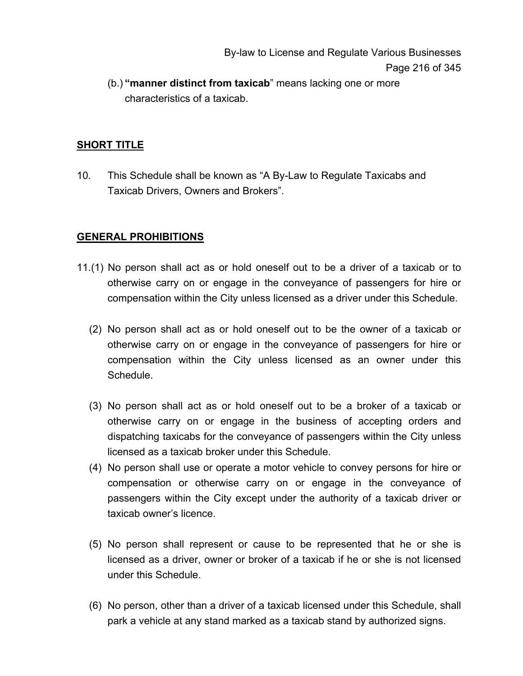By-law to License and Regulate Various Businesses Page 216 of 345

(b.) **"manner distinct from taxicab**" means lacking one or more characteristics of a taxicab.

### **SHORT TITLE**

10. This Schedule shall be known as "A By-Law to Regulate Taxicabs and Taxicab Drivers, Owners and Brokers".

#### **GENERAL PROHIBITIONS**

- 11.(1) No person shall act as or hold oneself out to be a driver of a taxicab or to otherwise carry on or engage in the conveyance of passengers for hire or compensation within the City unless licensed as a driver under this Schedule.
	- (2) No person shall act as or hold oneself out to be the owner of a taxicab or otherwise carry on or engage in the conveyance of passengers for hire or compensation within the City unless licensed as an owner under this Schedule.
	- (3) No person shall act as or hold oneself out to be a broker of a taxicab or otherwise carry on or engage in the business of accepting orders and dispatching taxicabs for the conveyance of passengers within the City unless licensed as a taxicab broker under this Schedule.
	- (4) No person shall use or operate a motor vehicle to convey persons for hire or compensation or otherwise carry on or engage in the conveyance of passengers within the City except under the authority of a taxicab driver or taxicab owner's licence.
	- (5) No person shall represent or cause to be represented that he or she is licensed as a driver, owner or broker of a taxicab if he or she is not licensed under this Schedule.
	- (6) No person, other than a driver of a taxicab licensed under this Schedule, shall park a vehicle at any stand marked as a taxicab stand by authorized signs.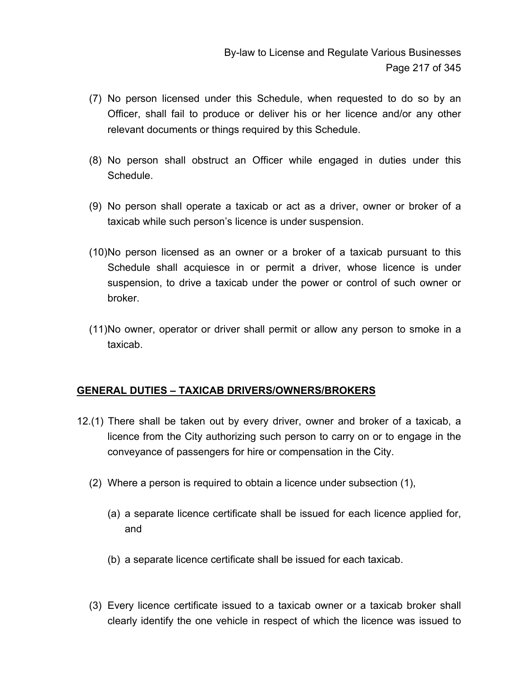- (7) No person licensed under this Schedule, when requested to do so by an Officer, shall fail to produce or deliver his or her licence and/or any other relevant documents or things required by this Schedule.
- (8) No person shall obstruct an Officer while engaged in duties under this Schedule.
- (9) No person shall operate a taxicab or act as a driver, owner or broker of a taxicab while such person's licence is under suspension.
- (10) No person licensed as an owner or a broker of a taxicab pursuant to this Schedule shall acquiesce in or permit a driver, whose licence is under suspension, to drive a taxicab under the power or control of such owner or broker.
- (11) No owner, operator or driver shall permit or allow any person to smoke in a taxicab.

## **GENERAL DUTIES – TAXICAB DRIVERS/OWNERS/BROKERS**

- 12.(1) There shall be taken out by every driver, owner and broker of a taxicab, a licence from the City authorizing such person to carry on or to engage in the conveyance of passengers for hire or compensation in the City.
	- (2) Where a person is required to obtain a licence under subsection (1),
		- (a) a separate licence certificate shall be issued for each licence applied for, and
		- (b) a separate licence certificate shall be issued for each taxicab.
	- (3) Every licence certificate issued to a taxicab owner or a taxicab broker shall clearly identify the one vehicle in respect of which the licence was issued to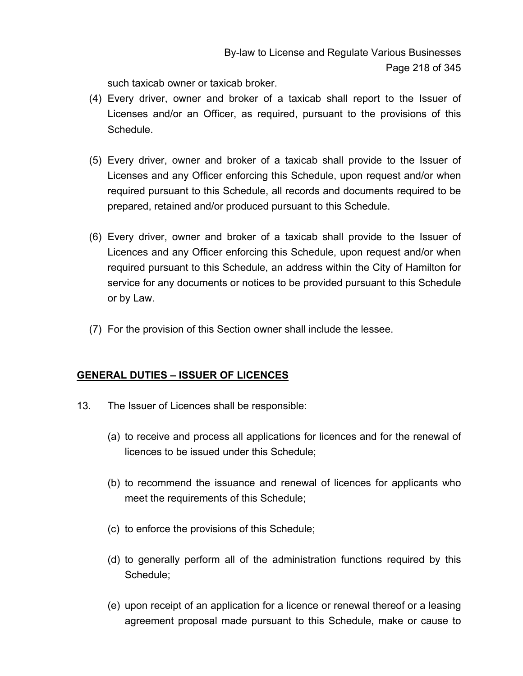such taxicab owner or taxicab broker.

- (4) Every driver, owner and broker of a taxicab shall report to the Issuer of Licenses and/or an Officer, as required, pursuant to the provisions of this Schedule.
- (5) Every driver, owner and broker of a taxicab shall provide to the Issuer of Licenses and any Officer enforcing this Schedule, upon request and/or when required pursuant to this Schedule, all records and documents required to be prepared, retained and/or produced pursuant to this Schedule.
- (6) Every driver, owner and broker of a taxicab shall provide to the Issuer of Licences and any Officer enforcing this Schedule, upon request and/or when required pursuant to this Schedule, an address within the City of Hamilton for service for any documents or notices to be provided pursuant to this Schedule or by Law.
- (7) For the provision of this Section owner shall include the lessee.

## **GENERAL DUTIES – ISSUER OF LICENCES**

- 13. The Issuer of Licences shall be responsible:
	- (a) to receive and process all applications for licences and for the renewal of licences to be issued under this Schedule;
	- (b) to recommend the issuance and renewal of licences for applicants who meet the requirements of this Schedule;
	- (c) to enforce the provisions of this Schedule;
	- (d) to generally perform all of the administration functions required by this Schedule;
	- (e) upon receipt of an application for a licence or renewal thereof or a leasing agreement proposal made pursuant to this Schedule, make or cause to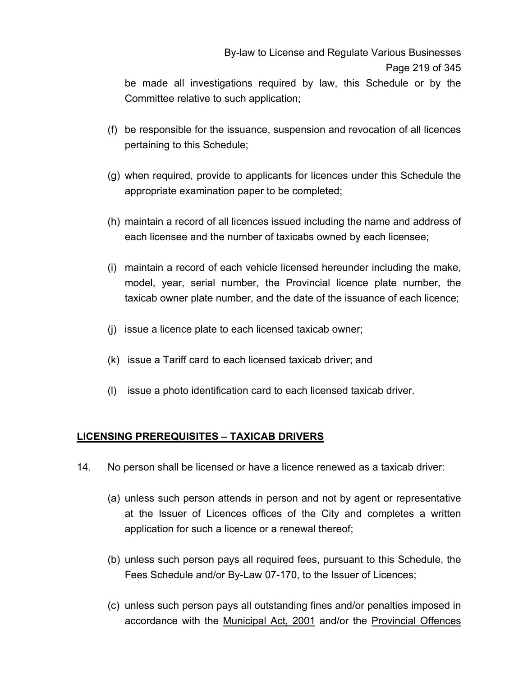be made all investigations required by law, this Schedule or by the Committee relative to such application;

- (f) be responsible for the issuance, suspension and revocation of all licences pertaining to this Schedule;
- (g) when required, provide to applicants for licences under this Schedule the appropriate examination paper to be completed;
- (h) maintain a record of all licences issued including the name and address of each licensee and the number of taxicabs owned by each licensee;
- (i) maintain a record of each vehicle licensed hereunder including the make, model, year, serial number, the Provincial licence plate number, the taxicab owner plate number, and the date of the issuance of each licence;
- (j) issue a licence plate to each licensed taxicab owner;
- (k) issue a Tariff card to each licensed taxicab driver; and
- (l) issue a photo identification card to each licensed taxicab driver.

#### **LICENSING PREREQUISITES – TAXICAB DRIVERS**

- 14. No person shall be licensed or have a licence renewed as a taxicab driver:
	- (a) unless such person attends in person and not by agent or representative at the Issuer of Licences offices of the City and completes a written application for such a licence or a renewal thereof;
	- (b) unless such person pays all required fees, pursuant to this Schedule, the Fees Schedule and/or By-Law 07-170, to the Issuer of Licences;
	- (c) unless such person pays all outstanding fines and/or penalties imposed in accordance with the Municipal Act, 2001 and/or the Provincial Offences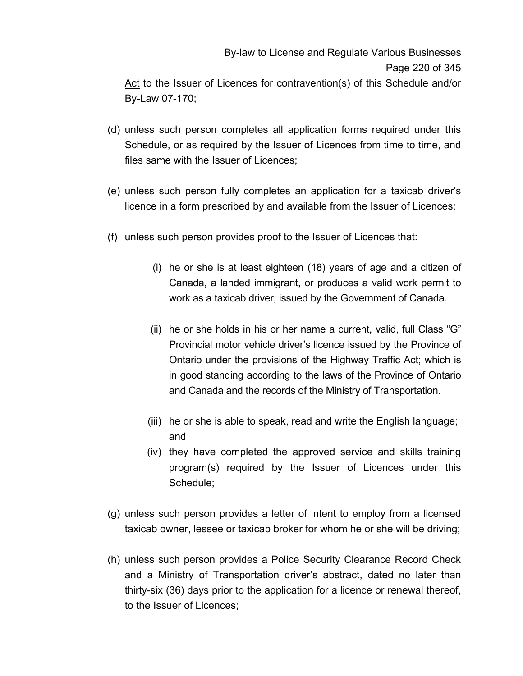# By-law to License and Regulate Various Businesses Page 220 of 345 Act to the Issuer of Licences for contravention(s) of this Schedule and/or

By-Law 07-170;

- (d) unless such person completes all application forms required under this Schedule, or as required by the Issuer of Licences from time to time, and files same with the Issuer of Licences;
- (e) unless such person fully completes an application for a taxicab driver's licence in a form prescribed by and available from the Issuer of Licences;
- (f) unless such person provides proof to the Issuer of Licences that:
	- (i) he or she is at least eighteen (18) years of age and a citizen of Canada, a landed immigrant, or produces a valid work permit to work as a taxicab driver, issued by the Government of Canada.
	- (ii) he or she holds in his or her name a current, valid, full Class "G" Provincial motor vehicle driver's licence issued by the Province of Ontario under the provisions of the Highway Traffic Act; which is in good standing according to the laws of the Province of Ontario and Canada and the records of the Ministry of Transportation.
	- (iii) he or she is able to speak, read and write the English language; and
	- (iv) they have completed the approved service and skills training program(s) required by the Issuer of Licences under this Schedule;
- (g) unless such person provides a letter of intent to employ from a licensed taxicab owner, lessee or taxicab broker for whom he or she will be driving;
- (h) unless such person provides a Police Security Clearance Record Check and a Ministry of Transportation driver's abstract, dated no later than thirty-six (36) days prior to the application for a licence or renewal thereof, to the Issuer of Licences;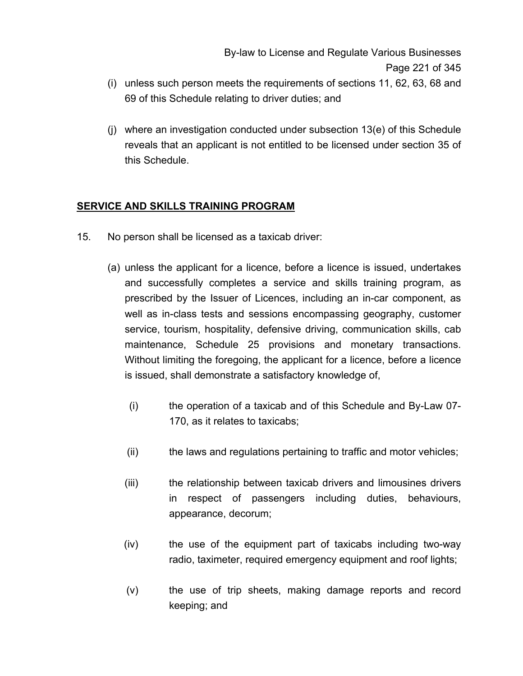- (i) unless such person meets the requirements of sections 11, 62, 63, 68 and 69 of this Schedule relating to driver duties; and
- (j) where an investigation conducted under subsection 13(e) of this Schedule reveals that an applicant is not entitled to be licensed under section 35 of this Schedule.

# **SERVICE AND SKILLS TRAINING PROGRAM**

- 15. No person shall be licensed as a taxicab driver:
	- (a) unless the applicant for a licence, before a licence is issued, undertakes and successfully completes a service and skills training program, as prescribed by the Issuer of Licences, including an in-car component, as well as in-class tests and sessions encompassing geography, customer service, tourism, hospitality, defensive driving, communication skills, cab maintenance, Schedule 25 provisions and monetary transactions. Without limiting the foregoing, the applicant for a licence, before a licence is issued, shall demonstrate a satisfactory knowledge of,
		- (i) the operation of a taxicab and of this Schedule and By-Law 07- 170, as it relates to taxicabs;
		- (ii) the laws and regulations pertaining to traffic and motor vehicles;
		- (iii) the relationship between taxicab drivers and limousines drivers in respect of passengers including duties, behaviours, appearance, decorum;
		- (iv) the use of the equipment part of taxicabs including two-way radio, taximeter, required emergency equipment and roof lights;
		- (v) the use of trip sheets, making damage reports and record keeping; and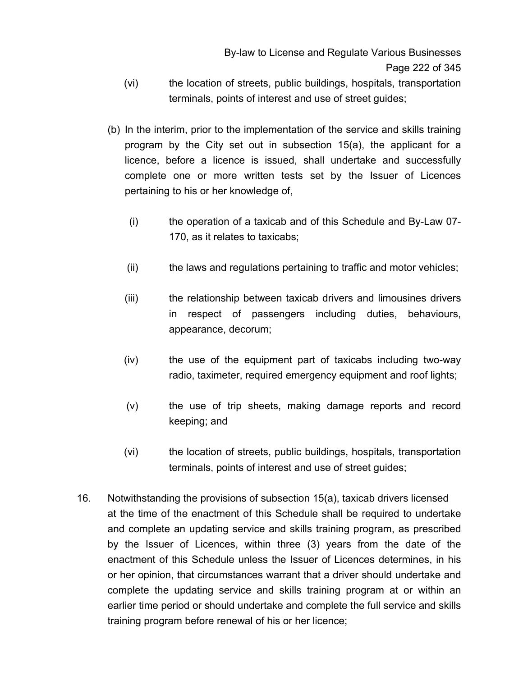- (vi) the location of streets, public buildings, hospitals, transportation terminals, points of interest and use of street guides;
- (b) In the interim, prior to the implementation of the service and skills training program by the City set out in subsection 15(a), the applicant for a licence, before a licence is issued, shall undertake and successfully complete one or more written tests set by the Issuer of Licences pertaining to his or her knowledge of,
	- (i) the operation of a taxicab and of this Schedule and By-Law 07- 170, as it relates to taxicabs;
	- (ii) the laws and regulations pertaining to traffic and motor vehicles;
	- (iii) the relationship between taxicab drivers and limousines drivers in respect of passengers including duties, behaviours, appearance, decorum;
	- (iv) the use of the equipment part of taxicabs including two-way radio, taximeter, required emergency equipment and roof lights;
	- (v) the use of trip sheets, making damage reports and record keeping; and
	- (vi) the location of streets, public buildings, hospitals, transportation terminals, points of interest and use of street guides;
- 16. Notwithstanding the provisions of subsection 15(a), taxicab drivers licensed at the time of the enactment of this Schedule shall be required to undertake and complete an updating service and skills training program, as prescribed by the Issuer of Licences, within three (3) years from the date of the enactment of this Schedule unless the Issuer of Licences determines, in his or her opinion, that circumstances warrant that a driver should undertake and complete the updating service and skills training program at or within an earlier time period or should undertake and complete the full service and skills training program before renewal of his or her licence;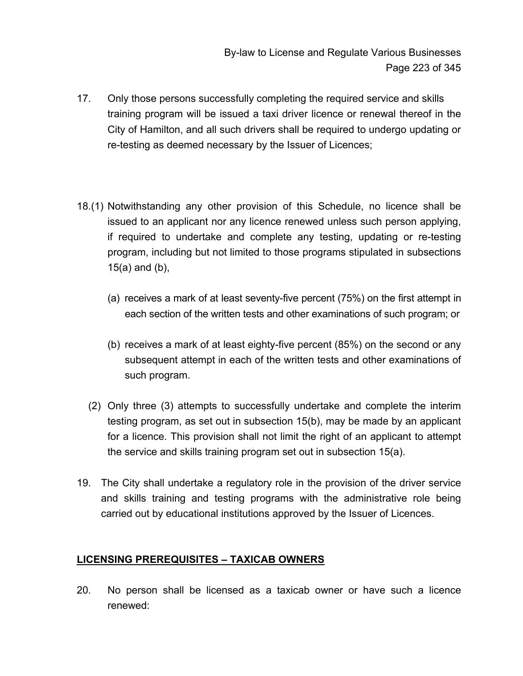- 17. Only those persons successfully completing the required service and skills training program will be issued a taxi driver licence or renewal thereof in the City of Hamilton, and all such drivers shall be required to undergo updating or re-testing as deemed necessary by the Issuer of Licences;
- 18.(1) Notwithstanding any other provision of this Schedule, no licence shall be issued to an applicant nor any licence renewed unless such person applying, if required to undertake and complete any testing, updating or re-testing program, including but not limited to those programs stipulated in subsections 15(a) and (b),
	- (a) receives a mark of at least seventy-five percent (75%) on the first attempt in each section of the written tests and other examinations of such program; or
	- (b) receives a mark of at least eighty-five percent (85%) on the second or any subsequent attempt in each of the written tests and other examinations of such program.
	- (2) Only three (3) attempts to successfully undertake and complete the interim testing program, as set out in subsection 15(b), may be made by an applicant for a licence. This provision shall not limit the right of an applicant to attempt the service and skills training program set out in subsection 15(a).
- 19. The City shall undertake a regulatory role in the provision of the driver service and skills training and testing programs with the administrative role being carried out by educational institutions approved by the Issuer of Licences.

## **LICENSING PREREQUISITES – TAXICAB OWNERS**

20. No person shall be licensed as a taxicab owner or have such a licence renewed: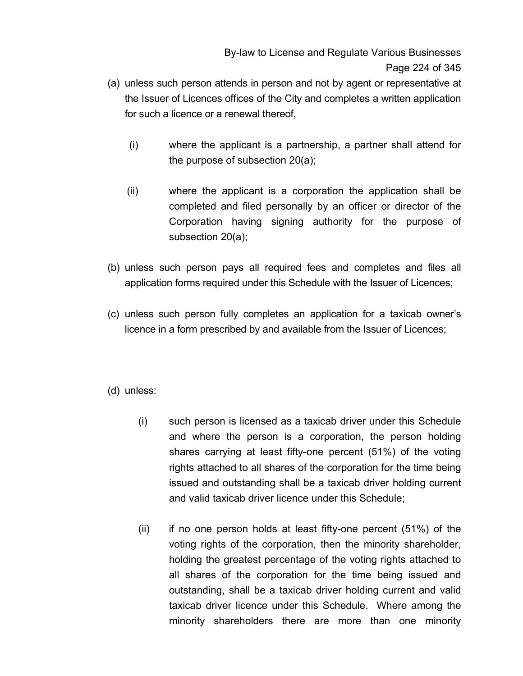- (a) unless such person attends in person and not by agent or representative at the Issuer of Licences offices of the City and completes a written application for such a licence or a renewal thereof,
	- (i) where the applicant is a partnership, a partner shall attend for the purpose of subsection 20(a);
	- (ii) where the applicant is a corporation the application shall be completed and filed personally by an officer or director of the Corporation having signing authority for the purpose of subsection 20(a);
- (b) unless such person pays all required fees and completes and files all application forms required under this Schedule with the Issuer of Licences;
- (c) unless such person fully completes an application for a taxicab owner's licence in a form prescribed by and available from the Issuer of Licences;
- (d) unless:
	- (i) such person is licensed as a taxicab driver under this Schedule and where the person is a corporation, the person holding shares carrying at least fifty-one percent (51%) of the voting rights attached to all shares of the corporation for the time being issued and outstanding shall be a taxicab driver holding current and valid taxicab driver licence under this Schedule;
	- (ii) if no one person holds at least fifty-one percent (51%) of the voting rights of the corporation, then the minority shareholder, holding the greatest percentage of the voting rights attached to all shares of the corporation for the time being issued and outstanding, shall be a taxicab driver holding current and valid taxicab driver licence under this Schedule. Where among the minority shareholders there are more than one minority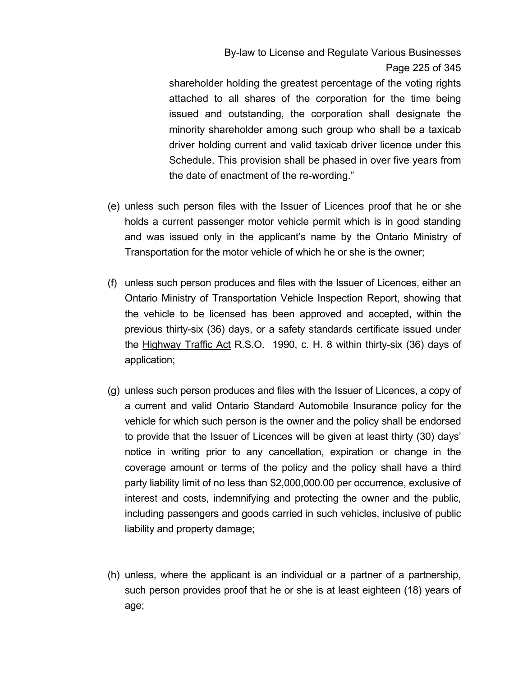# By-law to License and Regulate Various Businesses Page 225 of 345

shareholder holding the greatest percentage of the voting rights attached to all shares of the corporation for the time being issued and outstanding, the corporation shall designate the minority shareholder among such group who shall be a taxicab driver holding current and valid taxicab driver licence under this Schedule. This provision shall be phased in over five years from the date of enactment of the re-wording."

- (e) unless such person files with the Issuer of Licences proof that he or she holds a current passenger motor vehicle permit which is in good standing and was issued only in the applicant's name by the Ontario Ministry of Transportation for the motor vehicle of which he or she is the owner;
- (f) unless such person produces and files with the Issuer of Licences, either an Ontario Ministry of Transportation Vehicle Inspection Report, showing that the vehicle to be licensed has been approved and accepted, within the previous thirty-six (36) days, or a safety standards certificate issued under the Highway Traffic Act R.S.O. 1990, c. H. 8 within thirty-six (36) days of application;
- (g) unless such person produces and files with the Issuer of Licences, a copy of a current and valid Ontario Standard Automobile Insurance policy for the vehicle for which such person is the owner and the policy shall be endorsed to provide that the Issuer of Licences will be given at least thirty (30) days' notice in writing prior to any cancellation, expiration or change in the coverage amount or terms of the policy and the policy shall have a third party liability limit of no less than \$2,000,000.00 per occurrence, exclusive of interest and costs, indemnifying and protecting the owner and the public, including passengers and goods carried in such vehicles, inclusive of public liability and property damage;
- (h) unless, where the applicant is an individual or a partner of a partnership, such person provides proof that he or she is at least eighteen (18) years of age;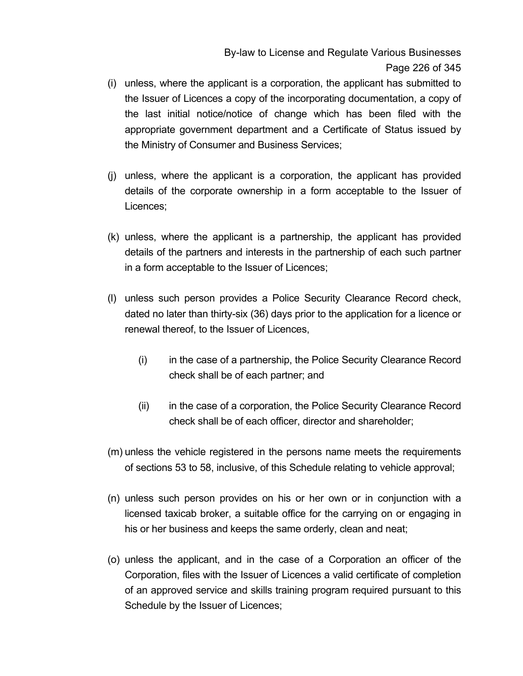By-law to License and Regulate Various Businesses Page 226 of 345

- (i) unless, where the applicant is a corporation, the applicant has submitted to the Issuer of Licences a copy of the incorporating documentation, a copy of the last initial notice/notice of change which has been filed with the appropriate government department and a Certificate of Status issued by the Ministry of Consumer and Business Services;
- (j) unless, where the applicant is a corporation, the applicant has provided details of the corporate ownership in a form acceptable to the Issuer of Licences;
- (k) unless, where the applicant is a partnership, the applicant has provided details of the partners and interests in the partnership of each such partner in a form acceptable to the Issuer of Licences;
- (l) unless such person provides a Police Security Clearance Record check, dated no later than thirty-six (36) days prior to the application for a licence or renewal thereof, to the Issuer of Licences,
	- (i) in the case of a partnership, the Police Security Clearance Record check shall be of each partner; and
	- (ii) in the case of a corporation, the Police Security Clearance Record check shall be of each officer, director and shareholder;
- (m) unless the vehicle registered in the persons name meets the requirements of sections 53 to 58, inclusive, of this Schedule relating to vehicle approval;
- (n) unless such person provides on his or her own or in conjunction with a licensed taxicab broker, a suitable office for the carrying on or engaging in his or her business and keeps the same orderly, clean and neat;
- (o) unless the applicant, and in the case of a Corporation an officer of the Corporation, files with the Issuer of Licences a valid certificate of completion of an approved service and skills training program required pursuant to this Schedule by the Issuer of Licences;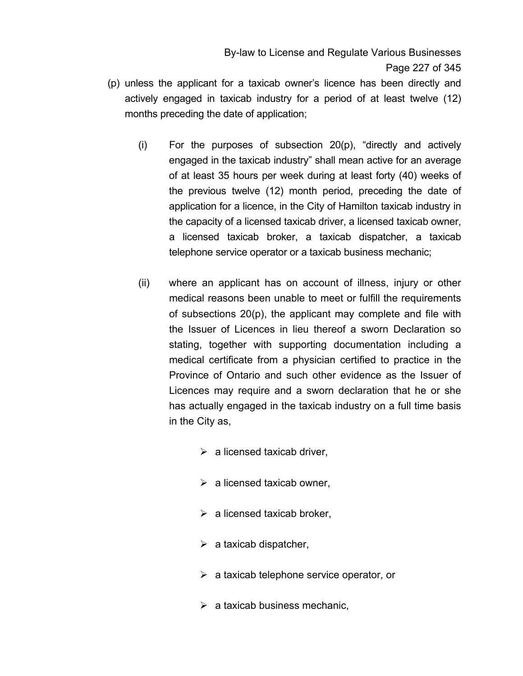By-law to License and Regulate Various Businesses Page 227 of 345

- (p) unless the applicant for a taxicab owner's licence has been directly and actively engaged in taxicab industry for a period of at least twelve (12) months preceding the date of application;
	- (i) For the purposes of subsection 20(p), "directly and actively engaged in the taxicab industry" shall mean active for an average of at least 35 hours per week during at least forty (40) weeks of the previous twelve (12) month period, preceding the date of application for a licence, in the City of Hamilton taxicab industry in the capacity of a licensed taxicab driver, a licensed taxicab owner, a licensed taxicab broker, a taxicab dispatcher, a taxicab telephone service operator or a taxicab business mechanic;
	- (ii) where an applicant has on account of illness, injury or other medical reasons been unable to meet or fulfill the requirements of subsections 20(p), the applicant may complete and file with the Issuer of Licences in lieu thereof a sworn Declaration so stating, together with supporting documentation including a medical certificate from a physician certified to practice in the Province of Ontario and such other evidence as the Issuer of Licences may require and a sworn declaration that he or she has actually engaged in the taxicab industry on a full time basis in the City as,
		- $\triangleright$  a licensed taxicab driver,
		- $\triangleright$  a licensed taxicab owner,
		- $\triangleright$  a licensed taxicab broker,
		- $\triangleright$  a taxicab dispatcher,
		- $\triangleright$  a taxicab telephone service operator, or
		- $\triangleright$  a taxicab business mechanic,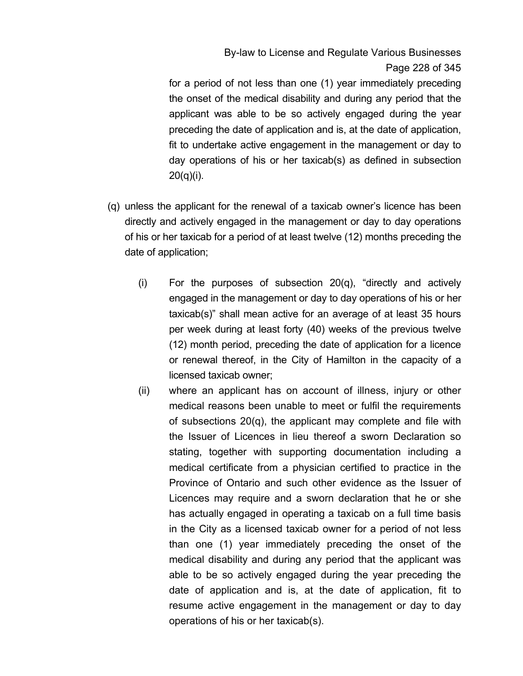By-law to License and Regulate Various Businesses Page 228 of 345

for a period of not less than one (1) year immediately preceding the onset of the medical disability and during any period that the applicant was able to be so actively engaged during the year preceding the date of application and is, at the date of application, fit to undertake active engagement in the management or day to day operations of his or her taxicab(s) as defined in subsection 20(q)(i).

- (q) unless the applicant for the renewal of a taxicab owner's licence has been directly and actively engaged in the management or day to day operations of his or her taxicab for a period of at least twelve (12) months preceding the date of application;
	- (i) For the purposes of subsection 20(q), "directly and actively engaged in the management or day to day operations of his or her taxicab(s)" shall mean active for an average of at least 35 hours per week during at least forty (40) weeks of the previous twelve (12) month period, preceding the date of application for a licence or renewal thereof, in the City of Hamilton in the capacity of a licensed taxicab owner;
	- (ii) where an applicant has on account of illness, injury or other medical reasons been unable to meet or fulfil the requirements of subsections 20(q), the applicant may complete and file with the Issuer of Licences in lieu thereof a sworn Declaration so stating, together with supporting documentation including a medical certificate from a physician certified to practice in the Province of Ontario and such other evidence as the Issuer of Licences may require and a sworn declaration that he or she has actually engaged in operating a taxicab on a full time basis in the City as a licensed taxicab owner for a period of not less than one (1) year immediately preceding the onset of the medical disability and during any period that the applicant was able to be so actively engaged during the year preceding the date of application and is, at the date of application, fit to resume active engagement in the management or day to day operations of his or her taxicab(s).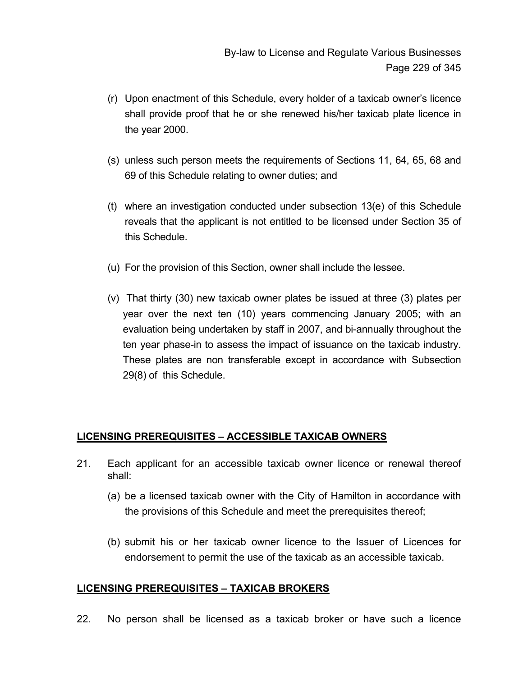- (r) Upon enactment of this Schedule, every holder of a taxicab owner's licence shall provide proof that he or she renewed his/her taxicab plate licence in the year 2000.
- (s) unless such person meets the requirements of Sections 11, 64, 65, 68 and 69 of this Schedule relating to owner duties; and
- (t) where an investigation conducted under subsection 13(e) of this Schedule reveals that the applicant is not entitled to be licensed under Section 35 of this Schedule.
- (u) For the provision of this Section, owner shall include the lessee.
- (v) That thirty (30) new taxicab owner plates be issued at three (3) plates per year over the next ten (10) years commencing January 2005; with an evaluation being undertaken by staff in 2007, and bi-annually throughout the ten year phase-in to assess the impact of issuance on the taxicab industry. These plates are non transferable except in accordance with Subsection 29(8) of this Schedule.

#### **LICENSING PREREQUISITES – ACCESSIBLE TAXICAB OWNERS**

- 21. Each applicant for an accessible taxicab owner licence or renewal thereof shall:
	- (a) be a licensed taxicab owner with the City of Hamilton in accordance with the provisions of this Schedule and meet the prerequisites thereof;
	- (b) submit his or her taxicab owner licence to the Issuer of Licences for endorsement to permit the use of the taxicab as an accessible taxicab.

#### **LICENSING PREREQUISITES – TAXICAB BROKERS**

22. No person shall be licensed as a taxicab broker or have such a licence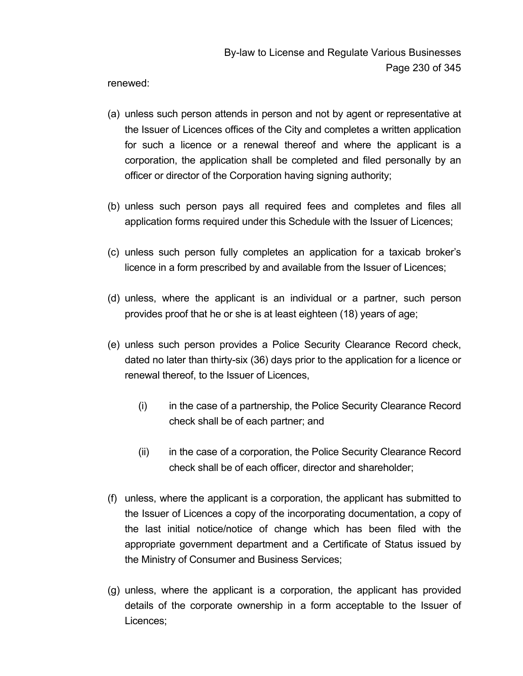renewed:

- (a) unless such person attends in person and not by agent or representative at the Issuer of Licences offices of the City and completes a written application for such a licence or a renewal thereof and where the applicant is a corporation, the application shall be completed and filed personally by an officer or director of the Corporation having signing authority;
- (b) unless such person pays all required fees and completes and files all application forms required under this Schedule with the Issuer of Licences;
- (c) unless such person fully completes an application for a taxicab broker's licence in a form prescribed by and available from the Issuer of Licences;
- (d) unless, where the applicant is an individual or a partner, such person provides proof that he or she is at least eighteen (18) years of age;
- (e) unless such person provides a Police Security Clearance Record check, dated no later than thirty-six (36) days prior to the application for a licence or renewal thereof, to the Issuer of Licences,
	- (i) in the case of a partnership, the Police Security Clearance Record check shall be of each partner; and
	- (ii) in the case of a corporation, the Police Security Clearance Record check shall be of each officer, director and shareholder;
- (f) unless, where the applicant is a corporation, the applicant has submitted to the Issuer of Licences a copy of the incorporating documentation, a copy of the last initial notice/notice of change which has been filed with the appropriate government department and a Certificate of Status issued by the Ministry of Consumer and Business Services;
- (g) unless, where the applicant is a corporation, the applicant has provided details of the corporate ownership in a form acceptable to the Issuer of Licences;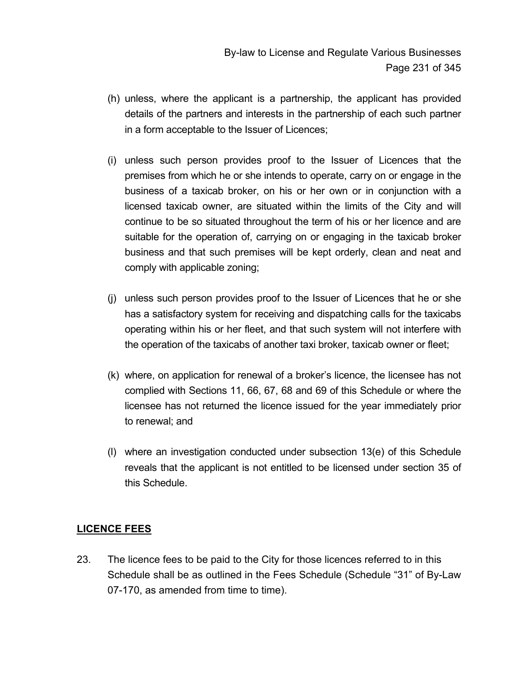- (h) unless, where the applicant is a partnership, the applicant has provided details of the partners and interests in the partnership of each such partner in a form acceptable to the Issuer of Licences;
- (i) unless such person provides proof to the Issuer of Licences that the premises from which he or she intends to operate, carry on or engage in the business of a taxicab broker, on his or her own or in conjunction with a licensed taxicab owner, are situated within the limits of the City and will continue to be so situated throughout the term of his or her licence and are suitable for the operation of, carrying on or engaging in the taxicab broker business and that such premises will be kept orderly, clean and neat and comply with applicable zoning;
- (j) unless such person provides proof to the Issuer of Licences that he or she has a satisfactory system for receiving and dispatching calls for the taxicabs operating within his or her fleet, and that such system will not interfere with the operation of the taxicabs of another taxi broker, taxicab owner or fleet;
- (k) where, on application for renewal of a broker's licence, the licensee has not complied with Sections 11, 66, 67, 68 and 69 of this Schedule or where the licensee has not returned the licence issued for the year immediately prior to renewal; and
- (l) where an investigation conducted under subsection 13(e) of this Schedule reveals that the applicant is not entitled to be licensed under section 35 of this Schedule.

## **LICENCE FEES**

23. The licence fees to be paid to the City for those licences referred to in this Schedule shall be as outlined in the Fees Schedule (Schedule "31" of By-Law 07-170, as amended from time to time).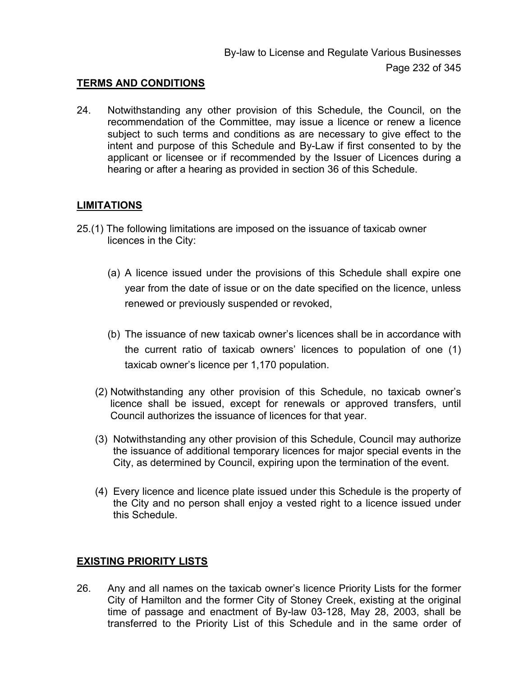#### **TERMS AND CONDITIONS**

24. Notwithstanding any other provision of this Schedule, the Council, on the recommendation of the Committee, may issue a licence or renew a licence subject to such terms and conditions as are necessary to give effect to the intent and purpose of this Schedule and By-Law if first consented to by the applicant or licensee or if recommended by the Issuer of Licences during a hearing or after a hearing as provided in section 36 of this Schedule.

#### **LIMITATIONS**

- 25.(1) The following limitations are imposed on the issuance of taxicab owner licences in the City:
	- (a) A licence issued under the provisions of this Schedule shall expire one year from the date of issue or on the date specified on the licence, unless renewed or previously suspended or revoked,
	- (b) The issuance of new taxicab owner's licences shall be in accordance with the current ratio of taxicab owners' licences to population of one (1) taxicab owner's licence per 1,170 population.
	- (2) Notwithstanding any other provision of this Schedule, no taxicab owner's licence shall be issued, except for renewals or approved transfers, until Council authorizes the issuance of licences for that year.
	- (3) Notwithstanding any other provision of this Schedule, Council may authorize the issuance of additional temporary licences for major special events in the City, as determined by Council, expiring upon the termination of the event.
	- (4) Every licence and licence plate issued under this Schedule is the property of the City and no person shall enjoy a vested right to a licence issued under this Schedule.

#### **EXISTING PRIORITY LISTS**

26. Any and all names on the taxicab owner's licence Priority Lists for the former City of Hamilton and the former City of Stoney Creek, existing at the original time of passage and enactment of By-law 03-128, May 28, 2003, shall be transferred to the Priority List of this Schedule and in the same order of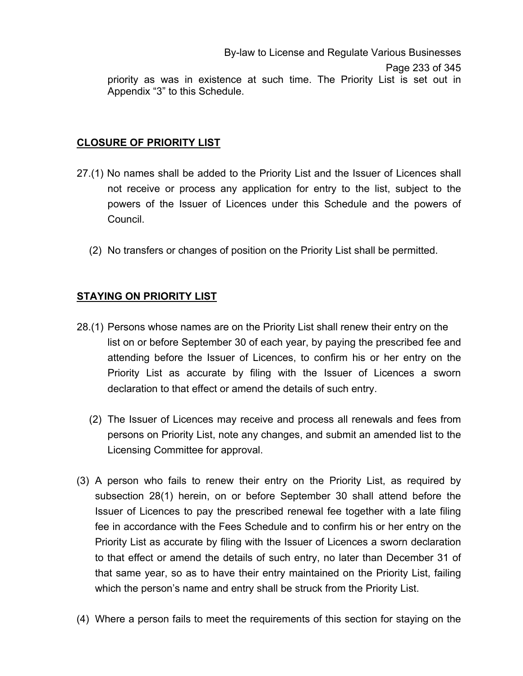By-law to License and Regulate Various Businesses Page 233 of 345 priority as was in existence at such time. The Priority List is set out in Appendix "3" to this Schedule.

#### **CLOSURE OF PRIORITY LIST**

- 27.(1) No names shall be added to the Priority List and the Issuer of Licences shall not receive or process any application for entry to the list, subject to the powers of the Issuer of Licences under this Schedule and the powers of Council.
	- (2) No transfers or changes of position on the Priority List shall be permitted.

## **STAYING ON PRIORITY LIST**

- 28.(1) Persons whose names are on the Priority List shall renew their entry on the list on or before September 30 of each year, by paying the prescribed fee and attending before the Issuer of Licences, to confirm his or her entry on the Priority List as accurate by filing with the Issuer of Licences a sworn declaration to that effect or amend the details of such entry.
	- (2) The Issuer of Licences may receive and process all renewals and fees from persons on Priority List, note any changes, and submit an amended list to the Licensing Committee for approval.
- (3) A person who fails to renew their entry on the Priority List, as required by subsection 28(1) herein, on or before September 30 shall attend before the Issuer of Licences to pay the prescribed renewal fee together with a late filing fee in accordance with the Fees Schedule and to confirm his or her entry on the Priority List as accurate by filing with the Issuer of Licences a sworn declaration to that effect or amend the details of such entry, no later than December 31 of that same year, so as to have their entry maintained on the Priority List, failing which the person's name and entry shall be struck from the Priority List.
- (4) Where a person fails to meet the requirements of this section for staying on the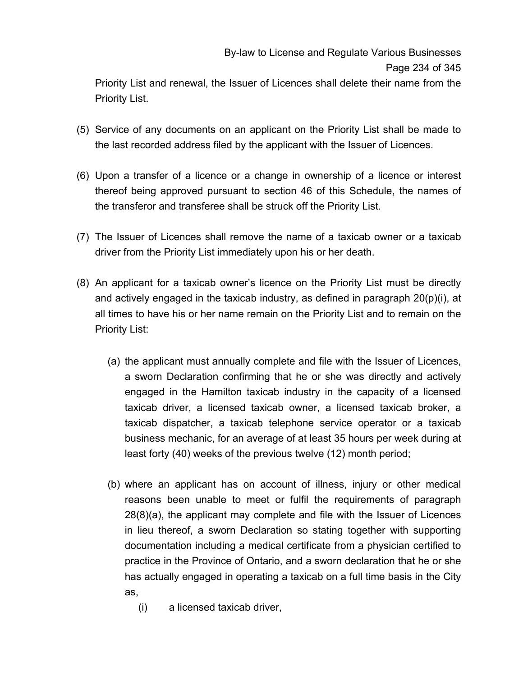Priority List and renewal, the Issuer of Licences shall delete their name from the Priority List.

- (5) Service of any documents on an applicant on the Priority List shall be made to the last recorded address filed by the applicant with the Issuer of Licences.
- (6) Upon a transfer of a licence or a change in ownership of a licence or interest thereof being approved pursuant to section 46 of this Schedule, the names of the transferor and transferee shall be struck off the Priority List.
- (7) The Issuer of Licences shall remove the name of a taxicab owner or a taxicab driver from the Priority List immediately upon his or her death.
- (8) An applicant for a taxicab owner's licence on the Priority List must be directly and actively engaged in the taxicab industry, as defined in paragraph  $20(p)(i)$ , at all times to have his or her name remain on the Priority List and to remain on the Priority List:
	- (a) the applicant must annually complete and file with the Issuer of Licences, a sworn Declaration confirming that he or she was directly and actively engaged in the Hamilton taxicab industry in the capacity of a licensed taxicab driver, a licensed taxicab owner, a licensed taxicab broker, a taxicab dispatcher, a taxicab telephone service operator or a taxicab business mechanic, for an average of at least 35 hours per week during at least forty (40) weeks of the previous twelve (12) month period;
	- (b) where an applicant has on account of illness, injury or other medical reasons been unable to meet or fulfil the requirements of paragraph 28(8)(a), the applicant may complete and file with the Issuer of Licences in lieu thereof, a sworn Declaration so stating together with supporting documentation including a medical certificate from a physician certified to practice in the Province of Ontario, and a sworn declaration that he or she has actually engaged in operating a taxicab on a full time basis in the City as,
		- (i) a licensed taxicab driver,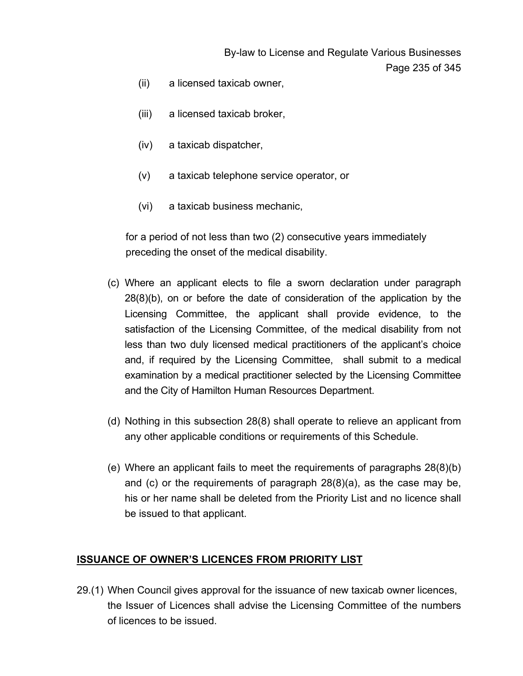By-law to License and Regulate Various Businesses Page 235 of 345

- (ii) a licensed taxicab owner,
- (iii) a licensed taxicab broker,
- (iv) a taxicab dispatcher,
- (v) a taxicab telephone service operator, or
- (vi) a taxicab business mechanic,

for a period of not less than two (2) consecutive years immediately preceding the onset of the medical disability.

- (c) Where an applicant elects to file a sworn declaration under paragraph 28(8)(b), on or before the date of consideration of the application by the Licensing Committee, the applicant shall provide evidence, to the satisfaction of the Licensing Committee, of the medical disability from not less than two duly licensed medical practitioners of the applicant's choice and, if required by the Licensing Committee, shall submit to a medical examination by a medical practitioner selected by the Licensing Committee and the City of Hamilton Human Resources Department.
- (d) Nothing in this subsection 28(8) shall operate to relieve an applicant from any other applicable conditions or requirements of this Schedule.
- (e) Where an applicant fails to meet the requirements of paragraphs 28(8)(b) and (c) or the requirements of paragraph 28(8)(a), as the case may be, his or her name shall be deleted from the Priority List and no licence shall be issued to that applicant.

#### **ISSUANCE OF OWNER'S LICENCES FROM PRIORITY LIST**

29.(1) When Council gives approval for the issuance of new taxicab owner licences, the Issuer of Licences shall advise the Licensing Committee of the numbers of licences to be issued.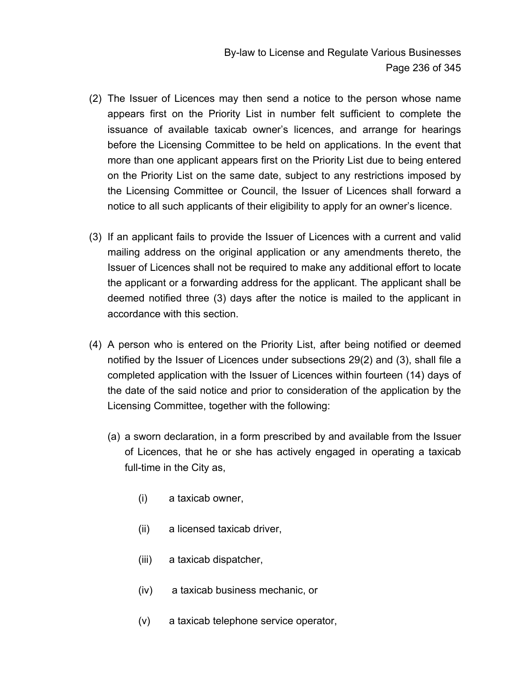By-law to License and Regulate Various Businesses Page 236 of 345

- (2) The Issuer of Licences may then send a notice to the person whose name appears first on the Priority List in number felt sufficient to complete the issuance of available taxicab owner's licences, and arrange for hearings before the Licensing Committee to be held on applications. In the event that more than one applicant appears first on the Priority List due to being entered on the Priority List on the same date, subject to any restrictions imposed by the Licensing Committee or Council, the Issuer of Licences shall forward a notice to all such applicants of their eligibility to apply for an owner's licence.
- (3) If an applicant fails to provide the Issuer of Licences with a current and valid mailing address on the original application or any amendments thereto, the Issuer of Licences shall not be required to make any additional effort to locate the applicant or a forwarding address for the applicant. The applicant shall be deemed notified three (3) days after the notice is mailed to the applicant in accordance with this section.
- (4) A person who is entered on the Priority List, after being notified or deemed notified by the Issuer of Licences under subsections 29(2) and (3), shall file a completed application with the Issuer of Licences within fourteen (14) days of the date of the said notice and prior to consideration of the application by the Licensing Committee, together with the following:
	- (a) a sworn declaration, in a form prescribed by and available from the Issuer of Licences, that he or she has actively engaged in operating a taxicab full-time in the City as,
		- (i) a taxicab owner,
		- (ii) a licensed taxicab driver,
		- (iii) a taxicab dispatcher,
		- (iv) a taxicab business mechanic, or
		- (v) a taxicab telephone service operator,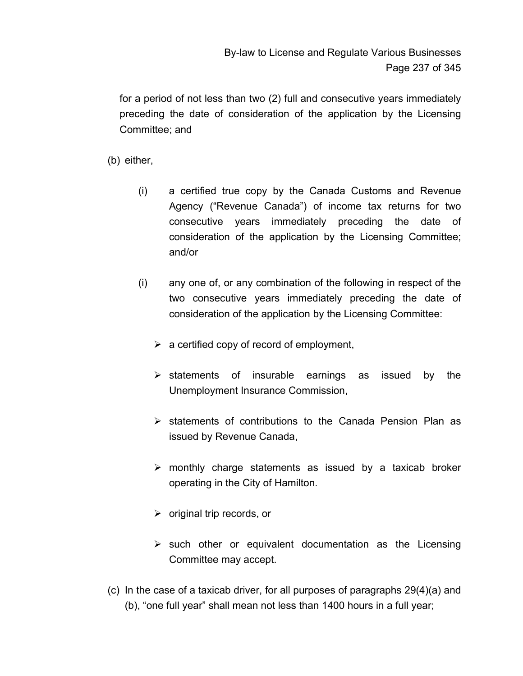for a period of not less than two (2) full and consecutive years immediately preceding the date of consideration of the application by the Licensing Committee; and

(b) either,

- (i) a certified true copy by the Canada Customs and Revenue Agency ("Revenue Canada") of income tax returns for two consecutive years immediately preceding the date of consideration of the application by the Licensing Committee; and/or
- (i) any one of, or any combination of the following in respect of the two consecutive years immediately preceding the date of consideration of the application by the Licensing Committee:
	- $\triangleright$  a certified copy of record of employment,
	- $\triangleright$  statements of insurable earnings as issued by the Unemployment Insurance Commission,
	- $\triangleright$  statements of contributions to the Canada Pension Plan as issued by Revenue Canada,
	- $\triangleright$  monthly charge statements as issued by a taxicab broker operating in the City of Hamilton.
	- $\triangleright$  original trip records, or
	- $\triangleright$  such other or equivalent documentation as the Licensing Committee may accept.
- (c) In the case of a taxicab driver, for all purposes of paragraphs 29(4)(a) and (b), "one full year" shall mean not less than 1400 hours in a full year;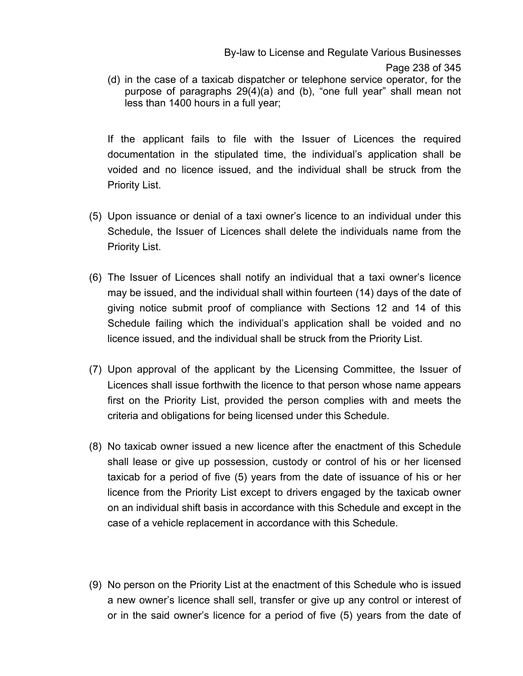By-law to License and Regulate Various Businesses

(d) in the case of a taxicab dispatcher or telephone service operator, for the purpose of paragraphs 29(4)(a) and (b), "one full year" shall mean not less than 1400 hours in a full year;

If the applicant fails to file with the Issuer of Licences the required documentation in the stipulated time, the individual's application shall be voided and no licence issued, and the individual shall be struck from the Priority List.

- (5) Upon issuance or denial of a taxi owner's licence to an individual under this Schedule, the Issuer of Licences shall delete the individuals name from the Priority List.
- (6) The Issuer of Licences shall notify an individual that a taxi owner's licence may be issued, and the individual shall within fourteen (14) days of the date of giving notice submit proof of compliance with Sections 12 and 14 of this Schedule failing which the individual's application shall be voided and no licence issued, and the individual shall be struck from the Priority List.
- (7) Upon approval of the applicant by the Licensing Committee, the Issuer of Licences shall issue forthwith the licence to that person whose name appears first on the Priority List, provided the person complies with and meets the criteria and obligations for being licensed under this Schedule.
- (8) No taxicab owner issued a new licence after the enactment of this Schedule shall lease or give up possession, custody or control of his or her licensed taxicab for a period of five (5) years from the date of issuance of his or her licence from the Priority List except to drivers engaged by the taxicab owner on an individual shift basis in accordance with this Schedule and except in the case of a vehicle replacement in accordance with this Schedule.
- (9) No person on the Priority List at the enactment of this Schedule who is issued a new owner's licence shall sell, transfer or give up any control or interest of or in the said owner's licence for a period of five (5) years from the date of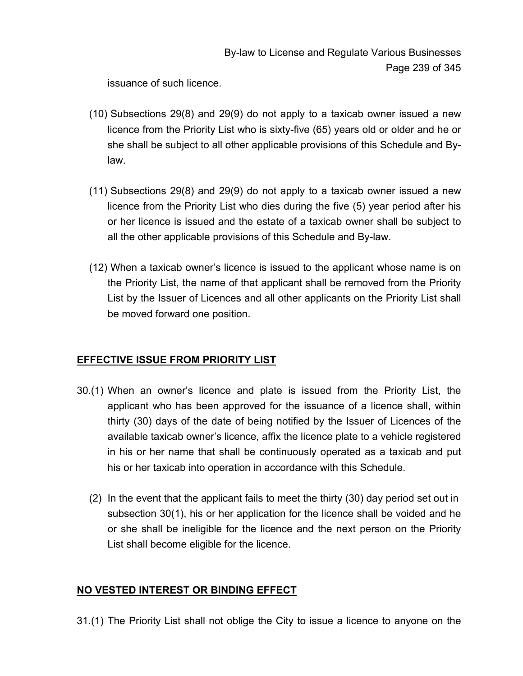issuance of such licence.

- $(10)$  Subsections 29 $(8)$  and 29 $(9)$  do not apply to a taxicab owner issued a new licence from the Priority List who is sixty-five (65) years old or older and he or she shall be subject to all other applicable provisions of this Schedule and Bylaw.
- $(11)$  Subsections 29 $(8)$  and 29 $(9)$  do not apply to a taxicab owner issued a new licence from the Priority List who dies during the five (5) year period after his or her licence is issued and the estate of a taxicab owner shall be subject to all the other applicable provisions of this Schedule and By-law.
- (12)When a taxicab owner's licence is issued to the applicant whose name is on the Priority List, the name of that applicant shall be removed from the Priority List by the Issuer of Licences and all other applicants on the Priority List shall be moved forward one position.

## **EFFECTIVE ISSUE FROM PRIORITY LIST**

- 30.(1) When an owner's licence and plate is issued from the Priority List, the applicant who has been approved for the issuance of a licence shall, within thirty (30) days of the date of being notified by the Issuer of Licences of the available taxicab owner's licence, affix the licence plate to a vehicle registered in his or her name that shall be continuously operated as a taxicab and put his or her taxicab into operation in accordance with this Schedule.
	- (2) In the event that the applicant fails to meet the thirty (30) day period set out in subsection 30(1), his or her application for the licence shall be voided and he or she shall be ineligible for the licence and the next person on the Priority List shall become eligible for the licence.

## **NO VESTED INTEREST OR BINDING EFFECT**

31.(1) The Priority List shall not oblige the City to issue a licence to anyone on the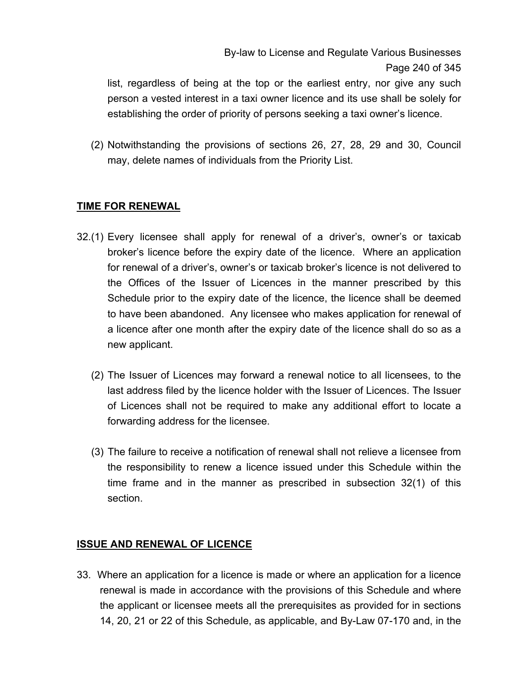list, regardless of being at the top or the earliest entry, nor give any such person a vested interest in a taxi owner licence and its use shall be solely for establishing the order of priority of persons seeking a taxi owner's licence.

(2) Notwithstanding the provisions of sections 26, 27, 28, 29 and 30, Council may, delete names of individuals from the Priority List.

# **TIME FOR RENEWAL**

- 32.(1) Every licensee shall apply for renewal of a driver's, owner's or taxicab broker's licence before the expiry date of the licence. Where an application for renewal of a driver's, owner's or taxicab broker's licence is not delivered to the Offices of the Issuer of Licences in the manner prescribed by this Schedule prior to the expiry date of the licence, the licence shall be deemed to have been abandoned. Any licensee who makes application for renewal of a licence after one month after the expiry date of the licence shall do so as a new applicant.
	- (2) The Issuer of Licences may forward a renewal notice to all licensees, to the last address filed by the licence holder with the Issuer of Licences. The Issuer of Licences shall not be required to make any additional effort to locate a forwarding address for the licensee.
	- (3) The failure to receive a notification of renewal shall not relieve a licensee from the responsibility to renew a licence issued under this Schedule within the time frame and in the manner as prescribed in subsection 32(1) of this section.

## **ISSUE AND RENEWAL OF LICENCE**

33. Where an application for a licence is made or where an application for a licence renewal is made in accordance with the provisions of this Schedule and where the applicant or licensee meets all the prerequisites as provided for in sections 14, 20, 21 or 22 of this Schedule, as applicable, and By-Law 07-170 and, in the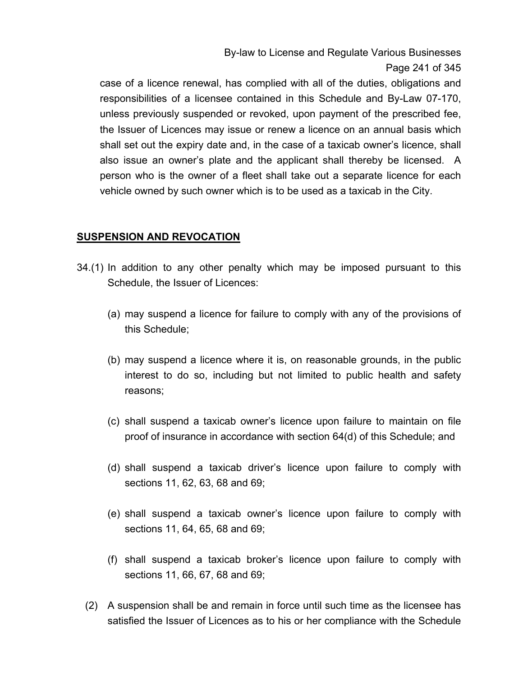By-law to License and Regulate Various Businesses Page 241 of 345

case of a licence renewal, has complied with all of the duties, obligations and responsibilities of a licensee contained in this Schedule and By-Law 07-170, unless previously suspended or revoked, upon payment of the prescribed fee, the Issuer of Licences may issue or renew a licence on an annual basis which shall set out the expiry date and, in the case of a taxicab owner's licence, shall also issue an owner's plate and the applicant shall thereby be licensed. A person who is the owner of a fleet shall take out a separate licence for each vehicle owned by such owner which is to be used as a taxicab in the City.

#### **SUSPENSION AND REVOCATION**

- 34.(1) In addition to any other penalty which may be imposed pursuant to this Schedule, the Issuer of Licences:
	- (a) may suspend a licence for failure to comply with any of the provisions of this Schedule;
	- (b) may suspend a licence where it is, on reasonable grounds, in the public interest to do so, including but not limited to public health and safety reasons;
	- (c) shall suspend a taxicab owner's licence upon failure to maintain on file proof of insurance in accordance with section 64(d) of this Schedule; and
	- (d) shall suspend a taxicab driver's licence upon failure to comply with sections 11, 62, 63, 68 and 69;
	- (e) shall suspend a taxicab owner's licence upon failure to comply with sections 11, 64, 65, 68 and 69;
	- (f) shall suspend a taxicab broker's licence upon failure to comply with sections 11, 66, 67, 68 and 69;
	- (2) A suspension shall be and remain in force until such time as the licensee has satisfied the Issuer of Licences as to his or her compliance with the Schedule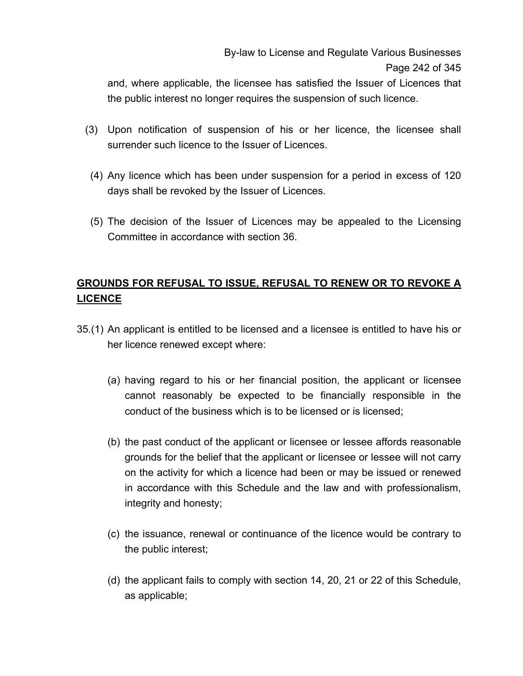and, where applicable, the licensee has satisfied the Issuer of Licences that the public interest no longer requires the suspension of such licence.

- (3) Upon notification of suspension of his or her licence, the licensee shall surrender such licence to the Issuer of Licences.
- (4) Any licence which has been under suspension for a period in excess of 120 days shall be revoked by the Issuer of Licences.
- (5) The decision of the Issuer of Licences may be appealed to the Licensing Committee in accordance with section 36.

# **GROUNDS FOR REFUSAL TO ISSUE, REFUSAL TO RENEW OR TO REVOKE A LICENCE**

- 35.(1) An applicant is entitled to be licensed and a licensee is entitled to have his or her licence renewed except where:
	- (a) having regard to his or her financial position, the applicant or licensee cannot reasonably be expected to be financially responsible in the conduct of the business which is to be licensed or is licensed;
	- (b) the past conduct of the applicant or licensee or lessee affords reasonable grounds for the belief that the applicant or licensee or lessee will not carry on the activity for which a licence had been or may be issued or renewed in accordance with this Schedule and the law and with professionalism, integrity and honesty;
	- (c) the issuance, renewal or continuance of the licence would be contrary to the public interest;
	- (d) the applicant fails to comply with section 14, 20, 21 or 22 of this Schedule, as applicable;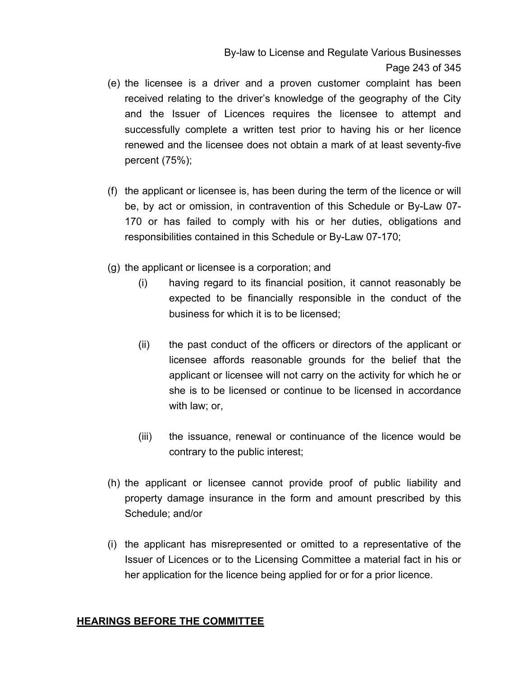By-law to License and Regulate Various Businesses Page 243 of 345

- (e) the licensee is a driver and a proven customer complaint has been received relating to the driver's knowledge of the geography of the City and the Issuer of Licences requires the licensee to attempt and successfully complete a written test prior to having his or her licence renewed and the licensee does not obtain a mark of at least seventy-five percent (75%);
- (f) the applicant or licensee is, has been during the term of the licence or will be, by act or omission, in contravention of this Schedule or By-Law 07- 170 or has failed to comply with his or her duties, obligations and responsibilities contained in this Schedule or By-Law 07-170;
- (g) the applicant or licensee is a corporation; and
	- (i) having regard to its financial position, it cannot reasonably be expected to be financially responsible in the conduct of the business for which it is to be licensed;
	- (ii) the past conduct of the officers or directors of the applicant or licensee affords reasonable grounds for the belief that the applicant or licensee will not carry on the activity for which he or she is to be licensed or continue to be licensed in accordance with law; or,
	- (iii) the issuance, renewal or continuance of the licence would be contrary to the public interest;
- (h) the applicant or licensee cannot provide proof of public liability and property damage insurance in the form and amount prescribed by this Schedule; and/or
- (i) the applicant has misrepresented or omitted to a representative of the Issuer of Licences or to the Licensing Committee a material fact in his or her application for the licence being applied for or for a prior licence.

#### **HEARINGS BEFORE THE COMMITTEE**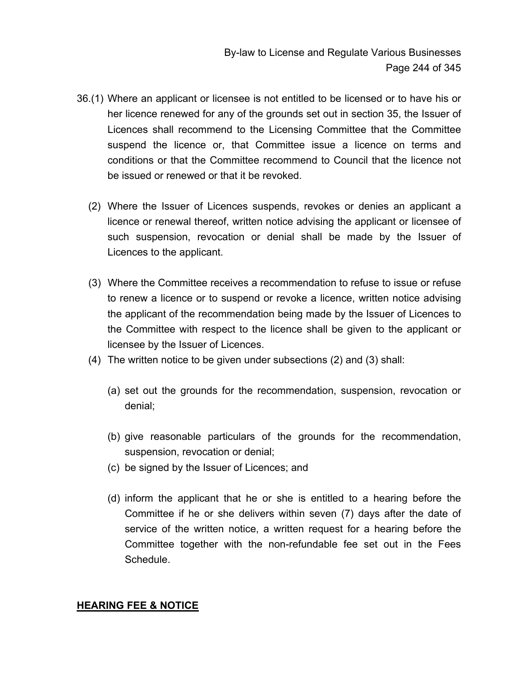- 36.(1) Where an applicant or licensee is not entitled to be licensed or to have his or her licence renewed for any of the grounds set out in section 35, the Issuer of Licences shall recommend to the Licensing Committee that the Committee suspend the licence or, that Committee issue a licence on terms and conditions or that the Committee recommend to Council that the licence not be issued or renewed or that it be revoked.
	- (2) Where the Issuer of Licences suspends, revokes or denies an applicant a licence or renewal thereof, written notice advising the applicant or licensee of such suspension, revocation or denial shall be made by the Issuer of Licences to the applicant.
	- (3) Where the Committee receives a recommendation to refuse to issue or refuse to renew a licence or to suspend or revoke a licence, written notice advising the applicant of the recommendation being made by the Issuer of Licences to the Committee with respect to the licence shall be given to the applicant or licensee by the Issuer of Licences.
	- (4) The written notice to be given under subsections (2) and (3) shall:
		- (a) set out the grounds for the recommendation, suspension, revocation or denial;
		- (b) give reasonable particulars of the grounds for the recommendation, suspension, revocation or denial;
		- (c) be signed by the Issuer of Licences; and
		- (d) inform the applicant that he or she is entitled to a hearing before the Committee if he or she delivers within seven (7) days after the date of service of the written notice, a written request for a hearing before the Committee together with the non-refundable fee set out in the Fees Schedule.

#### **HEARING FEE & NOTICE**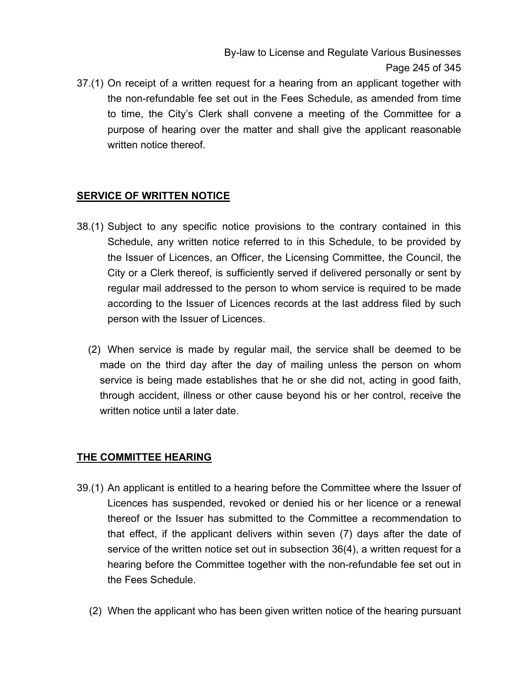By-law to License and Regulate Various Businesses Page 245 of 345

37.(1) On receipt of a written request for a hearing from an applicant together with the non-refundable fee set out in the Fees Schedule, as amended from time to time, the City's Clerk shall convene a meeting of the Committee for a purpose of hearing over the matter and shall give the applicant reasonable written notice thereof.

# **SERVICE OF WRITTEN NOTICE**

- 38.(1) Subject to any specific notice provisions to the contrary contained in this Schedule, any written notice referred to in this Schedule, to be provided by the Issuer of Licences, an Officer, the Licensing Committee, the Council, the City or a Clerk thereof, is sufficiently served if delivered personally or sent by regular mail addressed to the person to whom service is required to be made according to the Issuer of Licences records at the last address filed by such person with the Issuer of Licences.
	- (2) When service is made by regular mail, the service shall be deemed to be made on the third day after the day of mailing unless the person on whom service is being made establishes that he or she did not, acting in good faith, through accident, illness or other cause beyond his or her control, receive the written notice until a later date.

## **THE COMMITTEE HEARING**

- 39.(1) An applicant is entitled to a hearing before the Committee where the Issuer of Licences has suspended, revoked or denied his or her licence or a renewal thereof or the Issuer has submitted to the Committee a recommendation to that effect, if the applicant delivers within seven (7) days after the date of service of the written notice set out in subsection 36(4), a written request for a hearing before the Committee together with the non-refundable fee set out in the Fees Schedule.
	- (2) When the applicant who has been given written notice of the hearing pursuant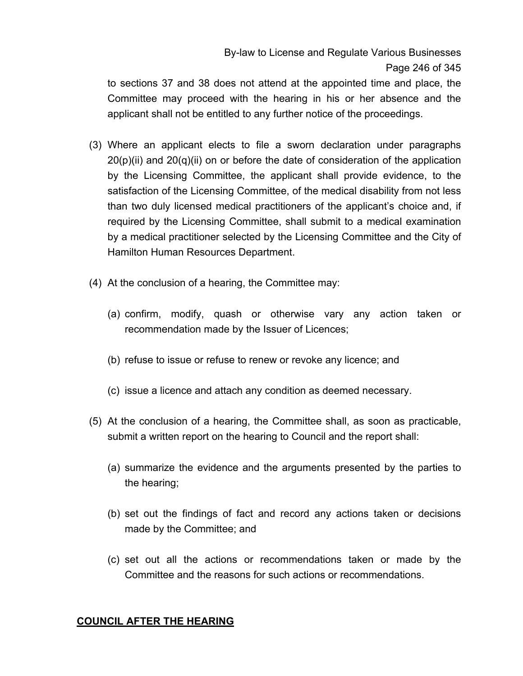# By-law to License and Regulate Various Businesses Page 246 of 345

to sections 37 and 38 does not attend at the appointed time and place, the Committee may proceed with the hearing in his or her absence and the applicant shall not be entitled to any further notice of the proceedings.

- (3) Where an applicant elects to file a sworn declaration under paragraphs 20(p)(ii) and 20(q)(ii) on or before the date of consideration of the application by the Licensing Committee, the applicant shall provide evidence, to the satisfaction of the Licensing Committee, of the medical disability from not less than two duly licensed medical practitioners of the applicant's choice and, if required by the Licensing Committee, shall submit to a medical examination by a medical practitioner selected by the Licensing Committee and the City of Hamilton Human Resources Department.
- (4) At the conclusion of a hearing, the Committee may:
	- (a) confirm, modify, quash or otherwise vary any action taken or recommendation made by the Issuer of Licences;
	- (b) refuse to issue or refuse to renew or revoke any licence; and
	- (c) issue a licence and attach any condition as deemed necessary.
- (5) At the conclusion of a hearing, the Committee shall, as soon as practicable, submit a written report on the hearing to Council and the report shall:
	- (a) summarize the evidence and the arguments presented by the parties to the hearing;
	- (b) set out the findings of fact and record any actions taken or decisions made by the Committee; and
	- (c) set out all the actions or recommendations taken or made by the Committee and the reasons for such actions or recommendations.

## **COUNCIL AFTER THE HEARING**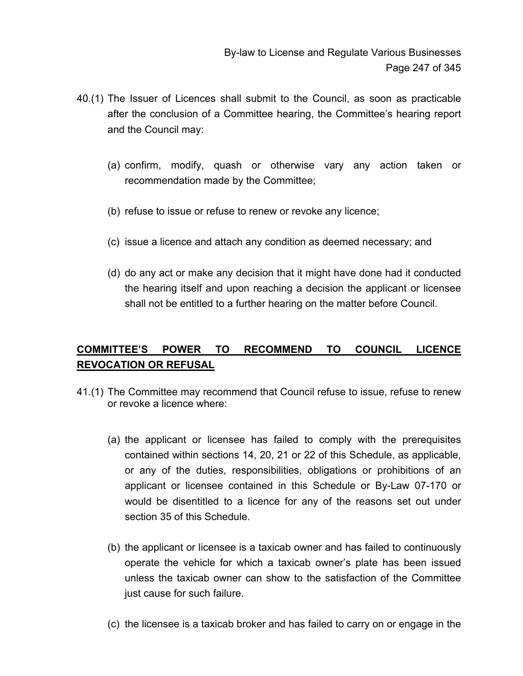- 40.(1) The Issuer of Licences shall submit to the Council, as soon as practicable after the conclusion of a Committee hearing, the Committee's hearing report and the Council may:
	- (a) confirm, modify, quash or otherwise vary any action taken or recommendation made by the Committee;
	- (b) refuse to issue or refuse to renew or revoke any licence;
	- (c) issue a licence and attach any condition as deemed necessary; and
	- (d) do any act or make any decision that it might have done had it conducted the hearing itself and upon reaching a decision the applicant or licensee shall not be entitled to a further hearing on the matter before Council.

# **COMMITTEE'S POWER TO RECOMMEND TO COUNCIL LICENCE REVOCATION OR REFUSAL**

- 41.(1) The Committee may recommend that Council refuse to issue, refuse to renew or revoke a licence where:
	- (a) the applicant or licensee has failed to comply with the prerequisites contained within sections 14, 20, 21 or 22 of this Schedule, as applicable, or any of the duties, responsibilities, obligations or prohibitions of an applicant or licensee contained in this Schedule or By-Law 07-170 or would be disentitled to a licence for any of the reasons set out under section 35 of this Schedule.
	- (b) the applicant or licensee is a taxicab owner and has failed to continuously operate the vehicle for which a taxicab owner's plate has been issued unless the taxicab owner can show to the satisfaction of the Committee just cause for such failure.
	- (c) the licensee is a taxicab broker and has failed to carry on or engage in the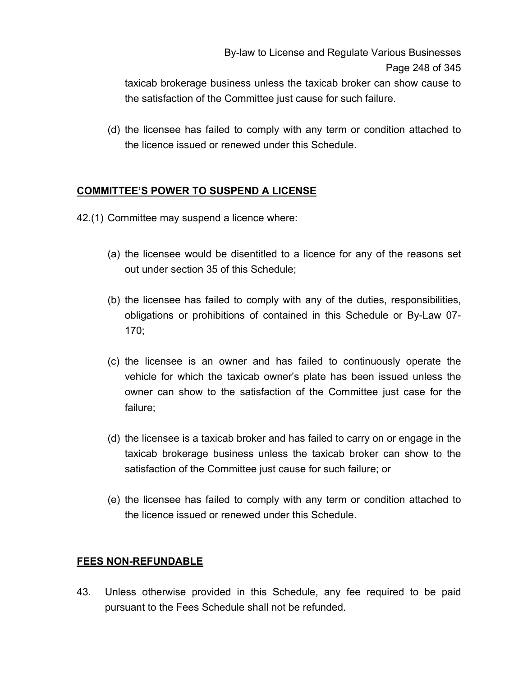taxicab brokerage business unless the taxicab broker can show cause to the satisfaction of the Committee just cause for such failure.

(d) the licensee has failed to comply with any term or condition attached to the licence issued or renewed under this Schedule.

# **COMMITTEE'S POWER TO SUSPEND A LICENSE**

- 42.(1) Committee may suspend a licence where:
	- (a) the licensee would be disentitled to a licence for any of the reasons set out under section 35 of this Schedule;
	- (b) the licensee has failed to comply with any of the duties, responsibilities, obligations or prohibitions of contained in this Schedule or By-Law 07- 170;
	- (c) the licensee is an owner and has failed to continuously operate the vehicle for which the taxicab owner's plate has been issued unless the owner can show to the satisfaction of the Committee just case for the failure;
	- (d) the licensee is a taxicab broker and has failed to carry on or engage in the taxicab brokerage business unless the taxicab broker can show to the satisfaction of the Committee just cause for such failure; or
	- (e) the licensee has failed to comply with any term or condition attached to the licence issued or renewed under this Schedule.

## **FEES NON-REFUNDABLE**

43. Unless otherwise provided in this Schedule, any fee required to be paid pursuant to the Fees Schedule shall not be refunded.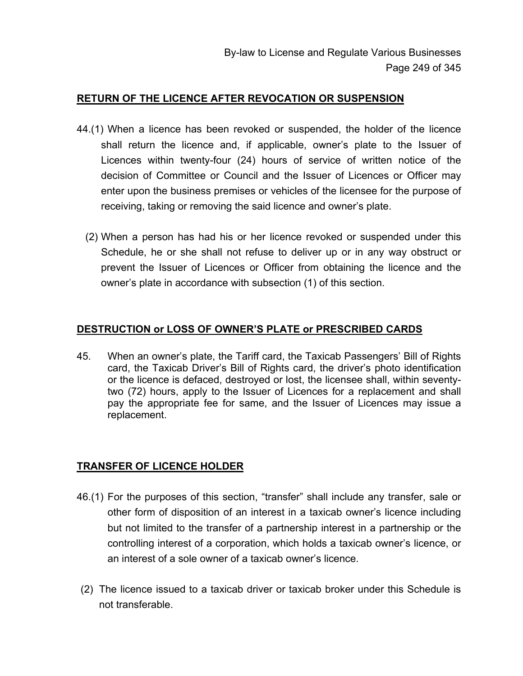#### **RETURN OF THE LICENCE AFTER REVOCATION OR SUSPENSION**

- 44.(1) When a licence has been revoked or suspended, the holder of the licence shall return the licence and, if applicable, owner's plate to the Issuer of Licences within twenty-four (24) hours of service of written notice of the decision of Committee or Council and the Issuer of Licences or Officer may enter upon the business premises or vehicles of the licensee for the purpose of receiving, taking or removing the said licence and owner's plate.
	- (2) When a person has had his or her licence revoked or suspended under this Schedule, he or she shall not refuse to deliver up or in any way obstruct or prevent the Issuer of Licences or Officer from obtaining the licence and the owner's plate in accordance with subsection (1) of this section.

#### **DESTRUCTION or LOSS OF OWNER'S PLATE or PRESCRIBED CARDS**

45. When an owner's plate, the Tariff card, the Taxicab Passengers' Bill of Rights card, the Taxicab Driver's Bill of Rights card, the driver's photo identification or the licence is defaced, destroyed or lost, the licensee shall, within seventytwo (72) hours, apply to the Issuer of Licences for a replacement and shall pay the appropriate fee for same, and the Issuer of Licences may issue a replacement.

## **TRANSFER OF LICENCE HOLDER**

- 46.(1) For the purposes of this section, "transfer" shall include any transfer, sale or other form of disposition of an interest in a taxicab owner's licence including but not limited to the transfer of a partnership interest in a partnership or the controlling interest of a corporation, which holds a taxicab owner's licence, or an interest of a sole owner of a taxicab owner's licence.
- (2) The licence issued to a taxicab driver or taxicab broker under this Schedule is not transferable.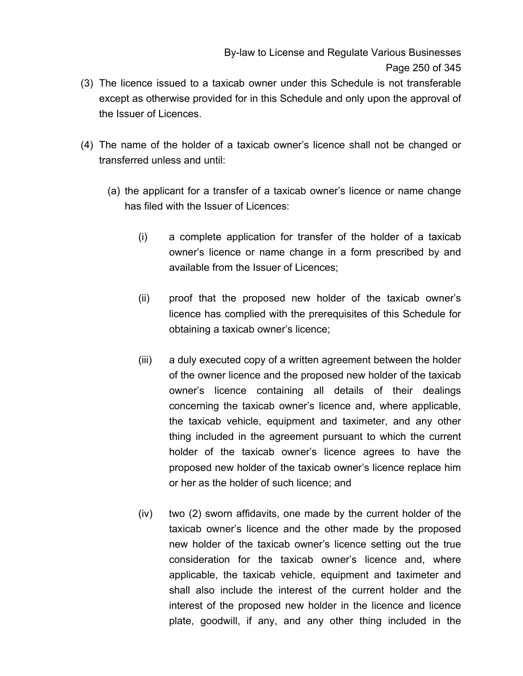- (3) The licence issued to a taxicab owner under this Schedule is not transferable except as otherwise provided for in this Schedule and only upon the approval of the Issuer of Licences.
- (4) The name of the holder of a taxicab owner's licence shall not be changed or transferred unless and until:
	- (a) the applicant for a transfer of a taxicab owner's licence or name change has filed with the Issuer of Licences:
		- (i) a complete application for transfer of the holder of a taxicab owner's licence or name change in a form prescribed by and available from the Issuer of Licences;
		- (ii) proof that the proposed new holder of the taxicab owner's licence has complied with the prerequisites of this Schedule for obtaining a taxicab owner's licence;
		- (iii) a duly executed copy of a written agreement between the holder of the owner licence and the proposed new holder of the taxicab owner's licence containing all details of their dealings concerning the taxicab owner's licence and, where applicable, the taxicab vehicle, equipment and taximeter, and any other thing included in the agreement pursuant to which the current holder of the taxicab owner's licence agrees to have the proposed new holder of the taxicab owner's licence replace him or her as the holder of such licence; and
		- (iv) two (2) sworn affidavits, one made by the current holder of the taxicab owner's licence and the other made by the proposed new holder of the taxicab owner's licence setting out the true consideration for the taxicab owner's licence and, where applicable, the taxicab vehicle, equipment and taximeter and shall also include the interest of the current holder and the interest of the proposed new holder in the licence and licence plate, goodwill, if any, and any other thing included in the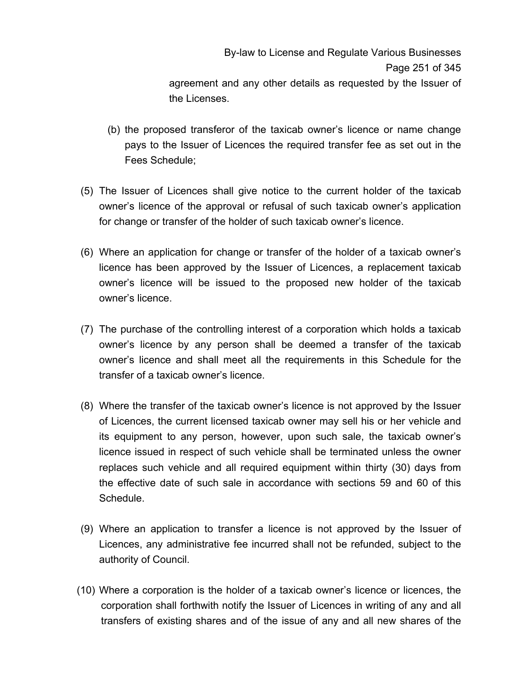By-law to License and Regulate Various Businesses Page 251 of 345 agreement and any other details as requested by the Issuer of the Licenses.

- (b) the proposed transferor of the taxicab owner's licence or name change pays to the Issuer of Licences the required transfer fee as set out in the Fees Schedule;
- (5) The Issuer of Licences shall give notice to the current holder of the taxicab owner's licence of the approval or refusal of such taxicab owner's application for change or transfer of the holder of such taxicab owner's licence.
- (6) Where an application for change or transfer of the holder of a taxicab owner's licence has been approved by the Issuer of Licences, a replacement taxicab owner's licence will be issued to the proposed new holder of the taxicab owner's licence.
- (7) The purchase of the controlling interest of a corporation which holds a taxicab owner's licence by any person shall be deemed a transfer of the taxicab owner's licence and shall meet all the requirements in this Schedule for the transfer of a taxicab owner's licence.
- (8) Where the transfer of the taxicab owner's licence is not approved by the Issuer of Licences, the current licensed taxicab owner may sell his or her vehicle and its equipment to any person, however, upon such sale, the taxicab owner's licence issued in respect of such vehicle shall be terminated unless the owner replaces such vehicle and all required equipment within thirty (30) days from the effective date of such sale in accordance with sections 59 and 60 of this Schedule.
- (9) Where an application to transfer a licence is not approved by the Issuer of Licences, any administrative fee incurred shall not be refunded, subject to the authority of Council.
- (10) Where a corporation is the holder of a taxicab owner's licence or licences, the corporation shall forthwith notify the Issuer of Licences in writing of any and all transfers of existing shares and of the issue of any and all new shares of the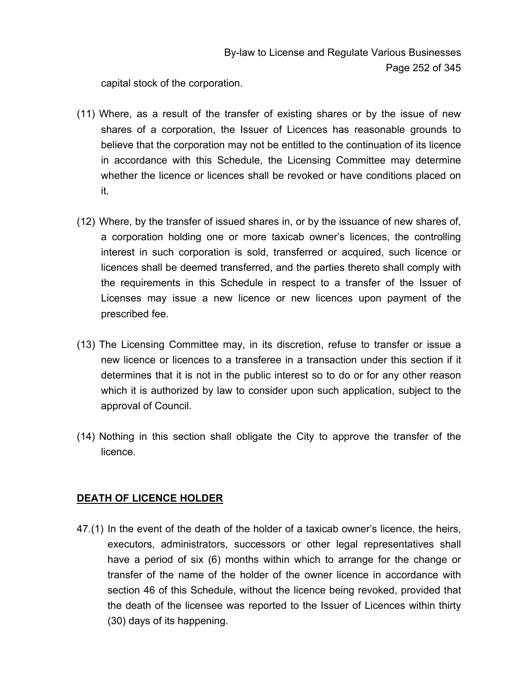capital stock of the corporation.

- (11) Where, as a result of the transfer of existing shares or by the issue of new shares of a corporation, the Issuer of Licences has reasonable grounds to believe that the corporation may not be entitled to the continuation of its licence in accordance with this Schedule, the Licensing Committee may determine whether the licence or licences shall be revoked or have conditions placed on it.
- (12) Where, by the transfer of issued shares in, or by the issuance of new shares of, a corporation holding one or more taxicab owner's licences, the controlling interest in such corporation is sold, transferred or acquired, such licence or licences shall be deemed transferred, and the parties thereto shall comply with the requirements in this Schedule in respect to a transfer of the Issuer of Licenses may issue a new licence or new licences upon payment of the prescribed fee.
- (13) The Licensing Committee may, in its discretion, refuse to transfer or issue a new licence or licences to a transferee in a transaction under this section if it determines that it is not in the public interest so to do or for any other reason which it is authorized by law to consider upon such application, subject to the approval of Council.
- (14) Nothing in this section shall obligate the City to approve the transfer of the licence.

## **DEATH OF LICENCE HOLDER**

47.(1) In the event of the death of the holder of a taxicab owner's licence, the heirs, executors, administrators, successors or other legal representatives shall have a period of six (6) months within which to arrange for the change or transfer of the name of the holder of the owner licence in accordance with section 46 of this Schedule, without the licence being revoked, provided that the death of the licensee was reported to the Issuer of Licences within thirty (30) days of its happening.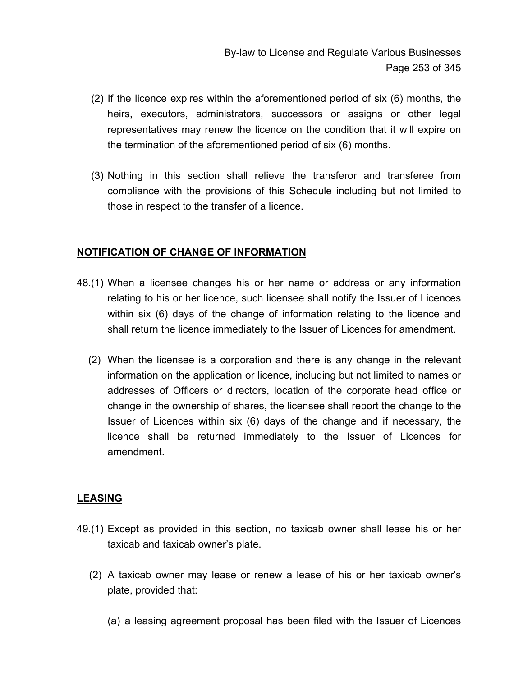- (2) If the licence expires within the aforementioned period of six (6) months, the heirs, executors, administrators, successors or assigns or other legal representatives may renew the licence on the condition that it will expire on the termination of the aforementioned period of six (6) months.
- (3) Nothing in this section shall relieve the transferor and transferee from compliance with the provisions of this Schedule including but not limited to those in respect to the transfer of a licence.

## **NOTIFICATION OF CHANGE OF INFORMATION**

- 48.(1) When a licensee changes his or her name or address or any information relating to his or her licence, such licensee shall notify the Issuer of Licences within six (6) days of the change of information relating to the licence and shall return the licence immediately to the Issuer of Licences for amendment.
	- (2) When the licensee is a corporation and there is any change in the relevant information on the application or licence, including but not limited to names or addresses of Officers or directors, location of the corporate head office or change in the ownership of shares, the licensee shall report the change to the Issuer of Licences within six (6) days of the change and if necessary, the licence shall be returned immediately to the Issuer of Licences for amendment.

## **LEASING**

- 49.(1) Except as provided in this section, no taxicab owner shall lease his or her taxicab and taxicab owner's plate.
	- (2) A taxicab owner may lease or renew a lease of his or her taxicab owner's plate, provided that:
		- (a) a leasing agreement proposal has been filed with the Issuer of Licences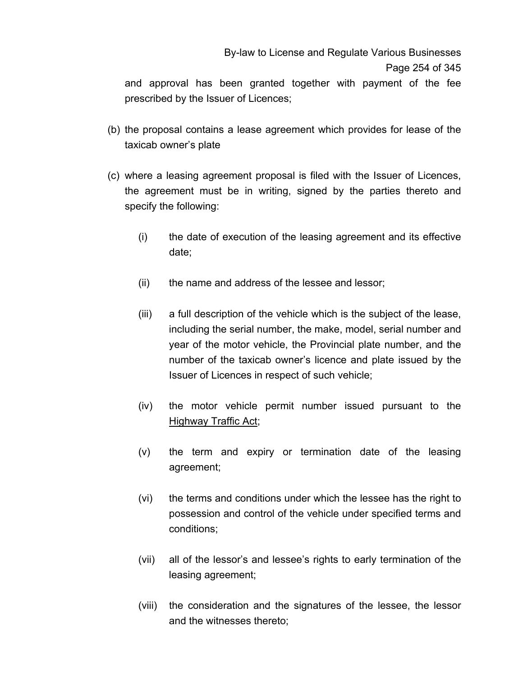## By-law to License and Regulate Various Businesses Page 254 of 345

and approval has been granted together with payment of the fee prescribed by the Issuer of Licences;

- (b) the proposal contains a lease agreement which provides for lease of the taxicab owner's plate
- (c) where a leasing agreement proposal is filed with the Issuer of Licences, the agreement must be in writing, signed by the parties thereto and specify the following:
	- (i) the date of execution of the leasing agreement and its effective date;
	- (ii) the name and address of the lessee and lessor;
	- (iii) a full description of the vehicle which is the subject of the lease, including the serial number, the make, model, serial number and year of the motor vehicle, the Provincial plate number, and the number of the taxicab owner's licence and plate issued by the Issuer of Licences in respect of such vehicle;
	- (iv) the motor vehicle permit number issued pursuant to the **Highway Traffic Act;**
	- (v) the term and expiry or termination date of the leasing agreement;
	- (vi) the terms and conditions under which the lessee has the right to possession and control of the vehicle under specified terms and conditions;
	- (vii) all of the lessor's and lessee's rights to early termination of the leasing agreement;
	- (viii) the consideration and the signatures of the lessee, the lessor and the witnesses thereto;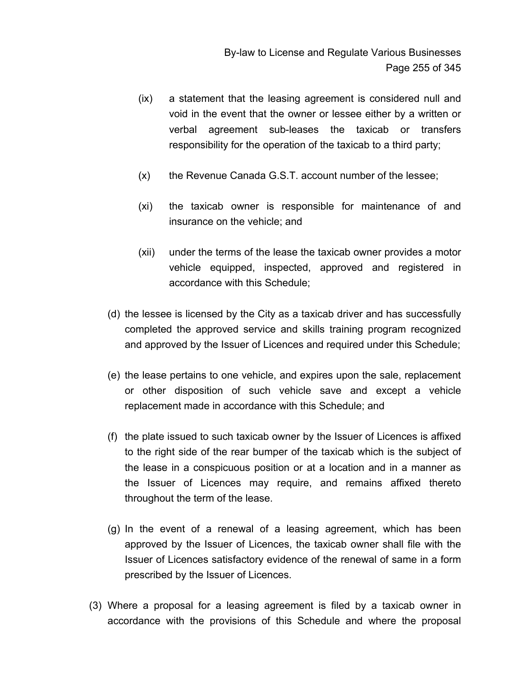- (ix) a statement that the leasing agreement is considered null and void in the event that the owner or lessee either by a written or verbal agreement sub-leases the taxicab or transfers responsibility for the operation of the taxicab to a third party;
- (x) the Revenue Canada G.S.T. account number of the lessee;
- (xi) the taxicab owner is responsible for maintenance of and insurance on the vehicle; and
- (xii) under the terms of the lease the taxicab owner provides a motor vehicle equipped, inspected, approved and registered in accordance with this Schedule;
- (d) the lessee is licensed by the City as a taxicab driver and has successfully completed the approved service and skills training program recognized and approved by the Issuer of Licences and required under this Schedule;
- (e) the lease pertains to one vehicle, and expires upon the sale, replacement or other disposition of such vehicle save and except a vehicle replacement made in accordance with this Schedule; and
- (f) the plate issued to such taxicab owner by the Issuer of Licences is affixed to the right side of the rear bumper of the taxicab which is the subject of the lease in a conspicuous position or at a location and in a manner as the Issuer of Licences may require, and remains affixed thereto throughout the term of the lease.
- (g) In the event of a renewal of a leasing agreement, which has been approved by the Issuer of Licences, the taxicab owner shall file with the Issuer of Licences satisfactory evidence of the renewal of same in a form prescribed by the Issuer of Licences.
- (3) Where a proposal for a leasing agreement is filed by a taxicab owner in accordance with the provisions of this Schedule and where the proposal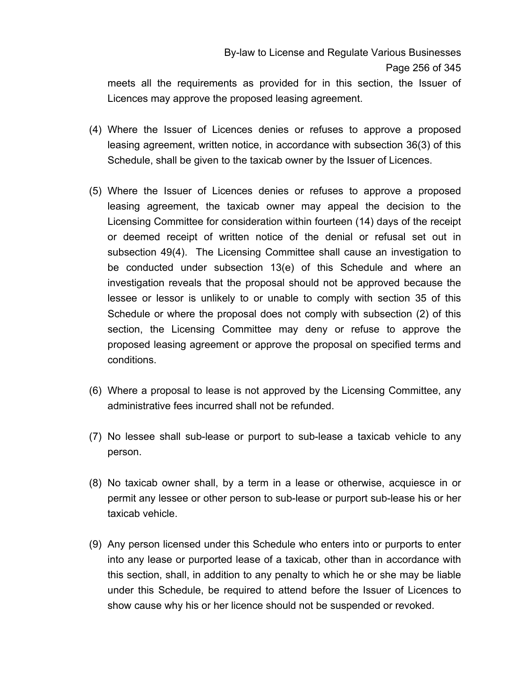meets all the requirements as provided for in this section, the Issuer of Licences may approve the proposed leasing agreement.

- (4) Where the Issuer of Licences denies or refuses to approve a proposed leasing agreement, written notice, in accordance with subsection 36(3) of this Schedule, shall be given to the taxicab owner by the Issuer of Licences.
- (5) Where the Issuer of Licences denies or refuses to approve a proposed leasing agreement, the taxicab owner may appeal the decision to the Licensing Committee for consideration within fourteen (14) days of the receipt or deemed receipt of written notice of the denial or refusal set out in subsection 49(4). The Licensing Committee shall cause an investigation to be conducted under subsection 13(e) of this Schedule and where an investigation reveals that the proposal should not be approved because the lessee or lessor is unlikely to or unable to comply with section 35 of this Schedule or where the proposal does not comply with subsection (2) of this section, the Licensing Committee may deny or refuse to approve the proposed leasing agreement or approve the proposal on specified terms and conditions.
- (6) Where a proposal to lease is not approved by the Licensing Committee, any administrative fees incurred shall not be refunded.
- (7) No lessee shall sub-lease or purport to sub-lease a taxicab vehicle to any person.
- (8) No taxicab owner shall, by a term in a lease or otherwise, acquiesce in or permit any lessee or other person to sub-lease or purport sub-lease his or her taxicab vehicle.
- (9) Any person licensed under this Schedule who enters into or purports to enter into any lease or purported lease of a taxicab, other than in accordance with this section, shall, in addition to any penalty to which he or she may be liable under this Schedule, be required to attend before the Issuer of Licences to show cause why his or her licence should not be suspended or revoked.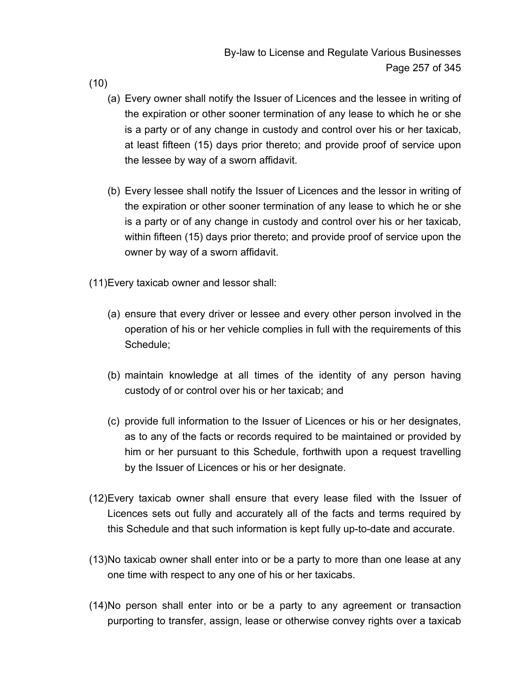(10)

- (a) Every owner shall notify the Issuer of Licences and the lessee in writing of the expiration or other sooner termination of any lease to which he or she is a party or of any change in custody and control over his or her taxicab, at least fifteen (15) days prior thereto; and provide proof of service upon the lessee by way of a sworn affidavit.
- (b) Every lessee shall notify the Issuer of Licences and the lessor in writing of the expiration or other sooner termination of any lease to which he or she is a party or of any change in custody and control over his or her taxicab, within fifteen (15) days prior thereto; and provide proof of service upon the owner by way of a sworn affidavit.
- (11) Every taxicab owner and lessor shall:
	- (a) ensure that every driver or lessee and every other person involved in the operation of his or her vehicle complies in full with the requirements of this Schedule;
	- (b) maintain knowledge at all times of the identity of any person having custody of or control over his or her taxicab; and
	- (c) provide full information to the Issuer of Licences or his or her designates, as to any of the facts or records required to be maintained or provided by him or her pursuant to this Schedule, forthwith upon a request travelling by the Issuer of Licences or his or her designate.
- (12) Every taxicab owner shall ensure that every lease filed with the Issuer of Licences sets out fully and accurately all of the facts and terms required by this Schedule and that such information is kept fully up-to-date and accurate.
- (13) No taxicab owner shall enter into or be a party to more than one lease at any one time with respect to any one of his or her taxicabs.
- (14) No person shall enter into or be a party to any agreement or transaction purporting to transfer, assign, lease or otherwise convey rights over a taxicab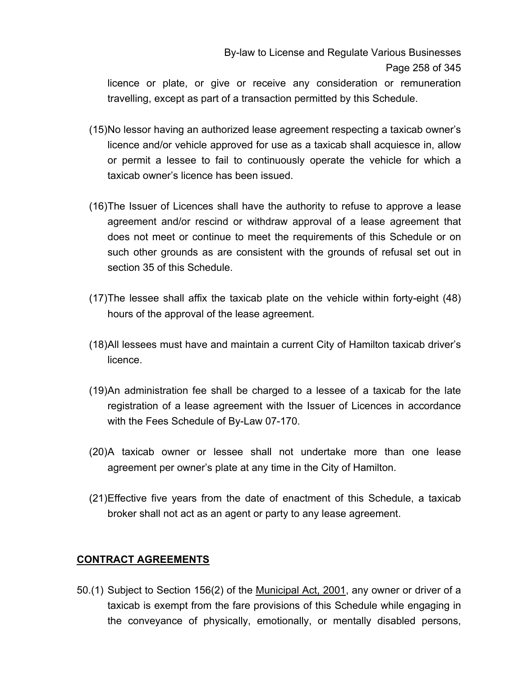# By-law to License and Regulate Various Businesses Page 258 of 345

licence or plate, or give or receive any consideration or remuneration travelling, except as part of a transaction permitted by this Schedule.

- (15) No lessor having an authorized lease agreement respecting a taxicab owner's licence and/or vehicle approved for use as a taxicab shall acquiesce in, allow or permit a lessee to fail to continuously operate the vehicle for which a taxicab owner's licence has been issued.
- (16) The Issuer of Licences shall have the authority to refuse to approve a lease agreement and/or rescind or withdraw approval of a lease agreement that does not meet or continue to meet the requirements of this Schedule or on such other grounds as are consistent with the grounds of refusal set out in section 35 of this Schedule.
- (17) The lessee shall affix the taxicab plate on the vehicle within forty-eight (48) hours of the approval of the lease agreement.
- (18) All lessees must have and maintain a current City of Hamilton taxicab driver's licence.
- (19) An administration fee shall be charged to a lessee of a taxicab for the late registration of a lease agreement with the Issuer of Licences in accordance with the Fees Schedule of By-Law 07-170.
- (20) A taxicab owner or lessee shall not undertake more than one lease agreement per owner's plate at any time in the City of Hamilton.
- (21) Effective five years from the date of enactment of this Schedule, a taxicab broker shall not act as an agent or party to any lease agreement.

## **CONTRACT AGREEMENTS**

50.(1) Subject to Section 156(2) of the Municipal Act, 2001, any owner or driver of a taxicab is exempt from the fare provisions of this Schedule while engaging in the conveyance of physically, emotionally, or mentally disabled persons,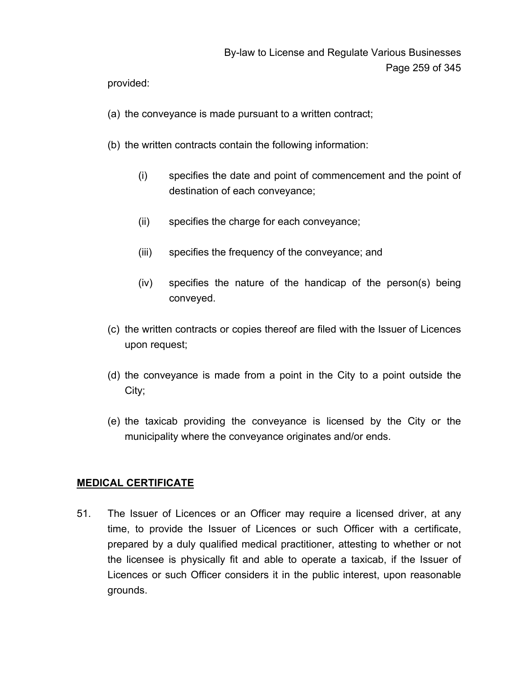provided:

- (a) the conveyance is made pursuant to a written contract;
- (b) the written contracts contain the following information:
	- (i) specifies the date and point of commencement and the point of destination of each conveyance;
	- (ii) specifies the charge for each conveyance;
	- (iii) specifies the frequency of the conveyance; and
	- (iv) specifies the nature of the handicap of the person(s) being conveyed.
- (c) the written contracts or copies thereof are filed with the Issuer of Licences upon request;
- (d) the conveyance is made from a point in the City to a point outside the City;
- (e) the taxicab providing the conveyance is licensed by the City or the municipality where the conveyance originates and/or ends.

## **MEDICAL CERTIFICATE**

51. The Issuer of Licences or an Officer may require a licensed driver, at any time, to provide the Issuer of Licences or such Officer with a certificate, prepared by a duly qualified medical practitioner, attesting to whether or not the licensee is physically fit and able to operate a taxicab, if the Issuer of Licences or such Officer considers it in the public interest, upon reasonable grounds.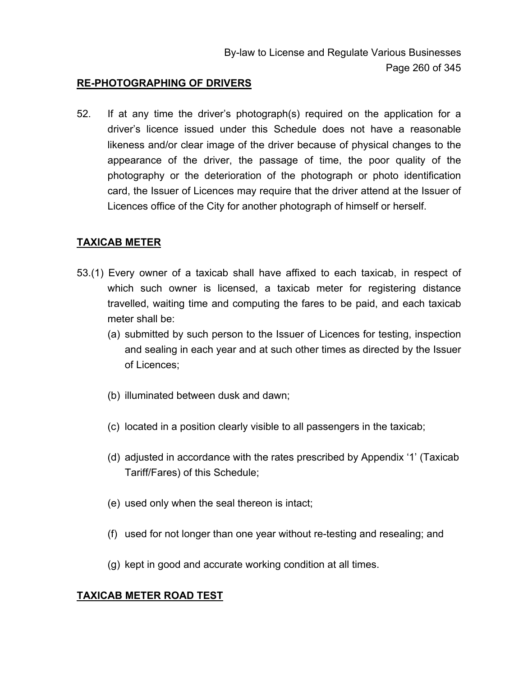#### **RE-PHOTOGRAPHING OF DRIVERS**

52. If at any time the driver's photograph(s) required on the application for a driver's licence issued under this Schedule does not have a reasonable likeness and/or clear image of the driver because of physical changes to the appearance of the driver, the passage of time, the poor quality of the photography or the deterioration of the photograph or photo identification card, the Issuer of Licences may require that the driver attend at the Issuer of Licences office of the City for another photograph of himself or herself.

#### **TAXICAB METER**

- 53.(1) Every owner of a taxicab shall have affixed to each taxicab, in respect of which such owner is licensed, a taxicab meter for registering distance travelled, waiting time and computing the fares to be paid, and each taxicab meter shall be:
	- (a) submitted by such person to the Issuer of Licences for testing, inspection and sealing in each year and at such other times as directed by the Issuer of Licences;
	- (b) illuminated between dusk and dawn;
	- (c) located in a position clearly visible to all passengers in the taxicab;
	- (d) adjusted in accordance with the rates prescribed by Appendix '1' (Taxicab Tariff/Fares) of this Schedule;
	- (e) used only when the seal thereon is intact;
	- (f) used for not longer than one year without re-testing and resealing; and
	- (g) kept in good and accurate working condition at all times.

## **TAXICAB METER ROAD TEST**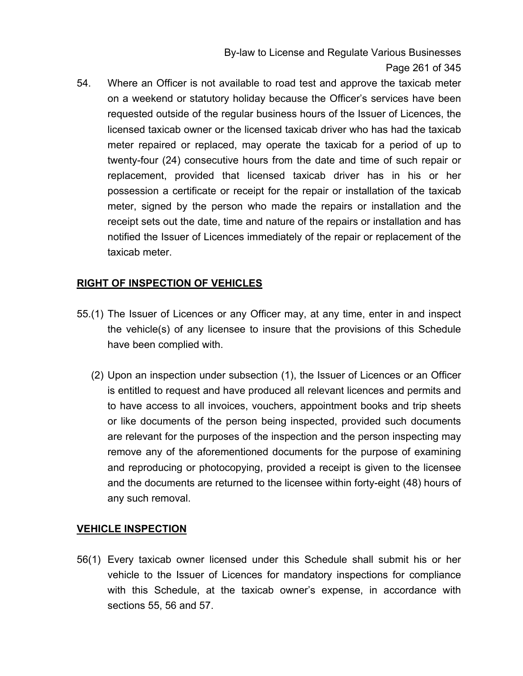By-law to License and Regulate Various Businesses Page 261 of 345

54. Where an Officer is not available to road test and approve the taxicab meter on a weekend or statutory holiday because the Officer's services have been requested outside of the regular business hours of the Issuer of Licences, the licensed taxicab owner or the licensed taxicab driver who has had the taxicab meter repaired or replaced, may operate the taxicab for a period of up to twenty-four (24) consecutive hours from the date and time of such repair or replacement, provided that licensed taxicab driver has in his or her possession a certificate or receipt for the repair or installation of the taxicab meter, signed by the person who made the repairs or installation and the receipt sets out the date, time and nature of the repairs or installation and has notified the Issuer of Licences immediately of the repair or replacement of the taxicab meter.

## **RIGHT OF INSPECTION OF VEHICLES**

- 55.(1) The Issuer of Licences or any Officer may, at any time, enter in and inspect the vehicle(s) of any licensee to insure that the provisions of this Schedule have been complied with.
	- (2) Upon an inspection under subsection (1), the Issuer of Licences or an Officer is entitled to request and have produced all relevant licences and permits and to have access to all invoices, vouchers, appointment books and trip sheets or like documents of the person being inspected, provided such documents are relevant for the purposes of the inspection and the person inspecting may remove any of the aforementioned documents for the purpose of examining and reproducing or photocopying, provided a receipt is given to the licensee and the documents are returned to the licensee within forty-eight (48) hours of any such removal.

## **VEHICLE INSPECTION**

56(1) Every taxicab owner licensed under this Schedule shall submit his or her vehicle to the Issuer of Licences for mandatory inspections for compliance with this Schedule, at the taxicab owner's expense, in accordance with sections 55, 56 and 57.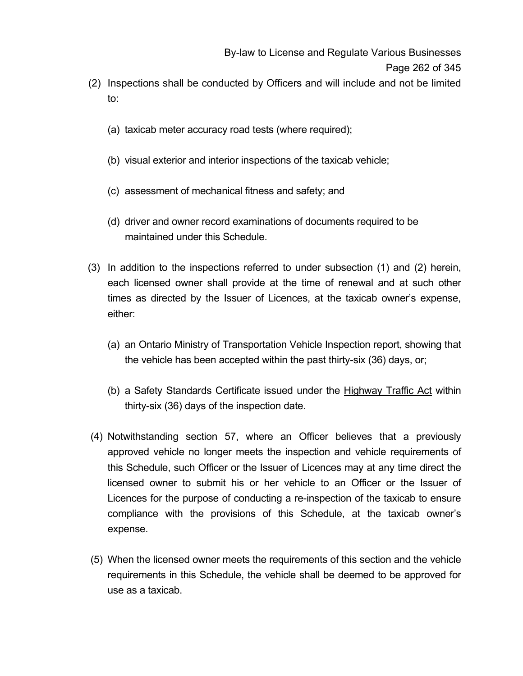- (2) Inspections shall be conducted by Officers and will include and not be limited to:
	- (a) taxicab meter accuracy road tests (where required);
	- (b) visual exterior and interior inspections of the taxicab vehicle;
	- (c) assessment of mechanical fitness and safety; and
	- (d) driver and owner record examinations of documents required to be maintained under this Schedule.
- (3) In addition to the inspections referred to under subsection (1) and (2) herein, each licensed owner shall provide at the time of renewal and at such other times as directed by the Issuer of Licences, at the taxicab owner's expense, either:
	- (a) an Ontario Ministry of Transportation Vehicle Inspection report, showing that the vehicle has been accepted within the past thirty-six (36) days, or;
	- (b) a Safety Standards Certificate issued under the Highway Traffic Act within thirty-six (36) days of the inspection date.
- (4) Notwithstanding section 57, where an Officer believes that a previously approved vehicle no longer meets the inspection and vehicle requirements of this Schedule, such Officer or the Issuer of Licences may at any time direct the licensed owner to submit his or her vehicle to an Officer or the Issuer of Licences for the purpose of conducting a re-inspection of the taxicab to ensure compliance with the provisions of this Schedule, at the taxicab owner's expense.
- (5) When the licensed owner meets the requirements of this section and the vehicle requirements in this Schedule, the vehicle shall be deemed to be approved for use as a taxicab.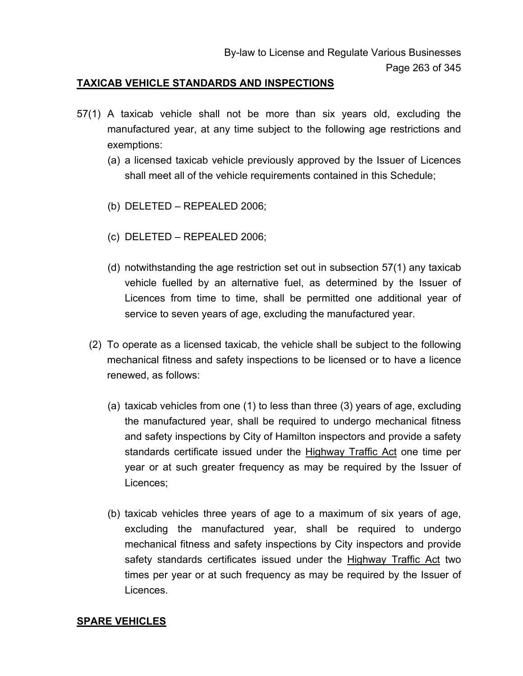#### **TAXICAB VEHICLE STANDARDS AND INSPECTIONS**

- 57(1) A taxicab vehicle shall not be more than six years old, excluding the manufactured year, at any time subject to the following age restrictions and exemptions:
	- (a) a licensed taxicab vehicle previously approved by the Issuer of Licences shall meet all of the vehicle requirements contained in this Schedule;
	- (b) DELETED REPEALED 2006;
	- (c) DELETED REPEALED 2006;
	- (d) notwithstanding the age restriction set out in subsection 57(1) any taxicab vehicle fuelled by an alternative fuel, as determined by the Issuer of Licences from time to time, shall be permitted one additional year of service to seven years of age, excluding the manufactured year.
	- (2) To operate as a licensed taxicab, the vehicle shall be subject to the following mechanical fitness and safety inspections to be licensed or to have a licence renewed, as follows:
		- (a) taxicab vehicles from one (1) to less than three (3) years of age, excluding the manufactured year, shall be required to undergo mechanical fitness and safety inspections by City of Hamilton inspectors and provide a safety standards certificate issued under the Highway Traffic Act one time per year or at such greater frequency as may be required by the Issuer of Licences;
		- (b) taxicab vehicles three years of age to a maximum of six years of age, excluding the manufactured year, shall be required to undergo mechanical fitness and safety inspections by City inspectors and provide safety standards certificates issued under the Highway Traffic Act two times per year or at such frequency as may be required by the Issuer of Licences.

#### **SPARE VEHICLES**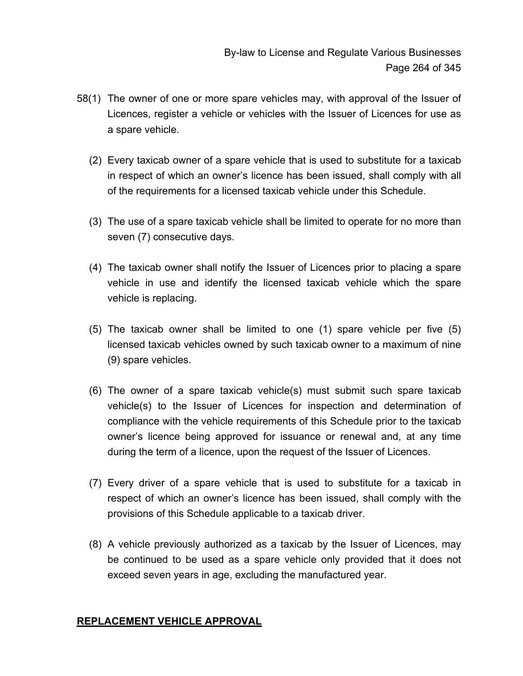- 58(1) The owner of one or more spare vehicles may, with approval of the Issuer of Licences, register a vehicle or vehicles with the Issuer of Licences for use as a spare vehicle.
	- (2) Every taxicab owner of a spare vehicle that is used to substitute for a taxicab in respect of which an owner's licence has been issued, shall comply with all of the requirements for a licensed taxicab vehicle under this Schedule.
	- (3) The use of a spare taxicab vehicle shall be limited to operate for no more than seven (7) consecutive days.
	- (4) The taxicab owner shall notify the Issuer of Licences prior to placing a spare vehicle in use and identify the licensed taxicab vehicle which the spare vehicle is replacing.
	- (5) The taxicab owner shall be limited to one (1) spare vehicle per five (5) licensed taxicab vehicles owned by such taxicab owner to a maximum of nine (9) spare vehicles.
	- (6) The owner of a spare taxicab vehicle(s) must submit such spare taxicab vehicle(s) to the Issuer of Licences for inspection and determination of compliance with the vehicle requirements of this Schedule prior to the taxicab owner's licence being approved for issuance or renewal and, at any time during the term of a licence, upon the request of the Issuer of Licences.
	- (7) Every driver of a spare vehicle that is used to substitute for a taxicab in respect of which an owner's licence has been issued, shall comply with the provisions of this Schedule applicable to a taxicab driver.
	- (8) A vehicle previously authorized as a taxicab by the Issuer of Licences, may be continued to be used as a spare vehicle only provided that it does not exceed seven years in age, excluding the manufactured year.

## **REPLACEMENT VEHICLE APPROVAL**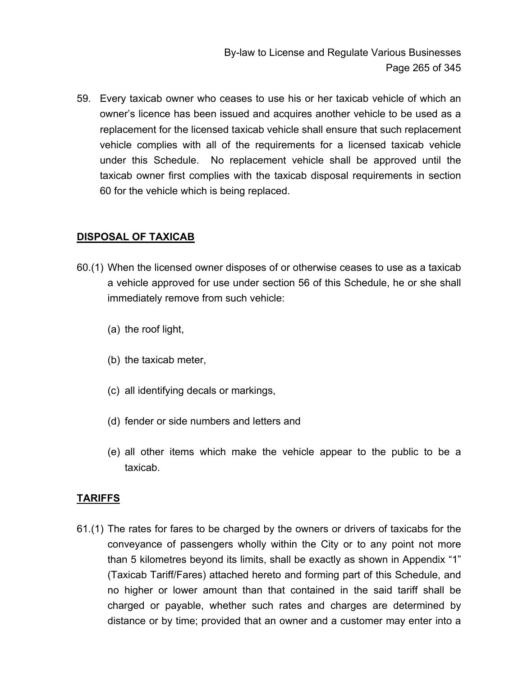59. Every taxicab owner who ceases to use his or her taxicab vehicle of which an owner's licence has been issued and acquires another vehicle to be used as a replacement for the licensed taxicab vehicle shall ensure that such replacement vehicle complies with all of the requirements for a licensed taxicab vehicle under this Schedule. No replacement vehicle shall be approved until the taxicab owner first complies with the taxicab disposal requirements in section 60 for the vehicle which is being replaced.

## **DISPOSAL OF TAXICAB**

- 60.(1) When the licensed owner disposes of or otherwise ceases to use as a taxicab a vehicle approved for use under section 56 of this Schedule, he or she shall immediately remove from such vehicle:
	- (a) the roof light,
	- (b) the taxicab meter,
	- (c) all identifying decals or markings,
	- (d) fender or side numbers and letters and
	- (e) all other items which make the vehicle appear to the public to be a taxicab.

## **TARIFFS**

61.(1) The rates for fares to be charged by the owners or drivers of taxicabs for the conveyance of passengers wholly within the City or to any point not more than 5 kilometres beyond its limits, shall be exactly as shown in Appendix "1" (Taxicab Tariff/Fares) attached hereto and forming part of this Schedule, and no higher or lower amount than that contained in the said tariff shall be charged or payable, whether such rates and charges are determined by distance or by time; provided that an owner and a customer may enter into a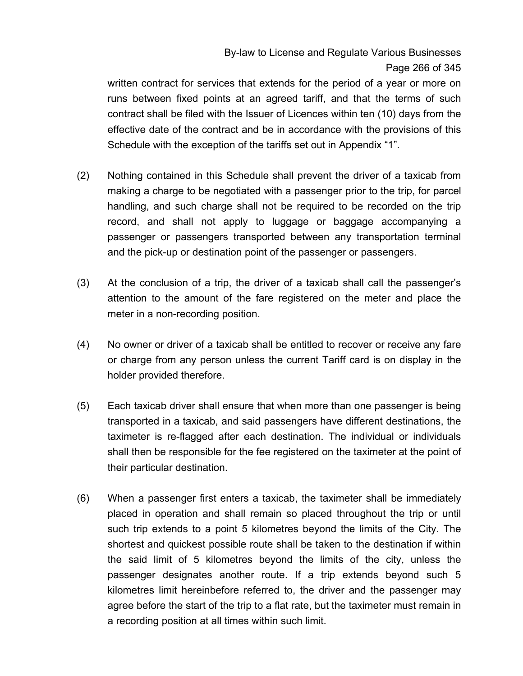# By-law to License and Regulate Various Businesses Page 266 of 345

written contract for services that extends for the period of a year or more on runs between fixed points at an agreed tariff, and that the terms of such contract shall be filed with the Issuer of Licences within ten (10) days from the effective date of the contract and be in accordance with the provisions of this Schedule with the exception of the tariffs set out in Appendix "1".

- (2) Nothing contained in this Schedule shall prevent the driver of a taxicab from making a charge to be negotiated with a passenger prior to the trip, for parcel handling, and such charge shall not be required to be recorded on the trip record, and shall not apply to luggage or baggage accompanying a passenger or passengers transported between any transportation terminal and the pick-up or destination point of the passenger or passengers.
- (3) At the conclusion of a trip, the driver of a taxicab shall call the passenger's attention to the amount of the fare registered on the meter and place the meter in a non-recording position.
- (4) No owner or driver of a taxicab shall be entitled to recover or receive any fare or charge from any person unless the current Tariff card is on display in the holder provided therefore.
- (5) Each taxicab driver shall ensure that when more than one passenger is being transported in a taxicab, and said passengers have different destinations, the taximeter is re-flagged after each destination. The individual or individuals shall then be responsible for the fee registered on the taximeter at the point of their particular destination.
- (6) When a passenger first enters a taxicab, the taximeter shall be immediately placed in operation and shall remain so placed throughout the trip or until such trip extends to a point 5 kilometres beyond the limits of the City. The shortest and quickest possible route shall be taken to the destination if within the said limit of 5 kilometres beyond the limits of the city, unless the passenger designates another route. If a trip extends beyond such 5 kilometres limit hereinbefore referred to, the driver and the passenger may agree before the start of the trip to a flat rate, but the taximeter must remain in a recording position at all times within such limit.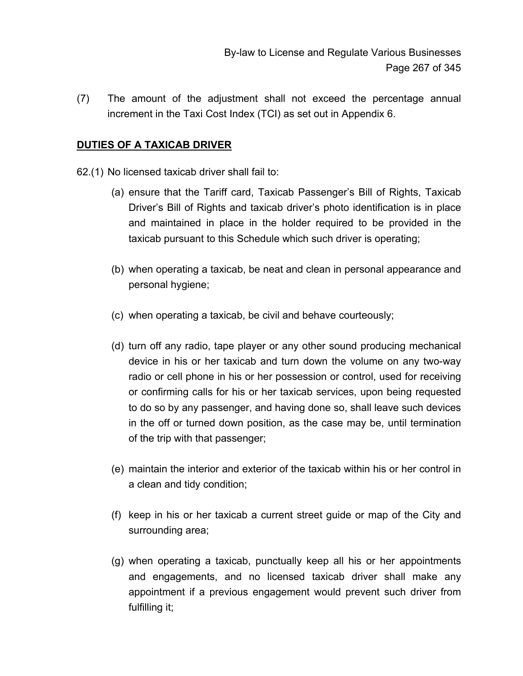By-law to License and Regulate Various Businesses Page 267 of 345

(7) The amount of the adjustment shall not exceed the percentage annual increment in the Taxi Cost Index (TCI) as set out in Appendix 6.

#### **DUTIES OF A TAXICAB DRIVER**

62.(1) No licensed taxicab driver shall fail to:

- (a) ensure that the Tariff card, Taxicab Passenger's Bill of Rights, Taxicab Driver's Bill of Rights and taxicab driver's photo identification is in place and maintained in place in the holder required to be provided in the taxicab pursuant to this Schedule which such driver is operating;
- (b) when operating a taxicab, be neat and clean in personal appearance and personal hygiene;
- (c) when operating a taxicab, be civil and behave courteously;
- (d) turn off any radio, tape player or any other sound producing mechanical device in his or her taxicab and turn down the volume on any two-way radio or cell phone in his or her possession or control, used for receiving or confirming calls for his or her taxicab services, upon being requested to do so by any passenger, and having done so, shall leave such devices in the off or turned down position, as the case may be, until termination of the trip with that passenger;
- (e) maintain the interior and exterior of the taxicab within his or her control in a clean and tidy condition;
- (f) keep in his or her taxicab a current street guide or map of the City and surrounding area;
- (g) when operating a taxicab, punctually keep all his or her appointments and engagements, and no licensed taxicab driver shall make any appointment if a previous engagement would prevent such driver from fulfilling it;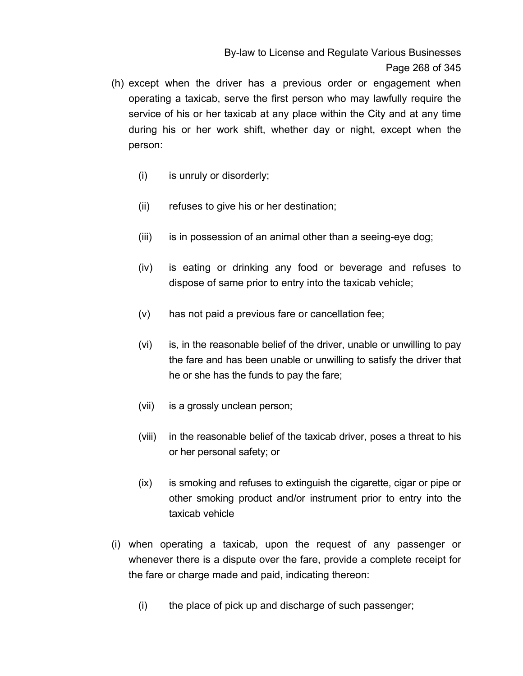By-law to License and Regulate Various Businesses Page 268 of 345

- (h) except when the driver has a previous order or engagement when operating a taxicab, serve the first person who may lawfully require the service of his or her taxicab at any place within the City and at any time during his or her work shift, whether day or night, except when the person:
	- (i) is unruly or disorderly;
	- (ii) refuses to give his or her destination;
	- (iii) is in possession of an animal other than a seeing-eye dog;
	- (iv) is eating or drinking any food or beverage and refuses to dispose of same prior to entry into the taxicab vehicle;
	- (v) has not paid a previous fare or cancellation fee;
	- (vi) is, in the reasonable belief of the driver, unable or unwilling to pay the fare and has been unable or unwilling to satisfy the driver that he or she has the funds to pay the fare;
	- (vii) is a grossly unclean person;
	- (viii) in the reasonable belief of the taxicab driver, poses a threat to his or her personal safety; or
	- (ix) is smoking and refuses to extinguish the cigarette, cigar or pipe or other smoking product and/or instrument prior to entry into the taxicab vehicle
- (i) when operating a taxicab, upon the request of any passenger or whenever there is a dispute over the fare, provide a complete receipt for the fare or charge made and paid, indicating thereon:
	- (i) the place of pick up and discharge of such passenger;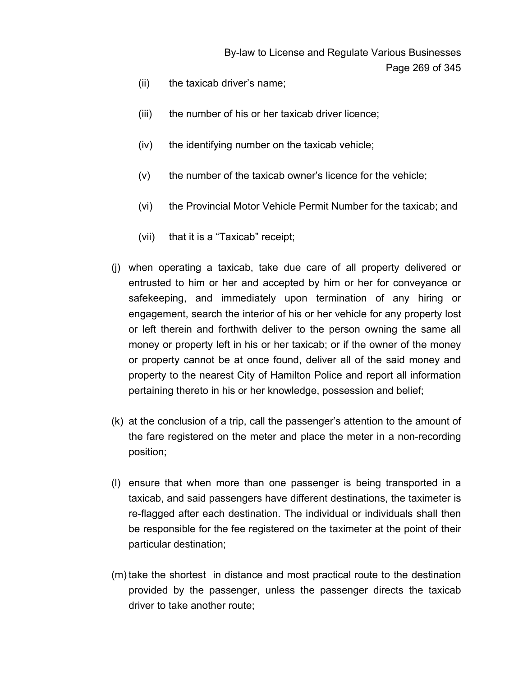- (ii) the taxicab driver's name;
- (iii) the number of his or her taxicab driver licence;
- (iv) the identifying number on the taxicab vehicle;
- (v) the number of the taxicab owner's licence for the vehicle;
- (vi) the Provincial Motor Vehicle Permit Number for the taxicab; and
- (vii) that it is a "Taxicab" receipt;
- (j) when operating a taxicab, take due care of all property delivered or entrusted to him or her and accepted by him or her for conveyance or safekeeping, and immediately upon termination of any hiring or engagement, search the interior of his or her vehicle for any property lost or left therein and forthwith deliver to the person owning the same all money or property left in his or her taxicab; or if the owner of the money or property cannot be at once found, deliver all of the said money and property to the nearest City of Hamilton Police and report all information pertaining thereto in his or her knowledge, possession and belief;
- (k) at the conclusion of a trip, call the passenger's attention to the amount of the fare registered on the meter and place the meter in a non-recording position;
- (l) ensure that when more than one passenger is being transported in a taxicab, and said passengers have different destinations, the taximeter is re-flagged after each destination. The individual or individuals shall then be responsible for the fee registered on the taximeter at the point of their particular destination;
- (m) take the shortest in distance and most practical route to the destination provided by the passenger, unless the passenger directs the taxicab driver to take another route;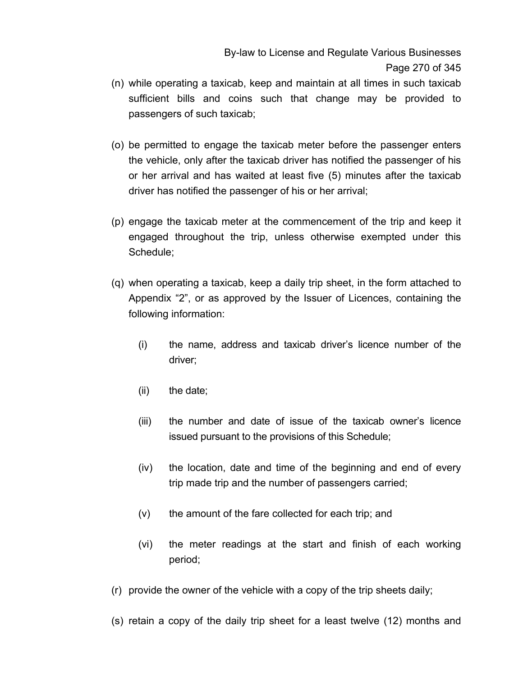By-law to License and Regulate Various Businesses Page 270 of 345

- (n) while operating a taxicab, keep and maintain at all times in such taxicab sufficient bills and coins such that change may be provided to passengers of such taxicab;
- (o) be permitted to engage the taxicab meter before the passenger enters the vehicle, only after the taxicab driver has notified the passenger of his or her arrival and has waited at least five (5) minutes after the taxicab driver has notified the passenger of his or her arrival;
- (p) engage the taxicab meter at the commencement of the trip and keep it engaged throughout the trip, unless otherwise exempted under this Schedule;
- (q) when operating a taxicab, keep a daily trip sheet, in the form attached to Appendix "2", or as approved by the Issuer of Licences, containing the following information:
	- (i) the name, address and taxicab driver's licence number of the driver;
	- (ii) the date;
	- (iii) the number and date of issue of the taxicab owner's licence issued pursuant to the provisions of this Schedule;
	- (iv) the location, date and time of the beginning and end of every trip made trip and the number of passengers carried;
	- (v) the amount of the fare collected for each trip; and
	- (vi) the meter readings at the start and finish of each working period;
- (r) provide the owner of the vehicle with a copy of the trip sheets daily;
- (s) retain a copy of the daily trip sheet for a least twelve (12) months and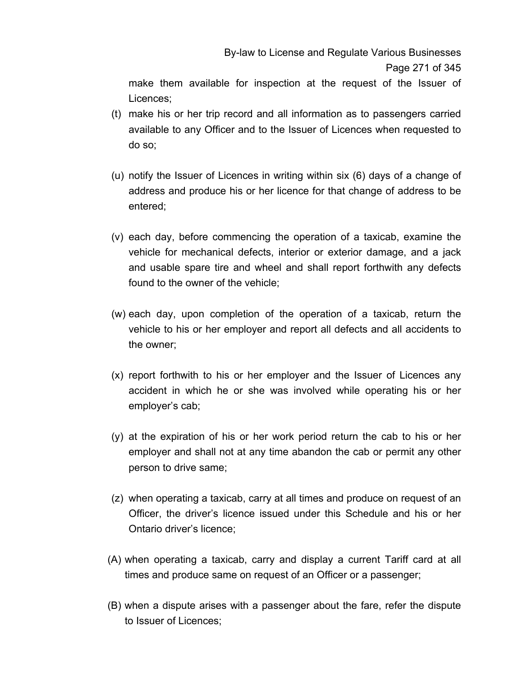By-law to License and Regulate Various Businesses Page 271 of 345

make them available for inspection at the request of the Issuer of Licences;

- (t) make his or her trip record and all information as to passengers carried available to any Officer and to the Issuer of Licences when requested to do so;
- (u) notify the Issuer of Licences in writing within six (6) days of a change of address and produce his or her licence for that change of address to be entered;
- (v) each day, before commencing the operation of a taxicab, examine the vehicle for mechanical defects, interior or exterior damage, and a jack and usable spare tire and wheel and shall report forthwith any defects found to the owner of the vehicle;
- (w) each day, upon completion of the operation of a taxicab, return the vehicle to his or her employer and report all defects and all accidents to the owner;
- (x) report forthwith to his or her employer and the Issuer of Licences any accident in which he or she was involved while operating his or her employer's cab;
- (y) at the expiration of his or her work period return the cab to his or her employer and shall not at any time abandon the cab or permit any other person to drive same;
- (z) when operating a taxicab, carry at all times and produce on request of an Officer, the driver's licence issued under this Schedule and his or her Ontario driver's licence;
- (A) when operating a taxicab, carry and display a current Tariff card at all times and produce same on request of an Officer or a passenger;
- (B) when a dispute arises with a passenger about the fare, refer the dispute to Issuer of Licences;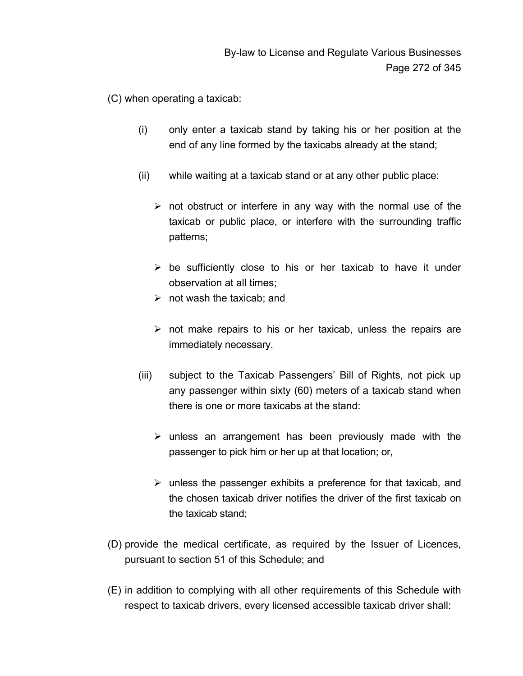(C) when operating a taxicab:

- (i) only enter a taxicab stand by taking his or her position at the end of any line formed by the taxicabs already at the stand;
- (ii) while waiting at a taxicab stand or at any other public place:
	- $\triangleright$  not obstruct or interfere in any way with the normal use of the taxicab or public place, or interfere with the surrounding traffic patterns;
	- $\triangleright$  be sufficiently close to his or her taxicab to have it under observation at all times;
	- $\triangleright$  not wash the taxicab; and
	- $\triangleright$  not make repairs to his or her taxicab, unless the repairs are immediately necessary.
- (iii) subject to the Taxicab Passengers' Bill of Rights, not pick up any passenger within sixty (60) meters of a taxicab stand when there is one or more taxicabs at the stand:
	- $\triangleright$  unless an arrangement has been previously made with the passenger to pick him or her up at that location; or,
	- $\triangleright$  unless the passenger exhibits a preference for that taxicab, and the chosen taxicab driver notifies the driver of the first taxicab on the taxicab stand;
- (D) provide the medical certificate, as required by the Issuer of Licences, pursuant to section 51 of this Schedule; and
- (E) in addition to complying with all other requirements of this Schedule with respect to taxicab drivers, every licensed accessible taxicab driver shall: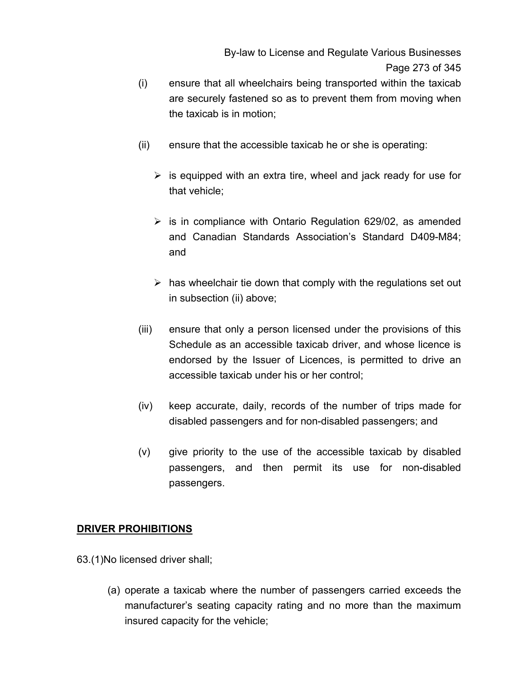By-law to License and Regulate Various Businesses Page 273 of 345

- (i) ensure that all wheelchairs being transported within the taxicab are securely fastened so as to prevent them from moving when the taxicab is in motion;
- (ii) ensure that the accessible taxicab he or she is operating:
	- $\triangleright$  is equipped with an extra tire, wheel and jack ready for use for that vehicle;
	- $\triangleright$  is in compliance with Ontario Regulation 629/02, as amended and Canadian Standards Association's Standard D409-M84; and
	- $\triangleright$  has wheelchair tie down that comply with the regulations set out in subsection (ii) above;
- (iii) ensure that only a person licensed under the provisions of this Schedule as an accessible taxicab driver, and whose licence is endorsed by the Issuer of Licences, is permitted to drive an accessible taxicab under his or her control;
- (iv) keep accurate, daily, records of the number of trips made for disabled passengers and for non-disabled passengers; and
- (v) give priority to the use of the accessible taxicab by disabled passengers, and then permit its use for non-disabled passengers.

#### **DRIVER PROHIBITIONS**

63.(1)No licensed driver shall;

(a) operate a taxicab where the number of passengers carried exceeds the manufacturer's seating capacity rating and no more than the maximum insured capacity for the vehicle;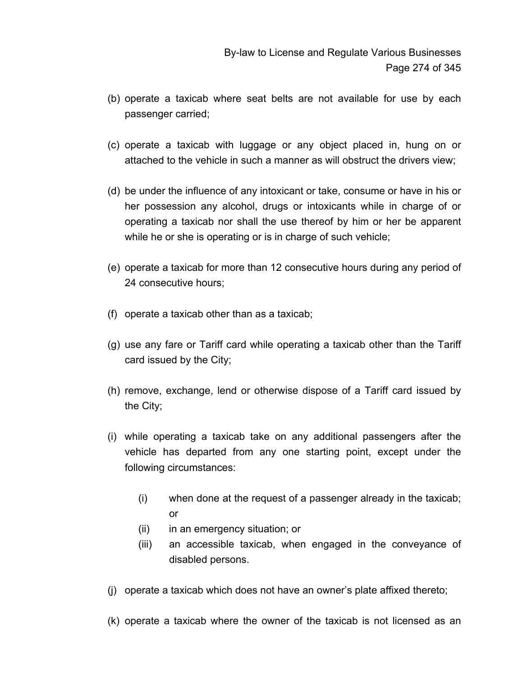- (b) operate a taxicab where seat belts are not available for use by each passenger carried;
- (c) operate a taxicab with luggage or any object placed in, hung on or attached to the vehicle in such a manner as will obstruct the drivers view;
- (d) be under the influence of any intoxicant or take, consume or have in his or her possession any alcohol, drugs or intoxicants while in charge of or operating a taxicab nor shall the use thereof by him or her be apparent while he or she is operating or is in charge of such vehicle;
- (e) operate a taxicab for more than 12 consecutive hours during any period of 24 consecutive hours;
- (f) operate a taxicab other than as a taxicab;
- (g) use any fare or Tariff card while operating a taxicab other than the Tariff card issued by the City;
- (h) remove, exchange, lend or otherwise dispose of a Tariff card issued by the City;
- (i) while operating a taxicab take on any additional passengers after the vehicle has departed from any one starting point, except under the following circumstances:
	- (i) when done at the request of a passenger already in the taxicab; or
	- (ii) in an emergency situation; or
	- (iii) an accessible taxicab, when engaged in the conveyance of disabled persons.
- (j) operate a taxicab which does not have an owner's plate affixed thereto;
- (k) operate a taxicab where the owner of the taxicab is not licensed as an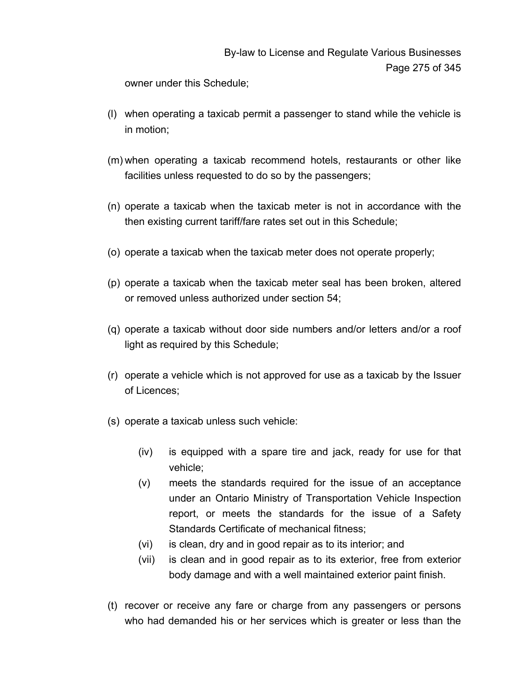# By-law to License and Regulate Various Businesses Page 275 of 345

owner under this Schedule;

- (l) when operating a taxicab permit a passenger to stand while the vehicle is in motion;
- (m) when operating a taxicab recommend hotels, restaurants or other like facilities unless requested to do so by the passengers;
- (n) operate a taxicab when the taxicab meter is not in accordance with the then existing current tariff/fare rates set out in this Schedule;
- (o) operate a taxicab when the taxicab meter does not operate properly;
- (p) operate a taxicab when the taxicab meter seal has been broken, altered or removed unless authorized under section 54;
- (q) operate a taxicab without door side numbers and/or letters and/or a roof light as required by this Schedule;
- (r) operate a vehicle which is not approved for use as a taxicab by the Issuer of Licences;
- (s) operate a taxicab unless such vehicle:
	- (iv) is equipped with a spare tire and jack, ready for use for that vehicle;
	- (v) meets the standards required for the issue of an acceptance under an Ontario Ministry of Transportation Vehicle Inspection report, or meets the standards for the issue of a Safety Standards Certificate of mechanical fitness;
	- (vi) is clean, dry and in good repair as to its interior; and
	- (vii) is clean and in good repair as to its exterior, free from exterior body damage and with a well maintained exterior paint finish.
- (t) recover or receive any fare or charge from any passengers or persons who had demanded his or her services which is greater or less than the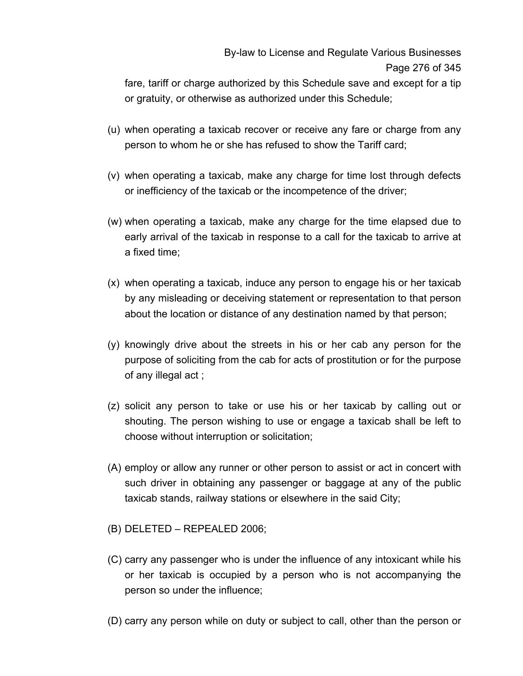fare, tariff or charge authorized by this Schedule save and except for a tip or gratuity, or otherwise as authorized under this Schedule;

- (u) when operating a taxicab recover or receive any fare or charge from any person to whom he or she has refused to show the Tariff card;
- (v) when operating a taxicab, make any charge for time lost through defects or inefficiency of the taxicab or the incompetence of the driver;
- (w) when operating a taxicab, make any charge for the time elapsed due to early arrival of the taxicab in response to a call for the taxicab to arrive at a fixed time;
- (x) when operating a taxicab, induce any person to engage his or her taxicab by any misleading or deceiving statement or representation to that person about the location or distance of any destination named by that person;
- (y) knowingly drive about the streets in his or her cab any person for the purpose of soliciting from the cab for acts of prostitution or for the purpose of any illegal act ;
- (z) solicit any person to take or use his or her taxicab by calling out or shouting. The person wishing to use or engage a taxicab shall be left to choose without interruption or solicitation;
- (A) employ or allow any runner or other person to assist or act in concert with such driver in obtaining any passenger or baggage at any of the public taxicab stands, railway stations or elsewhere in the said City;
- (B) DELETED REPEALED 2006;
- (C) carry any passenger who is under the influence of any intoxicant while his or her taxicab is occupied by a person who is not accompanying the person so under the influence;
- (D) carry any person while on duty or subject to call, other than the person or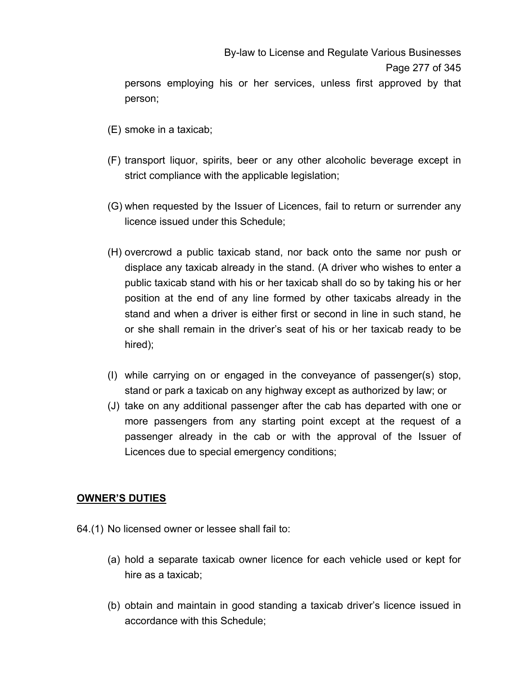- (E) smoke in a taxicab;
- (F) transport liquor, spirits, beer or any other alcoholic beverage except in strict compliance with the applicable legislation;
- (G) when requested by the Issuer of Licences, fail to return or surrender any licence issued under this Schedule;
- (H) overcrowd a public taxicab stand, nor back onto the same nor push or displace any taxicab already in the stand. (A driver who wishes to enter a public taxicab stand with his or her taxicab shall do so by taking his or her position at the end of any line formed by other taxicabs already in the stand and when a driver is either first or second in line in such stand, he or she shall remain in the driver's seat of his or her taxicab ready to be hired);
- (I) while carrying on or engaged in the conveyance of passenger(s) stop, stand or park a taxicab on any highway except as authorized by law; or
- (J) take on any additional passenger after the cab has departed with one or more passengers from any starting point except at the request of a passenger already in the cab or with the approval of the Issuer of Licences due to special emergency conditions;

## **OWNER'S DUTIES**

- 64.(1) No licensed owner or lessee shall fail to:
	- (a) hold a separate taxicab owner licence for each vehicle used or kept for hire as a taxicab;
	- (b) obtain and maintain in good standing a taxicab driver's licence issued in accordance with this Schedule;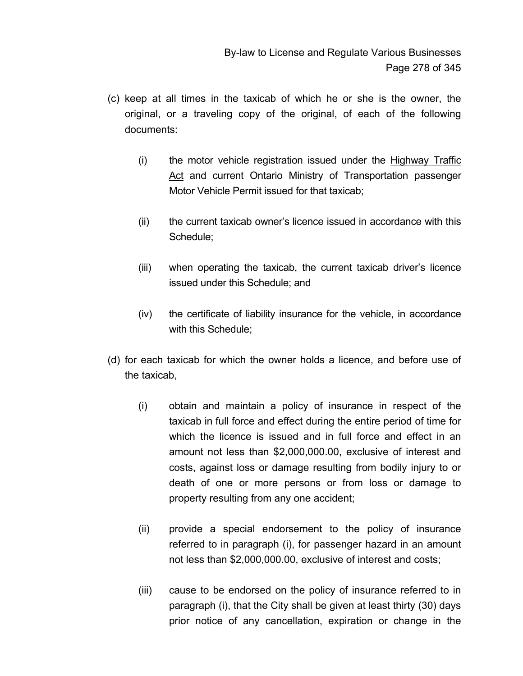- (c) keep at all times in the taxicab of which he or she is the owner, the original, or a traveling copy of the original, of each of the following documents:
	- (i) the motor vehicle registration issued under the Highway Traffic Act and current Ontario Ministry of Transportation passenger Motor Vehicle Permit issued for that taxicab;
	- (ii) the current taxicab owner's licence issued in accordance with this Schedule;
	- (iii) when operating the taxicab, the current taxicab driver's licence issued under this Schedule; and
	- (iv) the certificate of liability insurance for the vehicle, in accordance with this Schedule;
- (d) for each taxicab for which the owner holds a licence, and before use of the taxicab,
	- (i) obtain and maintain a policy of insurance in respect of the taxicab in full force and effect during the entire period of time for which the licence is issued and in full force and effect in an amount not less than \$2,000,000.00, exclusive of interest and costs, against loss or damage resulting from bodily injury to or death of one or more persons or from loss or damage to property resulting from any one accident;
	- (ii) provide a special endorsement to the policy of insurance referred to in paragraph (i), for passenger hazard in an amount not less than \$2,000,000.00, exclusive of interest and costs;
	- (iii) cause to be endorsed on the policy of insurance referred to in paragraph (i), that the City shall be given at least thirty (30) days prior notice of any cancellation, expiration or change in the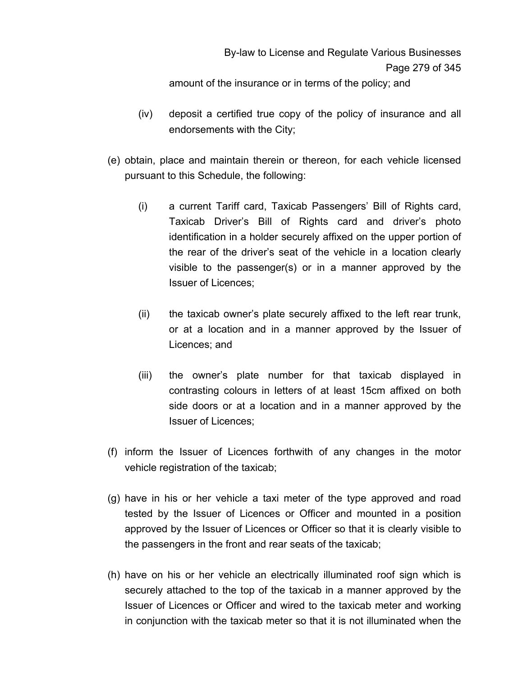amount of the insurance or in terms of the policy; and

- (iv) deposit a certified true copy of the policy of insurance and all endorsements with the City;
- (e) obtain, place and maintain therein or thereon, for each vehicle licensed pursuant to this Schedule, the following:
	- (i) a current Tariff card, Taxicab Passengers' Bill of Rights card, Taxicab Driver's Bill of Rights card and driver's photo identification in a holder securely affixed on the upper portion of the rear of the driver's seat of the vehicle in a location clearly visible to the passenger(s) or in a manner approved by the Issuer of Licences;
	- (ii) the taxicab owner's plate securely affixed to the left rear trunk, or at a location and in a manner approved by the Issuer of Licences; and
	- (iii) the owner's plate number for that taxicab displayed in contrasting colours in letters of at least 15cm affixed on both side doors or at a location and in a manner approved by the Issuer of Licences;
- (f) inform the Issuer of Licences forthwith of any changes in the motor vehicle registration of the taxicab;
- (g) have in his or her vehicle a taxi meter of the type approved and road tested by the Issuer of Licences or Officer and mounted in a position approved by the Issuer of Licences or Officer so that it is clearly visible to the passengers in the front and rear seats of the taxicab;
- (h) have on his or her vehicle an electrically illuminated roof sign which is securely attached to the top of the taxicab in a manner approved by the Issuer of Licences or Officer and wired to the taxicab meter and working in conjunction with the taxicab meter so that it is not illuminated when the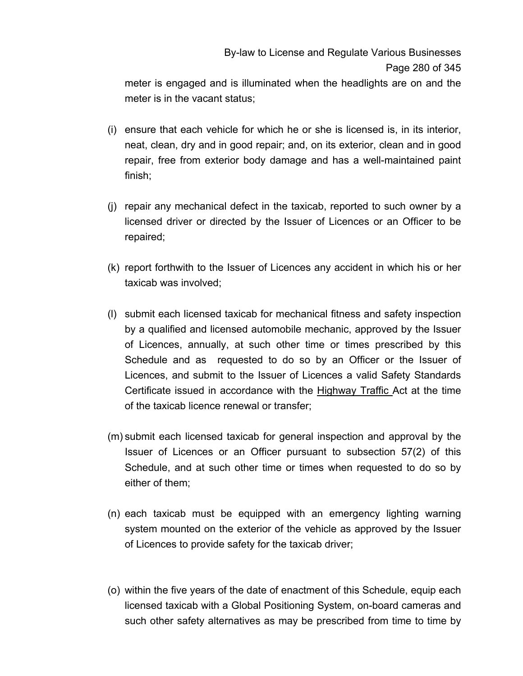# By-law to License and Regulate Various Businesses Page 280 of 345

meter is engaged and is illuminated when the headlights are on and the meter is in the vacant status;

- (i) ensure that each vehicle for which he or she is licensed is, in its interior, neat, clean, dry and in good repair; and, on its exterior, clean and in good repair, free from exterior body damage and has a well-maintained paint finish;
- (j) repair any mechanical defect in the taxicab, reported to such owner by a licensed driver or directed by the Issuer of Licences or an Officer to be repaired;
- (k) report forthwith to the Issuer of Licences any accident in which his or her taxicab was involved;
- (l) submit each licensed taxicab for mechanical fitness and safety inspection by a qualified and licensed automobile mechanic, approved by the Issuer of Licences, annually, at such other time or times prescribed by this Schedule and as requested to do so by an Officer or the Issuer of Licences, and submit to the Issuer of Licences a valid Safety Standards Certificate issued in accordance with the Highway Traffic Act at the time of the taxicab licence renewal or transfer;
- (m) submit each licensed taxicab for general inspection and approval by the Issuer of Licences or an Officer pursuant to subsection 57(2) of this Schedule, and at such other time or times when requested to do so by either of them;
- (n) each taxicab must be equipped with an emergency lighting warning system mounted on the exterior of the vehicle as approved by the Issuer of Licences to provide safety for the taxicab driver;
- (o) within the five years of the date of enactment of this Schedule, equip each licensed taxicab with a Global Positioning System, on-board cameras and such other safety alternatives as may be prescribed from time to time by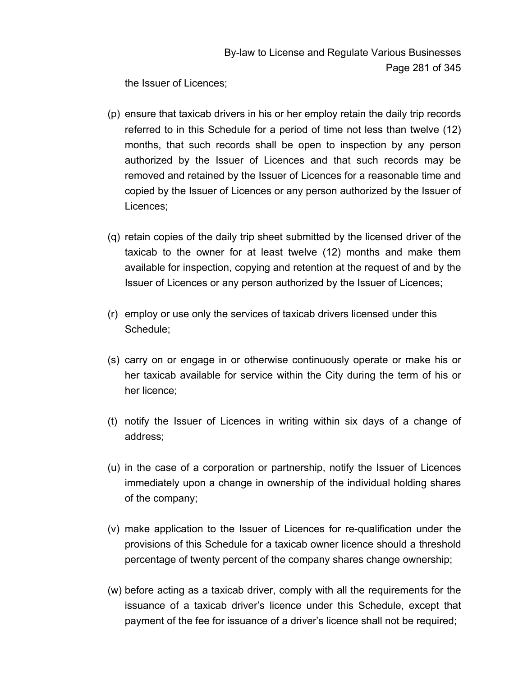the Issuer of Licences;

- (p) ensure that taxicab drivers in his or her employ retain the daily trip records referred to in this Schedule for a period of time not less than twelve (12) months, that such records shall be open to inspection by any person authorized by the Issuer of Licences and that such records may be removed and retained by the Issuer of Licences for a reasonable time and copied by the Issuer of Licences or any person authorized by the Issuer of Licences;
- (q) retain copies of the daily trip sheet submitted by the licensed driver of the taxicab to the owner for at least twelve (12) months and make them available for inspection, copying and retention at the request of and by the Issuer of Licences or any person authorized by the Issuer of Licences;
- (r) employ or use only the services of taxicab drivers licensed under this Schedule;
- (s) carry on or engage in or otherwise continuously operate or make his or her taxicab available for service within the City during the term of his or her licence;
- (t) notify the Issuer of Licences in writing within six days of a change of address;
- (u) in the case of a corporation or partnership, notify the Issuer of Licences immediately upon a change in ownership of the individual holding shares of the company;
- (v) make application to the Issuer of Licences for re-qualification under the provisions of this Schedule for a taxicab owner licence should a threshold percentage of twenty percent of the company shares change ownership;
- (w) before acting as a taxicab driver, comply with all the requirements for the issuance of a taxicab driver's licence under this Schedule, except that payment of the fee for issuance of a driver's licence shall not be required;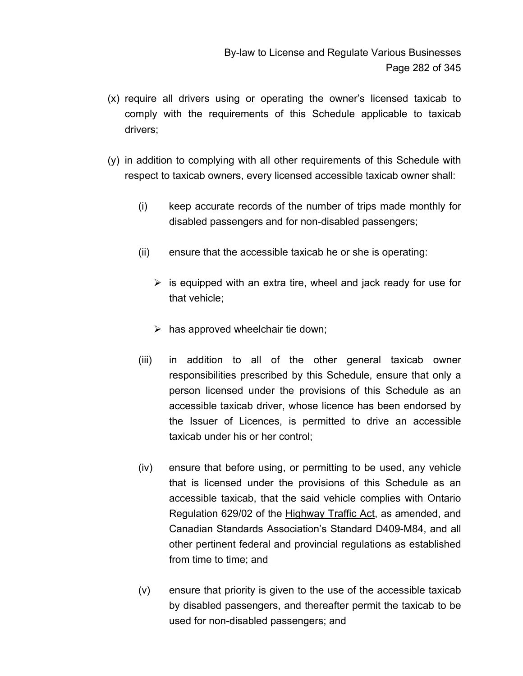- (x) require all drivers using or operating the owner's licensed taxicab to comply with the requirements of this Schedule applicable to taxicab drivers;
- (y) in addition to complying with all other requirements of this Schedule with respect to taxicab owners, every licensed accessible taxicab owner shall:
	- (i) keep accurate records of the number of trips made monthly for disabled passengers and for non-disabled passengers;
	- (ii) ensure that the accessible taxicab he or she is operating:
		- $\triangleright$  is equipped with an extra tire, wheel and jack ready for use for that vehicle;
		- $\triangleright$  has approved wheelchair tie down;
	- (iii) in addition to all of the other general taxicab owner responsibilities prescribed by this Schedule, ensure that only a person licensed under the provisions of this Schedule as an accessible taxicab driver, whose licence has been endorsed by the Issuer of Licences, is permitted to drive an accessible taxicab under his or her control;
	- (iv) ensure that before using, or permitting to be used, any vehicle that is licensed under the provisions of this Schedule as an accessible taxicab, that the said vehicle complies with Ontario Regulation 629/02 of the Highway Traffic Act, as amended, and Canadian Standards Association's Standard D409-M84, and all other pertinent federal and provincial regulations as established from time to time; and
	- (v) ensure that priority is given to the use of the accessible taxicab by disabled passengers, and thereafter permit the taxicab to be used for non-disabled passengers; and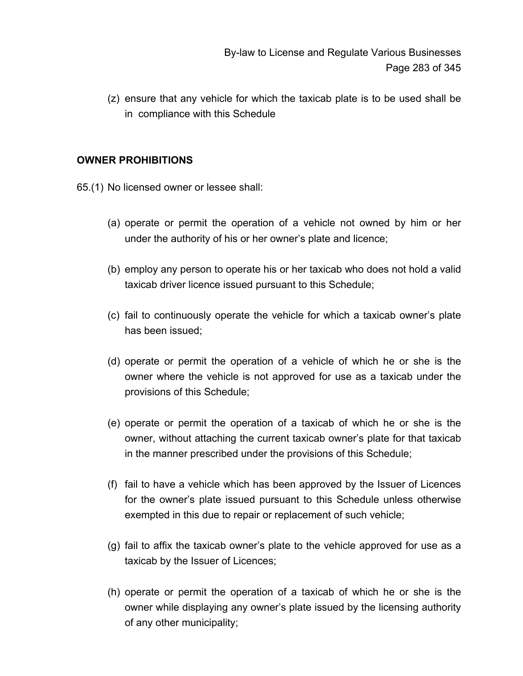(z) ensure that any vehicle for which the taxicab plate is to be used shall be in compliance with this Schedule

#### **OWNER PROHIBITIONS**

65.(1) No licensed owner or lessee shall:

- (a) operate or permit the operation of a vehicle not owned by him or her under the authority of his or her owner's plate and licence;
- (b) employ any person to operate his or her taxicab who does not hold a valid taxicab driver licence issued pursuant to this Schedule;
- (c) fail to continuously operate the vehicle for which a taxicab owner's plate has been issued;
- (d) operate or permit the operation of a vehicle of which he or she is the owner where the vehicle is not approved for use as a taxicab under the provisions of this Schedule;
- (e) operate or permit the operation of a taxicab of which he or she is the owner, without attaching the current taxicab owner's plate for that taxicab in the manner prescribed under the provisions of this Schedule;
- (f) fail to have a vehicle which has been approved by the Issuer of Licences for the owner's plate issued pursuant to this Schedule unless otherwise exempted in this due to repair or replacement of such vehicle;
- (g) fail to affix the taxicab owner's plate to the vehicle approved for use as a taxicab by the Issuer of Licences;
- (h) operate or permit the operation of a taxicab of which he or she is the owner while displaying any owner's plate issued by the licensing authority of any other municipality;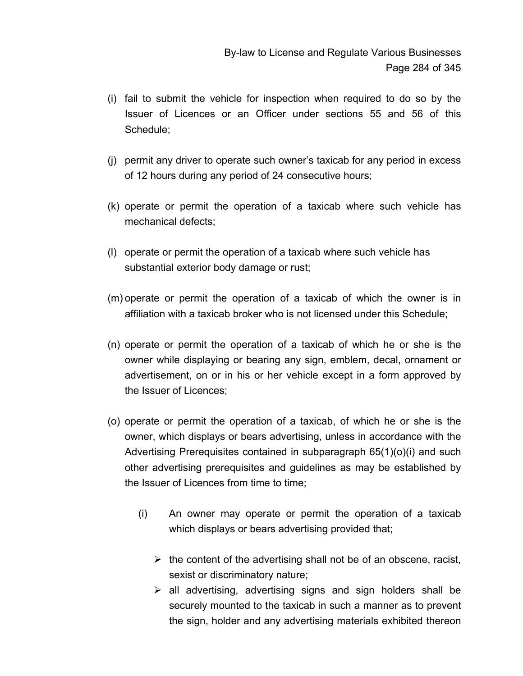- (i) fail to submit the vehicle for inspection when required to do so by the Issuer of Licences or an Officer under sections 55 and 56 of this Schedule;
- (j) permit any driver to operate such owner's taxicab for any period in excess of 12 hours during any period of 24 consecutive hours;
- (k) operate or permit the operation of a taxicab where such vehicle has mechanical defects;
- (l) operate or permit the operation of a taxicab where such vehicle has substantial exterior body damage or rust;
- (m) operate or permit the operation of a taxicab of which the owner is in affiliation with a taxicab broker who is not licensed under this Schedule;
- (n) operate or permit the operation of a taxicab of which he or she is the owner while displaying or bearing any sign, emblem, decal, ornament or advertisement, on or in his or her vehicle except in a form approved by the Issuer of Licences;
- (o) operate or permit the operation of a taxicab, of which he or she is the owner, which displays or bears advertising, unless in accordance with the Advertising Prerequisites contained in subparagraph 65(1)(o)(i) and such other advertising prerequisites and guidelines as may be established by the Issuer of Licences from time to time;
	- (i) An owner may operate or permit the operation of a taxicab which displays or bears advertising provided that;
		- $\triangleright$  the content of the advertising shall not be of an obscene, racist, sexist or discriminatory nature;
		- $\triangleright$  all advertising, advertising signs and sign holders shall be securely mounted to the taxicab in such a manner as to prevent the sign, holder and any advertising materials exhibited thereon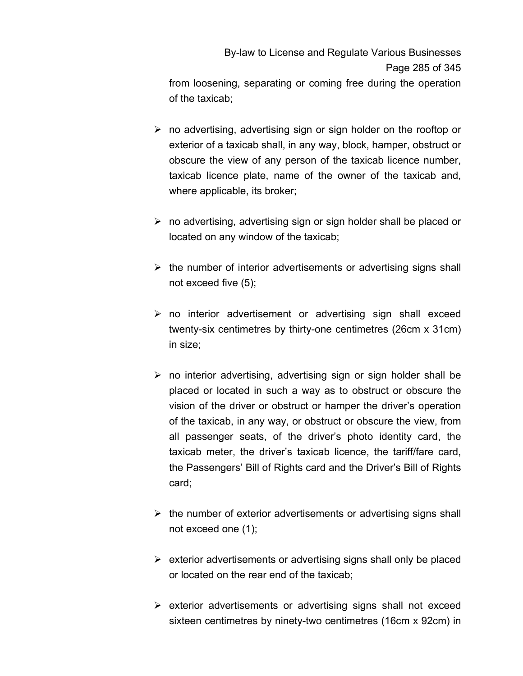By-law to License and Regulate Various Businesses Page 285 of 345

from loosening, separating or coming free during the operation of the taxicab;

- $\triangleright$  no advertising, advertising sign or sign holder on the rooftop or exterior of a taxicab shall, in any way, block, hamper, obstruct or obscure the view of any person of the taxicab licence number, taxicab licence plate, name of the owner of the taxicab and, where applicable, its broker;
- $\triangleright$  no advertising, advertising sign or sign holder shall be placed or located on any window of the taxicab;
- $\triangleright$  the number of interior advertisements or advertising signs shall not exceed five (5);
- $\triangleright$  no interior advertisement or advertising sign shall exceed twenty-six centimetres by thirty-one centimetres (26cm x 31cm) in size;
- $\triangleright$  no interior advertising, advertising sign or sign holder shall be placed or located in such a way as to obstruct or obscure the vision of the driver or obstruct or hamper the driver's operation of the taxicab, in any way, or obstruct or obscure the view, from all passenger seats, of the driver's photo identity card, the taxicab meter, the driver's taxicab licence, the tariff/fare card, the Passengers' Bill of Rights card and the Driver's Bill of Rights card;
- $\triangleright$  the number of exterior advertisements or advertising signs shall not exceed one (1);
- $\triangleright$  exterior advertisements or advertising signs shall only be placed or located on the rear end of the taxicab;
- $\triangleright$  exterior advertisements or advertising signs shall not exceed sixteen centimetres by ninety-two centimetres (16cm x 92cm) in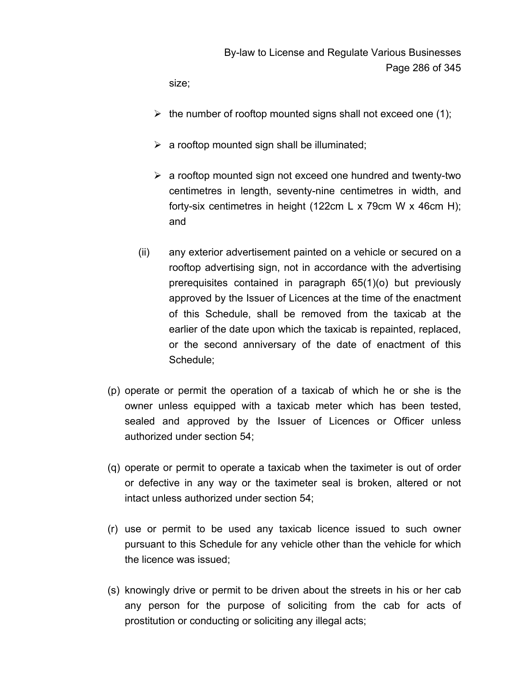By-law to License and Regulate Various Businesses Page 286 of 345

size;

- $\triangleright$  the number of rooftop mounted signs shall not exceed one (1);
- $\triangleright$  a rooftop mounted sign shall be illuminated;
- $\triangleright$  a rooftop mounted sign not exceed one hundred and twenty-two centimetres in length, seventy-nine centimetres in width, and forty-six centimetres in height (122cm L x 79cm W x 46cm H); and
- (ii) any exterior advertisement painted on a vehicle or secured on a rooftop advertising sign, not in accordance with the advertising prerequisites contained in paragraph 65(1)(o) but previously approved by the Issuer of Licences at the time of the enactment of this Schedule, shall be removed from the taxicab at the earlier of the date upon which the taxicab is repainted, replaced, or the second anniversary of the date of enactment of this Schedule;
- (p) operate or permit the operation of a taxicab of which he or she is the owner unless equipped with a taxicab meter which has been tested, sealed and approved by the Issuer of Licences or Officer unless authorized under section 54;
- (q) operate or permit to operate a taxicab when the taximeter is out of order or defective in any way or the taximeter seal is broken, altered or not intact unless authorized under section 54;
- (r) use or permit to be used any taxicab licence issued to such owner pursuant to this Schedule for any vehicle other than the vehicle for which the licence was issued;
- (s) knowingly drive or permit to be driven about the streets in his or her cab any person for the purpose of soliciting from the cab for acts of prostitution or conducting or soliciting any illegal acts;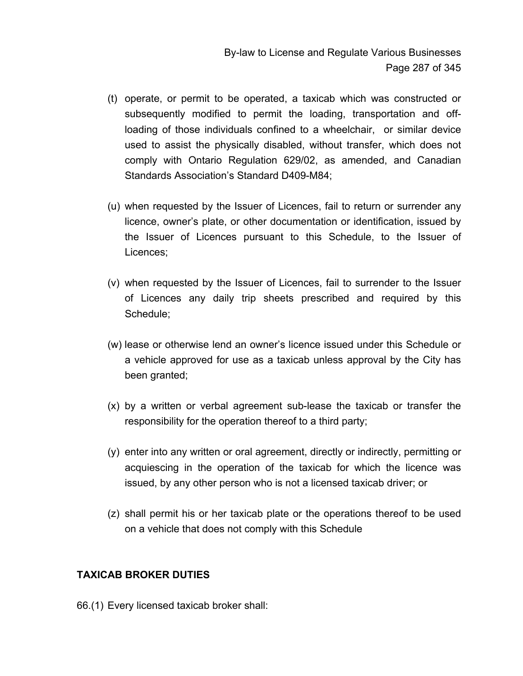- (t) operate, or permit to be operated, a taxicab which was constructed or subsequently modified to permit the loading, transportation and offloading of those individuals confined to a wheelchair, or similar device used to assist the physically disabled, without transfer, which does not comply with Ontario Regulation 629/02, as amended, and Canadian Standards Association's Standard D409-M84;
- (u) when requested by the Issuer of Licences, fail to return or surrender any licence, owner's plate, or other documentation or identification, issued by the Issuer of Licences pursuant to this Schedule, to the Issuer of Licences;
- (v) when requested by the Issuer of Licences, fail to surrender to the Issuer of Licences any daily trip sheets prescribed and required by this Schedule;
- (w) lease or otherwise lend an owner's licence issued under this Schedule or a vehicle approved for use as a taxicab unless approval by the City has been granted;
- (x) by a written or verbal agreement sub-lease the taxicab or transfer the responsibility for the operation thereof to a third party;
- (y) enter into any written or oral agreement, directly or indirectly, permitting or acquiescing in the operation of the taxicab for which the licence was issued, by any other person who is not a licensed taxicab driver; or
- (z) shall permit his or her taxicab plate or the operations thereof to be used on a vehicle that does not comply with this Schedule

## **TAXICAB BROKER DUTIES**

66.(1) Every licensed taxicab broker shall: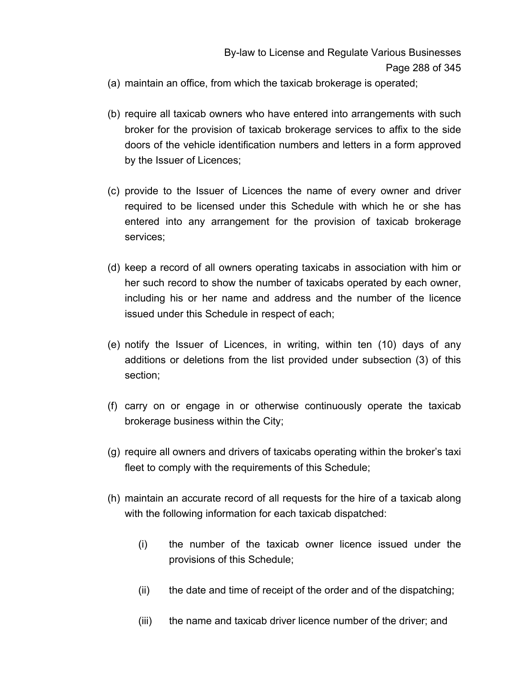- (a) maintain an office, from which the taxicab brokerage is operated;
- (b) require all taxicab owners who have entered into arrangements with such broker for the provision of taxicab brokerage services to affix to the side doors of the vehicle identification numbers and letters in a form approved by the Issuer of Licences;
- (c) provide to the Issuer of Licences the name of every owner and driver required to be licensed under this Schedule with which he or she has entered into any arrangement for the provision of taxicab brokerage services;
- (d) keep a record of all owners operating taxicabs in association with him or her such record to show the number of taxicabs operated by each owner, including his or her name and address and the number of the licence issued under this Schedule in respect of each;
- (e) notify the Issuer of Licences, in writing, within ten (10) days of any additions or deletions from the list provided under subsection (3) of this section;
- (f) carry on or engage in or otherwise continuously operate the taxicab brokerage business within the City;
- (g) require all owners and drivers of taxicabs operating within the broker's taxi fleet to comply with the requirements of this Schedule;
- (h) maintain an accurate record of all requests for the hire of a taxicab along with the following information for each taxicab dispatched:
	- (i) the number of the taxicab owner licence issued under the provisions of this Schedule;
	- (ii) the date and time of receipt of the order and of the dispatching;
	- (iii) the name and taxicab driver licence number of the driver; and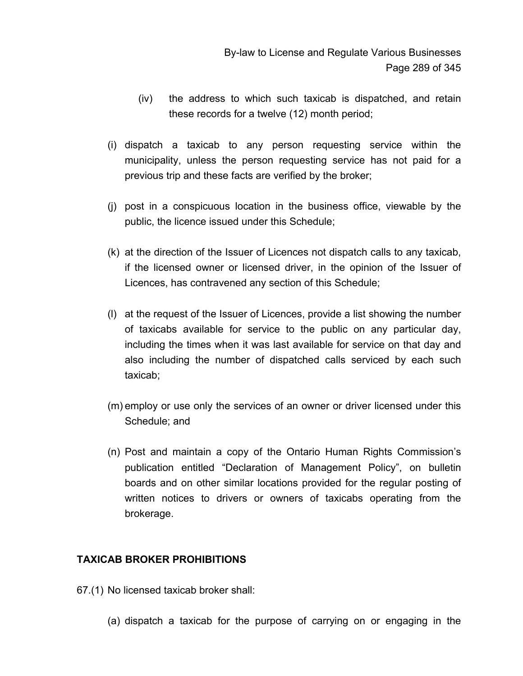- (iv) the address to which such taxicab is dispatched, and retain these records for a twelve (12) month period;
- (i) dispatch a taxicab to any person requesting service within the municipality, unless the person requesting service has not paid for a previous trip and these facts are verified by the broker;
- (j) post in a conspicuous location in the business office, viewable by the public, the licence issued under this Schedule;
- (k) at the direction of the Issuer of Licences not dispatch calls to any taxicab, if the licensed owner or licensed driver, in the opinion of the Issuer of Licences, has contravened any section of this Schedule;
- (l) at the request of the Issuer of Licences, provide a list showing the number of taxicabs available for service to the public on any particular day, including the times when it was last available for service on that day and also including the number of dispatched calls serviced by each such taxicab;
- (m) employ or use only the services of an owner or driver licensed under this Schedule; and
- (n) Post and maintain a copy of the Ontario Human Rights Commission's publication entitled "Declaration of Management Policy", on bulletin boards and on other similar locations provided for the regular posting of written notices to drivers or owners of taxicabs operating from the brokerage.

# **TAXICAB BROKER PROHIBITIONS**

- 67.(1) No licensed taxicab broker shall:
	- (a) dispatch a taxicab for the purpose of carrying on or engaging in the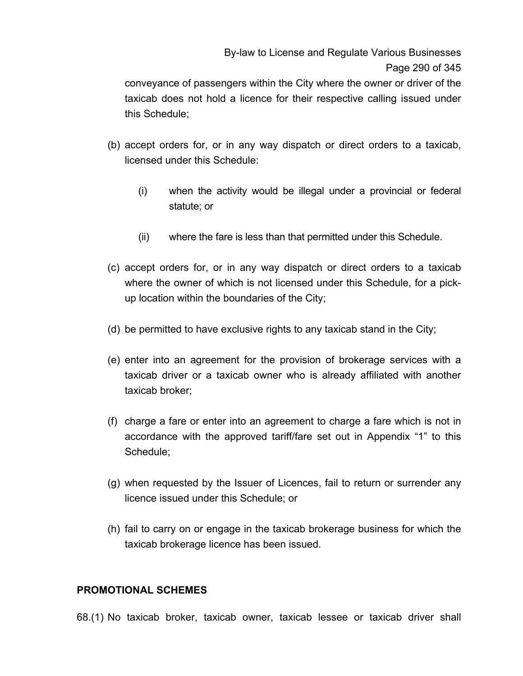By-law to License and Regulate Various Businesses Page 290 of 345

conveyance of passengers within the City where the owner or driver of the taxicab does not hold a licence for their respective calling issued under this Schedule;

- (b) accept orders for, or in any way dispatch or direct orders to a taxicab, licensed under this Schedule:
	- (i) when the activity would be illegal under a provincial or federal statute; or
	- (ii) where the fare is less than that permitted under this Schedule.
- (c) accept orders for, or in any way dispatch or direct orders to a taxicab where the owner of which is not licensed under this Schedule, for a pickup location within the boundaries of the City;
- (d) be permitted to have exclusive rights to any taxicab stand in the City;
- (e) enter into an agreement for the provision of brokerage services with a taxicab driver or a taxicab owner who is already affiliated with another taxicab broker;
- (f) charge a fare or enter into an agreement to charge a fare which is not in accordance with the approved tariff/fare set out in Appendix "1" to this Schedule;
- (g) when requested by the Issuer of Licences, fail to return or surrender any licence issued under this Schedule; or
- (h) fail to carry on or engage in the taxicab brokerage business for which the taxicab brokerage licence has been issued.

### **PROMOTIONAL SCHEMES**

68.(1) No taxicab broker, taxicab owner, taxicab lessee or taxicab driver shall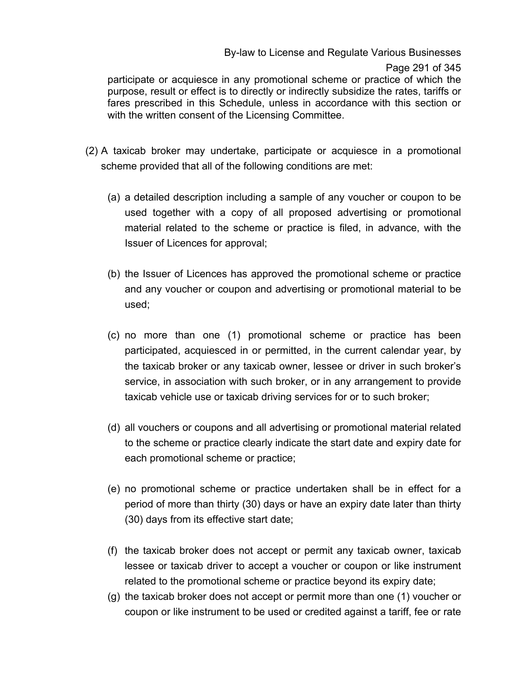### By-law to License and Regulate Various Businesses

#### Page 291 of 345

participate or acquiesce in any promotional scheme or practice of which the purpose, result or effect is to directly or indirectly subsidize the rates, tariffs or fares prescribed in this Schedule, unless in accordance with this section or with the written consent of the Licensing Committee.

- (2) A taxicab broker may undertake, participate or acquiesce in a promotional scheme provided that all of the following conditions are met:
	- (a) a detailed description including a sample of any voucher or coupon to be used together with a copy of all proposed advertising or promotional material related to the scheme or practice is filed, in advance, with the Issuer of Licences for approval;
	- (b) the Issuer of Licences has approved the promotional scheme or practice and any voucher or coupon and advertising or promotional material to be used;
	- (c) no more than one (1) promotional scheme or practice has been participated, acquiesced in or permitted, in the current calendar year, by the taxicab broker or any taxicab owner, lessee or driver in such broker's service, in association with such broker, or in any arrangement to provide taxicab vehicle use or taxicab driving services for or to such broker;
	- (d) all vouchers or coupons and all advertising or promotional material related to the scheme or practice clearly indicate the start date and expiry date for each promotional scheme or practice;
	- (e) no promotional scheme or practice undertaken shall be in effect for a period of more than thirty (30) days or have an expiry date later than thirty (30) days from its effective start date;
	- (f) the taxicab broker does not accept or permit any taxicab owner, taxicab lessee or taxicab driver to accept a voucher or coupon or like instrument related to the promotional scheme or practice beyond its expiry date;
	- (g) the taxicab broker does not accept or permit more than one (1) voucher or coupon or like instrument to be used or credited against a tariff, fee or rate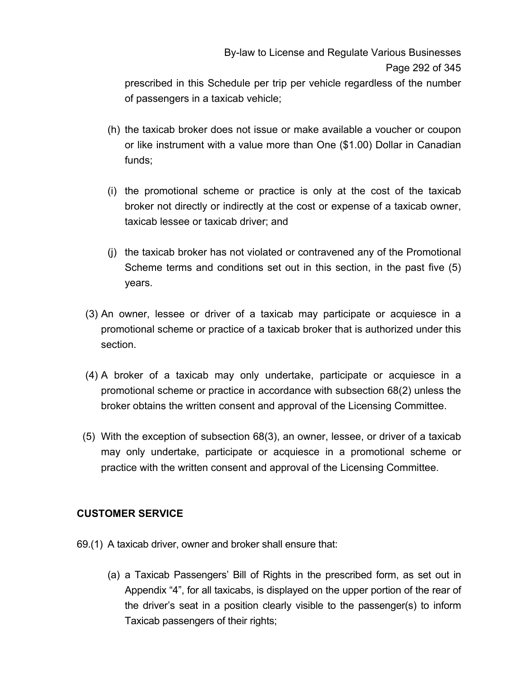# By-law to License and Regulate Various Businesses Page 292 of 345

prescribed in this Schedule per trip per vehicle regardless of the number of passengers in a taxicab vehicle;

- (h) the taxicab broker does not issue or make available a voucher or coupon or like instrument with a value more than One (\$1.00) Dollar in Canadian funds;
- (i) the promotional scheme or practice is only at the cost of the taxicab broker not directly or indirectly at the cost or expense of a taxicab owner, taxicab lessee or taxicab driver; and
- (j) the taxicab broker has not violated or contravened any of the Promotional Scheme terms and conditions set out in this section, in the past five (5) years.
- (3) An owner, lessee or driver of a taxicab may participate or acquiesce in a promotional scheme or practice of a taxicab broker that is authorized under this section.
- (4) A broker of a taxicab may only undertake, participate or acquiesce in a promotional scheme or practice in accordance with subsection 68(2) unless the broker obtains the written consent and approval of the Licensing Committee.
- (5) With the exception of subsection 68(3), an owner, lessee, or driver of a taxicab may only undertake, participate or acquiesce in a promotional scheme or practice with the written consent and approval of the Licensing Committee.

# **CUSTOMER SERVICE**

- 69.(1) A taxicab driver, owner and broker shall ensure that:
	- (a) a Taxicab Passengers' Bill of Rights in the prescribed form, as set out in Appendix "4", for all taxicabs, is displayed on the upper portion of the rear of the driver's seat in a position clearly visible to the passenger(s) to inform Taxicab passengers of their rights;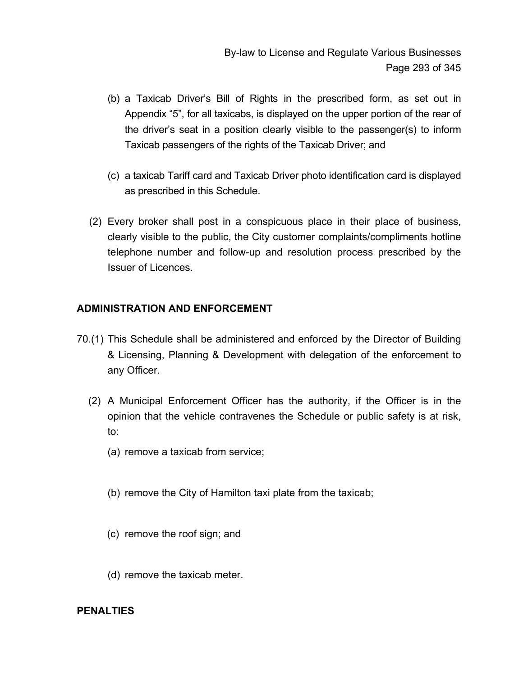- (b) a Taxicab Driver's Bill of Rights in the prescribed form, as set out in Appendix "5", for all taxicabs, is displayed on the upper portion of the rear of the driver's seat in a position clearly visible to the passenger(s) to inform Taxicab passengers of the rights of the Taxicab Driver; and
- (c) a taxicab Tariff card and Taxicab Driver photo identification card is displayed as prescribed in this Schedule.
- (2) Every broker shall post in a conspicuous place in their place of business, clearly visible to the public, the City customer complaints/compliments hotline telephone number and follow-up and resolution process prescribed by the Issuer of Licences.

# **ADMINISTRATION AND ENFORCEMENT**

- 70.(1) This Schedule shall be administered and enforced by the Director of Building & Licensing, Planning & Development with delegation of the enforcement to any Officer.
	- (2) A Municipal Enforcement Officer has the authority, if the Officer is in the opinion that the vehicle contravenes the Schedule or public safety is at risk, to:
		- (a) remove a taxicab from service;
		- (b) remove the City of Hamilton taxi plate from the taxicab;
		- (c) remove the roof sign; and
		- (d) remove the taxicab meter.

### **PENALTIES**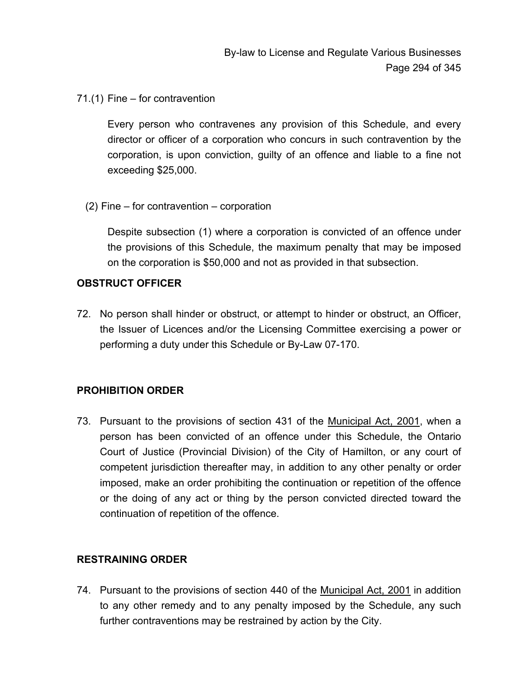71.(1) Fine – for contravention

Every person who contravenes any provision of this Schedule, and every director or officer of a corporation who concurs in such contravention by the corporation, is upon conviction, guilty of an offence and liable to a fine not exceeding \$25,000.

(2) Fine – for contravention – corporation

Despite subsection (1) where a corporation is convicted of an offence under the provisions of this Schedule, the maximum penalty that may be imposed on the corporation is \$50,000 and not as provided in that subsection.

### **OBSTRUCT OFFICER**

72. No person shall hinder or obstruct, or attempt to hinder or obstruct, an Officer, the Issuer of Licences and/or the Licensing Committee exercising a power or performing a duty under this Schedule or By-Law 07-170.

# **PROHIBITION ORDER**

73. Pursuant to the provisions of section 431 of the Municipal Act, 2001, when a person has been convicted of an offence under this Schedule, the Ontario Court of Justice (Provincial Division) of the City of Hamilton, or any court of competent jurisdiction thereafter may, in addition to any other penalty or order imposed, make an order prohibiting the continuation or repetition of the offence or the doing of any act or thing by the person convicted directed toward the continuation of repetition of the offence.

# **RESTRAINING ORDER**

74. Pursuant to the provisions of section 440 of the Municipal Act, 2001 in addition to any other remedy and to any penalty imposed by the Schedule, any such further contraventions may be restrained by action by the City.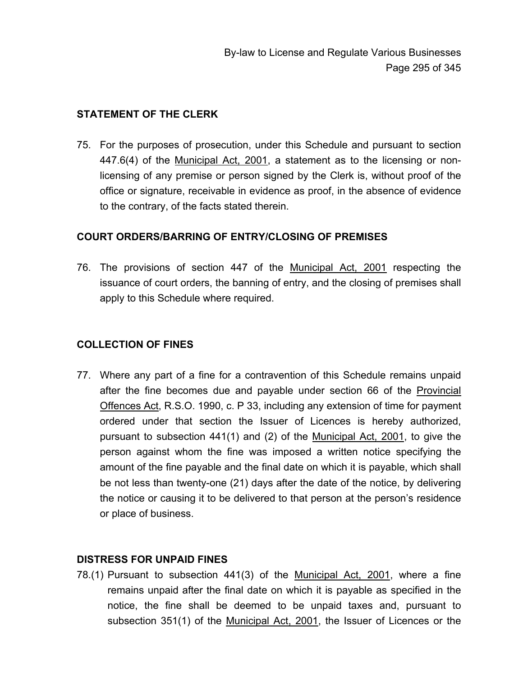### **STATEMENT OF THE CLERK**

75. For the purposes of prosecution, under this Schedule and pursuant to section 447.6(4) of the Municipal Act, 2001, a statement as to the licensing or nonlicensing of any premise or person signed by the Clerk is, without proof of the office or signature, receivable in evidence as proof, in the absence of evidence to the contrary, of the facts stated therein.

### **COURT ORDERS/BARRING OF ENTRY/CLOSING OF PREMISES**

76. The provisions of section 447 of the Municipal Act, 2001 respecting the issuance of court orders, the banning of entry, and the closing of premises shall apply to this Schedule where required.

# **COLLECTION OF FINES**

77. Where any part of a fine for a contravention of this Schedule remains unpaid after the fine becomes due and payable under section 66 of the Provincial Offences Act, R.S.O. 1990, c. P 33, including any extension of time for payment ordered under that section the Issuer of Licences is hereby authorized, pursuant to subsection 441(1) and (2) of the Municipal Act, 2001, to give the person against whom the fine was imposed a written notice specifying the amount of the fine payable and the final date on which it is payable, which shall be not less than twenty-one (21) days after the date of the notice, by delivering the notice or causing it to be delivered to that person at the person's residence or place of business.

# **DISTRESS FOR UNPAID FINES**

78.(1) Pursuant to subsection 441(3) of the Municipal Act, 2001, where a fine remains unpaid after the final date on which it is payable as specified in the notice, the fine shall be deemed to be unpaid taxes and, pursuant to subsection 351(1) of the Municipal Act, 2001, the Issuer of Licences or the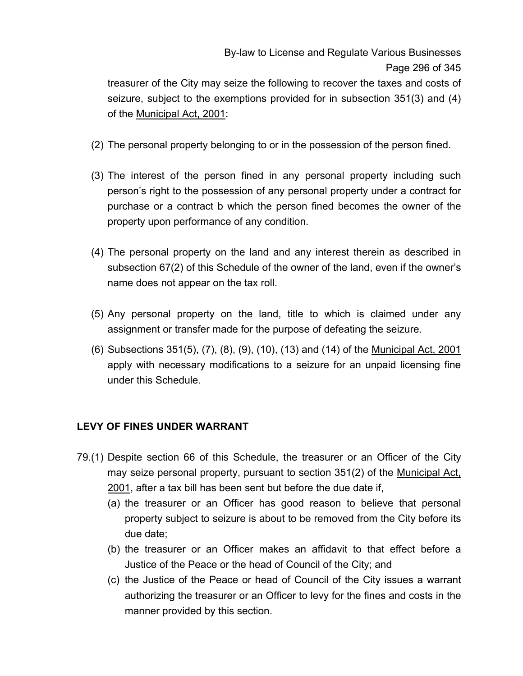By-law to License and Regulate Various Businesses Page 296 of 345

treasurer of the City may seize the following to recover the taxes and costs of seizure, subject to the exemptions provided for in subsection 351(3) and (4) of the Municipal Act, 2001:

- (2) The personal property belonging to or in the possession of the person fined.
- (3) The interest of the person fined in any personal property including such person's right to the possession of any personal property under a contract for purchase or a contract b which the person fined becomes the owner of the property upon performance of any condition.
- (4) The personal property on the land and any interest therein as described in subsection 67(2) of this Schedule of the owner of the land, even if the owner's name does not appear on the tax roll.
- (5) Any personal property on the land, title to which is claimed under any assignment or transfer made for the purpose of defeating the seizure.
- (6) Subsections 351(5), (7), (8), (9), (10), (13) and (14) of the Municipal Act, 2001 apply with necessary modifications to a seizure for an unpaid licensing fine under this Schedule.

# **LEVY OF FINES UNDER WARRANT**

- 79.(1) Despite section 66 of this Schedule, the treasurer or an Officer of the City may seize personal property, pursuant to section 351(2) of the <u>Municipal Act,</u> 2001, after a tax bill has been sent but before the due date if,
	- (a) the treasurer or an Officer has good reason to believe that personal property subject to seizure is about to be removed from the City before its due date;
	- (b) the treasurer or an Officer makes an affidavit to that effect before a Justice of the Peace or the head of Council of the City; and
	- (c) the Justice of the Peace or head of Council of the City issues a warrant authorizing the treasurer or an Officer to levy for the fines and costs in the manner provided by this section.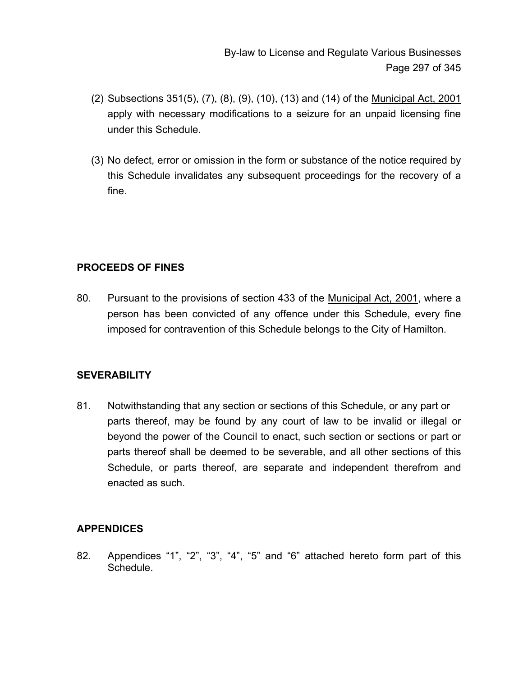- (2) Subsections 351(5), (7), (8), (9), (10), (13) and (14) of the Municipal Act, 2001 apply with necessary modifications to a seizure for an unpaid licensing fine under this Schedule.
- (3) No defect, error or omission in the form or substance of the notice required by this Schedule invalidates any subsequent proceedings for the recovery of a fine.

# **PROCEEDS OF FINES**

80. Pursuant to the provisions of section 433 of the Municipal Act, 2001, where a person has been convicted of any offence under this Schedule, every fine imposed for contravention of this Schedule belongs to the City of Hamilton.

# **SEVERABILITY**

81. Notwithstanding that any section or sections of this Schedule, or any part or parts thereof, may be found by any court of law to be invalid or illegal or beyond the power of the Council to enact, such section or sections or part or parts thereof shall be deemed to be severable, and all other sections of this Schedule, or parts thereof, are separate and independent therefrom and enacted as such.

# **APPENDICES**

82. Appendices "1", "2", "3", "4", "5" and "6" attached hereto form part of this **Schedule**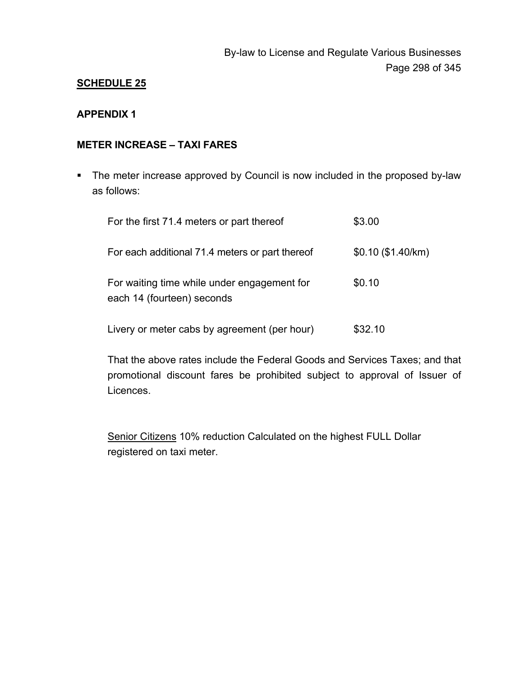#### **APPENDIX 1**

### **METER INCREASE – TAXI FARES**

**The meter increase approved by Council is now included in the proposed by-law** as follows:

| For the first 71.4 meters or part thereof                                 | \$3.00              |
|---------------------------------------------------------------------------|---------------------|
| For each additional 71.4 meters or part thereof                           | $$0.10$ (\$1.40/km) |
| For waiting time while under engagement for<br>each 14 (fourteen) seconds | \$0.10              |
| Livery or meter cabs by agreement (per hour)                              | \$32.10             |

That the above rates include the Federal Goods and Services Taxes; and that promotional discount fares be prohibited subject to approval of Issuer of Licences.

Senior Citizens 10% reduction Calculated on the highest FULL Dollar registered on taxi meter.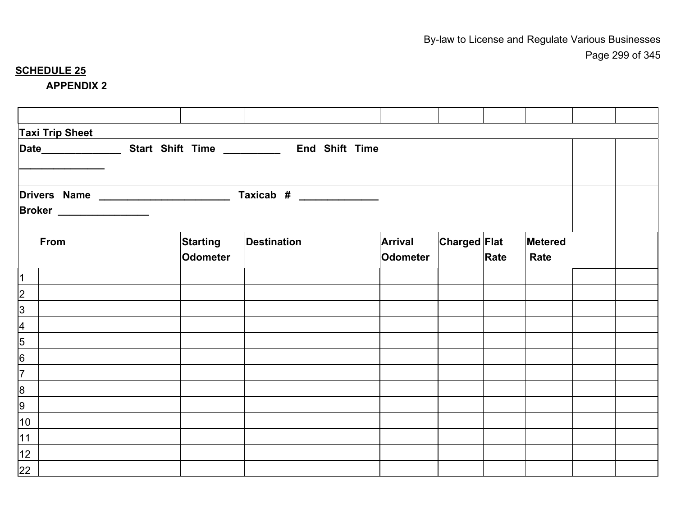#### **APPENDIX 2**

|                          | <b>Taxi Trip Sheet</b>          |  |                 |                                                                                                  |  |                |                     |      |                |  |
|--------------------------|---------------------------------|--|-----------------|--------------------------------------------------------------------------------------------------|--|----------------|---------------------|------|----------------|--|
|                          |                                 |  |                 | Date_________________________________Start Shift Time ___________________________ End Shift Time |  |                |                     |      |                |  |
|                          |                                 |  |                 |                                                                                                  |  |                |                     |      |                |  |
|                          |                                 |  |                 |                                                                                                  |  |                |                     |      |                |  |
|                          | <b>Broker</b> _________________ |  |                 |                                                                                                  |  |                |                     |      |                |  |
|                          | From                            |  | <b>Starting</b> | <b>Destination</b>                                                                               |  | <b>Arrival</b> | <b>Charged Flat</b> |      | <b>Metered</b> |  |
|                          |                                 |  | <b>Odometer</b> |                                                                                                  |  | Odometer       |                     | Rate | Rate           |  |
| $\overline{1}$           |                                 |  |                 |                                                                                                  |  |                |                     |      |                |  |
| $\overline{2}$           |                                 |  |                 |                                                                                                  |  |                |                     |      |                |  |
| $\overline{3}$           |                                 |  |                 |                                                                                                  |  |                |                     |      |                |  |
| $\overline{\mathcal{A}}$ |                                 |  |                 |                                                                                                  |  |                |                     |      |                |  |
| 5                        |                                 |  |                 |                                                                                                  |  |                |                     |      |                |  |
| $6\overline{6}$          |                                 |  |                 |                                                                                                  |  |                |                     |      |                |  |
| $\overline{7}$           |                                 |  |                 |                                                                                                  |  |                |                     |      |                |  |
| $\bf{8}$                 |                                 |  |                 |                                                                                                  |  |                |                     |      |                |  |
| 9                        |                                 |  |                 |                                                                                                  |  |                |                     |      |                |  |
| 10                       |                                 |  |                 |                                                                                                  |  |                |                     |      |                |  |
| 11                       |                                 |  |                 |                                                                                                  |  |                |                     |      |                |  |
| 12                       |                                 |  |                 |                                                                                                  |  |                |                     |      |                |  |
| 22                       |                                 |  |                 |                                                                                                  |  |                |                     |      |                |  |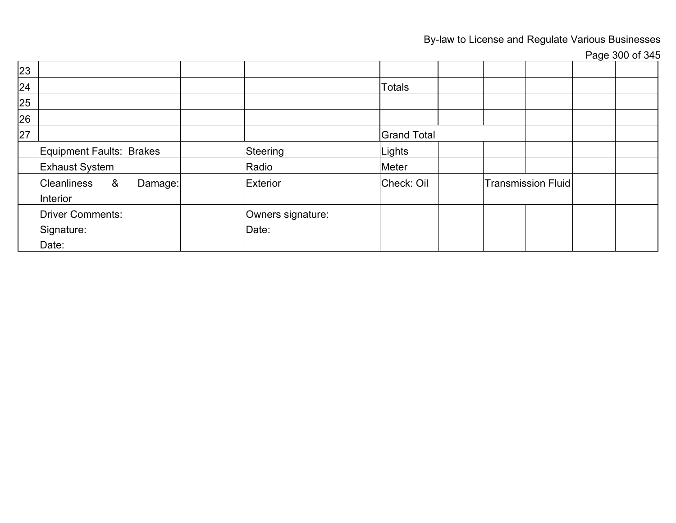By-law to License and Regulate Various Businesses

Page 300 of 345

| 23 |                                      |                   |                    |                    |  |
|----|--------------------------------------|-------------------|--------------------|--------------------|--|
| 24 |                                      |                   | <b>Totals</b>      |                    |  |
| 25 |                                      |                   |                    |                    |  |
| 26 |                                      |                   |                    |                    |  |
| 27 |                                      |                   | <b>Grand Total</b> |                    |  |
|    | Equipment Faults: Brakes             | Steering          | Lights             |                    |  |
|    | <b>Exhaust System</b>                | Radio             | Meter              |                    |  |
|    | Cleanliness &<br>Damage:<br>Interior | Exterior          | Check: Oil         | Transmission Fluid |  |
|    | <b>Driver Comments:</b>              | Owners signature: |                    |                    |  |
|    | Signature:                           | Date:             |                    |                    |  |
|    | Date:                                |                   |                    |                    |  |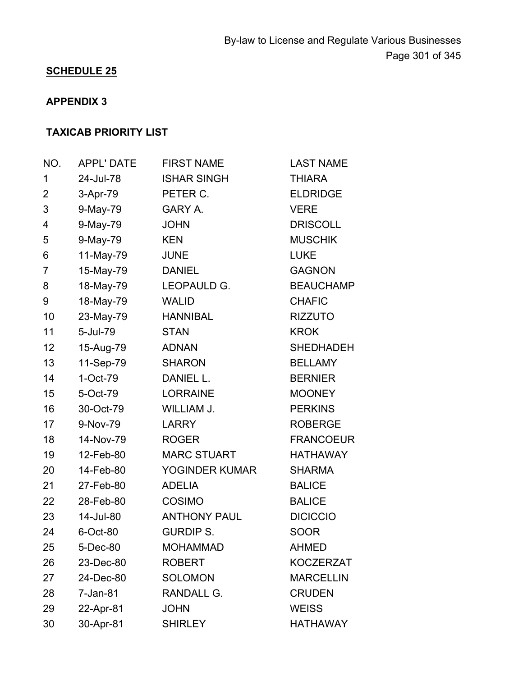# **APPENDIX 3**

# **TAXICAB PRIORITY LIST**

| NO. | <b>APPL' DATE</b> | <b>FIRST NAME</b>   | <b>LAST NAME</b> |
|-----|-------------------|---------------------|------------------|
| 1   | 24-Jul-78         | <b>ISHAR SINGH</b>  | <b>THIARA</b>    |
| 2   | 3-Apr-79          | PETER C.            | <b>ELDRIDGE</b>  |
| 3   | 9-May-79          | GARY A.             | <b>VERE</b>      |
| 4   | 9-May-79          | <b>JOHN</b>         | <b>DRISCOLL</b>  |
| 5   | 9-May-79          | <b>KEN</b>          | <b>MUSCHIK</b>   |
| 6   | 11-May-79         | <b>JUNE</b>         | <b>LUKE</b>      |
| 7   | 15-May-79         | <b>DANIEL</b>       | <b>GAGNON</b>    |
| 8   | 18-May-79         | LEOPAULD G.         | <b>BEAUCHAMP</b> |
| 9   | 18-May-79         | <b>WALID</b>        | <b>CHAFIC</b>    |
| 10  | 23-May-79         | <b>HANNIBAL</b>     | <b>RIZZUTO</b>   |
| 11  | 5-Jul-79          | <b>STAN</b>         | <b>KROK</b>      |
| 12  | 15-Aug-79         | <b>ADNAN</b>        | <b>SHEDHADEH</b> |
| 13  | 11-Sep-79         | <b>SHARON</b>       | <b>BELLAMY</b>   |
| 14  | $1-Oct-79$        | DANIEL L.           | <b>BERNIER</b>   |
| 15  | 5-Oct-79          | <b>LORRAINE</b>     | <b>MOONEY</b>    |
| 16  | 30-Oct-79         | WILLIAM J.          | <b>PERKINS</b>   |
| 17  | 9-Nov-79          | <b>LARRY</b>        | <b>ROBERGE</b>   |
| 18  | 14-Nov-79         | <b>ROGER</b>        | <b>FRANCOEUR</b> |
| 19  | 12-Feb-80         | <b>MARC STUART</b>  | <b>HATHAWAY</b>  |
| 20  | 14-Feb-80         | YOGINDER KUMAR      | <b>SHARMA</b>    |
| 21  | 27-Feb-80         | <b>ADELIA</b>       | <b>BALICE</b>    |
| 22  | 28-Feb-80         | <b>COSIMO</b>       | <b>BALICE</b>    |
| 23  | 14-Jul-80         | <b>ANTHONY PAUL</b> | <b>DICICCIO</b>  |
| 24  | 6-Oct-80          | <b>GURDIP S.</b>    | <b>SOOR</b>      |
| 25  | 5-Dec-80          | <b>MOHAMMAD</b>     | <b>AHMED</b>     |
| 26  | 23-Dec-80         | <b>ROBERT</b>       | <b>KOCZERZAT</b> |
| 27  | 24-Dec-80         | <b>SOLOMON</b>      | <b>MARCELLIN</b> |
| 28  | 7-Jan-81          | <b>RANDALL G.</b>   | <b>CRUDEN</b>    |
| 29  | 22-Apr-81         | <b>JOHN</b>         | <b>WEISS</b>     |
| 30  | 30-Apr-81         | <b>SHIRLEY</b>      | <b>HATHAWAY</b>  |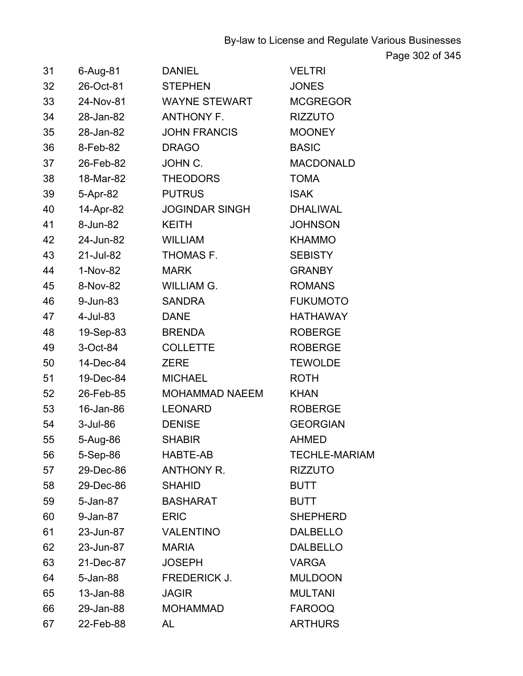By-law to License and Regulate Various Businesses

Page 302 of 345

| $31 -$ | 6-Aug-81             | <b>DANIEL Example 10</b>             | <b>VELTRI</b>        |
|--------|----------------------|--------------------------------------|----------------------|
| 32     |                      | 26-Oct-81 STEPHEN                    | <b>JONES</b>         |
|        |                      | 33 24-Nov-81 WAYNE STEWART MCGREGOR  |                      |
|        |                      | 34 28-Jan-82 ANTHONY F. RIZZUTO      |                      |
|        |                      | 35 28-Jan-82 JOHN FRANCIS MOONEY     |                      |
|        | 36 8-Feb-82 DRAGO    |                                      | <b>BASIC</b>         |
|        | 37 26-Feb-82 JOHN C. |                                      | <b>MACDONALD</b>     |
|        |                      | 38 18-Mar-82 THEODORS                | <b>TOMA</b>          |
|        |                      | 39 5-Apr-82 PUTRUS                   | ISAK                 |
|        |                      | 40 14-Apr-82 JOGINDAR SINGH DHALIWAL |                      |
|        | 41 8-Jun-82 KEITH    |                                      | <b>JOHNSON</b>       |
|        | 42 24-Jun-82 WILLIAM |                                      | <b>KHAMMO</b>        |
|        |                      | 43 21-Jul-82 THOMAS F. SEBISTY       |                      |
|        | 44  1-Nov-82  MARK   |                                      | <b>GRANBY</b>        |
|        |                      | 45 8-Nov-82 WILLIAM G.               | <b>ROMANS</b>        |
|        | 46 9-Jun-83 SANDRA   |                                      | <b>FUKUMOTO</b>      |
|        | 47  4-Jul-83  DANE   |                                      | <b>HATHAWAY</b>      |
|        | 48 19-Sep-83 BRENDA  |                                      | <b>ROBERGE</b>       |
| 49     |                      | 3-Oct-84 COLLETTE                    | ROBERGE              |
| 50     |                      | 14-Dec-84 ZERE                       | <b>TEWOLDE</b>       |
| 51     |                      | 19-Dec-84 MICHAEL                    | ROTH                 |
|        |                      | 52 26-Feb-85 MOHAMMAD NAEEM          | KHAN                 |
|        | 53 16-Jan-86 LEONARD |                                      | ROBERGE              |
|        | 54 3-Jul-86 DENISE   |                                      | <b>GEORGIAN</b>      |
|        |                      | 55 5-Aug-86 SHABIR                   | <b>AHMED</b>         |
| 56     | 5-Sep-86             | HABTE-AB                             | <b>TECHLE-MARIAM</b> |
| 57     | 29-Dec-86            | <b>ANTHONY R.</b>                    | <b>RIZZUTO</b>       |
| 58     | 29-Dec-86            | <b>SHAHID</b>                        | <b>BUTT</b>          |
| 59     | 5-Jan-87             | <b>BASHARAT</b>                      | <b>BUTT</b>          |
| 60     | 9-Jan-87             | <b>ERIC</b>                          | <b>SHEPHERD</b>      |
| 61     | 23-Jun-87            | <b>VALENTINO</b>                     | <b>DALBELLO</b>      |
| 62     | 23-Jun-87            | <b>MARIA</b>                         | <b>DALBELLO</b>      |
| 63     | 21-Dec-87            | <b>JOSEPH</b>                        | <b>VARGA</b>         |
| 64     | 5-Jan-88             | FREDERICK J.                         | <b>MULDOON</b>       |
| 65     | 13-Jan-88            | <b>JAGIR</b>                         | <b>MULTANI</b>       |
| 66     | 29-Jan-88            | <b>MOHAMMAD</b>                      | <b>FAROOQ</b>        |
| 67     | 22-Feb-88            | AL                                   | <b>ARTHURS</b>       |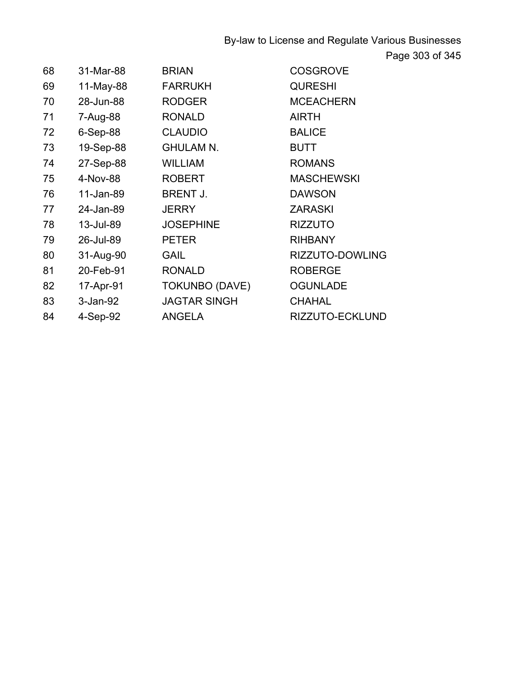By-law to License and Regulate Various Businesses Page 303 of 345

| 68 | 31-Mar-88   | <b>BRIAN</b>          | <b>COSGROVE</b>   |
|----|-------------|-----------------------|-------------------|
| 69 | 11-May-88   | <b>FARRUKH</b>        | <b>QURESHI</b>    |
| 70 | 28-Jun-88   | <b>RODGER</b>         | <b>MCEACHERN</b>  |
| 71 | 7-Aug-88    | <b>RONALD</b>         | <b>AIRTH</b>      |
| 72 | $6-Sep-88$  | <b>CLAUDIO</b>        | <b>BALICE</b>     |
| 73 | 19-Sep-88   | <b>GHULAM N.</b>      | <b>BUTT</b>       |
| 74 | 27-Sep-88   | <b>WILLIAM</b>        | <b>ROMANS</b>     |
| 75 | 4-Nov-88    | <b>ROBERT</b>         | <b>MASCHEWSKI</b> |
| 76 | 11-Jan-89   | <b>BRENT J.</b>       | <b>DAWSON</b>     |
| 77 | 24-Jan-89   | <b>JERRY</b>          | <b>ZARASKI</b>    |
| 78 | 13-Jul-89   | <b>JOSEPHINE</b>      | <b>RIZZUTO</b>    |
| 79 | 26-Jul-89   | <b>PETER</b>          | <b>RIHBANY</b>    |
| 80 | 31-Aug-90   | <b>GAIL</b>           | RIZZUTO-DOWLING   |
| 81 | 20-Feb-91   | <b>RONALD</b>         | <b>ROBERGE</b>    |
| 82 | 17-Apr-91   | <b>TOKUNBO (DAVE)</b> | <b>OGUNLADE</b>   |
| 83 | $3$ -Jan-92 | <b>JAGTAR SINGH</b>   | <b>CHAHAL</b>     |
| 84 | 4-Sep-92    | <b>ANGELA</b>         | RIZZUTO-ECKLUND   |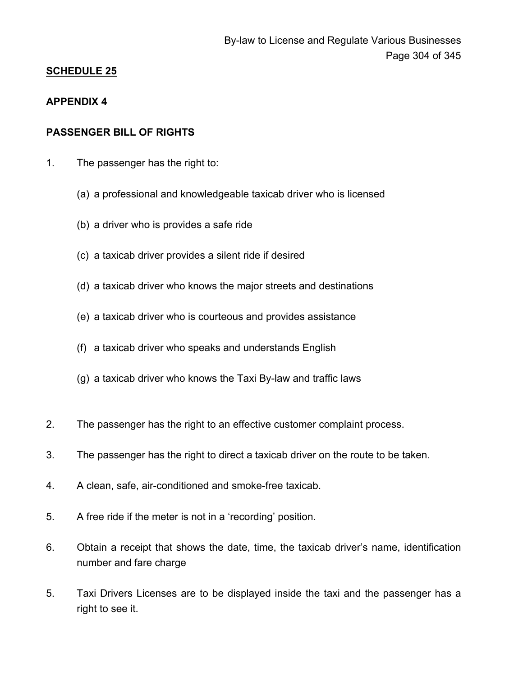### **APPENDIX 4**

### **PASSENGER BILL OF RIGHTS**

- 1. The passenger has the right to:
	- (a) a professional and knowledgeable taxicab driver who is licensed
	- (b) a driver who is provides a safe ride
	- (c) a taxicab driver provides a silent ride if desired
	- (d) a taxicab driver who knows the major streets and destinations
	- (e) a taxicab driver who is courteous and provides assistance
	- (f) a taxicab driver who speaks and understands English
	- (g) a taxicab driver who knows the Taxi By-law and traffic laws
- 2. The passenger has the right to an effective customer complaint process.
- 3. The passenger has the right to direct a taxicab driver on the route to be taken.
- 4. A clean, safe, air-conditioned and smoke-free taxicab.
- 5. A free ride if the meter is not in a 'recording' position.
- 6. Obtain a receipt that shows the date, time, the taxicab driver's name, identification number and fare charge
- 5. Taxi Drivers Licenses are to be displayed inside the taxi and the passenger has a right to see it.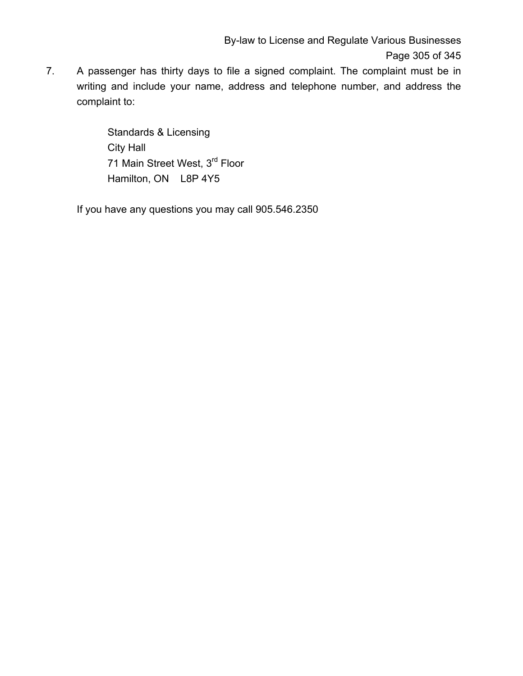7. A passenger has thirty days to file a signed complaint. The complaint must be in writing and include your name, address and telephone number, and address the complaint to:

> Standards & Licensing City Hall 71 Main Street West, 3rd Floor Hamilton, ON L8P 4Y5

If you have any questions you may call 905.546.2350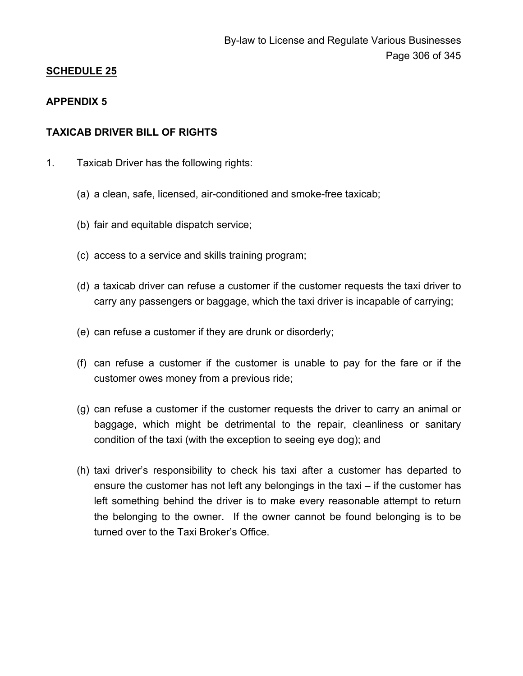### **APPENDIX 5**

### **TAXICAB DRIVER BILL OF RIGHTS**

- 1. Taxicab Driver has the following rights:
	- (a) a clean, safe, licensed, air-conditioned and smoke-free taxicab;
	- (b) fair and equitable dispatch service;
	- (c) access to a service and skills training program;
	- (d) a taxicab driver can refuse a customer if the customer requests the taxi driver to carry any passengers or baggage, which the taxi driver is incapable of carrying;
	- (e) can refuse a customer if they are drunk or disorderly;
	- (f) can refuse a customer if the customer is unable to pay for the fare or if the customer owes money from a previous ride;
	- (g) can refuse a customer if the customer requests the driver to carry an animal or baggage, which might be detrimental to the repair, cleanliness or sanitary condition of the taxi (with the exception to seeing eye dog); and
	- (h) taxi driver's responsibility to check his taxi after a customer has departed to ensure the customer has not left any belongings in the taxi – if the customer has left something behind the driver is to make every reasonable attempt to return the belonging to the owner. If the owner cannot be found belonging is to be turned over to the Taxi Broker's Office.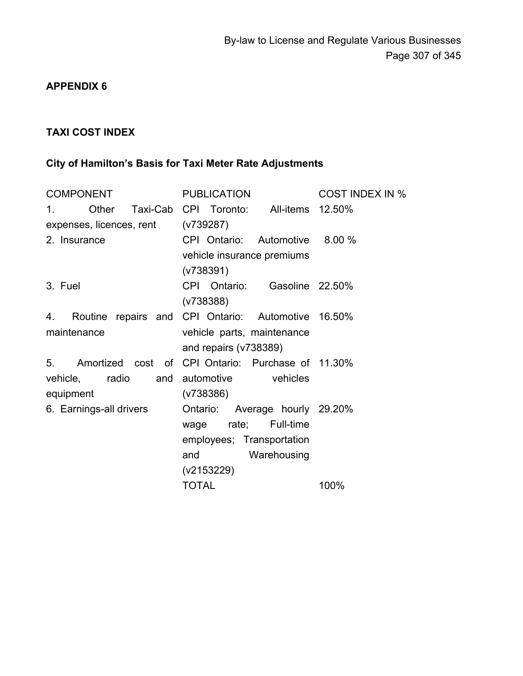# **APPENDIX 6**

# **TAXI COST INDEX**

# **City of Hamilton's Basis for Taxi Meter Rate Adjustments**

| <b>COMPONENT</b>                   | PUBLICATION                                        | <b>COST INDEX IN %</b> |  |  |
|------------------------------------|----------------------------------------------------|------------------------|--|--|
| Other<br>$1_{-}$                   | Taxi-Cab CPI Toronto: All-items 12.50%             |                        |  |  |
| expenses, licences, rent (v739287) |                                                    |                        |  |  |
| 2. Insurance                       | CPI Ontario: Automotive 8.00 %                     |                        |  |  |
|                                    | vehicle insurance premiums                         |                        |  |  |
|                                    | (v738391)                                          |                        |  |  |
| 3. Fuel                            | CPI Ontario:<br>Gasoline 22.50%                    |                        |  |  |
|                                    | (V738388)                                          |                        |  |  |
| 4.                                 | Routine repairs and CPI Ontario: Automotive 16.50% |                        |  |  |
| maintenance                        | vehicle parts, maintenance                         |                        |  |  |
|                                    | and repairs $(v738389)$                            |                        |  |  |
| 5.                                 | Amortized cost of CPI Ontario: Purchase of 11.30%  |                        |  |  |
| vehicle, radio and automotive      | vehicles                                           |                        |  |  |
| equipment                          | (V738386)                                          |                        |  |  |
| 6. Earnings-all drivers            | Ontario: Average hourly 29.20%                     |                        |  |  |
|                                    | rate; Full-time<br>wage                            |                        |  |  |
|                                    | employees; Transportation                          |                        |  |  |
|                                    | and<br>Warehousing                                 |                        |  |  |
|                                    | (v2153229)                                         |                        |  |  |
|                                    | <b>TOTAL</b>                                       | 100%                   |  |  |
|                                    |                                                    |                        |  |  |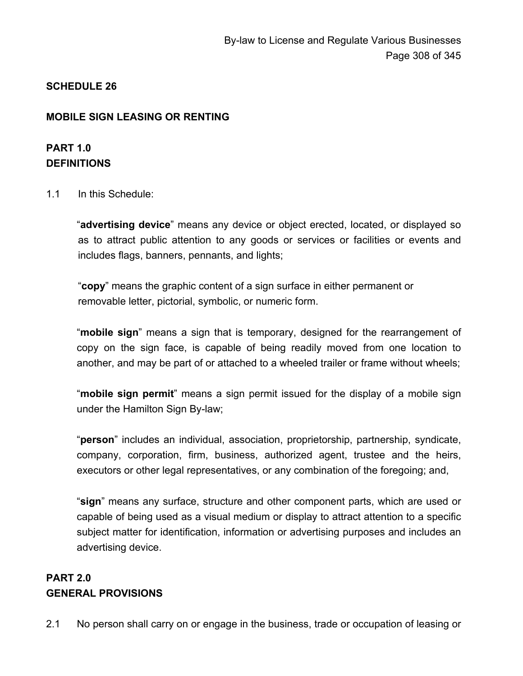## **MOBILE SIGN LEASING OR RENTING**

# **PART 1.0 DEFINITIONS**

1.1 In this Schedule:

"**advertising device**" means any device or object erected, located, or displayed so as to attract public attention to any goods or services or facilities or events and includes flags, banners, pennants, and lights;

"**copy**" means the graphic content of a sign surface in either permanent or removable letter, pictorial, symbolic, or numeric form.

"**mobile sign**" means a sign that is temporary, designed for the rearrangement of copy on the sign face, is capable of being readily moved from one location to another, and may be part of or attached to a wheeled trailer or frame without wheels;

"**mobile sign permit**" means a sign permit issued for the display of a mobile sign under the Hamilton Sign By-law;

"**person**" includes an individual, association, proprietorship, partnership, syndicate, company, corporation, firm, business, authorized agent, trustee and the heirs, executors or other legal representatives, or any combination of the foregoing; and,

"**sign**" means any surface, structure and other component parts, which are used or capable of being used as a visual medium or display to attract attention to a specific subject matter for identification, information or advertising purposes and includes an advertising device.

# **PART 2.0 GENERAL PROVISIONS**

2.1 No person shall carry on or engage in the business, trade or occupation of leasing or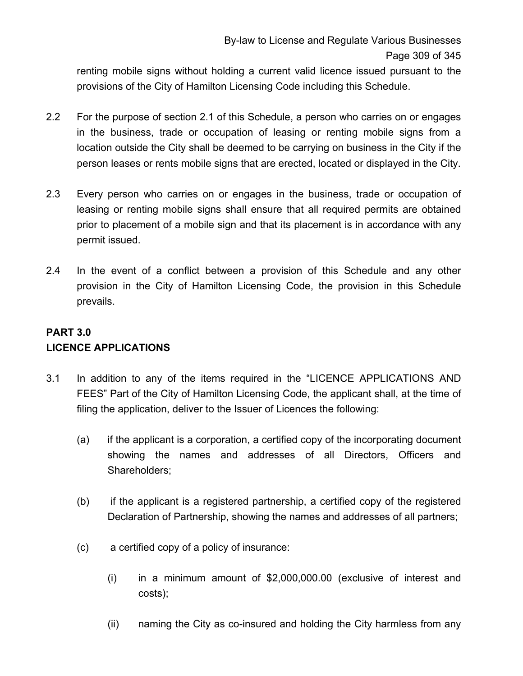renting mobile signs without holding a current valid licence issued pursuant to the provisions of the City of Hamilton Licensing Code including this Schedule.

- 2.2 For the purpose of section 2.1 of this Schedule, a person who carries on or engages in the business, trade or occupation of leasing or renting mobile signs from a location outside the City shall be deemed to be carrying on business in the City if the person leases or rents mobile signs that are erected, located or displayed in the City.
- 2.3 Every person who carries on or engages in the business, trade or occupation of leasing or renting mobile signs shall ensure that all required permits are obtained prior to placement of a mobile sign and that its placement is in accordance with any permit issued.
- 2.4 In the event of a conflict between a provision of this Schedule and any other provision in the City of Hamilton Licensing Code, the provision in this Schedule prevails.

# **PART 3.0 LICENCE APPLICATIONS**

- 3.1 In addition to any of the items required in the "LICENCE APPLICATIONS AND FEES" Part of the City of Hamilton Licensing Code, the applicant shall, at the time of filing the application, deliver to the Issuer of Licences the following:
	- (a) if the applicant is a corporation, a certified copy of the incorporating document showing the names and addresses of all Directors, Officers and Shareholders;
	- (b) if the applicant is a registered partnership, a certified copy of the registered Declaration of Partnership, showing the names and addresses of all partners;
	- (c) a certified copy of a policy of insurance:
		- (i) in a minimum amount of \$2,000,000.00 (exclusive of interest and costs);
		- (ii) naming the City as co-insured and holding the City harmless from any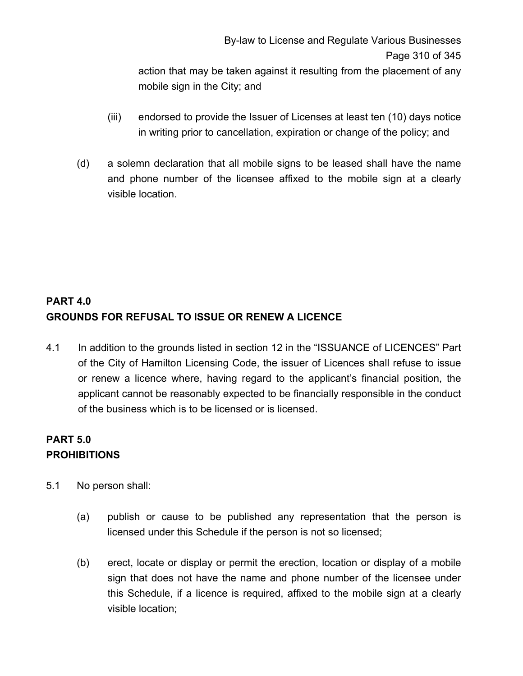By-law to License and Regulate Various Businesses Page 310 of 345 action that may be taken against it resulting from the placement of any

mobile sign in the City; and

- (iii) endorsed to provide the Issuer of Licenses at least ten (10) days notice in writing prior to cancellation, expiration or change of the policy; and
- (d) a solemn declaration that all mobile signs to be leased shall have the name and phone number of the licensee affixed to the mobile sign at a clearly visible location.

# **PART 4.0 GROUNDS FOR REFUSAL TO ISSUE OR RENEW A LICENCE**

4.1 In addition to the grounds listed in section 12 in the "ISSUANCE of LICENCES" Part of the City of Hamilton Licensing Code, the issuer of Licences shall refuse to issue or renew a licence where, having regard to the applicant's financial position, the applicant cannot be reasonably expected to be financially responsible in the conduct of the business which is to be licensed or is licensed.

# **PART 5.0 PROHIBITIONS**

- 5.1 No person shall:
	- (a) publish or cause to be published any representation that the person is licensed under this Schedule if the person is not so licensed;
	- (b) erect, locate or display or permit the erection, location or display of a mobile sign that does not have the name and phone number of the licensee under this Schedule, if a licence is required, affixed to the mobile sign at a clearly visible location;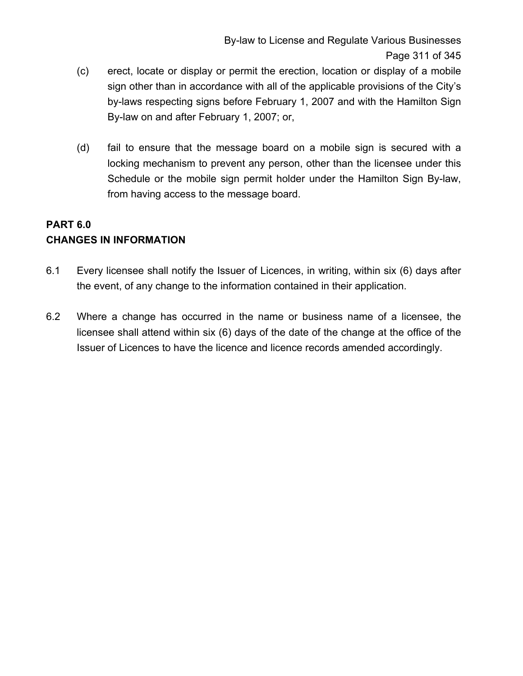- (c) erect, locate or display or permit the erection, location or display of a mobile sign other than in accordance with all of the applicable provisions of the City's by-laws respecting signs before February 1, 2007 and with the Hamilton Sign By-law on and after February 1, 2007; or,
- (d) fail to ensure that the message board on a mobile sign is secured with a locking mechanism to prevent any person, other than the licensee under this Schedule or the mobile sign permit holder under the Hamilton Sign By-law, from having access to the message board.

# **PART 6.0 CHANGES IN INFORMATION**

- 6.1 Every licensee shall notify the Issuer of Licences, in writing, within six (6) days after the event, of any change to the information contained in their application.
- 6.2 Where a change has occurred in the name or business name of a licensee, the licensee shall attend within six (6) days of the date of the change at the office of the Issuer of Licences to have the licence and licence records amended accordingly.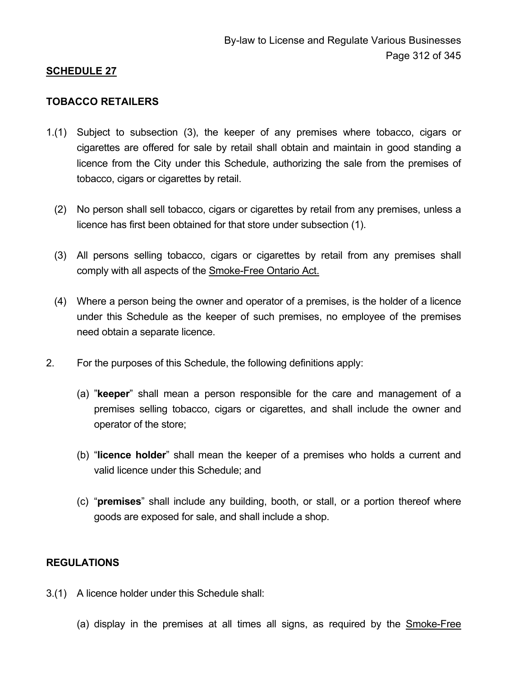#### **TOBACCO RETAILERS**

- 1.(1) Subject to subsection (3), the keeper of any premises where tobacco, cigars or cigarettes are offered for sale by retail shall obtain and maintain in good standing a licence from the City under this Schedule, authorizing the sale from the premises of tobacco, cigars or cigarettes by retail.
	- (2) No person shall sell tobacco, cigars or cigarettes by retail from any premises, unless a licence has first been obtained for that store under subsection (1).
	- (3) All persons selling tobacco, cigars or cigarettes by retail from any premises shall comply with all aspects of the Smoke-Free Ontario Act.
	- (4) Where a person being the owner and operator of a premises, is the holder of a licence under this Schedule as the keeper of such premises, no employee of the premises need obtain a separate licence.
- 2. For the purposes of this Schedule, the following definitions apply:
	- (a) "**keeper**" shall mean a person responsible for the care and management of a premises selling tobacco, cigars or cigarettes, and shall include the owner and operator of the store;
	- (b) "**licence holder**" shall mean the keeper of a premises who holds a current and valid licence under this Schedule; and
	- (c) "**premises**" shall include any building, booth, or stall, or a portion thereof where goods are exposed for sale, and shall include a shop.

### **REGULATIONS**

- 3.(1) A licence holder under this Schedule shall:
	- (a) display in the premises at all times all signs, as required by the Smoke-Free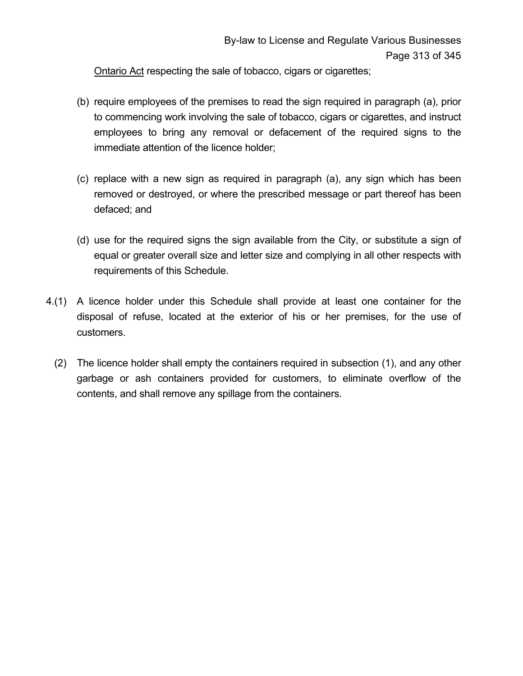Ontario Act respecting the sale of tobacco, cigars or cigarettes;

- (b) require employees of the premises to read the sign required in paragraph (a), prior to commencing work involving the sale of tobacco, cigars or cigarettes, and instruct employees to bring any removal or defacement of the required signs to the immediate attention of the licence holder;
- (c) replace with a new sign as required in paragraph (a), any sign which has been removed or destroyed, or where the prescribed message or part thereof has been defaced; and
- (d) use for the required signs the sign available from the City, or substitute a sign of equal or greater overall size and letter size and complying in all other respects with requirements of this Schedule.
- 4.(1) A licence holder under this Schedule shall provide at least one container for the disposal of refuse, located at the exterior of his or her premises, for the use of customers.
	- (2) The licence holder shall empty the containers required in subsection (1), and any other garbage or ash containers provided for customers, to eliminate overflow of the contents, and shall remove any spillage from the containers.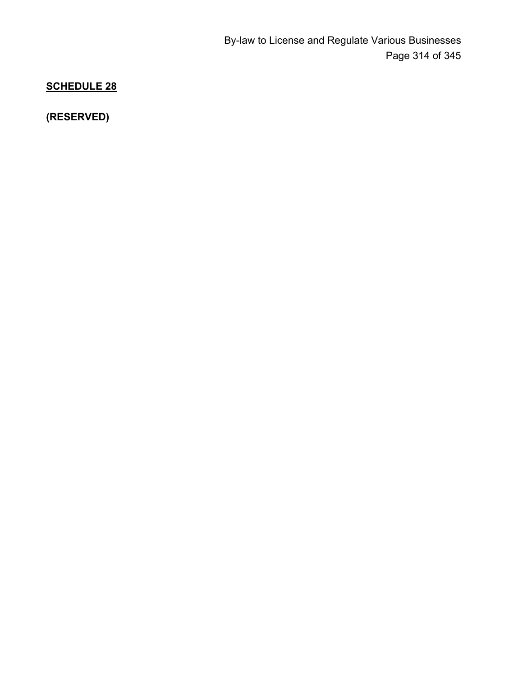**(RESERVED)**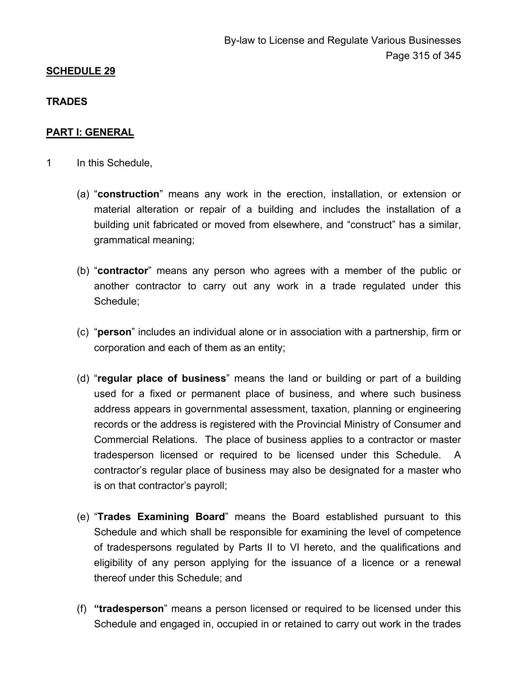### **TRADES**

### **PART I: GENERAL**

- 1 In this Schedule,
	- (a) "**construction**" means any work in the erection, installation, or extension or material alteration or repair of a building and includes the installation of a building unit fabricated or moved from elsewhere, and "construct" has a similar, grammatical meaning;
	- (b) "**contractor**" means any person who agrees with a member of the public or another contractor to carry out any work in a trade regulated under this Schedule;
	- (c) "**person**" includes an individual alone or in association with a partnership, firm or corporation and each of them as an entity;
	- (d) "**regular place of business**" means the land or building or part of a building used for a fixed or permanent place of business, and where such business address appears in governmental assessment, taxation, planning or engineering records or the address is registered with the Provincial Ministry of Consumer and Commercial Relations. The place of business applies to a contractor or master tradesperson licensed or required to be licensed under this Schedule. A contractor's regular place of business may also be designated for a master who is on that contractor's payroll;
	- (e) "**Trades Examining Board**" means the Board established pursuant to this Schedule and which shall be responsible for examining the level of competence of tradespersons regulated by Parts II to VI hereto, and the qualifications and eligibility of any person applying for the issuance of a licence or a renewal thereof under this Schedule; and
	- (f) **"tradesperson**" means a person licensed or required to be licensed under this Schedule and engaged in, occupied in or retained to carry out work in the trades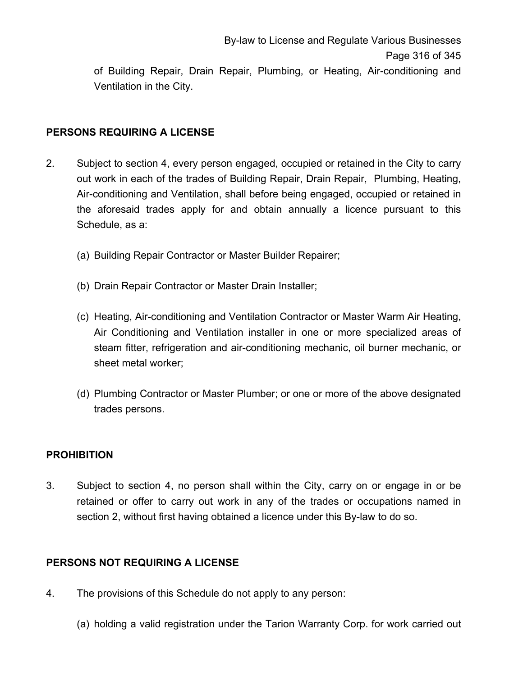of Building Repair, Drain Repair, Plumbing, or Heating, Air-conditioning and Ventilation in the City.

# **PERSONS REQUIRING A LICENSE**

- 2. Subject to section 4, every person engaged, occupied or retained in the City to carry out work in each of the trades of Building Repair, Drain Repair, Plumbing, Heating, Air-conditioning and Ventilation, shall before being engaged, occupied or retained in the aforesaid trades apply for and obtain annually a licence pursuant to this Schedule, as a:
	- (a) Building Repair Contractor or Master Builder Repairer;
	- (b) Drain Repair Contractor or Master Drain Installer;
	- (c) Heating, Air-conditioning and Ventilation Contractor or Master Warm Air Heating, Air Conditioning and Ventilation installer in one or more specialized areas of steam fitter, refrigeration and air-conditioning mechanic, oil burner mechanic, or sheet metal worker;
	- (d) Plumbing Contractor or Master Plumber; or one or more of the above designated trades persons.

# **PROHIBITION**

3. Subject to section 4, no person shall within the City, carry on or engage in or be retained or offer to carry out work in any of the trades or occupations named in section 2, without first having obtained a licence under this By-law to do so.

# **PERSONS NOT REQUIRING A LICENSE**

- 4. The provisions of this Schedule do not apply to any person:
	- (a) holding a valid registration under the Tarion Warranty Corp. for work carried out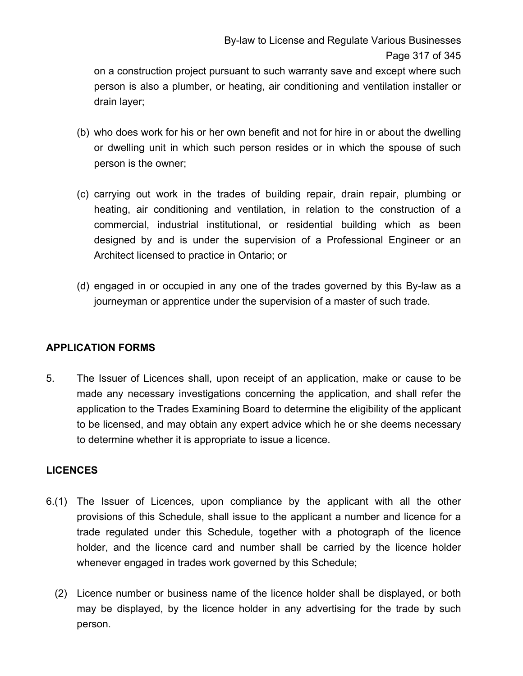on a construction project pursuant to such warranty save and except where such person is also a plumber, or heating, air conditioning and ventilation installer or drain layer;

- (b) who does work for his or her own benefit and not for hire in or about the dwelling or dwelling unit in which such person resides or in which the spouse of such person is the owner;
- (c) carrying out work in the trades of building repair, drain repair, plumbing or heating, air conditioning and ventilation, in relation to the construction of a commercial, industrial institutional, or residential building which as been designed by and is under the supervision of a Professional Engineer or an Architect licensed to practice in Ontario; or
- (d) engaged in or occupied in any one of the trades governed by this By-law as a journeyman or apprentice under the supervision of a master of such trade.

# **APPLICATION FORMS**

5. The Issuer of Licences shall, upon receipt of an application, make or cause to be made any necessary investigations concerning the application, and shall refer the application to the Trades Examining Board to determine the eligibility of the applicant to be licensed, and may obtain any expert advice which he or she deems necessary to determine whether it is appropriate to issue a licence.

### **LICENCES**

- 6.(1) The Issuer of Licences, upon compliance by the applicant with all the other provisions of this Schedule, shall issue to the applicant a number and licence for a trade regulated under this Schedule, together with a photograph of the licence holder, and the licence card and number shall be carried by the licence holder whenever engaged in trades work governed by this Schedule;
	- (2) Licence number or business name of the licence holder shall be displayed, or both may be displayed, by the licence holder in any advertising for the trade by such person.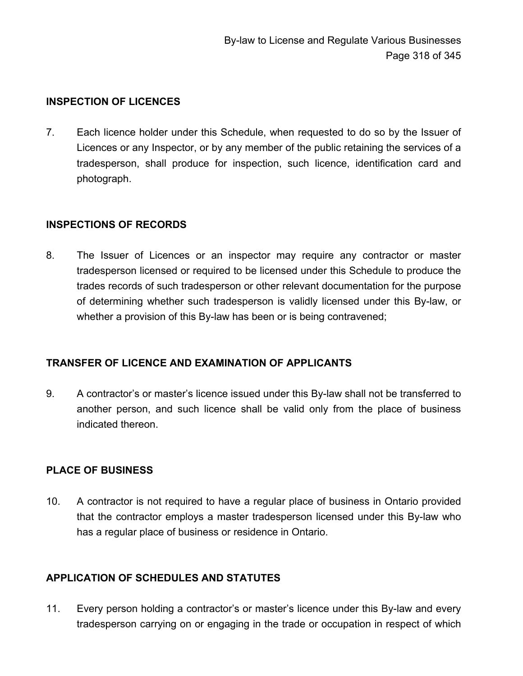## **INSPECTION OF LICENCES**

7. Each licence holder under this Schedule, when requested to do so by the Issuer of Licences or any Inspector, or by any member of the public retaining the services of a tradesperson, shall produce for inspection, such licence, identification card and photograph.

### **INSPECTIONS OF RECORDS**

8. The Issuer of Licences or an inspector may require any contractor or master tradesperson licensed or required to be licensed under this Schedule to produce the trades records of such tradesperson or other relevant documentation for the purpose of determining whether such tradesperson is validly licensed under this By-law, or whether a provision of this By-law has been or is being contravened;

# **TRANSFER OF LICENCE AND EXAMINATION OF APPLICANTS**

9. A contractor's or master's licence issued under this By-law shall not be transferred to another person, and such licence shall be valid only from the place of business indicated thereon.

### **PLACE OF BUSINESS**

10. A contractor is not required to have a regular place of business in Ontario provided that the contractor employs a master tradesperson licensed under this By-law who has a regular place of business or residence in Ontario.

# **APPLICATION OF SCHEDULES AND STATUTES**

11. Every person holding a contractor's or master's licence under this By-law and every tradesperson carrying on or engaging in the trade or occupation in respect of which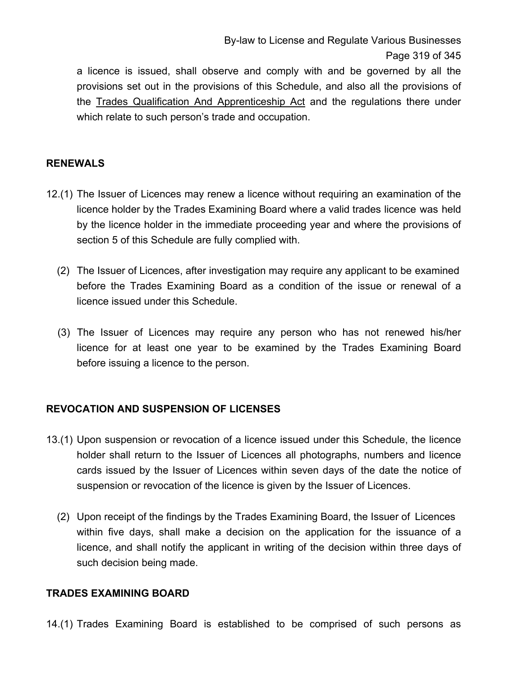a licence is issued, shall observe and comply with and be governed by all the provisions set out in the provisions of this Schedule, and also all the provisions of the Trades Qualification And Apprenticeship Act and the regulations there under which relate to such person's trade and occupation.

# **RENEWALS**

- 12.(1) The Issuer of Licences may renew a licence without requiring an examination of the licence holder by the Trades Examining Board where a valid trades licence was held by the licence holder in the immediate proceeding year and where the provisions of section 5 of this Schedule are fully complied with.
	- (2) The Issuer of Licences, after investigation may require any applicant to be examined before the Trades Examining Board as a condition of the issue or renewal of a licence issued under this Schedule.
	- (3) The Issuer of Licences may require any person who has not renewed his/her licence for at least one year to be examined by the Trades Examining Board before issuing a licence to the person.

# **REVOCATION AND SUSPENSION OF LICENSES**

- 13.(1) Upon suspension or revocation of a licence issued under this Schedule, the licence holder shall return to the Issuer of Licences all photographs, numbers and licence cards issued by the Issuer of Licences within seven days of the date the notice of suspension or revocation of the licence is given by the Issuer of Licences.
	- (2) Upon receipt of the findings by the Trades Examining Board, the Issuer of Licences within five days, shall make a decision on the application for the issuance of a licence, and shall notify the applicant in writing of the decision within three days of such decision being made.

#### **TRADES EXAMINING BOARD**

14.(1) Trades Examining Board is established to be comprised of such persons as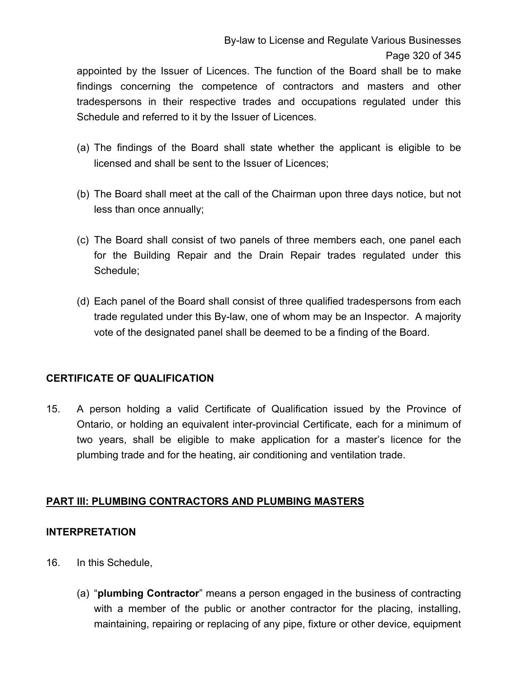appointed by the Issuer of Licences. The function of the Board shall be to make findings concerning the competence of contractors and masters and other tradespersons in their respective trades and occupations regulated under this Schedule and referred to it by the Issuer of Licences.

- (a) The findings of the Board shall state whether the applicant is eligible to be licensed and shall be sent to the Issuer of Licences;
- (b) The Board shall meet at the call of the Chairman upon three days notice, but not less than once annually;
- (c) The Board shall consist of two panels of three members each, one panel each for the Building Repair and the Drain Repair trades regulated under this Schedule;
- (d) Each panel of the Board shall consist of three qualified tradespersons from each trade regulated under this By-law, one of whom may be an Inspector. A majority vote of the designated panel shall be deemed to be a finding of the Board.

# **CERTIFICATE OF QUALIFICATION**

15. A person holding a valid Certificate of Qualification issued by the Province of Ontario, or holding an equivalent inter-provincial Certificate, each for a minimum of two years, shall be eligible to make application for a master's licence for the plumbing trade and for the heating, air conditioning and ventilation trade.

# **PART III: PLUMBING CONTRACTORS AND PLUMBING MASTERS**

# **INTERPRETATION**

- 16. In this Schedule,
	- (a) "**plumbing Contractor**" means a person engaged in the business of contracting with a member of the public or another contractor for the placing, installing, maintaining, repairing or replacing of any pipe, fixture or other device, equipment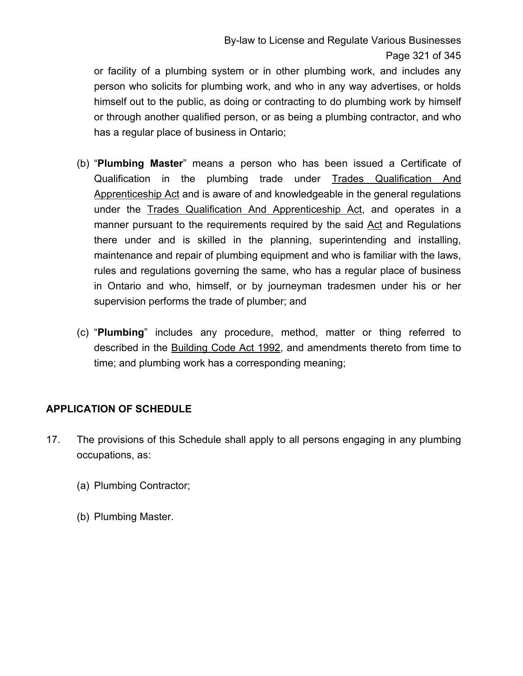or facility of a plumbing system or in other plumbing work, and includes any person who solicits for plumbing work, and who in any way advertises, or holds himself out to the public, as doing or contracting to do plumbing work by himself or through another qualified person, or as being a plumbing contractor, and who has a regular place of business in Ontario;

- (b) "**Plumbing Master**" means a person who has been issued a Certificate of Qualification in the plumbing trade under Trades Qualification And Apprenticeship Act and is aware of and knowledgeable in the general regulations under the Trades Qualification And Apprenticeship Act, and operates in a manner pursuant to the requirements required by the said Act and Regulations there under and is skilled in the planning, superintending and installing, maintenance and repair of plumbing equipment and who is familiar with the laws, rules and regulations governing the same, who has a regular place of business in Ontario and who, himself, or by journeyman tradesmen under his or her supervision performs the trade of plumber; and
- (c) "**Plumbing**" includes any procedure, method, matter or thing referred to described in the Building Code Act 1992, and amendments thereto from time to time; and plumbing work has a corresponding meaning;

# **APPLICATION OF SCHEDULE**

- 17. The provisions of this Schedule shall apply to all persons engaging in any plumbing occupations, as:
	- (a) Plumbing Contractor;
	- (b) Plumbing Master.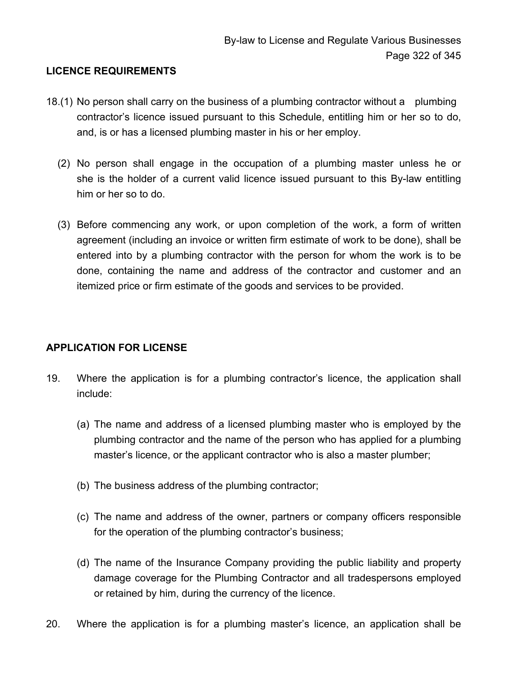### **LICENCE REQUIREMENTS**

- 18.(1) No person shall carry on the business of a plumbing contractor without a plumbing contractor's licence issued pursuant to this Schedule, entitling him or her so to do, and, is or has a licensed plumbing master in his or her employ.
	- (2) No person shall engage in the occupation of a plumbing master unless he or she is the holder of a current valid licence issued pursuant to this By-law entitling him or her so to do.
	- (3) Before commencing any work, or upon completion of the work, a form of written agreement (including an invoice or written firm estimate of work to be done), shall be entered into by a plumbing contractor with the person for whom the work is to be done, containing the name and address of the contractor and customer and an itemized price or firm estimate of the goods and services to be provided.

# **APPLICATION FOR LICENSE**

- 19. Where the application is for a plumbing contractor's licence, the application shall include:
	- (a) The name and address of a licensed plumbing master who is employed by the plumbing contractor and the name of the person who has applied for a plumbing master's licence, or the applicant contractor who is also a master plumber;
	- (b) The business address of the plumbing contractor;
	- (c) The name and address of the owner, partners or company officers responsible for the operation of the plumbing contractor's business;
	- (d) The name of the Insurance Company providing the public liability and property damage coverage for the Plumbing Contractor and all tradespersons employed or retained by him, during the currency of the licence.
- 20. Where the application is for a plumbing master's licence, an application shall be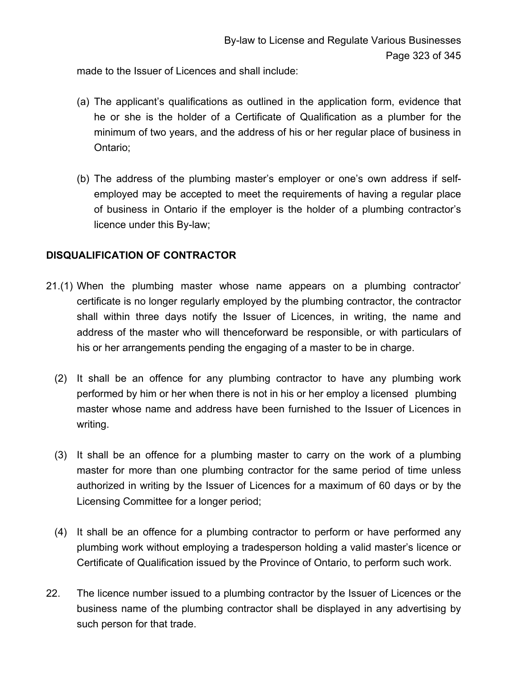made to the Issuer of Licences and shall include:

- (a) The applicant's qualifications as outlined in the application form, evidence that he or she is the holder of a Certificate of Qualification as a plumber for the minimum of two years, and the address of his or her regular place of business in Ontario;
- (b) The address of the plumbing master's employer or one's own address if selfemployed may be accepted to meet the requirements of having a regular place of business in Ontario if the employer is the holder of a plumbing contractor's licence under this By-law;

# **DISQUALIFICATION OF CONTRACTOR**

- 21.(1) When the plumbing master whose name appears on a plumbing contractor' certificate is no longer regularly employed by the plumbing contractor, the contractor shall within three days notify the Issuer of Licences, in writing, the name and address of the master who will thenceforward be responsible, or with particulars of his or her arrangements pending the engaging of a master to be in charge.
	- (2) It shall be an offence for any plumbing contractor to have any plumbing work performed by him or her when there is not in his or her employ a licensed plumbing master whose name and address have been furnished to the Issuer of Licences in writing.
	- (3) It shall be an offence for a plumbing master to carry on the work of a plumbing master for more than one plumbing contractor for the same period of time unless authorized in writing by the Issuer of Licences for a maximum of 60 days or by the Licensing Committee for a longer period;
	- (4) It shall be an offence for a plumbing contractor to perform or have performed any plumbing work without employing a tradesperson holding a valid master's licence or Certificate of Qualification issued by the Province of Ontario, to perform such work.
- 22. The licence number issued to a plumbing contractor by the Issuer of Licences or the business name of the plumbing contractor shall be displayed in any advertising by such person for that trade.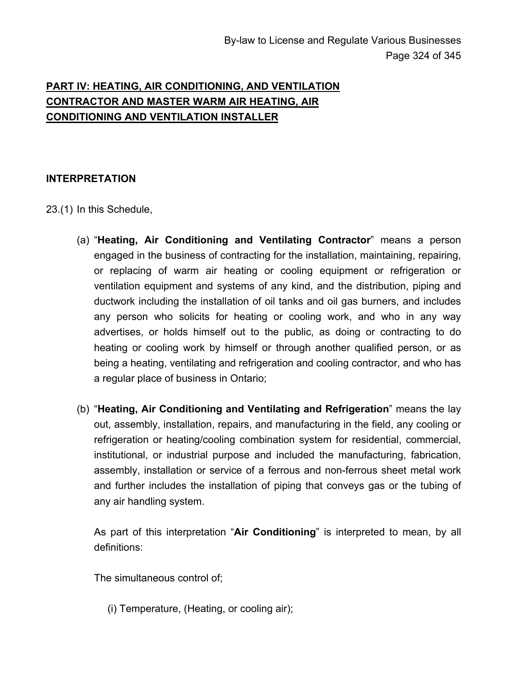# **PART IV: HEATING, AIR CONDITIONING, AND VENTILATION CONTRACTOR AND MASTER WARM AIR HEATING, AIR CONDITIONING AND VENTILATION INSTALLER**

# **INTERPRETATION**

23.(1) In this Schedule,

- (a) "**Heating, Air Conditioning and Ventilating Contractor**" means a person engaged in the business of contracting for the installation, maintaining, repairing, or replacing of warm air heating or cooling equipment or refrigeration or ventilation equipment and systems of any kind, and the distribution, piping and ductwork including the installation of oil tanks and oil gas burners, and includes any person who solicits for heating or cooling work, and who in any way advertises, or holds himself out to the public, as doing or contracting to do heating or cooling work by himself or through another qualified person, or as being a heating, ventilating and refrigeration and cooling contractor, and who has a regular place of business in Ontario;
- (b) "**Heating, Air Conditioning and Ventilating and Refrigeration**" means the lay out, assembly, installation, repairs, and manufacturing in the field, any cooling or refrigeration or heating/cooling combination system for residential, commercial, institutional, or industrial purpose and included the manufacturing, fabrication, assembly, installation or service of a ferrous and non-ferrous sheet metal work and further includes the installation of piping that conveys gas or the tubing of any air handling system.

As part of this interpretation "**Air Conditioning**" is interpreted to mean, by all definitions:

The simultaneous control of;

(i) Temperature, (Heating, or cooling air);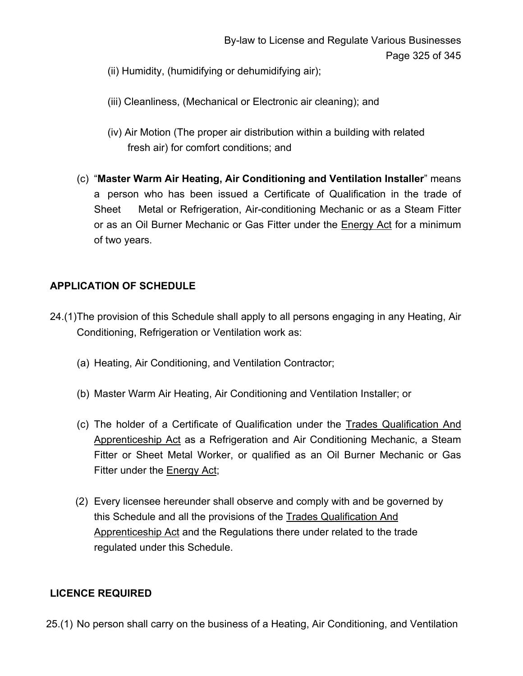- (ii) Humidity, (humidifying or dehumidifying air);
- (iii) Cleanliness, (Mechanical or Electronic air cleaning); and
- (iv) Air Motion (The proper air distribution within a building with related fresh air) for comfort conditions; and
- (c) "**Master Warm Air Heating, Air Conditioning and Ventilation Installer**" means a person who has been issued a Certificate of Qualification in the trade of Sheet Metal or Refrigeration, Air-conditioning Mechanic or as a Steam Fitter or as an Oil Burner Mechanic or Gas Fitter under the Energy Act for a minimum of two years.

# **APPLICATION OF SCHEDULE**

- 24.(1) The provision of this Schedule shall apply to all persons engaging in any Heating, Air Conditioning, Refrigeration or Ventilation work as:
	- (a) Heating, Air Conditioning, and Ventilation Contractor;
	- (b) Master Warm Air Heating, Air Conditioning and Ventilation Installer; or
	- (c) The holder of a Certificate of Qualification under the Trades Qualification And Apprenticeship Act as a Refrigeration and Air Conditioning Mechanic, a Steam Fitter or Sheet Metal Worker, or qualified as an Oil Burner Mechanic or Gas Fitter under the Energy Act;
	- (2) Every licensee hereunder shall observe and comply with and be governed by this Schedule and all the provisions of the Trades Qualification And Apprenticeship Act and the Regulations there under related to the trade regulated under this Schedule.

#### **LICENCE REQUIRED**

25.(1) No person shall carry on the business of a Heating, Air Conditioning, and Ventilation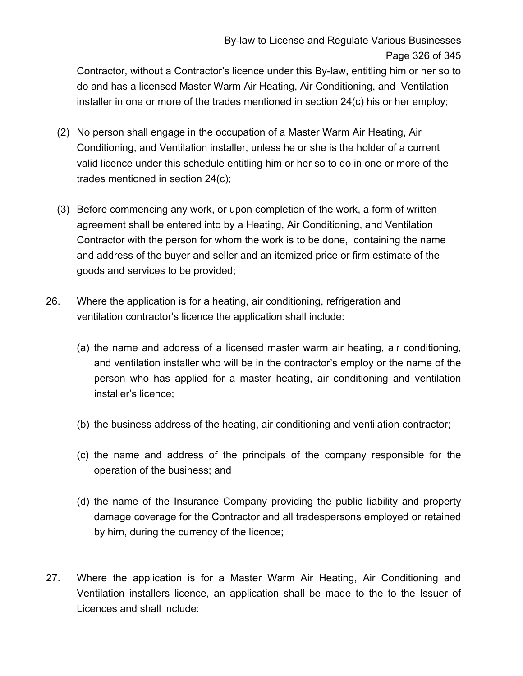# By-law to License and Regulate Various Businesses Page 326 of 345

Contractor, without a Contractor's licence under this By-law, entitling him or her so to do and has a licensed Master Warm Air Heating, Air Conditioning, and Ventilation installer in one or more of the trades mentioned in section 24(c) his or her employ;

- (2) No person shall engage in the occupation of a Master Warm Air Heating, Air Conditioning, and Ventilation installer, unless he or she is the holder of a current valid licence under this schedule entitling him or her so to do in one or more of the trades mentioned in section 24(c);
- (3) Before commencing any work, or upon completion of the work, a form of written agreement shall be entered into by a Heating, Air Conditioning, and Ventilation Contractor with the person for whom the work is to be done, containing the name and address of the buyer and seller and an itemized price or firm estimate of the goods and services to be provided;
- 26. Where the application is for a heating, air conditioning, refrigeration and ventilation contractor's licence the application shall include:
	- (a) the name and address of a licensed master warm air heating, air conditioning, and ventilation installer who will be in the contractor's employ or the name of the person who has applied for a master heating, air conditioning and ventilation installer's licence;
	- (b) the business address of the heating, air conditioning and ventilation contractor;
	- (c) the name and address of the principals of the company responsible for the operation of the business; and
	- (d) the name of the Insurance Company providing the public liability and property damage coverage for the Contractor and all tradespersons employed or retained by him, during the currency of the licence;
- 27. Where the application is for a Master Warm Air Heating, Air Conditioning and Ventilation installers licence, an application shall be made to the to the Issuer of Licences and shall include: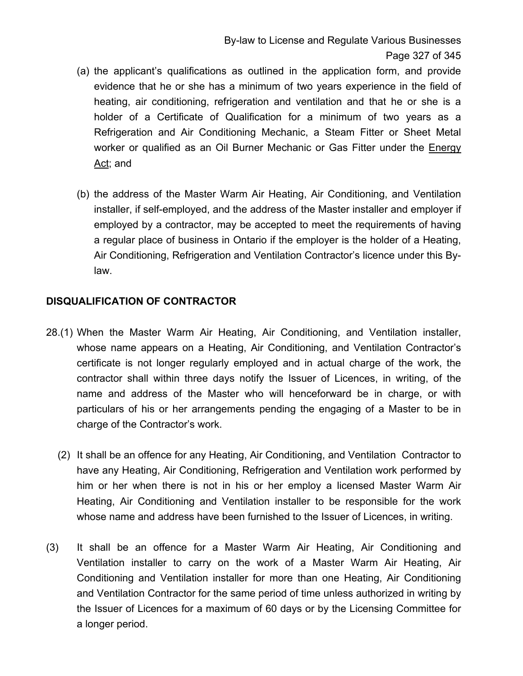- (a) the applicant's qualifications as outlined in the application form, and provide evidence that he or she has a minimum of two years experience in the field of heating, air conditioning, refrigeration and ventilation and that he or she is a holder of a Certificate of Qualification for a minimum of two years as a Refrigeration and Air Conditioning Mechanic, a Steam Fitter or Sheet Metal worker or qualified as an Oil Burner Mechanic or Gas Fitter under the Energy Act; and
- (b) the address of the Master Warm Air Heating, Air Conditioning, and Ventilation installer, if self-employed, and the address of the Master installer and employer if employed by a contractor, may be accepted to meet the requirements of having a regular place of business in Ontario if the employer is the holder of a Heating, Air Conditioning, Refrigeration and Ventilation Contractor's licence under this Bylaw.

### **DISQUALIFICATION OF CONTRACTOR**

- 28.(1) When the Master Warm Air Heating, Air Conditioning, and Ventilation installer, whose name appears on a Heating, Air Conditioning, and Ventilation Contractor's certificate is not longer regularly employed and in actual charge of the work, the contractor shall within three days notify the Issuer of Licences, in writing, of the name and address of the Master who will henceforward be in charge, or with particulars of his or her arrangements pending the engaging of a Master to be in charge of the Contractor's work.
	- (2) It shall be an offence for any Heating, Air Conditioning, and Ventilation Contractor to have any Heating, Air Conditioning, Refrigeration and Ventilation work performed by him or her when there is not in his or her employ a licensed Master Warm Air Heating, Air Conditioning and Ventilation installer to be responsible for the work whose name and address have been furnished to the Issuer of Licences, in writing.
- (3) It shall be an offence for a Master Warm Air Heating, Air Conditioning and Ventilation installer to carry on the work of a Master Warm Air Heating, Air Conditioning and Ventilation installer for more than one Heating, Air Conditioning and Ventilation Contractor for the same period of time unless authorized in writing by the Issuer of Licences for a maximum of 60 days or by the Licensing Committee for a longer period.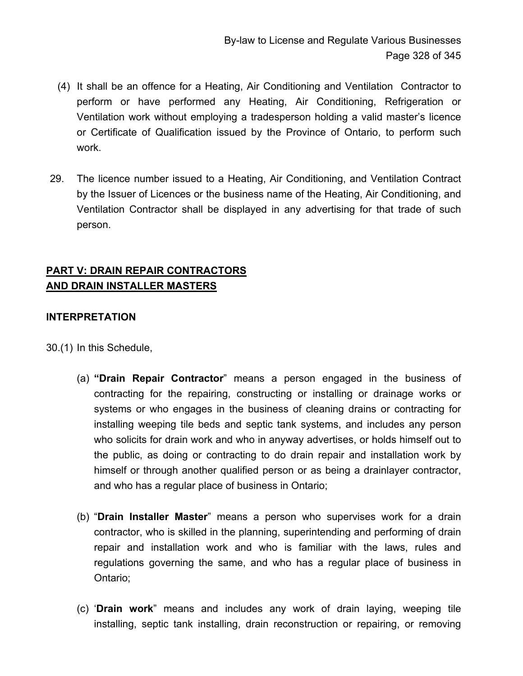- (4) It shall be an offence for a Heating, Air Conditioning and Ventilation Contractor to perform or have performed any Heating, Air Conditioning, Refrigeration or Ventilation work without employing a tradesperson holding a valid master's licence or Certificate of Qualification issued by the Province of Ontario, to perform such work.
- 29. The licence number issued to a Heating, Air Conditioning, and Ventilation Contract by the Issuer of Licences or the business name of the Heating, Air Conditioning, and Ventilation Contractor shall be displayed in any advertising for that trade of such person.

# **PART V: DRAIN REPAIR CONTRACTORS AND DRAIN INSTALLER MASTERS**

# **INTERPRETATION**

30.(1) In this Schedule,

- (a) **"Drain Repair Contractor**" means a person engaged in the business of contracting for the repairing, constructing or installing or drainage works or systems or who engages in the business of cleaning drains or contracting for installing weeping tile beds and septic tank systems, and includes any person who solicits for drain work and who in anyway advertises, or holds himself out to the public, as doing or contracting to do drain repair and installation work by himself or through another qualified person or as being a drainlayer contractor, and who has a regular place of business in Ontario;
- (b) "**Drain Installer Master**" means a person who supervises work for a drain contractor, who is skilled in the planning, superintending and performing of drain repair and installation work and who is familiar with the laws, rules and regulations governing the same, and who has a regular place of business in Ontario;
- (c) '**Drain work**" means and includes any work of drain laying, weeping tile installing, septic tank installing, drain reconstruction or repairing, or removing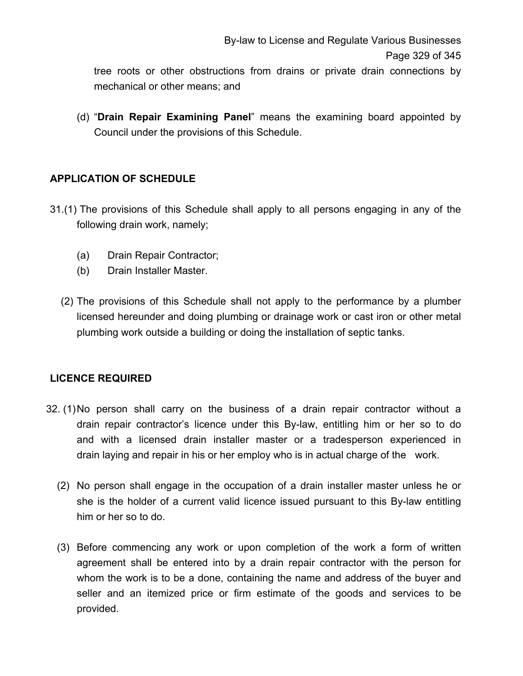tree roots or other obstructions from drains or private drain connections by mechanical or other means; and

(d) "**Drain Repair Examining Panel**" means the examining board appointed by Council under the provisions of this Schedule.

# **APPLICATION OF SCHEDULE**

- 31.(1)The provisions of this Schedule shall apply to all persons engaging in any of the following drain work, namely;
	- (a) Drain Repair Contractor;
	- (b) Drain Installer Master.
	- (2) The provisions of this Schedule shall not apply to the performance by a plumber licensed hereunder and doing plumbing or drainage work or cast iron or other metal plumbing work outside a building or doing the installation of septic tanks.

# **LICENCE REQUIRED**

- 32. (1) No person shall carry on the business of a drain repair contractor without a drain repair contractor's licence under this By-law, entitling him or her so to do and with a licensed drain installer master or a tradesperson experienced in drain laying and repair in his or her employ who is in actual charge of the work.
	- (2) No person shall engage in the occupation of a drain installer master unless he or she is the holder of a current valid licence issued pursuant to this By-law entitling him or her so to do.
	- (3) Before commencing any work or upon completion of the work a form of written agreement shall be entered into by a drain repair contractor with the person for whom the work is to be a done, containing the name and address of the buyer and seller and an itemized price or firm estimate of the goods and services to be provided.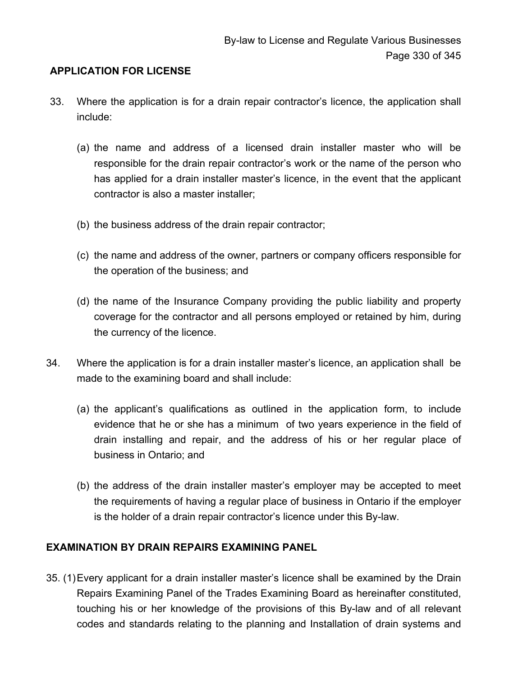### **APPLICATION FOR LICENSE**

- 33. Where the application is for a drain repair contractor's licence, the application shall include:
	- (a) the name and address of a licensed drain installer master who will be responsible for the drain repair contractor's work or the name of the person who has applied for a drain installer master's licence, in the event that the applicant contractor is also a master installer;
	- (b) the business address of the drain repair contractor;
	- (c) the name and address of the owner, partners or company officers responsible for the operation of the business; and
	- (d) the name of the Insurance Company providing the public liability and property coverage for the contractor and all persons employed or retained by him, during the currency of the licence.
- 34. Where the application is for a drain installer master's licence, an application shall be made to the examining board and shall include:
	- (a) the applicant's qualifications as outlined in the application form, to include evidence that he or she has a minimum of two years experience in the field of drain installing and repair, and the address of his or her regular place of business in Ontario; and
	- (b) the address of the drain installer master's employer may be accepted to meet the requirements of having a regular place of business in Ontario if the employer is the holder of a drain repair contractor's licence under this By-law.

#### **EXAMINATION BY DRAIN REPAIRS EXAMINING PANEL**

35. (1) Every applicant for a drain installer master's licence shall be examined by the Drain Repairs Examining Panel of the Trades Examining Board as hereinafter constituted, touching his or her knowledge of the provisions of this By-law and of all relevant codes and standards relating to the planning and Installation of drain systems and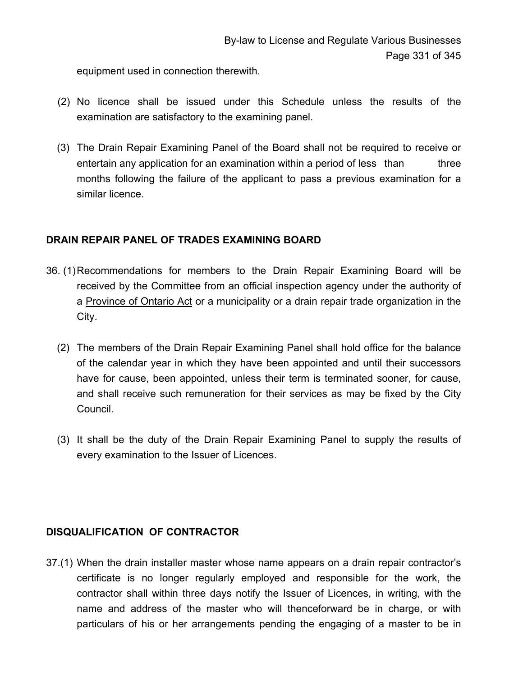equipment used in connection therewith.

- (2) No licence shall be issued under this Schedule unless the results of the examination are satisfactory to the examining panel.
- (3) The Drain Repair Examining Panel of the Board shall not be required to receive or entertain any application for an examination within a period of less than three months following the failure of the applicant to pass a previous examination for a similar licence.

#### **DRAIN REPAIR PANEL OF TRADES EXAMINING BOARD**

- 36. (1) Recommendations for members to the Drain Repair Examining Board will be received by the Committee from an official inspection agency under the authority of a Province of Ontario Act or a municipality or a drain repair trade organization in the City.
	- (2) The members of the Drain Repair Examining Panel shall hold office for the balance of the calendar year in which they have been appointed and until their successors have for cause, been appointed, unless their term is terminated sooner, for cause, and shall receive such remuneration for their services as may be fixed by the City Council.
	- (3) It shall be the duty of the Drain Repair Examining Panel to supply the results of every examination to the Issuer of Licences.

# **DISQUALIFICATION OF CONTRACTOR**

37.(1) When the drain installer master whose name appears on a drain repair contractor's certificate is no longer regularly employed and responsible for the work, the contractor shall within three days notify the Issuer of Licences, in writing, with the name and address of the master who will thenceforward be in charge, or with particulars of his or her arrangements pending the engaging of a master to be in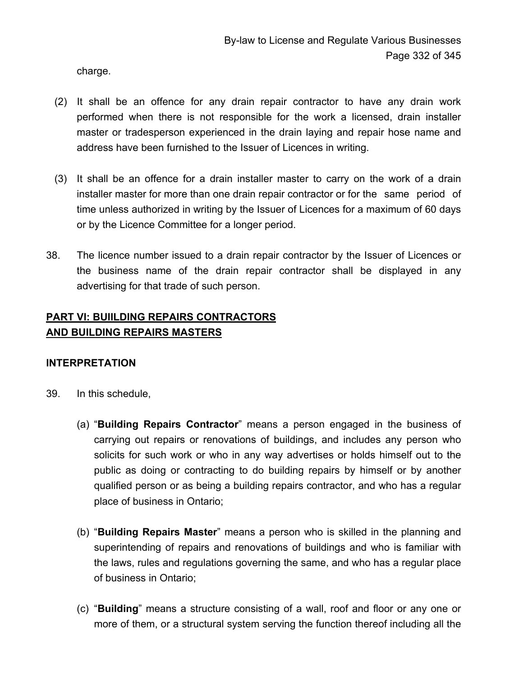charge.

- (2) It shall be an offence for any drain repair contractor to have any drain work performed when there is not responsible for the work a licensed, drain installer master or tradesperson experienced in the drain laying and repair hose name and address have been furnished to the Issuer of Licences in writing.
- (3) It shall be an offence for a drain installer master to carry on the work of a drain installer master for more than one drain repair contractor or for the same period of time unless authorized in writing by the Issuer of Licences for a maximum of 60 days or by the Licence Committee for a longer period.
- 38. The licence number issued to a drain repair contractor by the Issuer of Licences or the business name of the drain repair contractor shall be displayed in any advertising for that trade of such person.

# **PART VI: BUIILDING REPAIRS CONTRACTORS AND BUILDING REPAIRS MASTERS**

# **INTERPRETATION**

- 39. In this schedule,
	- (a) "**Building Repairs Contractor**" means a person engaged in the business of carrying out repairs or renovations of buildings, and includes any person who solicits for such work or who in any way advertises or holds himself out to the public as doing or contracting to do building repairs by himself or by another qualified person or as being a building repairs contractor, and who has a regular place of business in Ontario;
	- (b) "**Building Repairs Master**" means a person who is skilled in the planning and superintending of repairs and renovations of buildings and who is familiar with the laws, rules and regulations governing the same, and who has a regular place of business in Ontario;
	- (c) "**Building**" means a structure consisting of a wall, roof and floor or any one or more of them, or a structural system serving the function thereof including all the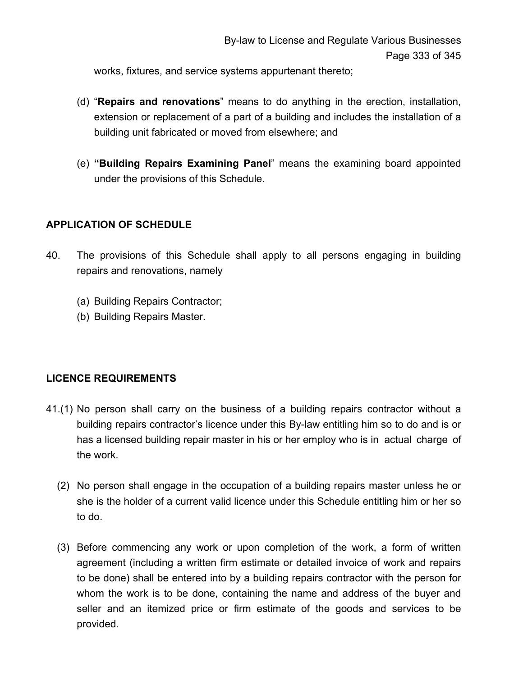works, fixtures, and service systems appurtenant thereto;

- (d) "**Repairs and renovations**" means to do anything in the erection, installation, extension or replacement of a part of a building and includes the installation of a building unit fabricated or moved from elsewhere; and
- (e) **"Building Repairs Examining Panel**" means the examining board appointed under the provisions of this Schedule.

### **APPLICATION OF SCHEDULE**

- 40. The provisions of this Schedule shall apply to all persons engaging in building repairs and renovations, namely
	- (a) Building Repairs Contractor;
	- (b) Building Repairs Master.

# **LICENCE REQUIREMENTS**

- 41.(1) No person shall carry on the business of a building repairs contractor without a building repairs contractor's licence under this By-law entitling him so to do and is or has a licensed building repair master in his or her employ who is in actual charge of the work.
	- (2) No person shall engage in the occupation of a building repairs master unless he or she is the holder of a current valid licence under this Schedule entitling him or her so to do.
	- (3) Before commencing any work or upon completion of the work, a form of written agreement (including a written firm estimate or detailed invoice of work and repairs to be done) shall be entered into by a building repairs contractor with the person for whom the work is to be done, containing the name and address of the buyer and seller and an itemized price or firm estimate of the goods and services to be provided.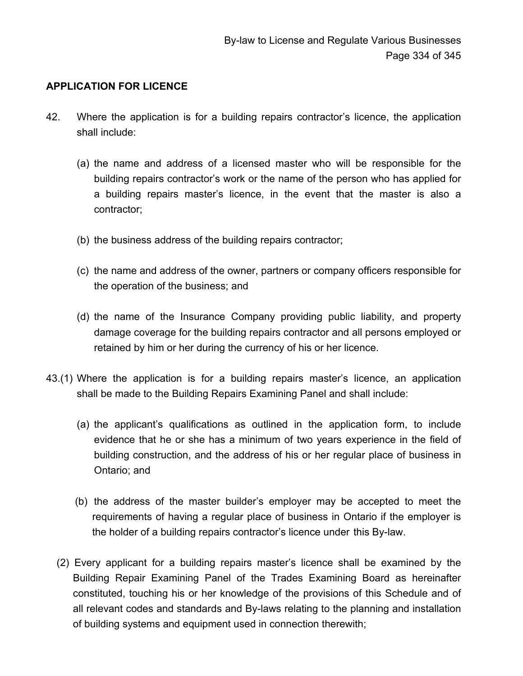# **APPLICATION FOR LICENCE**

- 42. Where the application is for a building repairs contractor's licence, the application shall include:
	- (a) the name and address of a licensed master who will be responsible for the building repairs contractor's work or the name of the person who has applied for a building repairs master's licence, in the event that the master is also a contractor;
	- (b) the business address of the building repairs contractor;
	- (c) the name and address of the owner, partners or company officers responsible for the operation of the business; and
	- (d) the name of the Insurance Company providing public liability, and property damage coverage for the building repairs contractor and all persons employed or retained by him or her during the currency of his or her licence.
- 43.(1) Where the application is for a building repairs master's licence, an application shall be made to the Building Repairs Examining Panel and shall include:
	- (a) the applicant's qualifications as outlined in the application form, to include evidence that he or she has a minimum of two years experience in the field of building construction, and the address of his or her regular place of business in Ontario; and
	- (b) the address of the master builder's employer may be accepted to meet the requirements of having a regular place of business in Ontario if the employer is the holder of a building repairs contractor's licence under this By-law.
	- (2) Every applicant for a building repairs master's licence shall be examined by the Building Repair Examining Panel of the Trades Examining Board as hereinafter constituted, touching his or her knowledge of the provisions of this Schedule and of all relevant codes and standards and By-laws relating to the planning and installation of building systems and equipment used in connection therewith;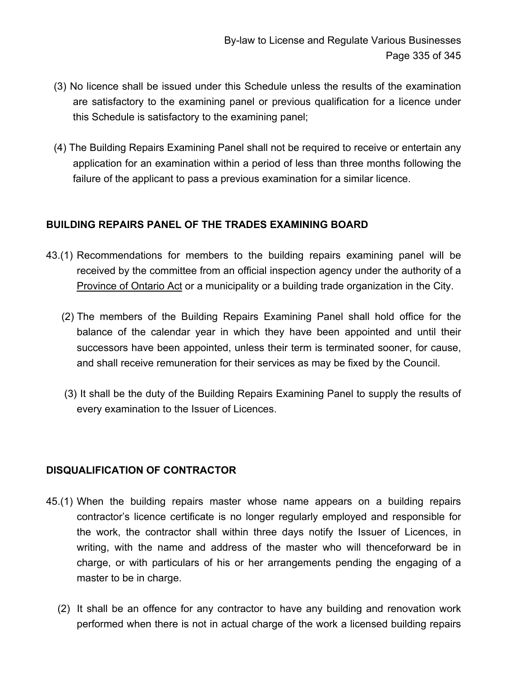- (3) No licence shall be issued under this Schedule unless the results of the examination are satisfactory to the examining panel or previous qualification for a licence under this Schedule is satisfactory to the examining panel;
- (4) The Building Repairs Examining Panel shall not be required to receive or entertain any application for an examination within a period of less than three months following the failure of the applicant to pass a previous examination for a similar licence.

### **BUILDING REPAIRS PANEL OF THE TRADES EXAMINING BOARD**

- 43.(1) Recommendations for members to the building repairs examining panel will be received by the committee from an official inspection agency under the authority of a Province of Ontario Act or a municipality or a building trade organization in the City.
	- (2) The members of the Building Repairs Examining Panel shall hold office for the balance of the calendar year in which they have been appointed and until their successors have been appointed, unless their term is terminated sooner, for cause, and shall receive remuneration for their services as may be fixed by the Council.
	- (3) It shall be the duty of the Building Repairs Examining Panel to supply the results of every examination to the Issuer of Licences.

# **DISQUALIFICATION OF CONTRACTOR**

- 45.(1) When the building repairs master whose name appears on a building repairs contractor's licence certificate is no longer regularly employed and responsible for the work, the contractor shall within three days notify the Issuer of Licences, in writing, with the name and address of the master who will thenceforward be in charge, or with particulars of his or her arrangements pending the engaging of a master to be in charge.
	- (2) It shall be an offence for any contractor to have any building and renovation work performed when there is not in actual charge of the work a licensed building repairs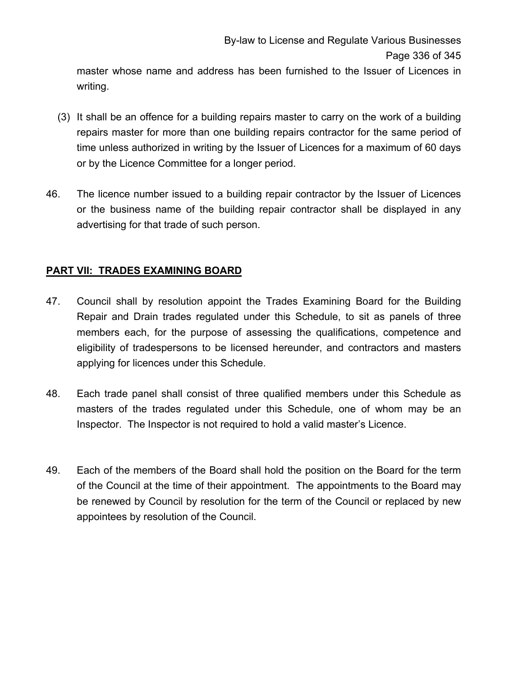master whose name and address has been furnished to the Issuer of Licences in writing.

- (3) It shall be an offence for a building repairs master to carry on the work of a building repairs master for more than one building repairs contractor for the same period of time unless authorized in writing by the Issuer of Licences for a maximum of 60 days or by the Licence Committee for a longer period.
- 46. The licence number issued to a building repair contractor by the Issuer of Licences or the business name of the building repair contractor shall be displayed in any advertising for that trade of such person.

# **PART VII: TRADES EXAMINING BOARD**

- 47. Council shall by resolution appoint the Trades Examining Board for the Building Repair and Drain trades regulated under this Schedule, to sit as panels of three members each, for the purpose of assessing the qualifications, competence and eligibility of tradespersons to be licensed hereunder, and contractors and masters applying for licences under this Schedule.
- 48. Each trade panel shall consist of three qualified members under this Schedule as masters of the trades regulated under this Schedule, one of whom may be an Inspector. The Inspector is not required to hold a valid master's Licence.
- 49. Each of the members of the Board shall hold the position on the Board for the term of the Council at the time of their appointment. The appointments to the Board may be renewed by Council by resolution for the term of the Council or replaced by new appointees by resolution of the Council.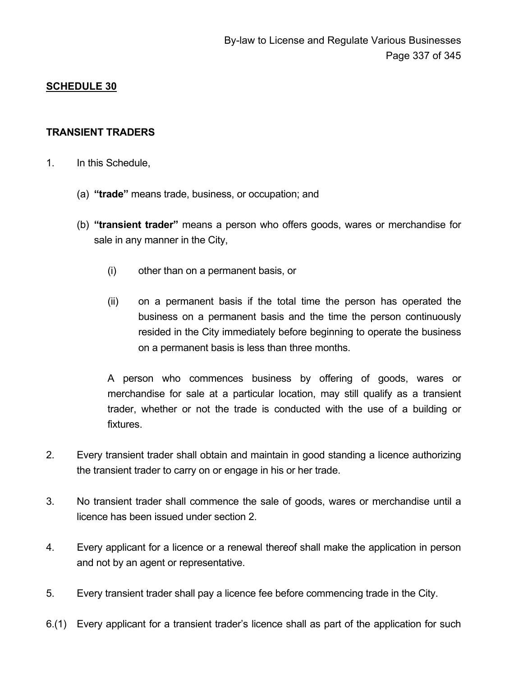### **SCHEDULE 30**

#### **TRANSIENT TRADERS**

- 1. In this Schedule,
	- (a) **"trade"** means trade, business, or occupation; and
	- (b) **"transient trader"** means a person who offers goods, wares or merchandise for sale in any manner in the City,
		- (i) other than on a permanent basis, or
		- (ii) on a permanent basis if the total time the person has operated the business on a permanent basis and the time the person continuously resided in the City immediately before beginning to operate the business on a permanent basis is less than three months.

A person who commences business by offering of goods, wares or merchandise for sale at a particular location, may still qualify as a transient trader, whether or not the trade is conducted with the use of a building or fixtures.

- 2. Every transient trader shall obtain and maintain in good standing a licence authorizing the transient trader to carry on or engage in his or her trade.
- 3. No transient trader shall commence the sale of goods, wares or merchandise until a licence has been issued under section 2.
- 4. Every applicant for a licence or a renewal thereof shall make the application in person and not by an agent or representative.
- 5. Every transient trader shall pay a licence fee before commencing trade in the City.
- 6.(1) Every applicant for a transient trader's licence shall as part of the application for such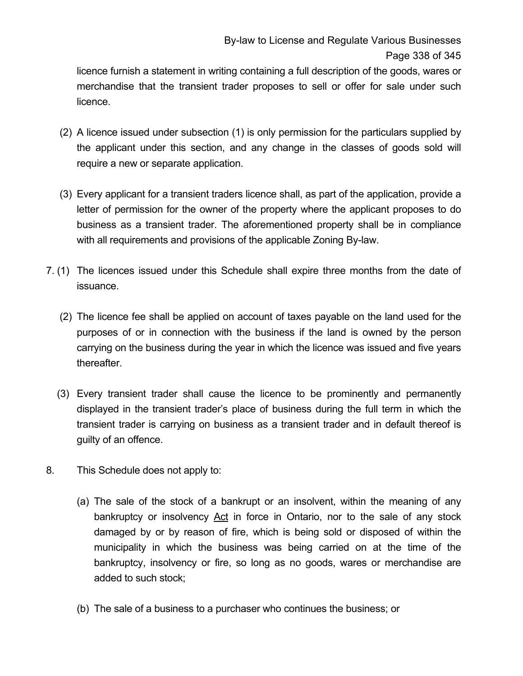licence furnish a statement in writing containing a full description of the goods, wares or merchandise that the transient trader proposes to sell or offer for sale under such licence.

- (2) A licence issued under subsection (1) is only permission for the particulars supplied by the applicant under this section, and any change in the classes of goods sold will require a new or separate application.
- (3) Every applicant for a transient traders licence shall, as part of the application, provide a letter of permission for the owner of the property where the applicant proposes to do business as a transient trader. The aforementioned property shall be in compliance with all requirements and provisions of the applicable Zoning By-law.
- 7. (1) The licences issued under this Schedule shall expire three months from the date of issuance.
	- (2) The licence fee shall be applied on account of taxes payable on the land used for the purposes of or in connection with the business if the land is owned by the person carrying on the business during the year in which the licence was issued and five years thereafter.
	- (3) Every transient trader shall cause the licence to be prominently and permanently displayed in the transient trader's place of business during the full term in which the transient trader is carrying on business as a transient trader and in default thereof is guilty of an offence.
- 8. This Schedule does not apply to:
	- (a) The sale of the stock of a bankrupt or an insolvent, within the meaning of any bankruptcy or insolvency Act in force in Ontario, nor to the sale of any stock damaged by or by reason of fire, which is being sold or disposed of within the municipality in which the business was being carried on at the time of the bankruptcy, insolvency or fire, so long as no goods, wares or merchandise are added to such stock;
	- (b) The sale of a business to a purchaser who continues the business; or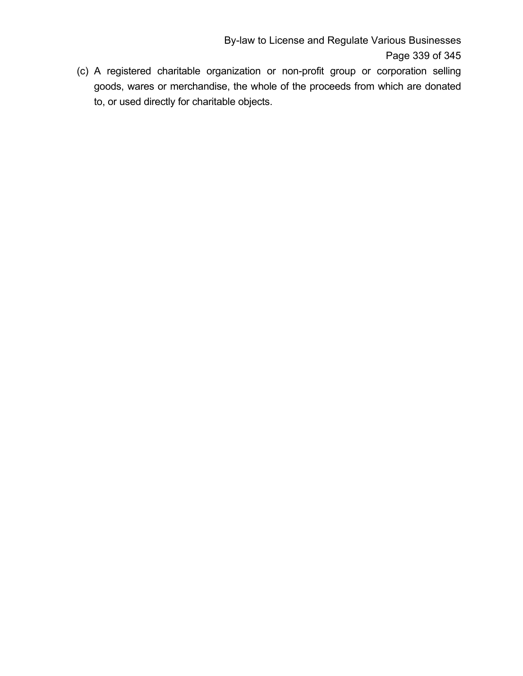By-law to License and Regulate Various Businesses Page 339 of 345

(c) A registered charitable organization or non-profit group or corporation selling goods, wares or merchandise, the whole of the proceeds from which are donated to, or used directly for charitable objects.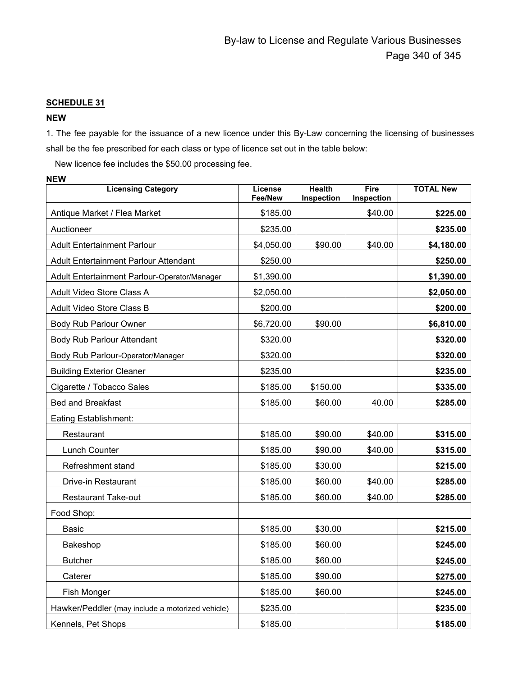#### **SCHEDULE 31**

#### **NEW**

**NEW**

1. The fee payable for the issuance of a new licence under this By-Law concerning the licensing of businesses shall be the fee prescribed for each class or type of licence set out in the table below:

New licence fee includes the \$50.00 processing fee.

| <b>Licensing Category</b>                        | License<br><b>Fee/New</b> | <b>Health</b><br>Inspection | Fire<br>Inspection | <b>TOTAL New</b> |
|--------------------------------------------------|---------------------------|-----------------------------|--------------------|------------------|
| Antique Market / Flea Market                     | \$185.00                  |                             | \$40.00            | \$225.00         |
| Auctioneer                                       | \$235.00                  |                             |                    | \$235.00         |
| <b>Adult Entertainment Parlour</b>               | \$4,050.00                | \$90.00                     | \$40.00            | \$4,180.00       |
| <b>Adult Entertainment Parlour Attendant</b>     | \$250.00                  |                             |                    | \$250.00         |
| Adult Entertainment Parlour-Operator/Manager     | \$1,390.00                |                             |                    | \$1,390.00       |
| Adult Video Store Class A                        | \$2,050.00                |                             |                    | \$2,050.00       |
| Adult Video Store Class B                        | \$200.00                  |                             |                    | \$200.00         |
| Body Rub Parlour Owner                           | \$6,720.00                | \$90.00                     |                    | \$6,810.00       |
| Body Rub Parlour Attendant                       | \$320.00                  |                             |                    | \$320.00         |
| Body Rub Parlour-Operator/Manager                | \$320.00                  |                             |                    | \$320.00         |
| <b>Building Exterior Cleaner</b>                 | \$235.00                  |                             |                    | \$235.00         |
| Cigarette / Tobacco Sales                        | \$185.00                  | \$150.00                    |                    | \$335.00         |
| <b>Bed and Breakfast</b>                         | \$185.00                  | \$60.00                     | 40.00              | \$285.00         |
| Eating Establishment:                            |                           |                             |                    |                  |
| Restaurant                                       | \$185.00                  | \$90.00                     | \$40.00            | \$315.00         |
| Lunch Counter                                    | \$185.00                  | \$90.00                     | \$40.00            | \$315.00         |
| Refreshment stand                                | \$185.00                  | \$30.00                     |                    | \$215.00         |
| Drive-in Restaurant                              | \$185.00                  | \$60.00                     | \$40.00            | \$285.00         |
| <b>Restaurant Take-out</b>                       | \$185.00                  | \$60.00                     | \$40.00            | \$285.00         |
| Food Shop:                                       |                           |                             |                    |                  |
| <b>Basic</b>                                     | \$185.00                  | \$30.00                     |                    | \$215.00         |
| Bakeshop                                         | \$185.00                  | \$60.00                     |                    | \$245.00         |
| <b>Butcher</b>                                   | \$185.00                  | \$60.00                     |                    | \$245.00         |
| Caterer                                          | \$185.00                  | \$90.00                     |                    | \$275.00         |
| Fish Monger                                      | \$185.00                  | \$60.00                     |                    | \$245.00         |
| Hawker/Peddler (may include a motorized vehicle) | \$235.00                  |                             |                    | \$235.00         |
| Kennels, Pet Shops                               | \$185.00                  |                             |                    | \$185.00         |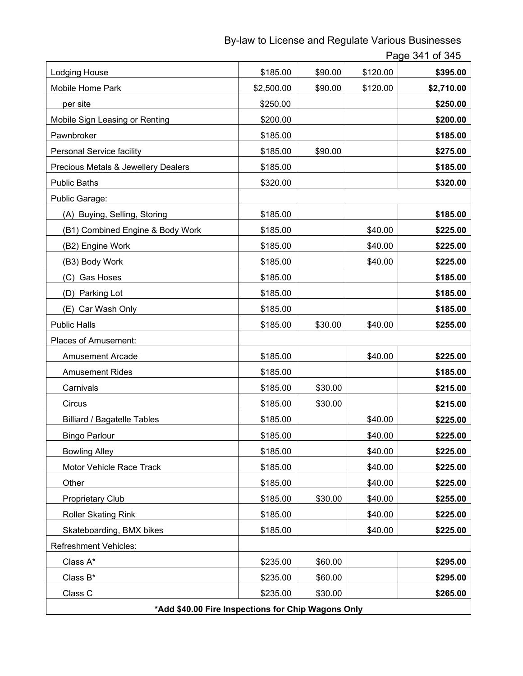By-law to License and Regulate Various Businesses

Page 341 of 345

| Lodging House                                      | \$185.00   | \$90.00 | \$120.00 | \$395.00   |
|----------------------------------------------------|------------|---------|----------|------------|
| Mobile Home Park                                   | \$2,500.00 | \$90.00 | \$120.00 | \$2,710.00 |
| per site                                           | \$250.00   |         |          | \$250.00   |
| Mobile Sign Leasing or Renting                     | \$200.00   |         |          | \$200.00   |
| Pawnbroker                                         | \$185.00   |         |          | \$185.00   |
| Personal Service facility                          | \$185.00   | \$90.00 |          | \$275.00   |
| Precious Metals & Jewellery Dealers                | \$185.00   |         |          | \$185.00   |
| <b>Public Baths</b>                                | \$320.00   |         |          | \$320.00   |
| Public Garage:                                     |            |         |          |            |
| (A) Buying, Selling, Storing                       | \$185.00   |         |          | \$185.00   |
| (B1) Combined Engine & Body Work                   | \$185.00   |         | \$40.00  | \$225.00   |
| (B2) Engine Work                                   | \$185.00   |         | \$40.00  | \$225.00   |
| (B3) Body Work                                     | \$185.00   |         | \$40.00  | \$225.00   |
| (C) Gas Hoses                                      | \$185.00   |         |          | \$185.00   |
| (D) Parking Lot                                    | \$185.00   |         |          | \$185.00   |
| Car Wash Only<br>(E)                               | \$185.00   |         |          | \$185.00   |
| <b>Public Halls</b>                                | \$185.00   | \$30.00 | \$40.00  | \$255.00   |
| Places of Amusement:                               |            |         |          |            |
| <b>Amusement Arcade</b>                            | \$185.00   |         | \$40.00  | \$225.00   |
| <b>Amusement Rides</b>                             | \$185.00   |         |          | \$185.00   |
| Carnivals                                          | \$185.00   | \$30.00 |          | \$215.00   |
| Circus                                             | \$185.00   | \$30.00 |          | \$215.00   |
| <b>Billiard / Bagatelle Tables</b>                 | \$185.00   |         | \$40.00  | \$225.00   |
| <b>Bingo Parlour</b>                               | \$185.00   |         | \$40.00  | \$225.00   |
| <b>Bowling Alley</b>                               | \$185.00   |         | \$40.00  | \$225.00   |
| Motor Vehicle Race Track                           | \$185.00   |         | \$40.00  | \$225.00   |
| Other                                              | \$185.00   |         | \$40.00  | \$225.00   |
| <b>Proprietary Club</b>                            | \$185.00   | \$30.00 | \$40.00  | \$255.00   |
| <b>Roller Skating Rink</b>                         | \$185.00   |         | \$40.00  | \$225.00   |
| Skateboarding, BMX bikes                           | \$185.00   |         | \$40.00  | \$225.00   |
| <b>Refreshment Vehicles:</b>                       |            |         |          |            |
| Class A*                                           | \$235.00   | \$60.00 |          | \$295.00   |
| Class B*                                           | \$235.00   | \$60.00 |          | \$295.00   |
| Class C                                            | \$235.00   | \$30.00 |          | \$265.00   |
| *Add \$40.00 Fire Inspections for Chip Wagons Only |            |         |          |            |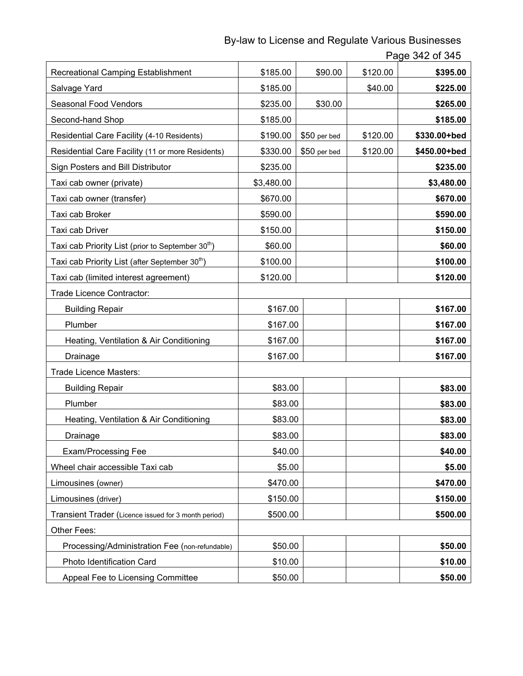By-law to License and Regulate Various Businesses

Page 342 of 345

| Recreational Camping Establishment                            | \$185.00   | \$90.00      | \$120.00 | \$395.00     |
|---------------------------------------------------------------|------------|--------------|----------|--------------|
| Salvage Yard                                                  | \$185.00   |              | \$40.00  | \$225.00     |
| Seasonal Food Vendors                                         | \$235.00   | \$30.00      |          | \$265.00     |
| Second-hand Shop                                              | \$185.00   |              |          | \$185.00     |
| Residential Care Facility (4-10 Residents)                    | \$190.00   | \$50 per bed | \$120.00 | \$330.00+bed |
| Residential Care Facility (11 or more Residents)              | \$330.00   | \$50 per bed | \$120.00 | \$450.00+bed |
| Sign Posters and Bill Distributor                             | \$235.00   |              |          | \$235.00     |
| Taxi cab owner (private)                                      | \$3,480.00 |              |          | \$3,480.00   |
| Taxi cab owner (transfer)                                     | \$670.00   |              |          | \$670.00     |
| Taxi cab Broker                                               | \$590.00   |              |          | \$590.00     |
| Taxi cab Driver                                               | \$150.00   |              |          | \$150.00     |
| Taxi cab Priority List (prior to September 30 <sup>th</sup> ) | \$60.00    |              |          | \$60.00      |
| Taxi cab Priority List (after September 30 <sup>th</sup> )    | \$100.00   |              |          | \$100.00     |
| Taxi cab (limited interest agreement)                         | \$120.00   |              |          | \$120.00     |
| Trade Licence Contractor:                                     |            |              |          |              |
| <b>Building Repair</b>                                        | \$167.00   |              |          | \$167.00     |
| Plumber                                                       | \$167.00   |              |          | \$167.00     |
| Heating, Ventilation & Air Conditioning                       | \$167.00   |              |          | \$167.00     |
| Drainage                                                      | \$167.00   |              |          | \$167.00     |
| Trade Licence Masters:                                        |            |              |          |              |
| <b>Building Repair</b>                                        | \$83.00    |              |          | \$83.00      |
| Plumber                                                       | \$83.00    |              |          | \$83.00      |
| Heating, Ventilation & Air Conditioning                       | \$83.00    |              |          | \$83.00      |
| Drainage                                                      | \$83.00    |              |          | \$83.00      |
| <b>Exam/Processing Fee</b>                                    | \$40.00    |              |          | \$40.00      |
| Wheel chair accessible Taxi cab                               | \$5.00     |              |          | \$5.00       |
| Limousines (owner)                                            | \$470.00   |              |          | \$470.00     |
| Limousines (driver)                                           | \$150.00   |              |          | \$150.00     |
| Transient Trader (Licence issued for 3 month period)          | \$500.00   |              |          | \$500.00     |
| Other Fees:                                                   |            |              |          |              |
| Processing/Administration Fee (non-refundable)                | \$50.00    |              |          | \$50.00      |
| Photo Identification Card                                     | \$10.00    |              |          | \$10.00      |
| Appeal Fee to Licensing Committee                             | \$50.00    |              |          | \$50.00      |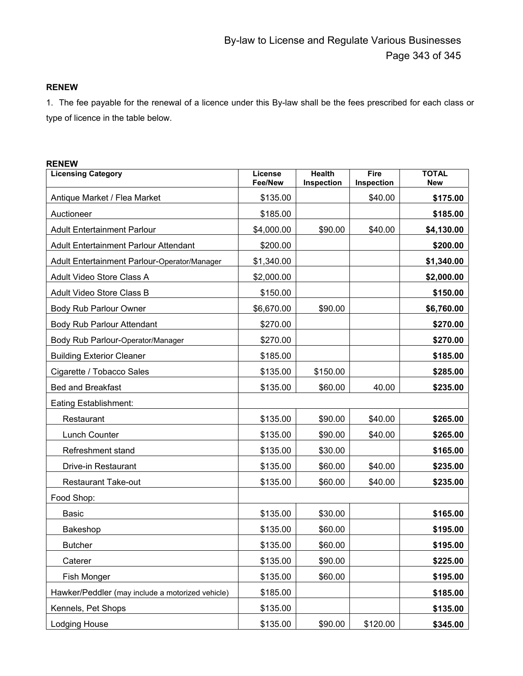#### **RENEW**

1. The fee payable for the renewal of a licence under this By-law shall be the fees prescribed for each class or type of licence in the table below.

#### **RENEW**

| <b>Licensing Category</b>                        | License<br>Fee/New | <b>Health</b><br>Inspection | Fire<br>Inspection | <b>TOTAL</b><br>New |
|--------------------------------------------------|--------------------|-----------------------------|--------------------|---------------------|
| Antique Market / Flea Market                     | \$135.00           |                             | \$40.00            | \$175.00            |
| Auctioneer                                       | \$185.00           |                             |                    | \$185.00            |
| <b>Adult Entertainment Parlour</b>               | \$4,000.00         | \$90.00                     | \$40.00            | \$4,130.00          |
| <b>Adult Entertainment Parlour Attendant</b>     | \$200.00           |                             |                    | \$200.00            |
| Adult Entertainment Parlour-Operator/Manager     | \$1,340.00         |                             |                    | \$1,340.00          |
| Adult Video Store Class A                        | \$2,000.00         |                             |                    | \$2,000.00          |
| Adult Video Store Class B                        | \$150.00           |                             |                    | \$150.00            |
| Body Rub Parlour Owner                           | \$6,670.00         | \$90.00                     |                    | \$6,760.00          |
| Body Rub Parlour Attendant                       | \$270.00           |                             |                    | \$270.00            |
| Body Rub Parlour-Operator/Manager                | \$270.00           |                             |                    | \$270.00            |
| <b>Building Exterior Cleaner</b>                 | \$185.00           |                             |                    | \$185.00            |
| Cigarette / Tobacco Sales                        | \$135.00           | \$150.00                    |                    | \$285.00            |
| <b>Bed and Breakfast</b>                         | \$135.00           | \$60.00                     | 40.00              | \$235.00            |
| Eating Establishment:                            |                    |                             |                    |                     |
| Restaurant                                       | \$135.00           | \$90.00                     | \$40.00            | \$265.00            |
| Lunch Counter                                    | \$135.00           | \$90.00                     | \$40.00            | \$265.00            |
| Refreshment stand                                | \$135.00           | \$30.00                     |                    | \$165.00            |
| Drive-in Restaurant                              | \$135.00           | \$60.00                     | \$40.00            | \$235.00            |
| <b>Restaurant Take-out</b>                       | \$135.00           | \$60.00                     | \$40.00            | \$235.00            |
| Food Shop:                                       |                    |                             |                    |                     |
| Basic                                            | \$135.00           | \$30.00                     |                    | \$165.00            |
| Bakeshop                                         | \$135.00           | \$60.00                     |                    | \$195.00            |
| <b>Butcher</b>                                   | \$135.00           | \$60.00                     |                    | \$195.00            |
| Caterer                                          | \$135.00           | \$90.00                     |                    | \$225.00            |
| Fish Monger                                      | \$135.00           | \$60.00                     |                    | \$195.00            |
| Hawker/Peddler (may include a motorized vehicle) | \$185.00           |                             |                    | \$185.00            |
| Kennels, Pet Shops                               | \$135.00           |                             |                    | \$135.00            |
| Lodging House                                    | \$135.00           | \$90.00                     | \$120.00           | \$345.00            |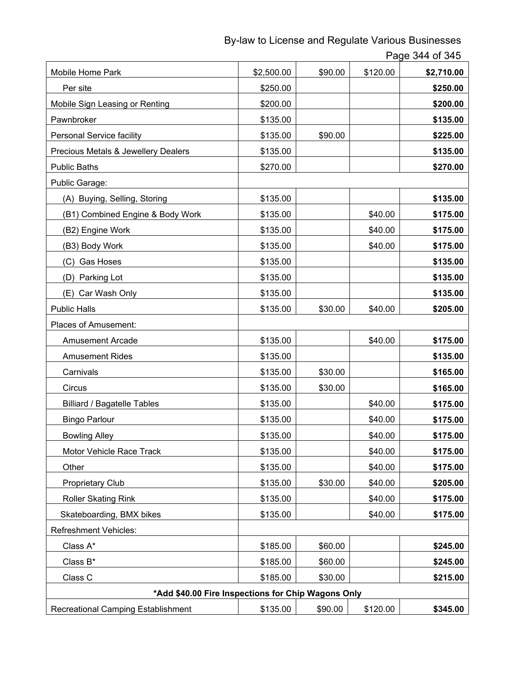By-law to License and Regulate Various Businesses

Page 344 of 345

| Mobile Home Park                                   | \$2,500.00 | \$90.00 | \$120.00 | \$2,710.00 |
|----------------------------------------------------|------------|---------|----------|------------|
| Per site                                           | \$250.00   |         |          | \$250.00   |
| Mobile Sign Leasing or Renting                     | \$200.00   |         |          | \$200.00   |
| Pawnbroker                                         | \$135.00   |         |          | \$135.00   |
| Personal Service facility                          | \$135.00   | \$90.00 |          | \$225.00   |
| Precious Metals & Jewellery Dealers                | \$135.00   |         |          | \$135.00   |
| <b>Public Baths</b>                                | \$270.00   |         |          | \$270.00   |
| Public Garage:                                     |            |         |          |            |
| (A) Buying, Selling, Storing                       | \$135.00   |         |          | \$135.00   |
| (B1) Combined Engine & Body Work                   | \$135.00   |         | \$40.00  | \$175.00   |
| (B2) Engine Work                                   | \$135.00   |         | \$40.00  | \$175.00   |
| (B3) Body Work                                     | \$135.00   |         | \$40.00  | \$175.00   |
| (C) Gas Hoses                                      | \$135.00   |         |          | \$135.00   |
| (D) Parking Lot                                    | \$135.00   |         |          | \$135.00   |
| (E) Car Wash Only                                  | \$135.00   |         |          | \$135.00   |
| <b>Public Halls</b>                                | \$135.00   | \$30.00 | \$40.00  | \$205.00   |
| Places of Amusement:                               |            |         |          |            |
| <b>Amusement Arcade</b>                            | \$135.00   |         | \$40.00  | \$175.00   |
| <b>Amusement Rides</b>                             | \$135.00   |         |          | \$135.00   |
| Carnivals                                          | \$135.00   | \$30.00 |          | \$165.00   |
| Circus                                             | \$135.00   | \$30.00 |          | \$165.00   |
| <b>Billiard / Bagatelle Tables</b>                 | \$135.00   |         | \$40.00  | \$175.00   |
| <b>Bingo Parlour</b>                               | \$135.00   |         | \$40.00  | \$175.00   |
| <b>Bowling Alley</b>                               | \$135.00   |         | \$40.00  | \$175.00   |
| Motor Vehicle Race Track                           | \$135.00   |         | \$40.00  | \$175.00   |
| Other                                              | \$135.00   |         | \$40.00  | \$175.00   |
| Proprietary Club                                   | \$135.00   | \$30.00 | \$40.00  | \$205.00   |
| Roller Skating Rink                                | \$135.00   |         | \$40.00  | \$175.00   |
| Skateboarding, BMX bikes                           | \$135.00   |         | \$40.00  | \$175.00   |
| <b>Refreshment Vehicles:</b>                       |            |         |          |            |
| Class A*                                           | \$185.00   | \$60.00 |          | \$245.00   |
| Class B*                                           | \$185.00   | \$60.00 |          | \$245.00   |
| Class C                                            | \$185.00   | \$30.00 |          | \$215.00   |
| *Add \$40.00 Fire Inspections for Chip Wagons Only |            |         |          |            |
| Recreational Camping Establishment                 | \$135.00   | \$90.00 | \$120.00 | \$345.00   |